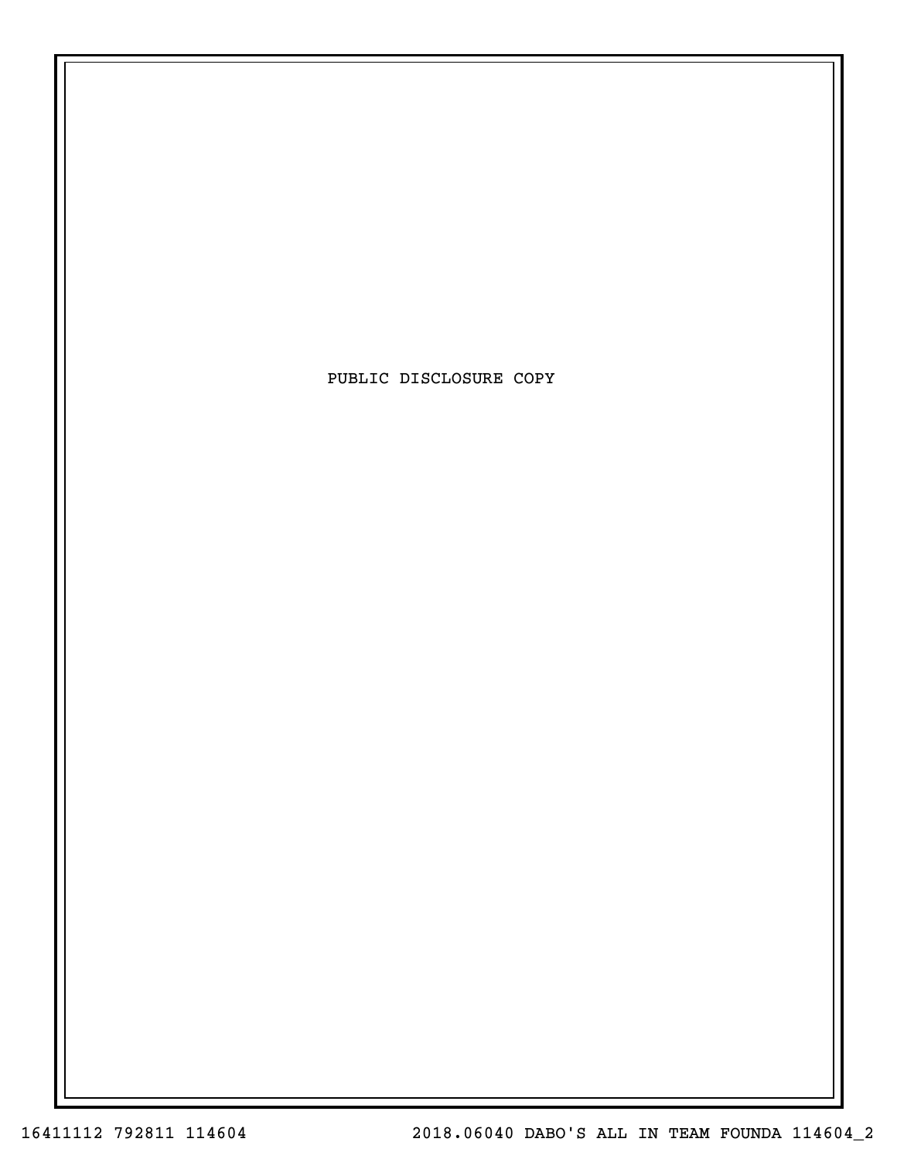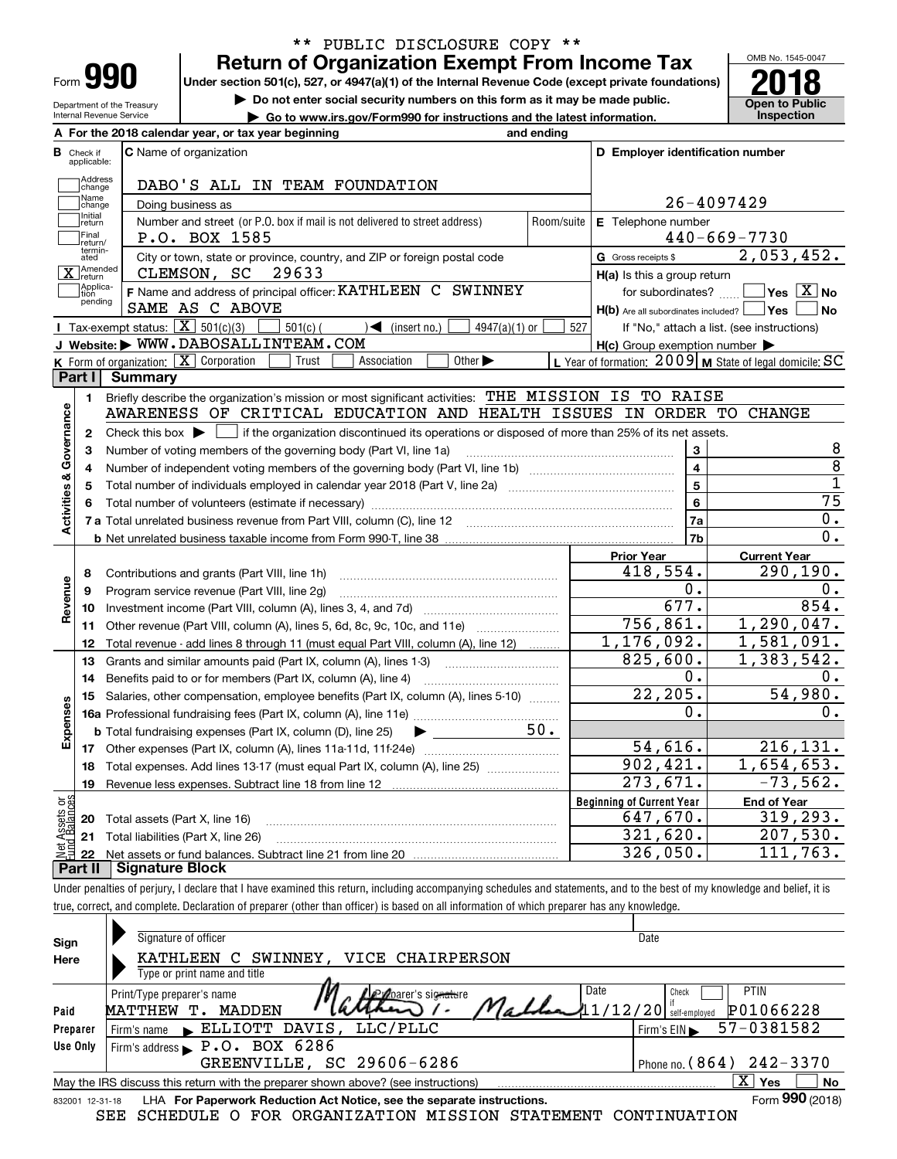| Form |  |
|------|--|

Department of the Treasury Internal Revenue Service

## **Return of Organization Exempt From Income Tax** \*\* PUBLIC DISCLOSURE COPY \*\*

**Under section 501(c), 527, or 4947(a)(1) of the Internal Revenue Code (except private foundations) 2018**

**| Do not enter social security numbers on this form as it may be made public.**

**| Go to www.irs.gov/Form990 for instructions and the latest information. Inspection**



|                         |                             | A For the 2018 calendar year, or tax year beginning                                                                                                 | and ending              |                                                                       |                                                             |
|-------------------------|-----------------------------|-----------------------------------------------------------------------------------------------------------------------------------------------------|-------------------------|-----------------------------------------------------------------------|-------------------------------------------------------------|
| В                       | Check if<br>applicable:     | <b>C</b> Name of organization                                                                                                                       |                         | D Employer identification number                                      |                                                             |
|                         | Address<br>change           | DABO'S ALL IN TEAM FOUNDATION                                                                                                                       |                         |                                                                       |                                                             |
|                         | Name<br>change              | Doing business as                                                                                                                                   |                         |                                                                       | 26-4097429                                                  |
|                         | Initial<br>return           | Number and street (or P.O. box if mail is not delivered to street address)                                                                          | Room/suite              | E Telephone number                                                    |                                                             |
|                         | Final<br> return/           | P.O. BOX 1585                                                                                                                                       |                         |                                                                       | $440 - 669 - 7730$                                          |
|                         | termin-<br>ated             | City or town, state or province, country, and ZIP or foreign postal code                                                                            |                         | G Gross receipts \$                                                   | 2,053,452.                                                  |
|                         | Amended<br>Ireturn          | 29633<br>CLEMSON, SC                                                                                                                                |                         | H(a) Is this a group return                                           |                                                             |
|                         | Applica-<br>tion<br>pending | F Name and address of principal officer: KATHLEEN C SWINNEY<br>SAME AS C ABOVE                                                                      |                         | for subordinates?<br>$H(b)$ Are all subordinates included? $\Box$ Yes | $\overline{\ }$ Yes $\overline{\rm X}$ No<br>N <sub>o</sub> |
|                         |                             | Tax-exempt status: $\boxed{\mathbf{X}}$ 501(c)(3)<br>$\sqrt{\frac{1}{1}}$ (insert no.)<br>$4947(a)(1)$ or<br>$501(c)$ (                             | 527                     |                                                                       | If "No," attach a list. (see instructions)                  |
|                         |                             | J Website: WWW.DABOSALLINTEAM.COM                                                                                                                   |                         | $H(c)$ Group exemption number $\blacktriangleright$                   |                                                             |
|                         |                             | K Form of organization: X Corporation<br>Association<br>Other $\blacktriangleright$<br>Trust                                                        |                         |                                                                       | L Year of formation: $2009$ M State of legal domicile: SC   |
|                         | Part I                      | Summary                                                                                                                                             |                         |                                                                       |                                                             |
|                         | 1.                          | Briefly describe the organization's mission or most significant activities: THE MISSION IS TO RAISE                                                 |                         |                                                                       |                                                             |
|                         |                             | AWARENESS OF CRITICAL EDUCATION AND HEALTH ISSUES IN ORDER TO CHANGE                                                                                |                         |                                                                       |                                                             |
| Activities & Governance | $\mathbf{2}$                | Check this box $\blacktriangleright$ $\blacksquare$ if the organization discontinued its operations or disposed of more than 25% of its net assets. |                         |                                                                       |                                                             |
|                         | 3                           | Number of voting members of the governing body (Part VI, line 1a)                                                                                   |                         | $\mathbf{3}$                                                          | 8                                                           |
|                         | 4                           |                                                                                                                                                     |                         | $\overline{\mathbf{4}}$                                               | $\overline{8}$                                              |
|                         | 5                           |                                                                                                                                                     | $\overline{\mathbf{5}}$ | $\overline{1}$                                                        |                                                             |
|                         |                             |                                                                                                                                                     |                         | 6                                                                     | $\overline{75}$                                             |
|                         |                             |                                                                                                                                                     |                         | 7a                                                                    | $0$ .                                                       |
|                         |                             |                                                                                                                                                     |                         | 7b                                                                    | 0.                                                          |
|                         |                             |                                                                                                                                                     |                         | <b>Prior Year</b>                                                     | <b>Current Year</b>                                         |
|                         | 8                           | Contributions and grants (Part VIII, line 1h)                                                                                                       |                         | 418,554.                                                              | 290, 190.                                                   |
| Revenue                 | 9                           | Program service revenue (Part VIII, line 2g)                                                                                                        |                         | 0.                                                                    | Ο.                                                          |
|                         | 10                          |                                                                                                                                                     |                         | 677.                                                                  | 854.                                                        |
|                         | 11                          | Other revenue (Part VIII, column (A), lines 5, 6d, 8c, 9c, 10c, and 11e)                                                                            |                         | 756,861.                                                              | 1, 290, 047.                                                |
|                         | 12                          | Total revenue - add lines 8 through 11 (must equal Part VIII, column (A), line 12)                                                                  |                         | 1,176,092.                                                            | 1,581,091.                                                  |
|                         | 13                          | Grants and similar amounts paid (Part IX, column (A), lines 1-3)                                                                                    |                         | 825,600.                                                              | 1,383,542.                                                  |
|                         | 14                          | Benefits paid to or for members (Part IX, column (A), line 4)                                                                                       |                         | 0.                                                                    | Ο.                                                          |
|                         | 15                          | Salaries, other compensation, employee benefits (Part IX, column (A), lines 5-10)                                                                   |                         | 22, 205.                                                              | 54,980.                                                     |
| Expenses                |                             |                                                                                                                                                     |                         | $\Omega$ .                                                            | Ο.                                                          |
|                         |                             | <b>b</b> Total fundraising expenses (Part IX, column (D), line 25)                                                                                  | 50.                     |                                                                       |                                                             |
|                         |                             |                                                                                                                                                     |                         | 54,616.                                                               | 216, 131.                                                   |
|                         | 18                          | Total expenses. Add lines 13-17 (must equal Part IX, column (A), line 25)                                                                           |                         | 902, 421.                                                             | 1,654,653.                                                  |
|                         | 19                          |                                                                                                                                                     |                         | 273,671.                                                              | $-73,562.$                                                  |
| ăğ                      |                             |                                                                                                                                                     |                         | <b>Beginning of Current Year</b>                                      | <b>End of Year</b>                                          |
| Assets<br><b>Palgri</b> | 20                          | Total assets (Part X, line 16)                                                                                                                      |                         | 647,670.                                                              | 319, 293.                                                   |
|                         |                             | 21 Total liabilities (Part X, line 26)                                                                                                              |                         | 321,620.                                                              | 207,530.                                                    |
| Net                     | r+ 11                       | - Cianature Block                                                                                                                                   |                         | 326,050.                                                              | 111,763.                                                    |

**Part II Signature Block**

Under penalties of perjury, I declare that I have examined this return, including accompanying schedules and statements, and to the best of my knowledge and belief, it is true, correct, and complete. Declaration of preparer (other than officer) is based on all information of which preparer has any knowledge.

| Sign            | Signature of officer                                                              | Date                                  |
|-----------------|-----------------------------------------------------------------------------------|---------------------------------------|
| Here            | VICE CHAIRPERSON<br>KATHLEEN C<br>SWINNEY,                                        |                                       |
|                 | Type or print name and title                                                      |                                       |
|                 | Date<br><b>Progrec's signature</b><br>Print/Type preparer's name                  | <b>PTIN</b><br>Check                  |
| Paid            | MADDEN<br>MATTHEW<br>т.                                                           | $11/12/20$ self-employed<br>P01066228 |
| Preparer        | ELLIOTT DAVIS, LLC/PLLC<br>Firm's name                                            | 57-0381582<br>Firm's EIN              |
| Use Only        | Firm's address P.O. BOX 6286                                                      |                                       |
|                 | GREENVILLE, SC 29606-6286                                                         | Phone no. $(864)$ 242-3370            |
|                 | May the IRS discuss this return with the preparer shown above? (see instructions) | $\overline{\mathrm{X}}$ Yes<br>No     |
| 832001 12-31-18 | LHA For Paperwork Reduction Act Notice, see the separate instructions.            | Form 990 (2018)                       |
|                 | SCHEDULE O FOR ORGANIZATION MISSION STATEMENT<br>SEE                              | CONTINUATION                          |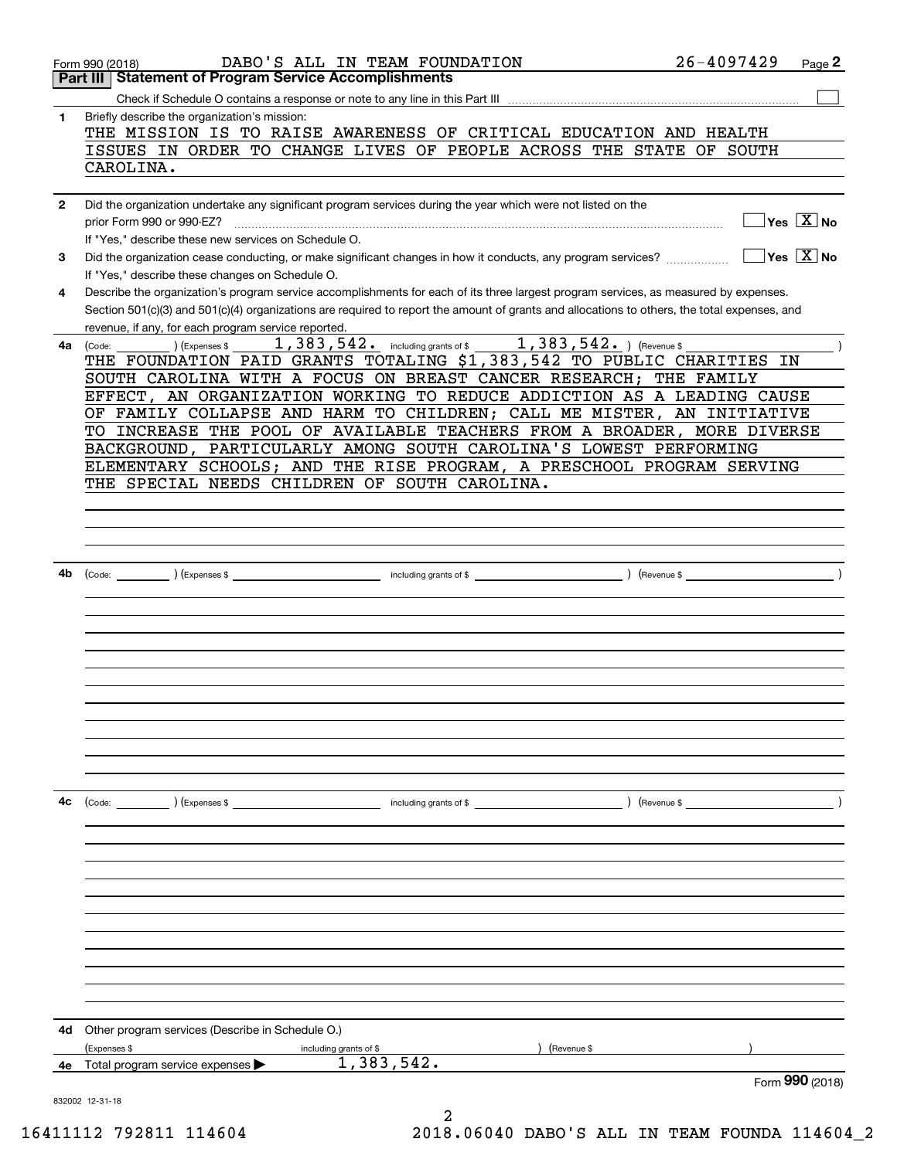|              | $26 - 4097429$<br>DABO'S ALL IN TEAM FOUNDATION<br>Form 990 (2018)                                                                                                                                                                                                                                                                          | Page 2                                 |
|--------------|---------------------------------------------------------------------------------------------------------------------------------------------------------------------------------------------------------------------------------------------------------------------------------------------------------------------------------------------|----------------------------------------|
|              | Part III   Statement of Program Service Accomplishments                                                                                                                                                                                                                                                                                     |                                        |
|              |                                                                                                                                                                                                                                                                                                                                             |                                        |
| 1            | Briefly describe the organization's mission:<br>THE MISSION IS TO RAISE AWARENESS OF CRITICAL EDUCATION AND HEALTH<br>ISSUES IN ORDER TO CHANGE LIVES OF PEOPLE ACROSS THE STATE OF SOUTH                                                                                                                                                   |                                        |
|              | CAROLINA.                                                                                                                                                                                                                                                                                                                                   |                                        |
| $\mathbf{2}$ | Did the organization undertake any significant program services during the year which were not listed on the<br>prior Form 990 or 990-EZ?<br>If "Yes," describe these new services on Schedule O.                                                                                                                                           | $\sqrt{}$ Yes $\sqrt{}$ X $\sqrt{}$ No |
| 3            | Did the organization cease conducting, or make significant changes in how it conducts, any program services?<br>If "Yes," describe these changes on Schedule O.                                                                                                                                                                             | $\sqrt{}$ Yes $\sqrt{}$ X $\sqrt{}$ No |
| 4            | Describe the organization's program service accomplishments for each of its three largest program services, as measured by expenses.<br>Section 501(c)(3) and 501(c)(4) organizations are required to report the amount of grants and allocations to others, the total expenses, and<br>revenue, if any, for each program service reported. |                                        |
| 4a l         | $1,383,542.$ including grants of \$1,383,542.) (Revenue \$<br>(Expenses \$<br>(Code:                                                                                                                                                                                                                                                        |                                        |
|              | THE FOUNDATION PAID GRANTS TOTALING \$1,383,542 TO PUBLIC CHARITIES IN                                                                                                                                                                                                                                                                      |                                        |
|              | SOUTH CAROLINA WITH A FOCUS ON BREAST CANCER RESEARCH; THE FAMILY                                                                                                                                                                                                                                                                           |                                        |
|              | EFFECT, AN ORGANIZATION WORKING TO REDUCE ADDICTION AS A LEADING CAUSE                                                                                                                                                                                                                                                                      |                                        |
|              | OF FAMILY COLLAPSE AND HARM TO CHILDREN; CALL ME MISTER, AN INITIATIVE                                                                                                                                                                                                                                                                      |                                        |
|              | TO INCREASE THE POOL OF AVAILABLE TEACHERS FROM A BROADER, MORE DIVERSE                                                                                                                                                                                                                                                                     |                                        |
|              | BACKGROUND, PARTICULARLY AMONG SOUTH CAROLINA'S LOWEST PERFORMING                                                                                                                                                                                                                                                                           |                                        |
|              | ELEMENTARY SCHOOLS; AND THE RISE PROGRAM, A PRESCHOOL PROGRAM SERVING                                                                                                                                                                                                                                                                       |                                        |
|              | THE SPECIAL NEEDS CHILDREN OF SOUTH CAROLINA.                                                                                                                                                                                                                                                                                               |                                        |
|              |                                                                                                                                                                                                                                                                                                                                             |                                        |
|              |                                                                                                                                                                                                                                                                                                                                             |                                        |
|              |                                                                                                                                                                                                                                                                                                                                             |                                        |
|              |                                                                                                                                                                                                                                                                                                                                             |                                        |
|              |                                                                                                                                                                                                                                                                                                                                             |                                        |
| 4b           |                                                                                                                                                                                                                                                                                                                                             |                                        |
|              |                                                                                                                                                                                                                                                                                                                                             |                                        |
|              |                                                                                                                                                                                                                                                                                                                                             |                                        |
|              |                                                                                                                                                                                                                                                                                                                                             |                                        |
|              |                                                                                                                                                                                                                                                                                                                                             |                                        |
|              |                                                                                                                                                                                                                                                                                                                                             |                                        |
|              |                                                                                                                                                                                                                                                                                                                                             |                                        |
|              |                                                                                                                                                                                                                                                                                                                                             |                                        |
|              |                                                                                                                                                                                                                                                                                                                                             |                                        |
|              |                                                                                                                                                                                                                                                                                                                                             |                                        |
|              |                                                                                                                                                                                                                                                                                                                                             |                                        |
|              |                                                                                                                                                                                                                                                                                                                                             |                                        |
|              |                                                                                                                                                                                                                                                                                                                                             |                                        |
| 4с           | $\overline{\phantom{a}}$ including grants of \$ $\overline{\phantom{a}}$ (Revenue \$ $\overline{\phantom{a}}$<br>(Code: ) (Expenses \$                                                                                                                                                                                                      |                                        |
|              |                                                                                                                                                                                                                                                                                                                                             |                                        |
|              |                                                                                                                                                                                                                                                                                                                                             |                                        |
|              |                                                                                                                                                                                                                                                                                                                                             |                                        |
|              |                                                                                                                                                                                                                                                                                                                                             |                                        |
|              |                                                                                                                                                                                                                                                                                                                                             |                                        |
|              |                                                                                                                                                                                                                                                                                                                                             |                                        |
|              |                                                                                                                                                                                                                                                                                                                                             |                                        |
|              |                                                                                                                                                                                                                                                                                                                                             |                                        |
|              |                                                                                                                                                                                                                                                                                                                                             |                                        |
|              |                                                                                                                                                                                                                                                                                                                                             |                                        |
|              |                                                                                                                                                                                                                                                                                                                                             |                                        |
|              |                                                                                                                                                                                                                                                                                                                                             |                                        |
| 4d           | Other program services (Describe in Schedule O.)                                                                                                                                                                                                                                                                                            |                                        |
|              | (Expenses \$<br>(Revenue \$<br>including grants of \$                                                                                                                                                                                                                                                                                       |                                        |
| 4е           | 1,383,542.<br>Total program service expenses                                                                                                                                                                                                                                                                                                |                                        |
|              |                                                                                                                                                                                                                                                                                                                                             | Form 990 (2018)                        |
|              | 832002 12-31-18                                                                                                                                                                                                                                                                                                                             |                                        |
|              |                                                                                                                                                                                                                                                                                                                                             |                                        |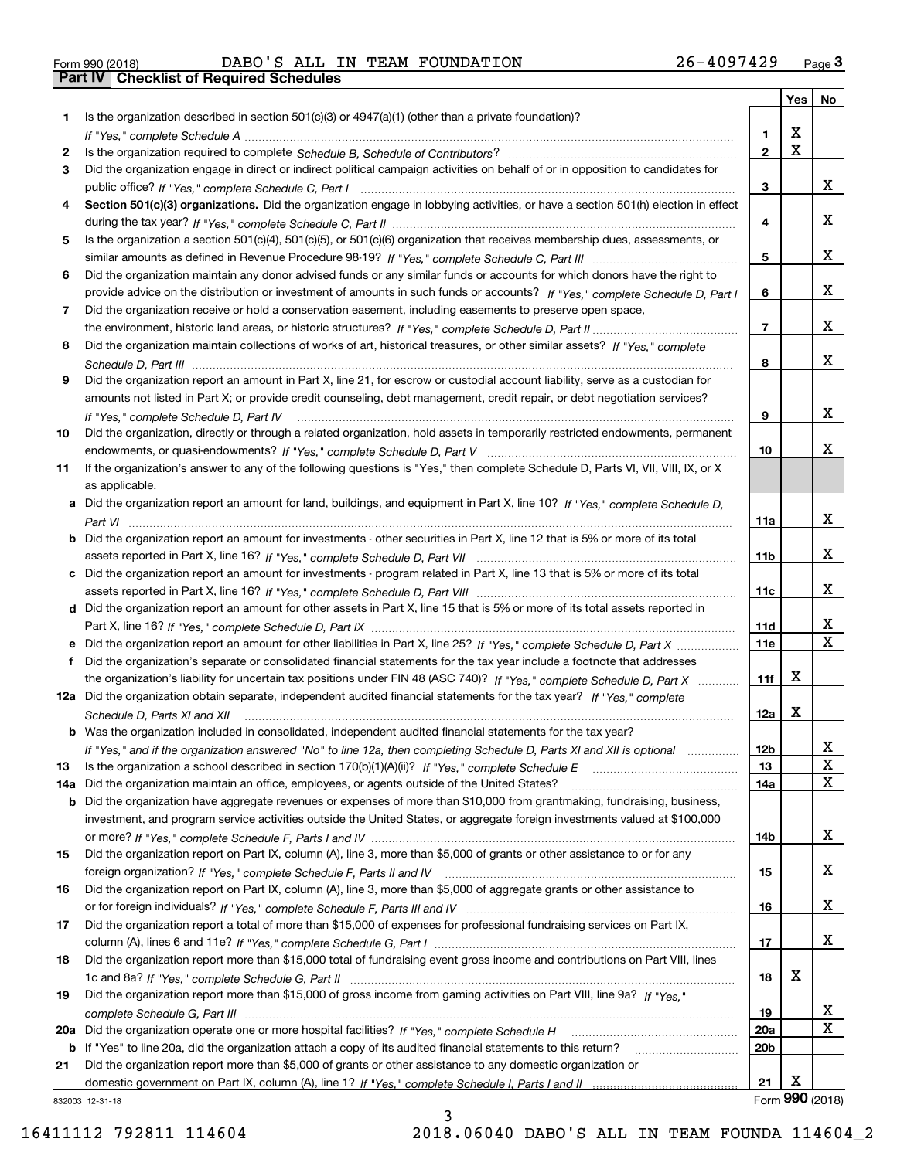| Form 990 (2018) |  |  |
|-----------------|--|--|

Form 990 (2018) DABO ' S ALL IN TEAM FOUNDATION 2 6 – 40 9 7 4 2 9 <sub>Page</sub> 3<br>**Part IV | Checklist of Required Schedules** 

| Is the organization described in section $501(c)(3)$ or $4947(a)(1)$ (other than a private foundation)?<br>1.<br>X<br>1<br>$\mathbf X$<br>$\overline{2}$<br>2<br>Did the organization engage in direct or indirect political campaign activities on behalf of or in opposition to candidates for<br>3<br>x<br>3<br>Section 501(c)(3) organizations. Did the organization engage in lobbying activities, or have a section 501(h) election in effect<br>4<br>x<br>4<br>Is the organization a section 501(c)(4), 501(c)(5), or 501(c)(6) organization that receives membership dues, assessments, or<br>5<br>x<br>5<br>Did the organization maintain any donor advised funds or any similar funds or accounts for which donors have the right to<br>6<br>x<br>provide advice on the distribution or investment of amounts in such funds or accounts? If "Yes," complete Schedule D, Part I<br>6<br>Did the organization receive or hold a conservation easement, including easements to preserve open space,<br>7<br>x<br>$\overline{7}$<br>Did the organization maintain collections of works of art, historical treasures, or other similar assets? If "Yes," complete<br>8<br>x<br>8<br>Did the organization report an amount in Part X, line 21, for escrow or custodial account liability, serve as a custodian for<br>9<br>amounts not listed in Part X; or provide credit counseling, debt management, credit repair, or debt negotiation services?<br>x<br>9<br>If "Yes," complete Schedule D, Part IV<br>Did the organization, directly or through a related organization, hold assets in temporarily restricted endowments, permanent<br>x<br>10<br>If the organization's answer to any of the following questions is "Yes," then complete Schedule D, Parts VI, VII, VIII, IX, or X<br>as applicable.<br>a Did the organization report an amount for land, buildings, and equipment in Part X, line 10? If "Yes," complete Schedule D,<br>x<br>11a<br><b>b</b> Did the organization report an amount for investments - other securities in Part X, line 12 that is 5% or more of its total<br>x<br>11 <sub>b</sub><br>c Did the organization report an amount for investments - program related in Part X, line 13 that is 5% or more of its total<br>X.<br>11c<br>d Did the organization report an amount for other assets in Part X, line 15 that is 5% or more of its total assets reported in<br>х<br>11d<br>$\mathbf{x}$<br>11e<br>Did the organization's separate or consolidated financial statements for the tax year include a footnote that addresses<br>X<br>the organization's liability for uncertain tax positions under FIN 48 (ASC 740)? If "Yes," complete Schedule D, Part X<br>11f<br>12a Did the organization obtain separate, independent audited financial statements for the tax year? If "Yes," complete<br>X<br>12a<br>Schedule D, Parts XI and XII<br><b>b</b> Was the organization included in consolidated, independent audited financial statements for the tax year?<br>If "Yes," and if the organization answered "No" to line 12a, then completing Schedule D, Parts XI and XII is optional<br>12b<br>ᅀ<br>X<br>13<br>13<br>X<br>Did the organization maintain an office, employees, or agents outside of the United States?<br>14a<br>14a<br>Did the organization have aggregate revenues or expenses of more than \$10,000 from grantmaking, fundraising, business,<br>b<br>investment, and program service activities outside the United States, or aggregate foreign investments valued at \$100,000<br>x<br>14b<br>Did the organization report on Part IX, column (A), line 3, more than \$5,000 of grants or other assistance to or for any<br>x<br>15<br>Did the organization report on Part IX, column (A), line 3, more than \$5,000 of aggregate grants or other assistance to<br>x<br>16<br>Did the organization report a total of more than \$15,000 of expenses for professional fundraising services on Part IX,<br>x<br>17<br>Did the organization report more than \$15,000 total of fundraising event gross income and contributions on Part VIII, lines<br>х<br>18<br>Did the organization report more than \$15,000 of gross income from gaming activities on Part VIII, line 9a? If "Yes."<br>X<br>19<br>x<br><b>20a</b><br>20 <sub>b</sub><br>b If "Yes" to line 20a, did the organization attach a copy of its audited financial statements to this return?<br>Did the organization report more than \$5,000 of grants or other assistance to any domestic organization or<br>21<br>Х<br>21<br>832003 12-31-18 |    |  | Yes | No |
|-------------------------------------------------------------------------------------------------------------------------------------------------------------------------------------------------------------------------------------------------------------------------------------------------------------------------------------------------------------------------------------------------------------------------------------------------------------------------------------------------------------------------------------------------------------------------------------------------------------------------------------------------------------------------------------------------------------------------------------------------------------------------------------------------------------------------------------------------------------------------------------------------------------------------------------------------------------------------------------------------------------------------------------------------------------------------------------------------------------------------------------------------------------------------------------------------------------------------------------------------------------------------------------------------------------------------------------------------------------------------------------------------------------------------------------------------------------------------------------------------------------------------------------------------------------------------------------------------------------------------------------------------------------------------------------------------------------------------------------------------------------------------------------------------------------------------------------------------------------------------------------------------------------------------------------------------------------------------------------------------------------------------------------------------------------------------------------------------------------------------------------------------------------------------------------------------------------------------------------------------------------------------------------------------------------------------------------------------------------------------------------------------------------------------------------------------------------------------------------------------------------------------------------------------------------------------------------------------------------------------------------------------------------------------------------------------------------------------------------------------------------------------------------------------------------------------------------------------------------------------------------------------------------------------------------------------------------------------------------------------------------------------------------------------------------------------------------------------------------------------------------------------------------------------------------------------------------------------------------------------------------------------------------------------------------------------------------------------------------------------------------------------------------------------------------------------------------------------------------------------------------------------------------------------------------------------------------------------------------------------------------------------------------------------------------------------------------------------------------------------------------------------------------------------------------------------------------------------------------------------------------------------------------------------------------------------------------------------------------------------------------------------------------------------------------------------------------------------------------------------------------------------------------------------------------------------------------------------------------------------------------------------------------------------------------------------------------------------------------------------------------------------------------------------------------------------------------------------------------------------------------------------------------------------------------------------------|----|--|-----|----|
|                                                                                                                                                                                                                                                                                                                                                                                                                                                                                                                                                                                                                                                                                                                                                                                                                                                                                                                                                                                                                                                                                                                                                                                                                                                                                                                                                                                                                                                                                                                                                                                                                                                                                                                                                                                                                                                                                                                                                                                                                                                                                                                                                                                                                                                                                                                                                                                                                                                                                                                                                                                                                                                                                                                                                                                                                                                                                                                                                                                                                                                                                                                                                                                                                                                                                                                                                                                                                                                                                                                                                                                                                                                                                                                                                                                                                                                                                                                                                                                                                                                                                                                                                                                                                                                                                                                                                                                                                                                                                                                                                                               |    |  |     |    |
|                                                                                                                                                                                                                                                                                                                                                                                                                                                                                                                                                                                                                                                                                                                                                                                                                                                                                                                                                                                                                                                                                                                                                                                                                                                                                                                                                                                                                                                                                                                                                                                                                                                                                                                                                                                                                                                                                                                                                                                                                                                                                                                                                                                                                                                                                                                                                                                                                                                                                                                                                                                                                                                                                                                                                                                                                                                                                                                                                                                                                                                                                                                                                                                                                                                                                                                                                                                                                                                                                                                                                                                                                                                                                                                                                                                                                                                                                                                                                                                                                                                                                                                                                                                                                                                                                                                                                                                                                                                                                                                                                                               |    |  |     |    |
|                                                                                                                                                                                                                                                                                                                                                                                                                                                                                                                                                                                                                                                                                                                                                                                                                                                                                                                                                                                                                                                                                                                                                                                                                                                                                                                                                                                                                                                                                                                                                                                                                                                                                                                                                                                                                                                                                                                                                                                                                                                                                                                                                                                                                                                                                                                                                                                                                                                                                                                                                                                                                                                                                                                                                                                                                                                                                                                                                                                                                                                                                                                                                                                                                                                                                                                                                                                                                                                                                                                                                                                                                                                                                                                                                                                                                                                                                                                                                                                                                                                                                                                                                                                                                                                                                                                                                                                                                                                                                                                                                                               |    |  |     |    |
| Form 990 (2018)                                                                                                                                                                                                                                                                                                                                                                                                                                                                                                                                                                                                                                                                                                                                                                                                                                                                                                                                                                                                                                                                                                                                                                                                                                                                                                                                                                                                                                                                                                                                                                                                                                                                                                                                                                                                                                                                                                                                                                                                                                                                                                                                                                                                                                                                                                                                                                                                                                                                                                                                                                                                                                                                                                                                                                                                                                                                                                                                                                                                                                                                                                                                                                                                                                                                                                                                                                                                                                                                                                                                                                                                                                                                                                                                                                                                                                                                                                                                                                                                                                                                                                                                                                                                                                                                                                                                                                                                                                                                                                                                                               |    |  |     |    |
|                                                                                                                                                                                                                                                                                                                                                                                                                                                                                                                                                                                                                                                                                                                                                                                                                                                                                                                                                                                                                                                                                                                                                                                                                                                                                                                                                                                                                                                                                                                                                                                                                                                                                                                                                                                                                                                                                                                                                                                                                                                                                                                                                                                                                                                                                                                                                                                                                                                                                                                                                                                                                                                                                                                                                                                                                                                                                                                                                                                                                                                                                                                                                                                                                                                                                                                                                                                                                                                                                                                                                                                                                                                                                                                                                                                                                                                                                                                                                                                                                                                                                                                                                                                                                                                                                                                                                                                                                                                                                                                                                                               |    |  |     |    |
|                                                                                                                                                                                                                                                                                                                                                                                                                                                                                                                                                                                                                                                                                                                                                                                                                                                                                                                                                                                                                                                                                                                                                                                                                                                                                                                                                                                                                                                                                                                                                                                                                                                                                                                                                                                                                                                                                                                                                                                                                                                                                                                                                                                                                                                                                                                                                                                                                                                                                                                                                                                                                                                                                                                                                                                                                                                                                                                                                                                                                                                                                                                                                                                                                                                                                                                                                                                                                                                                                                                                                                                                                                                                                                                                                                                                                                                                                                                                                                                                                                                                                                                                                                                                                                                                                                                                                                                                                                                                                                                                                                               |    |  |     |    |
|                                                                                                                                                                                                                                                                                                                                                                                                                                                                                                                                                                                                                                                                                                                                                                                                                                                                                                                                                                                                                                                                                                                                                                                                                                                                                                                                                                                                                                                                                                                                                                                                                                                                                                                                                                                                                                                                                                                                                                                                                                                                                                                                                                                                                                                                                                                                                                                                                                                                                                                                                                                                                                                                                                                                                                                                                                                                                                                                                                                                                                                                                                                                                                                                                                                                                                                                                                                                                                                                                                                                                                                                                                                                                                                                                                                                                                                                                                                                                                                                                                                                                                                                                                                                                                                                                                                                                                                                                                                                                                                                                                               |    |  |     |    |
|                                                                                                                                                                                                                                                                                                                                                                                                                                                                                                                                                                                                                                                                                                                                                                                                                                                                                                                                                                                                                                                                                                                                                                                                                                                                                                                                                                                                                                                                                                                                                                                                                                                                                                                                                                                                                                                                                                                                                                                                                                                                                                                                                                                                                                                                                                                                                                                                                                                                                                                                                                                                                                                                                                                                                                                                                                                                                                                                                                                                                                                                                                                                                                                                                                                                                                                                                                                                                                                                                                                                                                                                                                                                                                                                                                                                                                                                                                                                                                                                                                                                                                                                                                                                                                                                                                                                                                                                                                                                                                                                                                               |    |  |     |    |
|                                                                                                                                                                                                                                                                                                                                                                                                                                                                                                                                                                                                                                                                                                                                                                                                                                                                                                                                                                                                                                                                                                                                                                                                                                                                                                                                                                                                                                                                                                                                                                                                                                                                                                                                                                                                                                                                                                                                                                                                                                                                                                                                                                                                                                                                                                                                                                                                                                                                                                                                                                                                                                                                                                                                                                                                                                                                                                                                                                                                                                                                                                                                                                                                                                                                                                                                                                                                                                                                                                                                                                                                                                                                                                                                                                                                                                                                                                                                                                                                                                                                                                                                                                                                                                                                                                                                                                                                                                                                                                                                                                               |    |  |     |    |
|                                                                                                                                                                                                                                                                                                                                                                                                                                                                                                                                                                                                                                                                                                                                                                                                                                                                                                                                                                                                                                                                                                                                                                                                                                                                                                                                                                                                                                                                                                                                                                                                                                                                                                                                                                                                                                                                                                                                                                                                                                                                                                                                                                                                                                                                                                                                                                                                                                                                                                                                                                                                                                                                                                                                                                                                                                                                                                                                                                                                                                                                                                                                                                                                                                                                                                                                                                                                                                                                                                                                                                                                                                                                                                                                                                                                                                                                                                                                                                                                                                                                                                                                                                                                                                                                                                                                                                                                                                                                                                                                                                               |    |  |     |    |
|                                                                                                                                                                                                                                                                                                                                                                                                                                                                                                                                                                                                                                                                                                                                                                                                                                                                                                                                                                                                                                                                                                                                                                                                                                                                                                                                                                                                                                                                                                                                                                                                                                                                                                                                                                                                                                                                                                                                                                                                                                                                                                                                                                                                                                                                                                                                                                                                                                                                                                                                                                                                                                                                                                                                                                                                                                                                                                                                                                                                                                                                                                                                                                                                                                                                                                                                                                                                                                                                                                                                                                                                                                                                                                                                                                                                                                                                                                                                                                                                                                                                                                                                                                                                                                                                                                                                                                                                                                                                                                                                                                               |    |  |     |    |
|                                                                                                                                                                                                                                                                                                                                                                                                                                                                                                                                                                                                                                                                                                                                                                                                                                                                                                                                                                                                                                                                                                                                                                                                                                                                                                                                                                                                                                                                                                                                                                                                                                                                                                                                                                                                                                                                                                                                                                                                                                                                                                                                                                                                                                                                                                                                                                                                                                                                                                                                                                                                                                                                                                                                                                                                                                                                                                                                                                                                                                                                                                                                                                                                                                                                                                                                                                                                                                                                                                                                                                                                                                                                                                                                                                                                                                                                                                                                                                                                                                                                                                                                                                                                                                                                                                                                                                                                                                                                                                                                                                               |    |  |     |    |
|                                                                                                                                                                                                                                                                                                                                                                                                                                                                                                                                                                                                                                                                                                                                                                                                                                                                                                                                                                                                                                                                                                                                                                                                                                                                                                                                                                                                                                                                                                                                                                                                                                                                                                                                                                                                                                                                                                                                                                                                                                                                                                                                                                                                                                                                                                                                                                                                                                                                                                                                                                                                                                                                                                                                                                                                                                                                                                                                                                                                                                                                                                                                                                                                                                                                                                                                                                                                                                                                                                                                                                                                                                                                                                                                                                                                                                                                                                                                                                                                                                                                                                                                                                                                                                                                                                                                                                                                                                                                                                                                                                               |    |  |     |    |
|                                                                                                                                                                                                                                                                                                                                                                                                                                                                                                                                                                                                                                                                                                                                                                                                                                                                                                                                                                                                                                                                                                                                                                                                                                                                                                                                                                                                                                                                                                                                                                                                                                                                                                                                                                                                                                                                                                                                                                                                                                                                                                                                                                                                                                                                                                                                                                                                                                                                                                                                                                                                                                                                                                                                                                                                                                                                                                                                                                                                                                                                                                                                                                                                                                                                                                                                                                                                                                                                                                                                                                                                                                                                                                                                                                                                                                                                                                                                                                                                                                                                                                                                                                                                                                                                                                                                                                                                                                                                                                                                                                               |    |  |     |    |
|                                                                                                                                                                                                                                                                                                                                                                                                                                                                                                                                                                                                                                                                                                                                                                                                                                                                                                                                                                                                                                                                                                                                                                                                                                                                                                                                                                                                                                                                                                                                                                                                                                                                                                                                                                                                                                                                                                                                                                                                                                                                                                                                                                                                                                                                                                                                                                                                                                                                                                                                                                                                                                                                                                                                                                                                                                                                                                                                                                                                                                                                                                                                                                                                                                                                                                                                                                                                                                                                                                                                                                                                                                                                                                                                                                                                                                                                                                                                                                                                                                                                                                                                                                                                                                                                                                                                                                                                                                                                                                                                                                               |    |  |     |    |
|                                                                                                                                                                                                                                                                                                                                                                                                                                                                                                                                                                                                                                                                                                                                                                                                                                                                                                                                                                                                                                                                                                                                                                                                                                                                                                                                                                                                                                                                                                                                                                                                                                                                                                                                                                                                                                                                                                                                                                                                                                                                                                                                                                                                                                                                                                                                                                                                                                                                                                                                                                                                                                                                                                                                                                                                                                                                                                                                                                                                                                                                                                                                                                                                                                                                                                                                                                                                                                                                                                                                                                                                                                                                                                                                                                                                                                                                                                                                                                                                                                                                                                                                                                                                                                                                                                                                                                                                                                                                                                                                                                               |    |  |     |    |
|                                                                                                                                                                                                                                                                                                                                                                                                                                                                                                                                                                                                                                                                                                                                                                                                                                                                                                                                                                                                                                                                                                                                                                                                                                                                                                                                                                                                                                                                                                                                                                                                                                                                                                                                                                                                                                                                                                                                                                                                                                                                                                                                                                                                                                                                                                                                                                                                                                                                                                                                                                                                                                                                                                                                                                                                                                                                                                                                                                                                                                                                                                                                                                                                                                                                                                                                                                                                                                                                                                                                                                                                                                                                                                                                                                                                                                                                                                                                                                                                                                                                                                                                                                                                                                                                                                                                                                                                                                                                                                                                                                               |    |  |     |    |
|                                                                                                                                                                                                                                                                                                                                                                                                                                                                                                                                                                                                                                                                                                                                                                                                                                                                                                                                                                                                                                                                                                                                                                                                                                                                                                                                                                                                                                                                                                                                                                                                                                                                                                                                                                                                                                                                                                                                                                                                                                                                                                                                                                                                                                                                                                                                                                                                                                                                                                                                                                                                                                                                                                                                                                                                                                                                                                                                                                                                                                                                                                                                                                                                                                                                                                                                                                                                                                                                                                                                                                                                                                                                                                                                                                                                                                                                                                                                                                                                                                                                                                                                                                                                                                                                                                                                                                                                                                                                                                                                                                               | 10 |  |     |    |
|                                                                                                                                                                                                                                                                                                                                                                                                                                                                                                                                                                                                                                                                                                                                                                                                                                                                                                                                                                                                                                                                                                                                                                                                                                                                                                                                                                                                                                                                                                                                                                                                                                                                                                                                                                                                                                                                                                                                                                                                                                                                                                                                                                                                                                                                                                                                                                                                                                                                                                                                                                                                                                                                                                                                                                                                                                                                                                                                                                                                                                                                                                                                                                                                                                                                                                                                                                                                                                                                                                                                                                                                                                                                                                                                                                                                                                                                                                                                                                                                                                                                                                                                                                                                                                                                                                                                                                                                                                                                                                                                                                               |    |  |     |    |
|                                                                                                                                                                                                                                                                                                                                                                                                                                                                                                                                                                                                                                                                                                                                                                                                                                                                                                                                                                                                                                                                                                                                                                                                                                                                                                                                                                                                                                                                                                                                                                                                                                                                                                                                                                                                                                                                                                                                                                                                                                                                                                                                                                                                                                                                                                                                                                                                                                                                                                                                                                                                                                                                                                                                                                                                                                                                                                                                                                                                                                                                                                                                                                                                                                                                                                                                                                                                                                                                                                                                                                                                                                                                                                                                                                                                                                                                                                                                                                                                                                                                                                                                                                                                                                                                                                                                                                                                                                                                                                                                                                               | 11 |  |     |    |
|                                                                                                                                                                                                                                                                                                                                                                                                                                                                                                                                                                                                                                                                                                                                                                                                                                                                                                                                                                                                                                                                                                                                                                                                                                                                                                                                                                                                                                                                                                                                                                                                                                                                                                                                                                                                                                                                                                                                                                                                                                                                                                                                                                                                                                                                                                                                                                                                                                                                                                                                                                                                                                                                                                                                                                                                                                                                                                                                                                                                                                                                                                                                                                                                                                                                                                                                                                                                                                                                                                                                                                                                                                                                                                                                                                                                                                                                                                                                                                                                                                                                                                                                                                                                                                                                                                                                                                                                                                                                                                                                                                               |    |  |     |    |
|                                                                                                                                                                                                                                                                                                                                                                                                                                                                                                                                                                                                                                                                                                                                                                                                                                                                                                                                                                                                                                                                                                                                                                                                                                                                                                                                                                                                                                                                                                                                                                                                                                                                                                                                                                                                                                                                                                                                                                                                                                                                                                                                                                                                                                                                                                                                                                                                                                                                                                                                                                                                                                                                                                                                                                                                                                                                                                                                                                                                                                                                                                                                                                                                                                                                                                                                                                                                                                                                                                                                                                                                                                                                                                                                                                                                                                                                                                                                                                                                                                                                                                                                                                                                                                                                                                                                                                                                                                                                                                                                                                               |    |  |     |    |
|                                                                                                                                                                                                                                                                                                                                                                                                                                                                                                                                                                                                                                                                                                                                                                                                                                                                                                                                                                                                                                                                                                                                                                                                                                                                                                                                                                                                                                                                                                                                                                                                                                                                                                                                                                                                                                                                                                                                                                                                                                                                                                                                                                                                                                                                                                                                                                                                                                                                                                                                                                                                                                                                                                                                                                                                                                                                                                                                                                                                                                                                                                                                                                                                                                                                                                                                                                                                                                                                                                                                                                                                                                                                                                                                                                                                                                                                                                                                                                                                                                                                                                                                                                                                                                                                                                                                                                                                                                                                                                                                                                               |    |  |     |    |
|                                                                                                                                                                                                                                                                                                                                                                                                                                                                                                                                                                                                                                                                                                                                                                                                                                                                                                                                                                                                                                                                                                                                                                                                                                                                                                                                                                                                                                                                                                                                                                                                                                                                                                                                                                                                                                                                                                                                                                                                                                                                                                                                                                                                                                                                                                                                                                                                                                                                                                                                                                                                                                                                                                                                                                                                                                                                                                                                                                                                                                                                                                                                                                                                                                                                                                                                                                                                                                                                                                                                                                                                                                                                                                                                                                                                                                                                                                                                                                                                                                                                                                                                                                                                                                                                                                                                                                                                                                                                                                                                                                               |    |  |     |    |
|                                                                                                                                                                                                                                                                                                                                                                                                                                                                                                                                                                                                                                                                                                                                                                                                                                                                                                                                                                                                                                                                                                                                                                                                                                                                                                                                                                                                                                                                                                                                                                                                                                                                                                                                                                                                                                                                                                                                                                                                                                                                                                                                                                                                                                                                                                                                                                                                                                                                                                                                                                                                                                                                                                                                                                                                                                                                                                                                                                                                                                                                                                                                                                                                                                                                                                                                                                                                                                                                                                                                                                                                                                                                                                                                                                                                                                                                                                                                                                                                                                                                                                                                                                                                                                                                                                                                                                                                                                                                                                                                                                               |    |  |     |    |
|                                                                                                                                                                                                                                                                                                                                                                                                                                                                                                                                                                                                                                                                                                                                                                                                                                                                                                                                                                                                                                                                                                                                                                                                                                                                                                                                                                                                                                                                                                                                                                                                                                                                                                                                                                                                                                                                                                                                                                                                                                                                                                                                                                                                                                                                                                                                                                                                                                                                                                                                                                                                                                                                                                                                                                                                                                                                                                                                                                                                                                                                                                                                                                                                                                                                                                                                                                                                                                                                                                                                                                                                                                                                                                                                                                                                                                                                                                                                                                                                                                                                                                                                                                                                                                                                                                                                                                                                                                                                                                                                                                               |    |  |     |    |
|                                                                                                                                                                                                                                                                                                                                                                                                                                                                                                                                                                                                                                                                                                                                                                                                                                                                                                                                                                                                                                                                                                                                                                                                                                                                                                                                                                                                                                                                                                                                                                                                                                                                                                                                                                                                                                                                                                                                                                                                                                                                                                                                                                                                                                                                                                                                                                                                                                                                                                                                                                                                                                                                                                                                                                                                                                                                                                                                                                                                                                                                                                                                                                                                                                                                                                                                                                                                                                                                                                                                                                                                                                                                                                                                                                                                                                                                                                                                                                                                                                                                                                                                                                                                                                                                                                                                                                                                                                                                                                                                                                               |    |  |     |    |
|                                                                                                                                                                                                                                                                                                                                                                                                                                                                                                                                                                                                                                                                                                                                                                                                                                                                                                                                                                                                                                                                                                                                                                                                                                                                                                                                                                                                                                                                                                                                                                                                                                                                                                                                                                                                                                                                                                                                                                                                                                                                                                                                                                                                                                                                                                                                                                                                                                                                                                                                                                                                                                                                                                                                                                                                                                                                                                                                                                                                                                                                                                                                                                                                                                                                                                                                                                                                                                                                                                                                                                                                                                                                                                                                                                                                                                                                                                                                                                                                                                                                                                                                                                                                                                                                                                                                                                                                                                                                                                                                                                               |    |  |     |    |
|                                                                                                                                                                                                                                                                                                                                                                                                                                                                                                                                                                                                                                                                                                                                                                                                                                                                                                                                                                                                                                                                                                                                                                                                                                                                                                                                                                                                                                                                                                                                                                                                                                                                                                                                                                                                                                                                                                                                                                                                                                                                                                                                                                                                                                                                                                                                                                                                                                                                                                                                                                                                                                                                                                                                                                                                                                                                                                                                                                                                                                                                                                                                                                                                                                                                                                                                                                                                                                                                                                                                                                                                                                                                                                                                                                                                                                                                                                                                                                                                                                                                                                                                                                                                                                                                                                                                                                                                                                                                                                                                                                               |    |  |     |    |
|                                                                                                                                                                                                                                                                                                                                                                                                                                                                                                                                                                                                                                                                                                                                                                                                                                                                                                                                                                                                                                                                                                                                                                                                                                                                                                                                                                                                                                                                                                                                                                                                                                                                                                                                                                                                                                                                                                                                                                                                                                                                                                                                                                                                                                                                                                                                                                                                                                                                                                                                                                                                                                                                                                                                                                                                                                                                                                                                                                                                                                                                                                                                                                                                                                                                                                                                                                                                                                                                                                                                                                                                                                                                                                                                                                                                                                                                                                                                                                                                                                                                                                                                                                                                                                                                                                                                                                                                                                                                                                                                                                               |    |  |     |    |
|                                                                                                                                                                                                                                                                                                                                                                                                                                                                                                                                                                                                                                                                                                                                                                                                                                                                                                                                                                                                                                                                                                                                                                                                                                                                                                                                                                                                                                                                                                                                                                                                                                                                                                                                                                                                                                                                                                                                                                                                                                                                                                                                                                                                                                                                                                                                                                                                                                                                                                                                                                                                                                                                                                                                                                                                                                                                                                                                                                                                                                                                                                                                                                                                                                                                                                                                                                                                                                                                                                                                                                                                                                                                                                                                                                                                                                                                                                                                                                                                                                                                                                                                                                                                                                                                                                                                                                                                                                                                                                                                                                               |    |  |     |    |
|                                                                                                                                                                                                                                                                                                                                                                                                                                                                                                                                                                                                                                                                                                                                                                                                                                                                                                                                                                                                                                                                                                                                                                                                                                                                                                                                                                                                                                                                                                                                                                                                                                                                                                                                                                                                                                                                                                                                                                                                                                                                                                                                                                                                                                                                                                                                                                                                                                                                                                                                                                                                                                                                                                                                                                                                                                                                                                                                                                                                                                                                                                                                                                                                                                                                                                                                                                                                                                                                                                                                                                                                                                                                                                                                                                                                                                                                                                                                                                                                                                                                                                                                                                                                                                                                                                                                                                                                                                                                                                                                                                               |    |  |     |    |
|                                                                                                                                                                                                                                                                                                                                                                                                                                                                                                                                                                                                                                                                                                                                                                                                                                                                                                                                                                                                                                                                                                                                                                                                                                                                                                                                                                                                                                                                                                                                                                                                                                                                                                                                                                                                                                                                                                                                                                                                                                                                                                                                                                                                                                                                                                                                                                                                                                                                                                                                                                                                                                                                                                                                                                                                                                                                                                                                                                                                                                                                                                                                                                                                                                                                                                                                                                                                                                                                                                                                                                                                                                                                                                                                                                                                                                                                                                                                                                                                                                                                                                                                                                                                                                                                                                                                                                                                                                                                                                                                                                               |    |  |     |    |
|                                                                                                                                                                                                                                                                                                                                                                                                                                                                                                                                                                                                                                                                                                                                                                                                                                                                                                                                                                                                                                                                                                                                                                                                                                                                                                                                                                                                                                                                                                                                                                                                                                                                                                                                                                                                                                                                                                                                                                                                                                                                                                                                                                                                                                                                                                                                                                                                                                                                                                                                                                                                                                                                                                                                                                                                                                                                                                                                                                                                                                                                                                                                                                                                                                                                                                                                                                                                                                                                                                                                                                                                                                                                                                                                                                                                                                                                                                                                                                                                                                                                                                                                                                                                                                                                                                                                                                                                                                                                                                                                                                               |    |  |     |    |
|                                                                                                                                                                                                                                                                                                                                                                                                                                                                                                                                                                                                                                                                                                                                                                                                                                                                                                                                                                                                                                                                                                                                                                                                                                                                                                                                                                                                                                                                                                                                                                                                                                                                                                                                                                                                                                                                                                                                                                                                                                                                                                                                                                                                                                                                                                                                                                                                                                                                                                                                                                                                                                                                                                                                                                                                                                                                                                                                                                                                                                                                                                                                                                                                                                                                                                                                                                                                                                                                                                                                                                                                                                                                                                                                                                                                                                                                                                                                                                                                                                                                                                                                                                                                                                                                                                                                                                                                                                                                                                                                                                               |    |  |     |    |
|                                                                                                                                                                                                                                                                                                                                                                                                                                                                                                                                                                                                                                                                                                                                                                                                                                                                                                                                                                                                                                                                                                                                                                                                                                                                                                                                                                                                                                                                                                                                                                                                                                                                                                                                                                                                                                                                                                                                                                                                                                                                                                                                                                                                                                                                                                                                                                                                                                                                                                                                                                                                                                                                                                                                                                                                                                                                                                                                                                                                                                                                                                                                                                                                                                                                                                                                                                                                                                                                                                                                                                                                                                                                                                                                                                                                                                                                                                                                                                                                                                                                                                                                                                                                                                                                                                                                                                                                                                                                                                                                                                               |    |  |     |    |
|                                                                                                                                                                                                                                                                                                                                                                                                                                                                                                                                                                                                                                                                                                                                                                                                                                                                                                                                                                                                                                                                                                                                                                                                                                                                                                                                                                                                                                                                                                                                                                                                                                                                                                                                                                                                                                                                                                                                                                                                                                                                                                                                                                                                                                                                                                                                                                                                                                                                                                                                                                                                                                                                                                                                                                                                                                                                                                                                                                                                                                                                                                                                                                                                                                                                                                                                                                                                                                                                                                                                                                                                                                                                                                                                                                                                                                                                                                                                                                                                                                                                                                                                                                                                                                                                                                                                                                                                                                                                                                                                                                               |    |  |     |    |
|                                                                                                                                                                                                                                                                                                                                                                                                                                                                                                                                                                                                                                                                                                                                                                                                                                                                                                                                                                                                                                                                                                                                                                                                                                                                                                                                                                                                                                                                                                                                                                                                                                                                                                                                                                                                                                                                                                                                                                                                                                                                                                                                                                                                                                                                                                                                                                                                                                                                                                                                                                                                                                                                                                                                                                                                                                                                                                                                                                                                                                                                                                                                                                                                                                                                                                                                                                                                                                                                                                                                                                                                                                                                                                                                                                                                                                                                                                                                                                                                                                                                                                                                                                                                                                                                                                                                                                                                                                                                                                                                                                               |    |  |     |    |
|                                                                                                                                                                                                                                                                                                                                                                                                                                                                                                                                                                                                                                                                                                                                                                                                                                                                                                                                                                                                                                                                                                                                                                                                                                                                                                                                                                                                                                                                                                                                                                                                                                                                                                                                                                                                                                                                                                                                                                                                                                                                                                                                                                                                                                                                                                                                                                                                                                                                                                                                                                                                                                                                                                                                                                                                                                                                                                                                                                                                                                                                                                                                                                                                                                                                                                                                                                                                                                                                                                                                                                                                                                                                                                                                                                                                                                                                                                                                                                                                                                                                                                                                                                                                                                                                                                                                                                                                                                                                                                                                                                               |    |  |     |    |
|                                                                                                                                                                                                                                                                                                                                                                                                                                                                                                                                                                                                                                                                                                                                                                                                                                                                                                                                                                                                                                                                                                                                                                                                                                                                                                                                                                                                                                                                                                                                                                                                                                                                                                                                                                                                                                                                                                                                                                                                                                                                                                                                                                                                                                                                                                                                                                                                                                                                                                                                                                                                                                                                                                                                                                                                                                                                                                                                                                                                                                                                                                                                                                                                                                                                                                                                                                                                                                                                                                                                                                                                                                                                                                                                                                                                                                                                                                                                                                                                                                                                                                                                                                                                                                                                                                                                                                                                                                                                                                                                                                               |    |  |     |    |
|                                                                                                                                                                                                                                                                                                                                                                                                                                                                                                                                                                                                                                                                                                                                                                                                                                                                                                                                                                                                                                                                                                                                                                                                                                                                                                                                                                                                                                                                                                                                                                                                                                                                                                                                                                                                                                                                                                                                                                                                                                                                                                                                                                                                                                                                                                                                                                                                                                                                                                                                                                                                                                                                                                                                                                                                                                                                                                                                                                                                                                                                                                                                                                                                                                                                                                                                                                                                                                                                                                                                                                                                                                                                                                                                                                                                                                                                                                                                                                                                                                                                                                                                                                                                                                                                                                                                                                                                                                                                                                                                                                               | 15 |  |     |    |
|                                                                                                                                                                                                                                                                                                                                                                                                                                                                                                                                                                                                                                                                                                                                                                                                                                                                                                                                                                                                                                                                                                                                                                                                                                                                                                                                                                                                                                                                                                                                                                                                                                                                                                                                                                                                                                                                                                                                                                                                                                                                                                                                                                                                                                                                                                                                                                                                                                                                                                                                                                                                                                                                                                                                                                                                                                                                                                                                                                                                                                                                                                                                                                                                                                                                                                                                                                                                                                                                                                                                                                                                                                                                                                                                                                                                                                                                                                                                                                                                                                                                                                                                                                                                                                                                                                                                                                                                                                                                                                                                                                               |    |  |     |    |
|                                                                                                                                                                                                                                                                                                                                                                                                                                                                                                                                                                                                                                                                                                                                                                                                                                                                                                                                                                                                                                                                                                                                                                                                                                                                                                                                                                                                                                                                                                                                                                                                                                                                                                                                                                                                                                                                                                                                                                                                                                                                                                                                                                                                                                                                                                                                                                                                                                                                                                                                                                                                                                                                                                                                                                                                                                                                                                                                                                                                                                                                                                                                                                                                                                                                                                                                                                                                                                                                                                                                                                                                                                                                                                                                                                                                                                                                                                                                                                                                                                                                                                                                                                                                                                                                                                                                                                                                                                                                                                                                                                               | 16 |  |     |    |
|                                                                                                                                                                                                                                                                                                                                                                                                                                                                                                                                                                                                                                                                                                                                                                                                                                                                                                                                                                                                                                                                                                                                                                                                                                                                                                                                                                                                                                                                                                                                                                                                                                                                                                                                                                                                                                                                                                                                                                                                                                                                                                                                                                                                                                                                                                                                                                                                                                                                                                                                                                                                                                                                                                                                                                                                                                                                                                                                                                                                                                                                                                                                                                                                                                                                                                                                                                                                                                                                                                                                                                                                                                                                                                                                                                                                                                                                                                                                                                                                                                                                                                                                                                                                                                                                                                                                                                                                                                                                                                                                                                               |    |  |     |    |
|                                                                                                                                                                                                                                                                                                                                                                                                                                                                                                                                                                                                                                                                                                                                                                                                                                                                                                                                                                                                                                                                                                                                                                                                                                                                                                                                                                                                                                                                                                                                                                                                                                                                                                                                                                                                                                                                                                                                                                                                                                                                                                                                                                                                                                                                                                                                                                                                                                                                                                                                                                                                                                                                                                                                                                                                                                                                                                                                                                                                                                                                                                                                                                                                                                                                                                                                                                                                                                                                                                                                                                                                                                                                                                                                                                                                                                                                                                                                                                                                                                                                                                                                                                                                                                                                                                                                                                                                                                                                                                                                                                               | 17 |  |     |    |
|                                                                                                                                                                                                                                                                                                                                                                                                                                                                                                                                                                                                                                                                                                                                                                                                                                                                                                                                                                                                                                                                                                                                                                                                                                                                                                                                                                                                                                                                                                                                                                                                                                                                                                                                                                                                                                                                                                                                                                                                                                                                                                                                                                                                                                                                                                                                                                                                                                                                                                                                                                                                                                                                                                                                                                                                                                                                                                                                                                                                                                                                                                                                                                                                                                                                                                                                                                                                                                                                                                                                                                                                                                                                                                                                                                                                                                                                                                                                                                                                                                                                                                                                                                                                                                                                                                                                                                                                                                                                                                                                                                               |    |  |     |    |
|                                                                                                                                                                                                                                                                                                                                                                                                                                                                                                                                                                                                                                                                                                                                                                                                                                                                                                                                                                                                                                                                                                                                                                                                                                                                                                                                                                                                                                                                                                                                                                                                                                                                                                                                                                                                                                                                                                                                                                                                                                                                                                                                                                                                                                                                                                                                                                                                                                                                                                                                                                                                                                                                                                                                                                                                                                                                                                                                                                                                                                                                                                                                                                                                                                                                                                                                                                                                                                                                                                                                                                                                                                                                                                                                                                                                                                                                                                                                                                                                                                                                                                                                                                                                                                                                                                                                                                                                                                                                                                                                                                               | 18 |  |     |    |
|                                                                                                                                                                                                                                                                                                                                                                                                                                                                                                                                                                                                                                                                                                                                                                                                                                                                                                                                                                                                                                                                                                                                                                                                                                                                                                                                                                                                                                                                                                                                                                                                                                                                                                                                                                                                                                                                                                                                                                                                                                                                                                                                                                                                                                                                                                                                                                                                                                                                                                                                                                                                                                                                                                                                                                                                                                                                                                                                                                                                                                                                                                                                                                                                                                                                                                                                                                                                                                                                                                                                                                                                                                                                                                                                                                                                                                                                                                                                                                                                                                                                                                                                                                                                                                                                                                                                                                                                                                                                                                                                                                               |    |  |     |    |
|                                                                                                                                                                                                                                                                                                                                                                                                                                                                                                                                                                                                                                                                                                                                                                                                                                                                                                                                                                                                                                                                                                                                                                                                                                                                                                                                                                                                                                                                                                                                                                                                                                                                                                                                                                                                                                                                                                                                                                                                                                                                                                                                                                                                                                                                                                                                                                                                                                                                                                                                                                                                                                                                                                                                                                                                                                                                                                                                                                                                                                                                                                                                                                                                                                                                                                                                                                                                                                                                                                                                                                                                                                                                                                                                                                                                                                                                                                                                                                                                                                                                                                                                                                                                                                                                                                                                                                                                                                                                                                                                                                               | 19 |  |     |    |
|                                                                                                                                                                                                                                                                                                                                                                                                                                                                                                                                                                                                                                                                                                                                                                                                                                                                                                                                                                                                                                                                                                                                                                                                                                                                                                                                                                                                                                                                                                                                                                                                                                                                                                                                                                                                                                                                                                                                                                                                                                                                                                                                                                                                                                                                                                                                                                                                                                                                                                                                                                                                                                                                                                                                                                                                                                                                                                                                                                                                                                                                                                                                                                                                                                                                                                                                                                                                                                                                                                                                                                                                                                                                                                                                                                                                                                                                                                                                                                                                                                                                                                                                                                                                                                                                                                                                                                                                                                                                                                                                                                               |    |  |     |    |
|                                                                                                                                                                                                                                                                                                                                                                                                                                                                                                                                                                                                                                                                                                                                                                                                                                                                                                                                                                                                                                                                                                                                                                                                                                                                                                                                                                                                                                                                                                                                                                                                                                                                                                                                                                                                                                                                                                                                                                                                                                                                                                                                                                                                                                                                                                                                                                                                                                                                                                                                                                                                                                                                                                                                                                                                                                                                                                                                                                                                                                                                                                                                                                                                                                                                                                                                                                                                                                                                                                                                                                                                                                                                                                                                                                                                                                                                                                                                                                                                                                                                                                                                                                                                                                                                                                                                                                                                                                                                                                                                                                               |    |  |     |    |
|                                                                                                                                                                                                                                                                                                                                                                                                                                                                                                                                                                                                                                                                                                                                                                                                                                                                                                                                                                                                                                                                                                                                                                                                                                                                                                                                                                                                                                                                                                                                                                                                                                                                                                                                                                                                                                                                                                                                                                                                                                                                                                                                                                                                                                                                                                                                                                                                                                                                                                                                                                                                                                                                                                                                                                                                                                                                                                                                                                                                                                                                                                                                                                                                                                                                                                                                                                                                                                                                                                                                                                                                                                                                                                                                                                                                                                                                                                                                                                                                                                                                                                                                                                                                                                                                                                                                                                                                                                                                                                                                                                               |    |  |     |    |
|                                                                                                                                                                                                                                                                                                                                                                                                                                                                                                                                                                                                                                                                                                                                                                                                                                                                                                                                                                                                                                                                                                                                                                                                                                                                                                                                                                                                                                                                                                                                                                                                                                                                                                                                                                                                                                                                                                                                                                                                                                                                                                                                                                                                                                                                                                                                                                                                                                                                                                                                                                                                                                                                                                                                                                                                                                                                                                                                                                                                                                                                                                                                                                                                                                                                                                                                                                                                                                                                                                                                                                                                                                                                                                                                                                                                                                                                                                                                                                                                                                                                                                                                                                                                                                                                                                                                                                                                                                                                                                                                                                               |    |  |     |    |
|                                                                                                                                                                                                                                                                                                                                                                                                                                                                                                                                                                                                                                                                                                                                                                                                                                                                                                                                                                                                                                                                                                                                                                                                                                                                                                                                                                                                                                                                                                                                                                                                                                                                                                                                                                                                                                                                                                                                                                                                                                                                                                                                                                                                                                                                                                                                                                                                                                                                                                                                                                                                                                                                                                                                                                                                                                                                                                                                                                                                                                                                                                                                                                                                                                                                                                                                                                                                                                                                                                                                                                                                                                                                                                                                                                                                                                                                                                                                                                                                                                                                                                                                                                                                                                                                                                                                                                                                                                                                                                                                                                               |    |  |     |    |

3

832003 12-31-18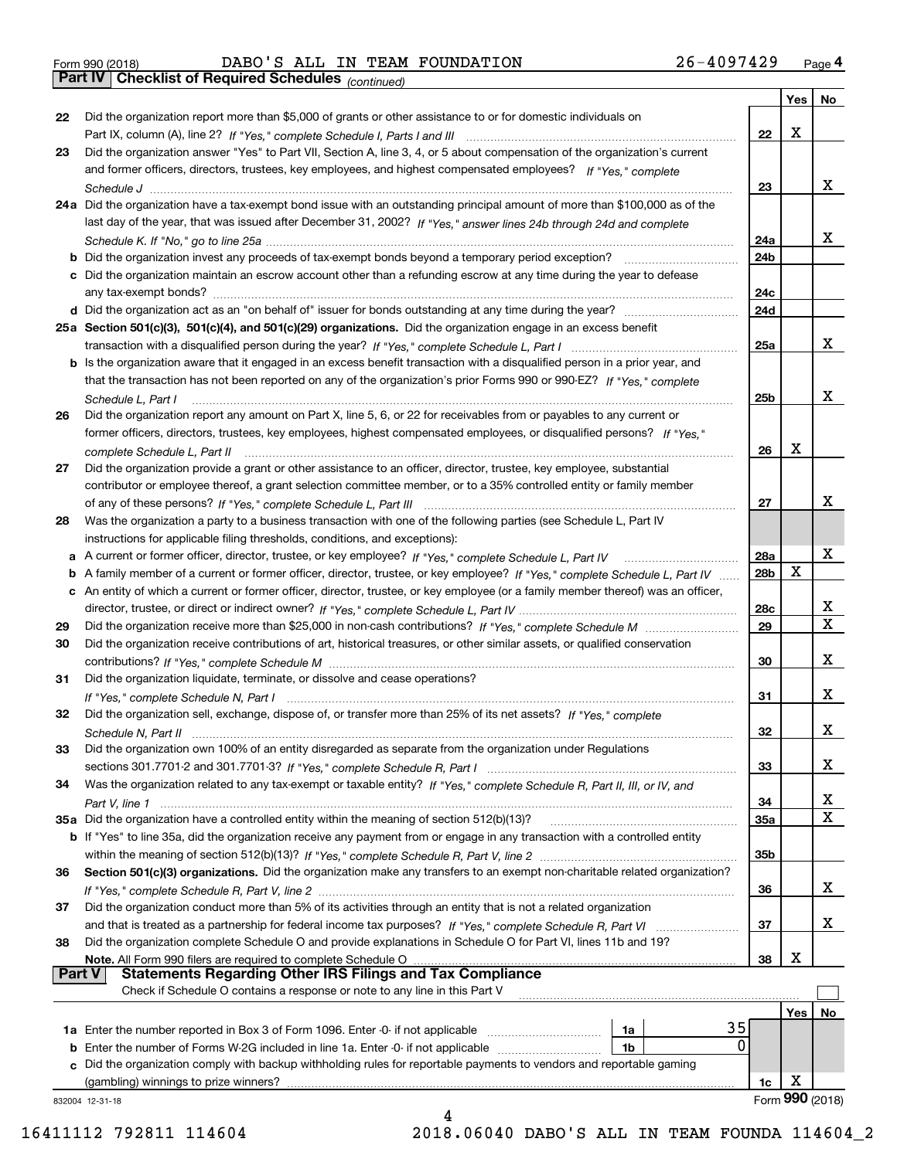| Form 990 (2018) |  |  |
|-----------------|--|--|

Form 990 (2018) DABO ' S ALL IN TEAM FOUNDATION 2 6 – 40 9 7 4 2 9 <sub>Page</sub> 4<br>**Part IV | Checklist of Required Schedules** <sub>(continued)</sub>

*(continued)*

|          |                                                                                                                                                                                                                                    |                 | Yes | No                      |
|----------|------------------------------------------------------------------------------------------------------------------------------------------------------------------------------------------------------------------------------------|-----------------|-----|-------------------------|
| 22       | Did the organization report more than \$5,000 of grants or other assistance to or for domestic individuals on                                                                                                                      |                 |     |                         |
|          |                                                                                                                                                                                                                                    | 22              | x   |                         |
| 23       | Did the organization answer "Yes" to Part VII, Section A, line 3, 4, or 5 about compensation of the organization's current                                                                                                         |                 |     |                         |
|          | and former officers, directors, trustees, key employees, and highest compensated employees? If "Yes," complete                                                                                                                     |                 |     |                         |
|          |                                                                                                                                                                                                                                    | 23              |     | x                       |
|          | 24a Did the organization have a tax-exempt bond issue with an outstanding principal amount of more than \$100,000 as of the                                                                                                        |                 |     |                         |
|          | last day of the year, that was issued after December 31, 2002? If "Yes," answer lines 24b through 24d and complete                                                                                                                 |                 |     |                         |
|          |                                                                                                                                                                                                                                    | 24a             |     | x                       |
|          | b Did the organization invest any proceeds of tax-exempt bonds beyond a temporary period exception?                                                                                                                                | 24 <sub>b</sub> |     |                         |
|          | c Did the organization maintain an escrow account other than a refunding escrow at any time during the year to defease                                                                                                             |                 |     |                         |
|          | any tax-exempt bonds?                                                                                                                                                                                                              | 24c             |     |                         |
|          | d Did the organization act as an "on behalf of" issuer for bonds outstanding at any time during the year?                                                                                                                          | 24d             |     |                         |
|          |                                                                                                                                                                                                                                    |                 |     |                         |
|          | 25a Section 501(c)(3), 501(c)(4), and 501(c)(29) organizations. Did the organization engage in an excess benefit                                                                                                                   |                 |     | x                       |
|          |                                                                                                                                                                                                                                    | 25a             |     |                         |
|          | b Is the organization aware that it engaged in an excess benefit transaction with a disqualified person in a prior year, and                                                                                                       |                 |     |                         |
|          | that the transaction has not been reported on any of the organization's prior Forms 990 or 990-EZ? If "Yes." complete                                                                                                              |                 |     |                         |
|          | Schedule L. Part I                                                                                                                                                                                                                 | 25b             |     | x                       |
| 26       | Did the organization report any amount on Part X, line 5, 6, or 22 for receivables from or payables to any current or                                                                                                              |                 |     |                         |
|          | former officers, directors, trustees, key employees, highest compensated employees, or disqualified persons? If "Yes."                                                                                                             |                 |     |                         |
|          | complete Schedule L, Part II                                                                                                                                                                                                       | 26              | X   |                         |
| 27       | Did the organization provide a grant or other assistance to an officer, director, trustee, key employee, substantial                                                                                                               |                 |     |                         |
|          | contributor or employee thereof, a grant selection committee member, or to a 35% controlled entity or family member                                                                                                                |                 |     |                         |
|          |                                                                                                                                                                                                                                    | 27              |     | х                       |
| 28       | Was the organization a party to a business transaction with one of the following parties (see Schedule L, Part IV                                                                                                                  |                 |     |                         |
|          | instructions for applicable filing thresholds, conditions, and exceptions):                                                                                                                                                        |                 |     |                         |
|          | a A current or former officer, director, trustee, or key employee? If "Yes," complete Schedule L, Part IV                                                                                                                          | 28a             |     | х                       |
|          | b A family member of a current or former officer, director, trustee, or key employee? If "Yes," complete Schedule L, Part IV                                                                                                       | 28b             | х   |                         |
|          | c An entity of which a current or former officer, director, trustee, or key employee (or a family member thereof) was an officer,                                                                                                  |                 |     |                         |
|          |                                                                                                                                                                                                                                    | 28c             |     | x                       |
| 29       |                                                                                                                                                                                                                                    | 29              |     | $\overline{\mathbf{x}}$ |
| 30       | Did the organization receive contributions of art, historical treasures, or other similar assets, or qualified conservation                                                                                                        |                 |     |                         |
|          |                                                                                                                                                                                                                                    | 30              |     | х                       |
| 31       | Did the organization liquidate, terminate, or dissolve and cease operations?                                                                                                                                                       |                 |     |                         |
|          |                                                                                                                                                                                                                                    | 31              |     | х                       |
| 32       | Did the organization sell, exchange, dispose of, or transfer more than 25% of its net assets? If "Yes," complete                                                                                                                   |                 |     |                         |
|          |                                                                                                                                                                                                                                    | 32              |     | х                       |
| 33       | Did the organization own 100% of an entity disregarded as separate from the organization under Regulations                                                                                                                         |                 |     |                         |
|          |                                                                                                                                                                                                                                    | 33              |     | х                       |
| 34       | Was the organization related to any tax-exempt or taxable entity? If "Yes," complete Schedule R, Part II, III, or IV, and                                                                                                          |                 |     |                         |
|          |                                                                                                                                                                                                                                    | 34              |     | X                       |
|          | 35a Did the organization have a controlled entity within the meaning of section 512(b)(13)?                                                                                                                                        | 35a             |     | X                       |
|          | b If "Yes" to line 35a, did the organization receive any payment from or engage in any transaction with a controlled entity                                                                                                        |                 |     |                         |
|          |                                                                                                                                                                                                                                    | 35 <sub>b</sub> |     |                         |
| 36       | Section 501(c)(3) organizations. Did the organization make any transfers to an exempt non-charitable related organization?                                                                                                         |                 |     |                         |
|          |                                                                                                                                                                                                                                    | 36              |     | x                       |
|          |                                                                                                                                                                                                                                    |                 |     |                         |
| 37       | Did the organization conduct more than 5% of its activities through an entity that is not a related organization                                                                                                                   |                 |     | x                       |
|          | and that is treated as a partnership for federal income tax purposes? If "Yes," complete Schedule R, Part VI                                                                                                                       | 37              |     |                         |
| 38       | Did the organization complete Schedule O and provide explanations in Schedule O for Part VI, lines 11b and 19?                                                                                                                     |                 | х   |                         |
| ∣ Part V | Note. All Form 990 filers are required to complete Schedule O<br><b>Statements Regarding Other IRS Filings and Tax Compliance</b>                                                                                                  | 38              |     |                         |
|          | Check if Schedule O contains a response or note to any line in this Part V                                                                                                                                                         |                 |     |                         |
|          |                                                                                                                                                                                                                                    |                 |     |                         |
|          | 35                                                                                                                                                                                                                                 |                 | Yes | No.                     |
|          | 1a Enter the number reported in Box 3 of Form 1096. Enter -0- if not applicable<br>1a<br>0<br>1b                                                                                                                                   |                 |     |                         |
|          | <b>b</b> Enter the number of Forms W-2G included in line 1a. Enter -0- if not applicable <i>manumerances</i><br>Did the organization comply with backup withholding rules for reportable payments to vendors and reportable gaming |                 |     |                         |
|          | (gambling) winnings to prize winners?                                                                                                                                                                                              |                 | х   |                         |
|          |                                                                                                                                                                                                                                    | 1c              |     | Form 990 (2018)         |
|          | 832004 12-31-18<br>4                                                                                                                                                                                                               |                 |     |                         |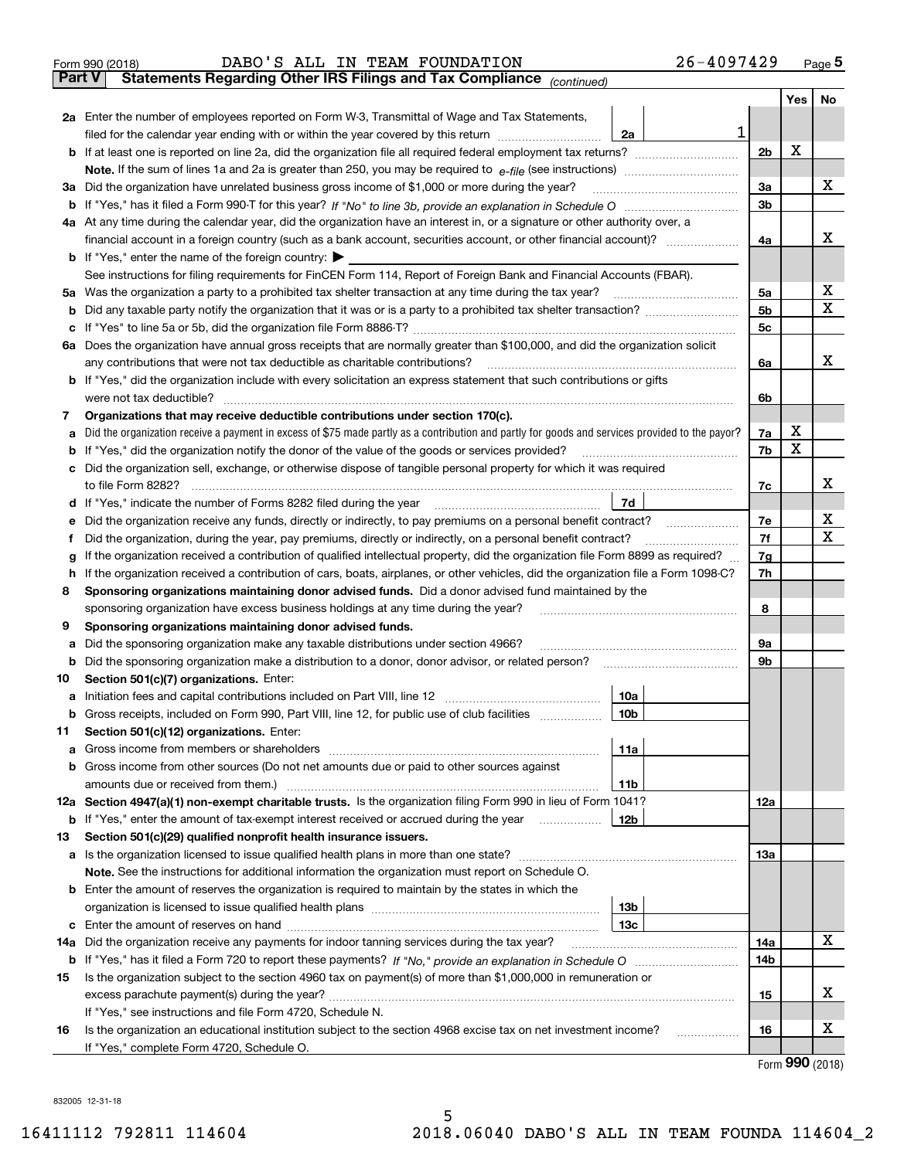|               | 26-4097429<br>DABO'S ALL IN TEAM FOUNDATION<br>Form 990 (2018)                                                                                  |                |                    | $_{\text{Page}}$ 5 |
|---------------|-------------------------------------------------------------------------------------------------------------------------------------------------|----------------|--------------------|--------------------|
| <b>Part V</b> | Statements Regarding Other IRS Filings and Tax Compliance (continued)                                                                           |                |                    |                    |
|               |                                                                                                                                                 |                | Yes                | No                 |
|               | 2a Enter the number of employees reported on Form W-3, Transmittal of Wage and Tax Statements,                                                  |                |                    |                    |
|               | 1<br>filed for the calendar year ending with or within the year covered by this return <i>manumumumum</i><br>2a                                 |                |                    |                    |
|               |                                                                                                                                                 | 2 <sub>b</sub> | X                  |                    |
|               |                                                                                                                                                 |                |                    |                    |
| За            | Did the organization have unrelated business gross income of \$1,000 or more during the year?                                                   | 3a             |                    | х                  |
|               |                                                                                                                                                 | 3b             |                    |                    |
|               | 4a At any time during the calendar year, did the organization have an interest in, or a signature or other authority over, a                    |                |                    |                    |
|               | financial account in a foreign country (such as a bank account, securities account, or other financial account)?                                | 4a             |                    | х                  |
|               | <b>b</b> If "Yes," enter the name of the foreign country: $\blacktriangleright$                                                                 |                |                    |                    |
|               | See instructions for filing requirements for FinCEN Form 114, Report of Foreign Bank and Financial Accounts (FBAR).                             |                |                    |                    |
| 5a            | Was the organization a party to a prohibited tax shelter transaction at any time during the tax year?                                           | 5а             |                    | х                  |
| b             |                                                                                                                                                 | 5b             |                    | Χ                  |
| с             |                                                                                                                                                 | 5c             |                    |                    |
|               | 6a Does the organization have annual gross receipts that are normally greater than \$100,000, and did the organization solicit                  |                |                    |                    |
|               |                                                                                                                                                 | 6a             |                    | х                  |
|               | <b>b</b> If "Yes," did the organization include with every solicitation an express statement that such contributions or gifts                   |                |                    |                    |
|               |                                                                                                                                                 | 6b             |                    |                    |
| 7             | Organizations that may receive deductible contributions under section 170(c).                                                                   |                |                    |                    |
| а             | Did the organization receive a payment in excess of \$75 made partly as a contribution and partly for goods and services provided to the payor? | 7a             | х                  |                    |
| b             | If "Yes," did the organization notify the donor of the value of the goods or services provided?                                                 | 7b             | х                  |                    |
| с             | Did the organization sell, exchange, or otherwise dispose of tangible personal property for which it was required                               |                |                    |                    |
|               |                                                                                                                                                 | 7c             |                    | х                  |
|               | 7d                                                                                                                                              |                |                    |                    |
| е             |                                                                                                                                                 | 7e             |                    | х                  |
| f             | Did the organization, during the year, pay premiums, directly or indirectly, on a personal benefit contract?                                    | 7f             |                    | X                  |
| g             | If the organization received a contribution of qualified intellectual property, did the organization file Form 8899 as required?                | 7g             |                    |                    |
| h             | If the organization received a contribution of cars, boats, airplanes, or other vehicles, did the organization file a Form 1098-C?              | 7h             |                    |                    |
| 8             | Sponsoring organizations maintaining donor advised funds. Did a donor advised fund maintained by the                                            |                |                    |                    |
|               | sponsoring organization have excess business holdings at any time during the year?                                                              | 8              |                    |                    |
| 9             | Sponsoring organizations maintaining donor advised funds.                                                                                       |                |                    |                    |
| а             | Did the sponsoring organization make any taxable distributions under section 4966?                                                              | 9а             |                    |                    |
| b             | Did the sponsoring organization make a distribution to a donor, donor advisor, or related person?                                               | 9b             |                    |                    |
| 10            | Section 501(c)(7) organizations. Enter:                                                                                                         |                |                    |                    |
|               | 10a                                                                                                                                             |                |                    |                    |
|               | 10 <sub>b</sub>  <br>Gross receipts, included on Form 990, Part VIII, line 12, for public use of club facilities                                |                |                    |                    |
| 11            | Section 501(c)(12) organizations. Enter:                                                                                                        |                |                    |                    |
| a             | 11a                                                                                                                                             |                |                    |                    |
|               | b Gross income from other sources (Do not net amounts due or paid to other sources against                                                      |                |                    |                    |
|               | 11 <sub>b</sub>                                                                                                                                 |                |                    |                    |
|               | 12a Section 4947(a)(1) non-exempt charitable trusts. Is the organization filing Form 990 in lieu of Form 1041?                                  | 12a            |                    |                    |
|               | 12b<br><b>b</b> If "Yes," enter the amount of tax-exempt interest received or accrued during the year <i>manument</i> of                        |                |                    |                    |
| 13            | Section 501(c)(29) qualified nonprofit health insurance issuers.                                                                                |                |                    |                    |
|               | a Is the organization licensed to issue qualified health plans in more than one state?                                                          | 13a            |                    |                    |
|               | Note. See the instructions for additional information the organization must report on Schedule O.                                               |                |                    |                    |
| b             | Enter the amount of reserves the organization is required to maintain by the states in which the                                                |                |                    |                    |
|               | 13 <sub>b</sub>                                                                                                                                 |                |                    |                    |
|               | 13 <sub>c</sub>                                                                                                                                 |                |                    |                    |
| 14a           | Did the organization receive any payments for indoor tanning services during the tax year?                                                      | 14a            |                    | х                  |
|               |                                                                                                                                                 | 14b            |                    |                    |
| 15            | Is the organization subject to the section 4960 tax on payment(s) of more than \$1,000,000 in remuneration or                                   |                |                    |                    |
|               |                                                                                                                                                 | 15             |                    | х                  |
|               | If "Yes," see instructions and file Form 4720, Schedule N.                                                                                      |                |                    |                    |
| 16            | Is the organization an educational institution subject to the section 4968 excise tax on net investment income?                                 | 16             |                    | х                  |
|               | If "Yes," complete Form 4720, Schedule O.                                                                                                       |                |                    |                    |
|               |                                                                                                                                                 |                | $000 \, \text{cm}$ |                    |

Form (2018) **990**

832005 12-31-18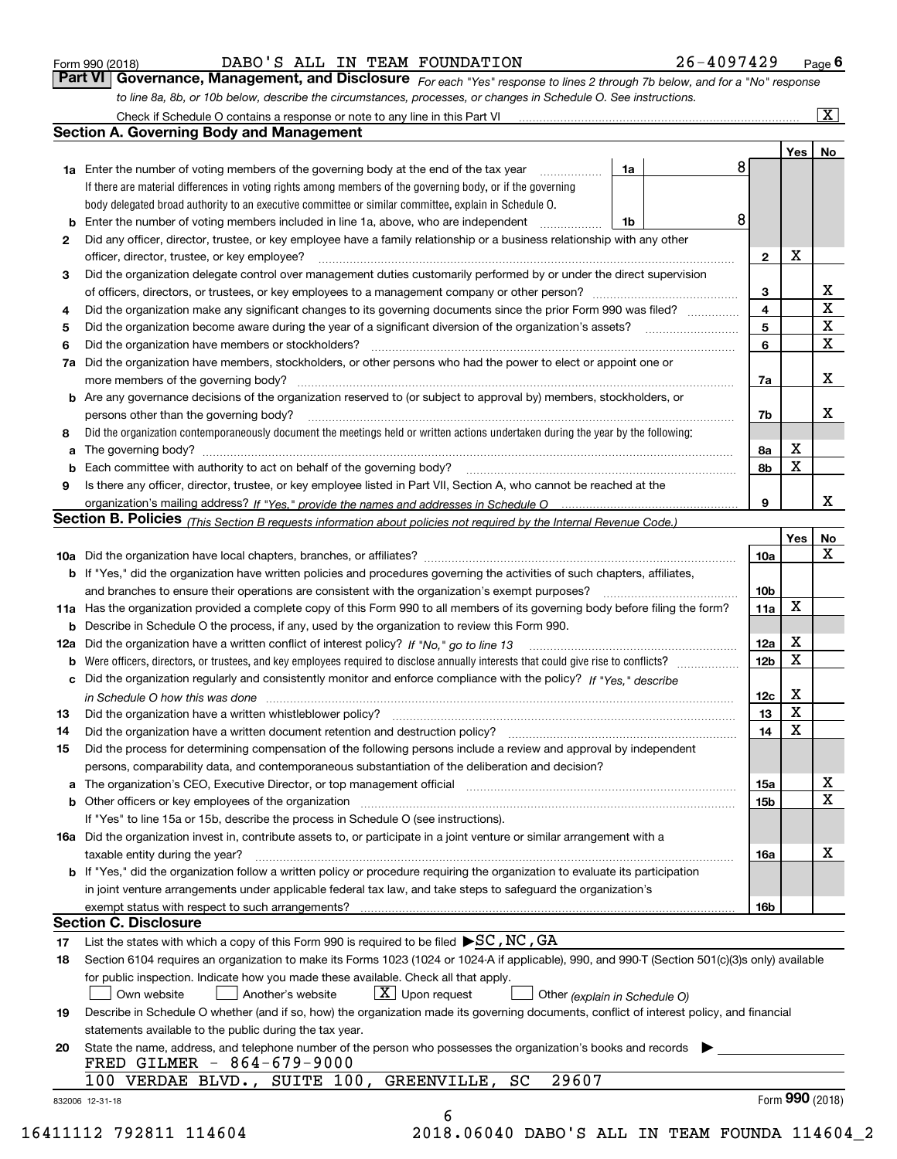|  | Form 990 (2018) |
|--|-----------------|
|  |                 |

DABO'S ALL IN TEAM FOUNDATION 26-4097429

*For each "Yes" response to lines 2 through 7b below, and for a "No" response to line 8a, 8b, or 10b below, describe the circumstances, processes, or changes in Schedule O. See instructions.* Form 990 (2018) **COMBING BARE 1999 12 STALL PROVER 15 ALL PROVER 15 ALL PROVER 15 ALL PROVER 15 ACT PAGE 6 PAGE**<br>**Part VI Governance, Management, and Disclosure** For each "Yes" response to lines 2 through 7b below, and f

|                 |                                                                                                                                                                                                                                |                         | Yes   No        |                              |
|-----------------|--------------------------------------------------------------------------------------------------------------------------------------------------------------------------------------------------------------------------------|-------------------------|-----------------|------------------------------|
|                 | <b>1a</b> Enter the number of voting members of the governing body at the end of the tax year<br>1a                                                                                                                            | 8                       |                 |                              |
|                 | If there are material differences in voting rights among members of the governing body, or if the governing                                                                                                                    |                         |                 |                              |
|                 | body delegated broad authority to an executive committee or similar committee, explain in Schedule O.                                                                                                                          |                         |                 |                              |
| b               | Enter the number of voting members included in line 1a, above, who are independent<br>1b                                                                                                                                       | 8                       |                 |                              |
| 2               | Did any officer, director, trustee, or key employee have a family relationship or a business relationship with any other                                                                                                       |                         |                 |                              |
|                 | officer, director, trustee, or key employee?                                                                                                                                                                                   | $\mathbf{2}$            | X               |                              |
| З               | Did the organization delegate control over management duties customarily performed by or under the direct supervision                                                                                                          |                         |                 |                              |
|                 |                                                                                                                                                                                                                                | 3                       |                 | X<br>$\overline{\mathtt{x}}$ |
| 4               | Did the organization make any significant changes to its governing documents since the prior Form 990 was filed?                                                                                                               | $\overline{\mathbf{4}}$ |                 |                              |
| 5               | Did the organization become aware during the year of a significant diversion of the organization's assets? <i>manageranian</i> managerance.                                                                                    | 5                       |                 | $\overline{\textbf{X}}$      |
| 6               | Did the organization have members or stockholders?                                                                                                                                                                             | 6                       |                 | $\overline{\mathbf{x}}$      |
| 7a              | Did the organization have members, stockholders, or other persons who had the power to elect or appoint one or                                                                                                                 |                         |                 |                              |
|                 |                                                                                                                                                                                                                                | 7a                      |                 | X                            |
|                 | <b>b</b> Are any governance decisions of the organization reserved to (or subject to approval by) members, stockholders, or                                                                                                    |                         |                 |                              |
|                 | persons other than the governing body?                                                                                                                                                                                         | 7b                      |                 | х                            |
| 8               | Did the organization contemporaneously document the meetings held or written actions undertaken during the year by the following:                                                                                              |                         | x               |                              |
| a               |                                                                                                                                                                                                                                | 8а<br>8b                | X               |                              |
| b<br>9          | Is there any officer, director, trustee, or key employee listed in Part VII, Section A, who cannot be reached at the                                                                                                           |                         |                 |                              |
|                 |                                                                                                                                                                                                                                | 9                       |                 | X                            |
|                 | Section B. Policies (This Section B requests information about policies not required by the Internal Revenue Code.)                                                                                                            |                         |                 |                              |
|                 |                                                                                                                                                                                                                                |                         | Yes             | No                           |
|                 |                                                                                                                                                                                                                                | 10a                     |                 | X                            |
|                 | <b>b</b> If "Yes," did the organization have written policies and procedures governing the activities of such chapters, affiliates,                                                                                            |                         |                 |                              |
|                 |                                                                                                                                                                                                                                | 10 <sub>b</sub>         |                 |                              |
|                 | 11a Has the organization provided a complete copy of this Form 990 to all members of its governing body before filing the form?                                                                                                | 11a                     | X               |                              |
|                 | <b>b</b> Describe in Schedule O the process, if any, used by the organization to review this Form 990.                                                                                                                         |                         |                 |                              |
|                 | 12a Did the organization have a written conflict of interest policy? If "No," go to line 13                                                                                                                                    | 12a                     | X               |                              |
|                 |                                                                                                                                                                                                                                | 12 <sub>b</sub>         | X               |                              |
|                 | c Did the organization regularly and consistently monitor and enforce compliance with the policy? If "Yes." describe                                                                                                           |                         |                 |                              |
|                 | in Schedule O how this was done manufactured and continuum control of the Schedule O how this was done manufactured and continuum control of the Schedule O how this was done                                                  | 12c                     | X               |                              |
| 13              |                                                                                                                                                                                                                                | 13                      | X               |                              |
| 14              |                                                                                                                                                                                                                                | 14                      | X               |                              |
| 15              | Did the process for determining compensation of the following persons include a review and approval by independent                                                                                                             |                         |                 |                              |
|                 | persons, comparability data, and contemporaneous substantiation of the deliberation and decision?                                                                                                                              |                         |                 |                              |
|                 | a The organization's CEO, Executive Director, or top management official manufactured content content of the organization's CEO, Executive Director, or top management official manufactured content of the state of the state | 15a                     |                 | х                            |
|                 |                                                                                                                                                                                                                                | 15b                     |                 | X                            |
|                 | If "Yes" to line 15a or 15b, describe the process in Schedule O (see instructions).                                                                                                                                            |                         |                 |                              |
|                 | 16a Did the organization invest in, contribute assets to, or participate in a joint venture or similar arrangement with a                                                                                                      |                         |                 |                              |
|                 | taxable entity during the year?                                                                                                                                                                                                | 16a                     |                 | X                            |
|                 | b If "Yes," did the organization follow a written policy or procedure requiring the organization to evaluate its participation                                                                                                 |                         |                 |                              |
|                 | in joint venture arrangements under applicable federal tax law, and take steps to safeguard the organization's                                                                                                                 |                         |                 |                              |
|                 | exempt status with respect to such arrangements?                                                                                                                                                                               | 16b                     |                 |                              |
|                 | <b>Section C. Disclosure</b>                                                                                                                                                                                                   |                         |                 |                              |
| 17              | List the states with which a copy of this Form 990 is required to be filed $\blacktriangleright$ SC, NC, GA                                                                                                                    |                         |                 |                              |
| 18              | Section 6104 requires an organization to make its Forms 1023 (1024 or 1024 A if applicable), 990, and 990-T (Section 501(c)(3)s only) available                                                                                |                         |                 |                              |
|                 | for public inspection. Indicate how you made these available. Check all that apply.                                                                                                                                            |                         |                 |                              |
|                 | $X$ Upon request<br>Own website<br>Another's website<br>Other (explain in Schedule O)                                                                                                                                          |                         |                 |                              |
| 19              | Describe in Schedule O whether (and if so, how) the organization made its governing documents, conflict of interest policy, and financial                                                                                      |                         |                 |                              |
|                 | statements available to the public during the tax year.                                                                                                                                                                        |                         |                 |                              |
| 20              | State the name, address, and telephone number of the person who possesses the organization's books and records                                                                                                                 |                         |                 |                              |
|                 | FRED GILMER - 864-679-9000                                                                                                                                                                                                     |                         |                 |                              |
|                 | 29607<br>100 VERDAE BLVD., SUITE 100, GREENVILLE,<br>SC                                                                                                                                                                        |                         |                 |                              |
| 832006 12-31-18 |                                                                                                                                                                                                                                |                         | Form 990 (2018) |                              |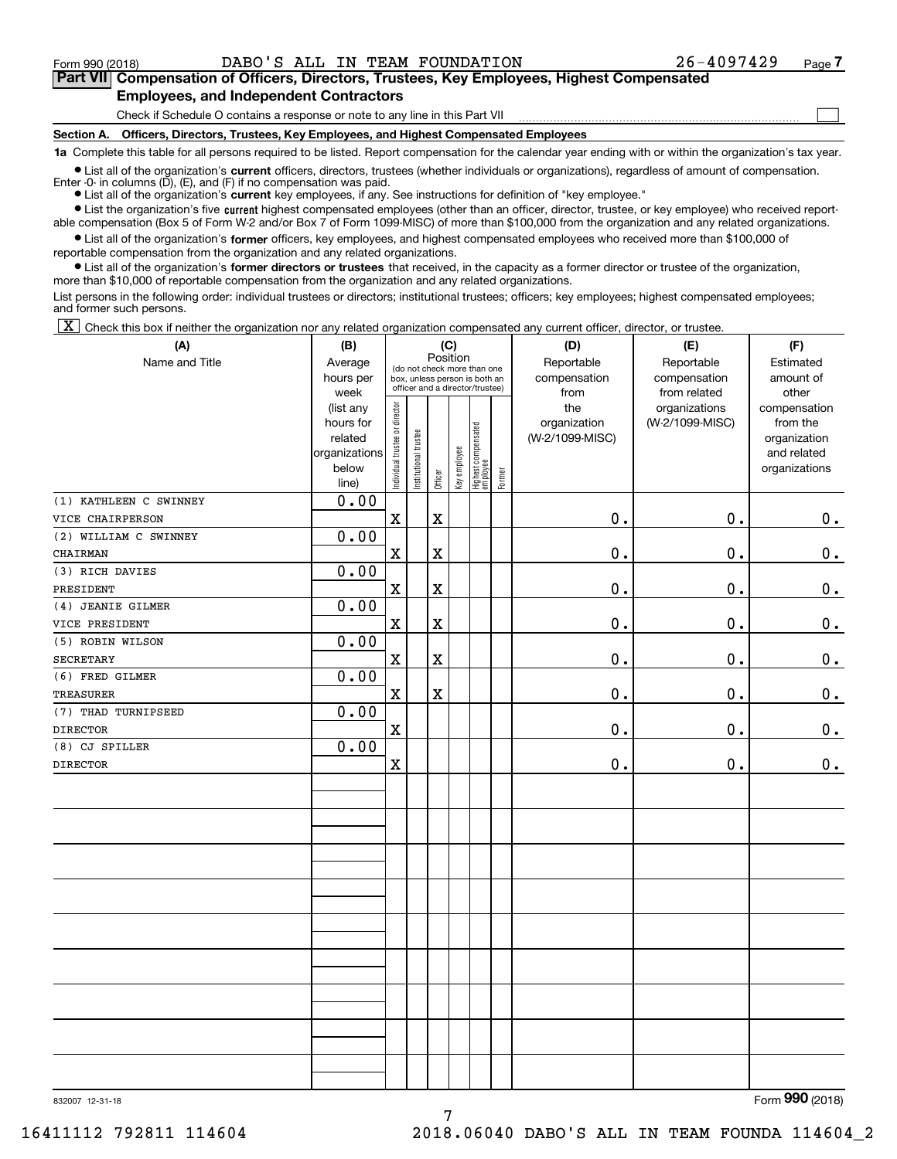**(A)**

Form 990 (2018) DABO'S ALL IN TEAM FOUNDATION 26-4097429 Page

 $\mathcal{L}^{\text{max}}$ 

## **7Part VII Compensation of Officers, Directors, Trustees, Key Employees, Highest Compensated Employees, and Independent Contractors**

Check if Schedule O contains a response or note to any line in this Part VII

**Section A. Officers, Directors, Trustees, Key Employees, and Highest Compensated Employees**

**1a**  Complete this table for all persons required to be listed. Report compensation for the calendar year ending with or within the organization's tax year.

**•** List all of the organization's current officers, directors, trustees (whether individuals or organizations), regardless of amount of compensation. Enter -0- in columns  $(D)$ ,  $(E)$ , and  $(F)$  if no compensation was paid.

● List all of the organization's **current** key employees, if any. See instructions for definition of "key employee."

**•** List the organization's five current highest compensated employees (other than an officer, director, trustee, or key employee) who received reportable compensation (Box 5 of Form W-2 and/or Box 7 of Form 1099-MISC) of more than \$100,000 from the organization and any related organizations.

 $\bullet$  List all of the organization's **former** officers, key employees, and highest compensated employees who received more than \$100,000 of reportable compensation from the organization and any related organizations.

**•** List all of the organization's former directors or trustees that received, in the capacity as a former director or trustee of the organization, more than \$10,000 of reportable compensation from the organization and any related organizations.

List persons in the following order: individual trustees or directors; institutional trustees; officers; key employees; highest compensated employees; and former such persons.

 $\boxed{\textbf{X}}$  Check this box if neither the organization nor any related organization compensated any current officer, director, or trustee.

| (A)                    | (B)                  |                                |                                                                  |                         | (C)          |                                   |        | (D)             | (E)             | (F)                         |
|------------------------|----------------------|--------------------------------|------------------------------------------------------------------|-------------------------|--------------|-----------------------------------|--------|-----------------|-----------------|-----------------------------|
| Name and Title         | Average              |                                | Position<br>(do not check more than one                          |                         |              |                                   |        | Reportable      | Reportable      | Estimated                   |
|                        | hours per            |                                | box, unless person is both an<br>officer and a director/trustee) |                         |              |                                   |        | compensation    | compensation    | amount of                   |
|                        | week                 |                                |                                                                  |                         |              |                                   |        | from            | from related    | other                       |
|                        | (list any            |                                |                                                                  |                         |              |                                   |        | the             | organizations   | compensation                |
|                        | hours for<br>related |                                |                                                                  |                         |              |                                   |        | organization    | (W-2/1099-MISC) | from the                    |
|                        | organizations        |                                |                                                                  |                         |              |                                   |        | (W-2/1099-MISC) |                 | organization<br>and related |
|                        | below                |                                |                                                                  |                         |              |                                   |        |                 |                 | organizations               |
|                        | line)                | Individual trustee or director | Institutional trustee                                            | Officer                 | Key employee | Highest compensated<br>  employee | Former |                 |                 |                             |
| (1) KATHLEEN C SWINNEY | 0.00                 |                                |                                                                  |                         |              |                                   |        |                 |                 |                             |
| VICE CHAIRPERSON       |                      | $\mathbf X$                    |                                                                  | $\mathbf X$             |              |                                   |        | 0.              | 0.              | 0.                          |
| (2) WILLIAM C SWINNEY  | 0.00                 |                                |                                                                  |                         |              |                                   |        |                 |                 |                             |
| CHAIRMAN               |                      | $\mathbf X$                    |                                                                  | $\overline{\mathbf{X}}$ |              |                                   |        | 0.              | 0.              | $\mathbf 0$ .               |
| (3) RICH DAVIES        | 0.00                 |                                |                                                                  |                         |              |                                   |        |                 |                 |                             |
| PRESIDENT              |                      | $\mathbf X$                    |                                                                  | $\mathbf X$             |              |                                   |        | 0.              | 0.              | $0_{.}$                     |
| (4) JEANIE GILMER      | 0.00                 |                                |                                                                  |                         |              |                                   |        |                 |                 |                             |
| VICE PRESIDENT         |                      | $\mathbf X$                    |                                                                  | $\overline{\mathbf{X}}$ |              |                                   |        | $0$ .           | $0$ .           | $\mathbf 0$ .               |
| (5) ROBIN WILSON       | 0.00                 |                                |                                                                  |                         |              |                                   |        |                 |                 |                             |
| <b>SECRETARY</b>       |                      | $\mathbf X$                    |                                                                  | X                       |              |                                   |        | $\mathbf 0$ .   | 0.              | $\mathbf 0$ .               |
| (6) FRED GILMER        | 0.00                 |                                |                                                                  |                         |              |                                   |        |                 |                 |                             |
| <b>TREASURER</b>       |                      | $\overline{\textbf{X}}$        |                                                                  | $\mathbf X$             |              |                                   |        | 0.              | 0.              | $\mathbf 0$ .               |
| (7) THAD TURNIPSEED    | 0.00                 |                                |                                                                  |                         |              |                                   |        |                 |                 |                             |
| <b>DIRECTOR</b>        |                      | $\mathbf X$                    |                                                                  |                         |              |                                   |        | 0.              | 0.              | $\mathbf 0$ .               |
| (8) CJ SPILLER         | 0.00                 |                                |                                                                  |                         |              |                                   |        |                 |                 |                             |
| <b>DIRECTOR</b>        |                      | $\mathbf X$                    |                                                                  |                         |              |                                   |        | $0$ .           | 0.              | 0.                          |
|                        |                      |                                |                                                                  |                         |              |                                   |        |                 |                 |                             |
|                        |                      |                                |                                                                  |                         |              |                                   |        |                 |                 |                             |
|                        |                      |                                |                                                                  |                         |              |                                   |        |                 |                 |                             |
|                        |                      |                                |                                                                  |                         |              |                                   |        |                 |                 |                             |
|                        |                      |                                |                                                                  |                         |              |                                   |        |                 |                 |                             |
|                        |                      |                                |                                                                  |                         |              |                                   |        |                 |                 |                             |
|                        |                      |                                |                                                                  |                         |              |                                   |        |                 |                 |                             |
|                        |                      |                                |                                                                  |                         |              |                                   |        |                 |                 |                             |
|                        |                      |                                |                                                                  |                         |              |                                   |        |                 |                 |                             |
|                        |                      |                                |                                                                  |                         |              |                                   |        |                 |                 |                             |
|                        |                      |                                |                                                                  |                         |              |                                   |        |                 |                 |                             |
|                        |                      |                                |                                                                  |                         |              |                                   |        |                 |                 |                             |
|                        |                      |                                |                                                                  |                         |              |                                   |        |                 |                 |                             |
|                        |                      |                                |                                                                  |                         |              |                                   |        |                 |                 |                             |
|                        |                      |                                |                                                                  |                         |              |                                   |        |                 |                 |                             |
|                        |                      |                                |                                                                  |                         |              |                                   |        |                 |                 |                             |
|                        |                      |                                |                                                                  |                         |              |                                   |        |                 |                 |                             |

832007 12-31-18

Form (2018) **990**

7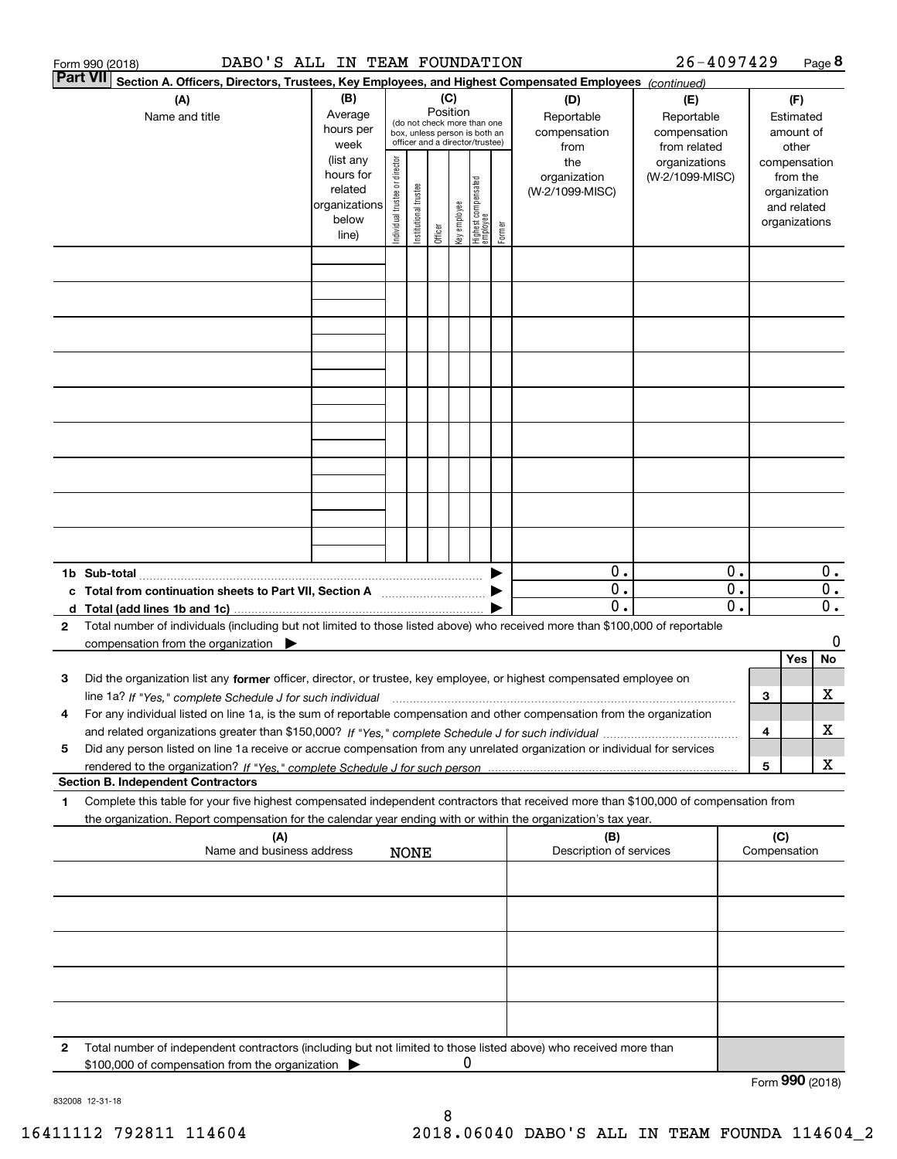|                                                                                                                           | DABO'S ALL IN TEAM FOUNDATION<br>Form 990 (2018)                                                                                                                                         |                                                                      |                                |                       |         |              |                                                                                                                            |        |                                        | 26-4097429                       |                                                 |     |                                                                          | Page 8                                            |  |  |                                        |  |
|---------------------------------------------------------------------------------------------------------------------------|------------------------------------------------------------------------------------------------------------------------------------------------------------------------------------------|----------------------------------------------------------------------|--------------------------------|-----------------------|---------|--------------|----------------------------------------------------------------------------------------------------------------------------|--------|----------------------------------------|----------------------------------|-------------------------------------------------|-----|--------------------------------------------------------------------------|---------------------------------------------------|--|--|----------------------------------------|--|
| <b>Part VII</b><br>Section A. Officers, Directors, Trustees, Key Employees, and Highest Compensated Employees (continued) |                                                                                                                                                                                          |                                                                      |                                |                       |         |              |                                                                                                                            |        |                                        |                                  |                                                 |     |                                                                          |                                                   |  |  |                                        |  |
|                                                                                                                           | (A)<br>Name and title                                                                                                                                                                    | (B)<br>Average<br>hours per                                          |                                |                       |         |              | (C)<br>Position<br>(do not check more than one<br>box, unless person is both an<br>officer and a director/trustee)<br>week |        |                                        |                                  |                                                 |     | (D)<br>Reportable<br>compensation<br>from                                | (E)<br>Reportable<br>compensation<br>from related |  |  | (F)<br>Estimated<br>amount of<br>other |  |
|                                                                                                                           |                                                                                                                                                                                          | (list any<br>hours for<br>related<br>organizations<br>below<br>line) | Individual trustee or director | Institutional trustee | Officer | key employee | Highest compensated<br>  employee                                                                                          | Former | the<br>organization<br>(W-2/1099-MISC) | organizations<br>(W-2/1099-MISC) |                                                 |     | compensation<br>from the<br>organization<br>and related<br>organizations |                                                   |  |  |                                        |  |
|                                                                                                                           |                                                                                                                                                                                          |                                                                      |                                |                       |         |              |                                                                                                                            |        |                                        |                                  |                                                 |     |                                                                          |                                                   |  |  |                                        |  |
|                                                                                                                           |                                                                                                                                                                                          |                                                                      |                                |                       |         |              |                                                                                                                            |        |                                        |                                  |                                                 |     |                                                                          |                                                   |  |  |                                        |  |
|                                                                                                                           |                                                                                                                                                                                          |                                                                      |                                |                       |         |              |                                                                                                                            |        |                                        |                                  |                                                 |     |                                                                          |                                                   |  |  |                                        |  |
|                                                                                                                           |                                                                                                                                                                                          |                                                                      |                                |                       |         |              |                                                                                                                            |        |                                        |                                  |                                                 |     |                                                                          |                                                   |  |  |                                        |  |
|                                                                                                                           |                                                                                                                                                                                          |                                                                      |                                |                       |         |              |                                                                                                                            |        |                                        |                                  |                                                 |     |                                                                          |                                                   |  |  |                                        |  |
|                                                                                                                           |                                                                                                                                                                                          |                                                                      |                                |                       |         |              |                                                                                                                            |        |                                        |                                  |                                                 |     |                                                                          |                                                   |  |  |                                        |  |
|                                                                                                                           |                                                                                                                                                                                          |                                                                      |                                |                       |         |              |                                                                                                                            |        |                                        |                                  |                                                 |     |                                                                          |                                                   |  |  |                                        |  |
|                                                                                                                           |                                                                                                                                                                                          |                                                                      |                                |                       |         |              |                                                                                                                            |        |                                        |                                  |                                                 |     |                                                                          |                                                   |  |  |                                        |  |
|                                                                                                                           |                                                                                                                                                                                          |                                                                      |                                |                       |         |              |                                                                                                                            |        | 0.                                     |                                  | 0.                                              |     |                                                                          | $0$ .                                             |  |  |                                        |  |
|                                                                                                                           | c Total from continuation sheets to Part VII, Section A                                                                                                                                  |                                                                      |                                |                       |         |              |                                                                                                                            |        | $\mathbf{0}$ .<br>$\overline{0}$ .     |                                  | $\overline{0}$ .<br>$\overline{\mathfrak{0}}$ . |     |                                                                          | $\overline{0}$ .<br>$\overline{\mathbf{0}}$ .     |  |  |                                        |  |
| 2                                                                                                                         | Total number of individuals (including but not limited to those listed above) who received more than \$100,000 of reportable<br>compensation from the organization $\blacktriangleright$ |                                                                      |                                |                       |         |              |                                                                                                                            |        |                                        |                                  |                                                 |     |                                                                          | 0                                                 |  |  |                                        |  |
| з                                                                                                                         | Did the organization list any former officer, director, or trustee, key employee, or highest compensated employee on                                                                     |                                                                      |                                |                       |         |              |                                                                                                                            |        |                                        |                                  |                                                 |     | Yes                                                                      | No                                                |  |  |                                        |  |
|                                                                                                                           | line 1a? If "Yes," complete Schedule J for such individual material content content to the complete Schedule J                                                                           |                                                                      |                                |                       |         |              |                                                                                                                            |        |                                        |                                  |                                                 | З   |                                                                          | х                                                 |  |  |                                        |  |
| 4                                                                                                                         | For any individual listed on line 1a, is the sum of reportable compensation and other compensation from the organization                                                                 |                                                                      |                                |                       |         |              |                                                                                                                            |        |                                        |                                  |                                                 | 4   |                                                                          | х                                                 |  |  |                                        |  |
| 5                                                                                                                         | Did any person listed on line 1a receive or accrue compensation from any unrelated organization or individual for services<br><b>Section B. Independent Contractors</b>                  |                                                                      |                                |                       |         |              |                                                                                                                            |        |                                        |                                  |                                                 | 5   |                                                                          | X                                                 |  |  |                                        |  |
| 1                                                                                                                         | Complete this table for your five highest compensated independent contractors that received more than \$100,000 of compensation from                                                     |                                                                      |                                |                       |         |              |                                                                                                                            |        |                                        |                                  |                                                 |     |                                                                          |                                                   |  |  |                                        |  |
|                                                                                                                           | the organization. Report compensation for the calendar year ending with or within the organization's tax year.<br>(A)                                                                    |                                                                      |                                |                       |         |              |                                                                                                                            |        | (B)                                    |                                  |                                                 | (C) |                                                                          |                                                   |  |  |                                        |  |
|                                                                                                                           | Name and business address                                                                                                                                                                |                                                                      |                                | <b>NONE</b>           |         |              |                                                                                                                            |        | Description of services                |                                  |                                                 |     | Compensation                                                             |                                                   |  |  |                                        |  |
|                                                                                                                           |                                                                                                                                                                                          |                                                                      |                                |                       |         |              |                                                                                                                            |        |                                        |                                  |                                                 |     |                                                                          |                                                   |  |  |                                        |  |
|                                                                                                                           |                                                                                                                                                                                          |                                                                      |                                |                       |         |              |                                                                                                                            |        |                                        |                                  |                                                 |     |                                                                          |                                                   |  |  |                                        |  |
|                                                                                                                           |                                                                                                                                                                                          |                                                                      |                                |                       |         |              |                                                                                                                            |        |                                        |                                  |                                                 |     |                                                                          |                                                   |  |  |                                        |  |
|                                                                                                                           |                                                                                                                                                                                          |                                                                      |                                |                       |         |              |                                                                                                                            |        |                                        |                                  |                                                 |     |                                                                          |                                                   |  |  |                                        |  |
| 2                                                                                                                         | Total number of independent contractors (including but not limited to those listed above) who received more than                                                                         |                                                                      |                                |                       |         |              |                                                                                                                            |        |                                        |                                  |                                                 |     |                                                                          |                                                   |  |  |                                        |  |
|                                                                                                                           | \$100,000 of compensation from the organization                                                                                                                                          |                                                                      |                                |                       |         | 0            |                                                                                                                            |        |                                        |                                  |                                                 |     | Form 990 (2018)                                                          |                                                   |  |  |                                        |  |

832008 12-31-18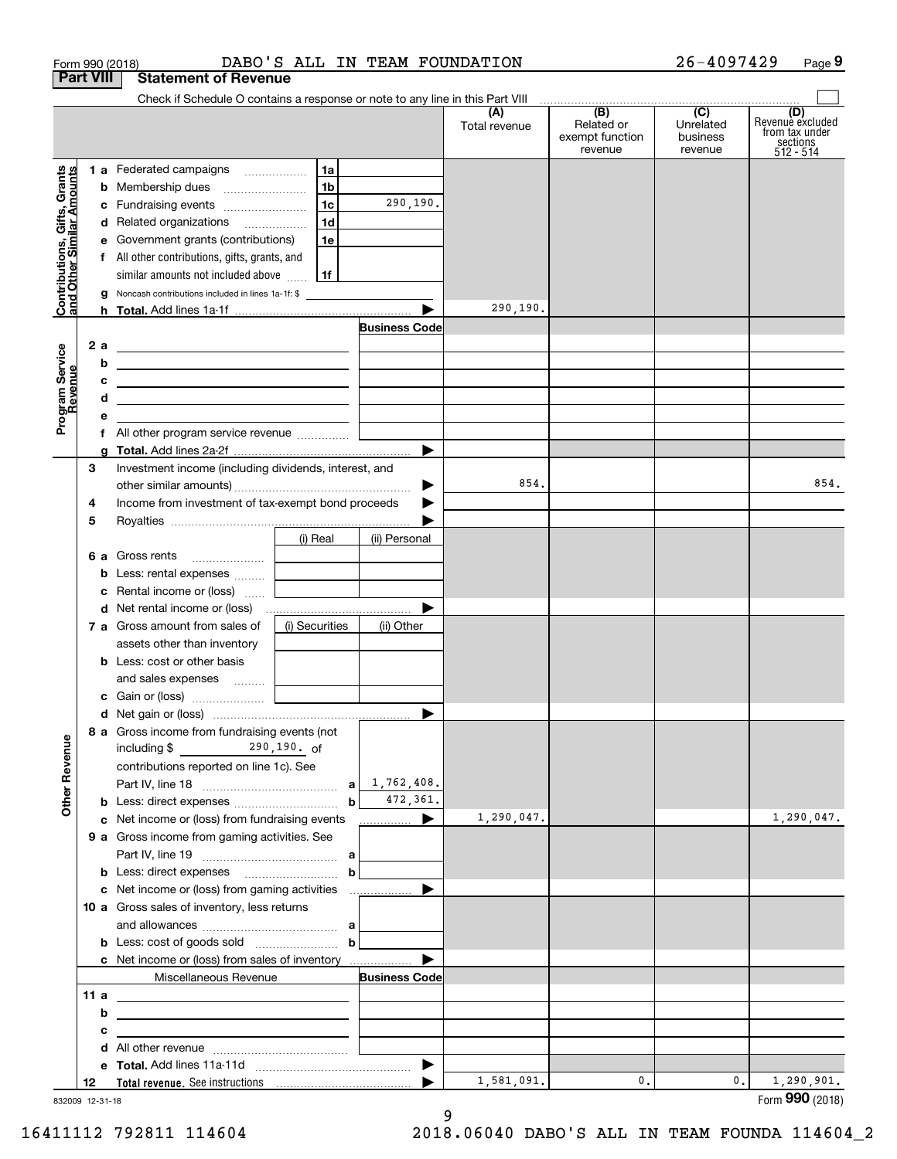| Form 990 (2018)                                           |                                                                                                                          |                | DABO'S ALL IN TEAM FOUNDATION |                      |                                                 | 26-4097429                              | Page 9                                                             |
|-----------------------------------------------------------|--------------------------------------------------------------------------------------------------------------------------|----------------|-------------------------------|----------------------|-------------------------------------------------|-----------------------------------------|--------------------------------------------------------------------|
| <b>Part VIII</b>                                          | <b>Statement of Revenue</b>                                                                                              |                |                               |                      |                                                 |                                         |                                                                    |
|                                                           | Check if Schedule O contains a response or note to any line in this Part VIII                                            |                |                               |                      |                                                 |                                         |                                                                    |
|                                                           |                                                                                                                          |                |                               | (A)<br>Total revenue | (B)<br>Related or<br>exempt function<br>revenue | (C)<br>Unrelated<br>business<br>revenue | (D)<br>Revenue excluded<br>from tax under<br>sections<br>512 - 514 |
|                                                           | 1 a Federated campaigns                                                                                                  | 1a             |                               |                      |                                                 |                                         |                                                                    |
|                                                           |                                                                                                                          | 1 <sub>b</sub> |                               |                      |                                                 |                                         |                                                                    |
|                                                           | c Fundraising events                                                                                                     | 1c             | 290,190.                      |                      |                                                 |                                         |                                                                    |
|                                                           | d Related organizations                                                                                                  | 1d             |                               |                      |                                                 |                                         |                                                                    |
|                                                           | e Government grants (contributions)                                                                                      | 1e             |                               |                      |                                                 |                                         |                                                                    |
|                                                           | f All other contributions, gifts, grants, and                                                                            |                |                               |                      |                                                 |                                         |                                                                    |
| Contributions, Gifts, Grants<br>and Other Similar Amounts | similar amounts not included above $\frac{1}{11}$                                                                        |                |                               |                      |                                                 |                                         |                                                                    |
|                                                           | <b>g</b> Noncash contributions included in lines 1a-1f: \$                                                               |                |                               | 290,190.             |                                                 |                                         |                                                                    |
|                                                           |                                                                                                                          |                | <b>Business Code</b>          |                      |                                                 |                                         |                                                                    |
| 2 a                                                       |                                                                                                                          |                |                               |                      |                                                 |                                         |                                                                    |
|                                                           | <u> 1999 - Johann Barn, amerikansk politiker (</u><br>b<br><u> 1989 - Johann Stein, mars an deutscher Stein († 1958)</u> |                |                               |                      |                                                 |                                         |                                                                    |
|                                                           | c<br><u> 1980 - Andrea Andrew Maria (h. 1980).</u>                                                                       |                |                               |                      |                                                 |                                         |                                                                    |
|                                                           | d<br>the contract of the contract of the contract of the contract of the contract of                                     |                |                               |                      |                                                 |                                         |                                                                    |
| Program Service<br>Revenue                                | е                                                                                                                        |                |                               |                      |                                                 |                                         |                                                                    |
|                                                           |                                                                                                                          |                |                               |                      |                                                 |                                         |                                                                    |
|                                                           |                                                                                                                          |                | ▶                             |                      |                                                 |                                         |                                                                    |
| з                                                         | Investment income (including dividends, interest, and                                                                    |                |                               |                      |                                                 |                                         |                                                                    |
|                                                           |                                                                                                                          |                | ▶                             | 854.                 |                                                 |                                         | 854.                                                               |
| 4                                                         | Income from investment of tax-exempt bond proceeds                                                                       |                |                               |                      |                                                 |                                         |                                                                    |
| 5                                                         |                                                                                                                          |                |                               |                      |                                                 |                                         |                                                                    |
|                                                           |                                                                                                                          | (i) Real       | (ii) Personal                 |                      |                                                 |                                         |                                                                    |
|                                                           | <b>6 a</b> Gross rents                                                                                                   |                |                               |                      |                                                 |                                         |                                                                    |
|                                                           | <b>b</b> Less: rental expenses<br><b>c</b> Rental income or (loss) $\ldots$                                              |                |                               |                      |                                                 |                                         |                                                                    |
|                                                           |                                                                                                                          |                |                               |                      |                                                 |                                         |                                                                    |
|                                                           | 7 a Gross amount from sales of                                                                                           | (i) Securities | (ii) Other                    |                      |                                                 |                                         |                                                                    |
|                                                           | assets other than inventory                                                                                              |                |                               |                      |                                                 |                                         |                                                                    |
|                                                           | <b>b</b> Less: cost or other basis                                                                                       |                |                               |                      |                                                 |                                         |                                                                    |
|                                                           | and sales expenses                                                                                                       |                |                               |                      |                                                 |                                         |                                                                    |
|                                                           |                                                                                                                          |                |                               |                      |                                                 |                                         |                                                                    |
|                                                           |                                                                                                                          |                |                               |                      |                                                 |                                         |                                                                    |
|                                                           | 8 a Gross income from fundraising events (not                                                                            |                |                               |                      |                                                 |                                         |                                                                    |
|                                                           | including \$ 290, 190. of                                                                                                |                |                               |                      |                                                 |                                         |                                                                    |
|                                                           | contributions reported on line 1c). See                                                                                  |                |                               |                      |                                                 |                                         |                                                                    |
| <b>Other Revenue</b>                                      |                                                                                                                          |                |                               |                      |                                                 |                                         |                                                                    |
|                                                           | <b>b</b> Less: direct expenses <i>manually contained</i>                                                                 | $\mathbf{b}$   | 472,361.                      |                      |                                                 |                                         |                                                                    |
|                                                           | c Net income or (loss) from fundraising events                                                                           |                | ▶<br>.                        | 1,290,047.           |                                                 |                                         | 1,290,047.                                                         |
|                                                           | 9 a Gross income from gaming activities. See                                                                             |                |                               |                      |                                                 |                                         |                                                                    |
|                                                           | <b>b</b> Less: direct expenses <b>contained b</b> Less: direct expenses                                                  | $\mathbf b$    |                               |                      |                                                 |                                         |                                                                    |
|                                                           | c Net income or (loss) from gaming activities                                                                            |                |                               |                      |                                                 |                                         |                                                                    |
|                                                           | 10 a Gross sales of inventory, less returns                                                                              |                |                               |                      |                                                 |                                         |                                                                    |
|                                                           |                                                                                                                          |                |                               |                      |                                                 |                                         |                                                                    |
|                                                           |                                                                                                                          | $\mathbf b$    |                               |                      |                                                 |                                         |                                                                    |
|                                                           | c Net income or (loss) from sales of inventory                                                                           |                |                               |                      |                                                 |                                         |                                                                    |
|                                                           | Miscellaneous Revenue                                                                                                    |                | <b>Business Code</b>          |                      |                                                 |                                         |                                                                    |
| 11 a                                                      | <u> 1989 - Johann Stein, mars an deutscher Stein († 1989)</u>                                                            |                |                               |                      |                                                 |                                         |                                                                    |
|                                                           | b                                                                                                                        |                |                               |                      |                                                 |                                         |                                                                    |
|                                                           | с                                                                                                                        |                |                               |                      |                                                 |                                         |                                                                    |
|                                                           | d                                                                                                                        |                |                               |                      |                                                 |                                         |                                                                    |
|                                                           |                                                                                                                          |                |                               | 1,581,091.           | 0.                                              | 0.                                      | 1,290,901.                                                         |
| 12<br>832009 12-31-18                                     |                                                                                                                          |                |                               |                      |                                                 |                                         | Form 990 (2018)                                                    |

832009 12-31-18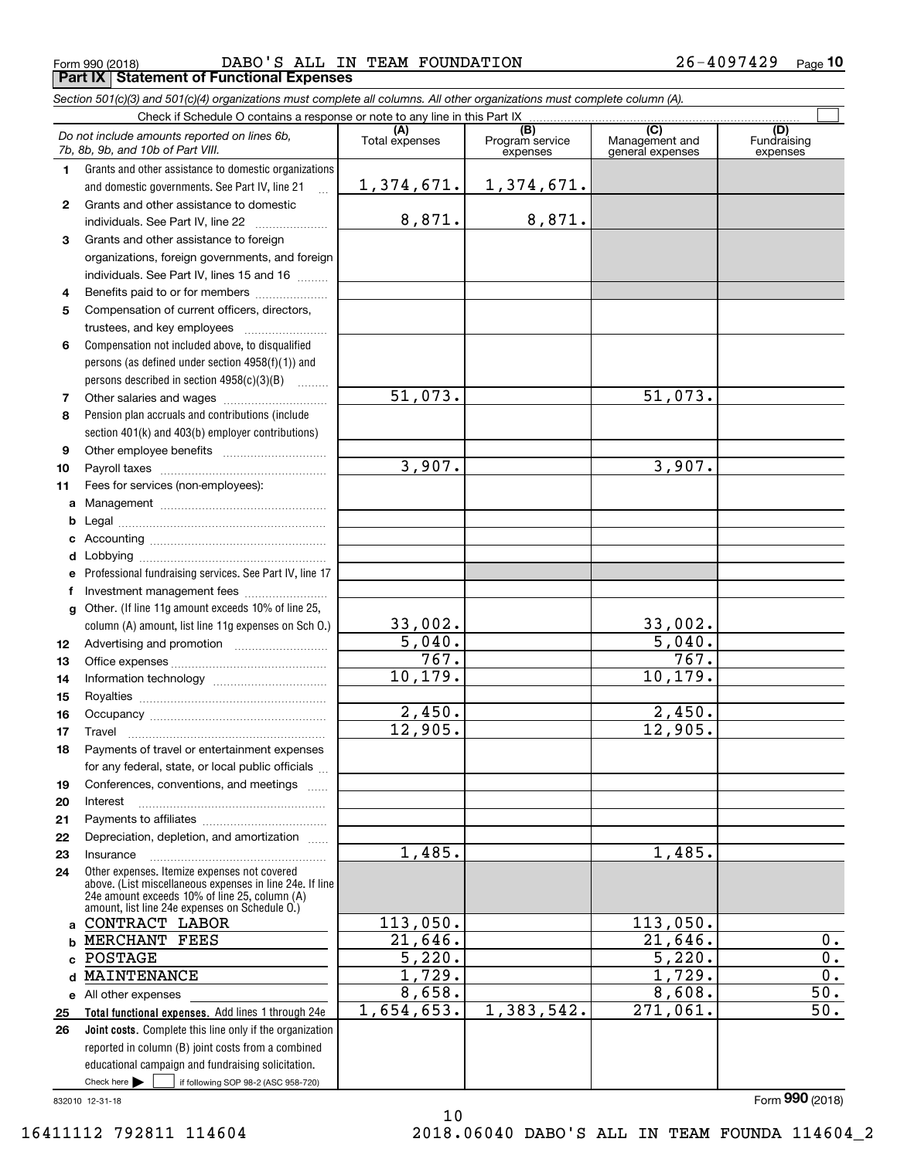Form 990 (2018) DABO'S ALL IN TEAM FOUNDATION 26-4097429 <sub>Page</sub> **Part IX Statement of Functional Expenses**

*Section 501(c)(3) and 501(c)(4) organizations must complete all columns. All other organizations must complete column (A).*

 $\overline{\Box}$ 

|              | Check if Schedule O contains a response or note to any line in this Part IX (B) (C) (C) (C) (D)                                                                                                             |                |                             |                                    |                         |  |  |  |  |  |  |  |
|--------------|-------------------------------------------------------------------------------------------------------------------------------------------------------------------------------------------------------------|----------------|-----------------------------|------------------------------------|-------------------------|--|--|--|--|--|--|--|
|              | Do not include amounts reported on lines 6b,<br>7b, 8b, 9b, and 10b of Part VIII.                                                                                                                           | Total expenses | Program service<br>expenses | Management and<br>general expenses | Fundraising<br>expenses |  |  |  |  |  |  |  |
| 1.           | Grants and other assistance to domestic organizations                                                                                                                                                       |                |                             |                                    |                         |  |  |  |  |  |  |  |
|              | and domestic governments. See Part IV, line 21<br>$\mathbb{R}^2$                                                                                                                                            | 1,374,671.     | 1,374,671.                  |                                    |                         |  |  |  |  |  |  |  |
| $\mathbf{2}$ | Grants and other assistance to domestic                                                                                                                                                                     |                |                             |                                    |                         |  |  |  |  |  |  |  |
|              | individuals. See Part IV, line 22                                                                                                                                                                           | 8,871.         | 8,871.                      |                                    |                         |  |  |  |  |  |  |  |
| 3            | Grants and other assistance to foreign                                                                                                                                                                      |                |                             |                                    |                         |  |  |  |  |  |  |  |
|              | organizations, foreign governments, and foreign                                                                                                                                                             |                |                             |                                    |                         |  |  |  |  |  |  |  |
|              | individuals. See Part IV, lines 15 and 16                                                                                                                                                                   |                |                             |                                    |                         |  |  |  |  |  |  |  |
| 4            | Benefits paid to or for members                                                                                                                                                                             |                |                             |                                    |                         |  |  |  |  |  |  |  |
| 5            | Compensation of current officers, directors,                                                                                                                                                                |                |                             |                                    |                         |  |  |  |  |  |  |  |
|              | trustees, and key employees                                                                                                                                                                                 |                |                             |                                    |                         |  |  |  |  |  |  |  |
| 6            | Compensation not included above, to disqualified                                                                                                                                                            |                |                             |                                    |                         |  |  |  |  |  |  |  |
|              | persons (as defined under section 4958(f)(1)) and                                                                                                                                                           |                |                             |                                    |                         |  |  |  |  |  |  |  |
|              | persons described in section 4958(c)(3)(B)                                                                                                                                                                  |                |                             |                                    |                         |  |  |  |  |  |  |  |
| 7            |                                                                                                                                                                                                             | 51,073.        |                             | 51,073.                            |                         |  |  |  |  |  |  |  |
| 8            | Pension plan accruals and contributions (include                                                                                                                                                            |                |                             |                                    |                         |  |  |  |  |  |  |  |
|              | section 401(k) and 403(b) employer contributions)                                                                                                                                                           |                |                             |                                    |                         |  |  |  |  |  |  |  |
| 9            |                                                                                                                                                                                                             |                |                             |                                    |                         |  |  |  |  |  |  |  |
| 10           |                                                                                                                                                                                                             | 3,907.         |                             | 3,907.                             |                         |  |  |  |  |  |  |  |
| 11           | Fees for services (non-employees):                                                                                                                                                                          |                |                             |                                    |                         |  |  |  |  |  |  |  |
| a            |                                                                                                                                                                                                             |                |                             |                                    |                         |  |  |  |  |  |  |  |
| b            |                                                                                                                                                                                                             |                |                             |                                    |                         |  |  |  |  |  |  |  |
| c            |                                                                                                                                                                                                             |                |                             |                                    |                         |  |  |  |  |  |  |  |
| d            | Professional fundraising services. See Part IV, line 17                                                                                                                                                     |                |                             |                                    |                         |  |  |  |  |  |  |  |
| e<br>f       | Investment management fees                                                                                                                                                                                  |                |                             |                                    |                         |  |  |  |  |  |  |  |
| g            | Other. (If line 11g amount exceeds 10% of line 25,                                                                                                                                                          |                |                             |                                    |                         |  |  |  |  |  |  |  |
|              | column (A) amount, list line 11g expenses on Sch 0.)                                                                                                                                                        | 33,002.        |                             | 33,002.                            |                         |  |  |  |  |  |  |  |
| 12           |                                                                                                                                                                                                             | 5,040.         |                             | 5,040.                             |                         |  |  |  |  |  |  |  |
| 13           |                                                                                                                                                                                                             | 767.           |                             | 767.                               |                         |  |  |  |  |  |  |  |
| 14           |                                                                                                                                                                                                             | 10,179.        |                             | 10, 179.                           |                         |  |  |  |  |  |  |  |
| 15           |                                                                                                                                                                                                             |                |                             |                                    |                         |  |  |  |  |  |  |  |
| 16           |                                                                                                                                                                                                             | 2,450.         |                             | 2,450.                             |                         |  |  |  |  |  |  |  |
| 17           |                                                                                                                                                                                                             | 12,905.        |                             | 12,905.                            |                         |  |  |  |  |  |  |  |
| 18           | Payments of travel or entertainment expenses                                                                                                                                                                |                |                             |                                    |                         |  |  |  |  |  |  |  |
|              | for any federal, state, or local public officials                                                                                                                                                           |                |                             |                                    |                         |  |  |  |  |  |  |  |
| 19           | Conferences, conventions, and meetings                                                                                                                                                                      |                |                             |                                    |                         |  |  |  |  |  |  |  |
| 20           | Interest                                                                                                                                                                                                    |                |                             |                                    |                         |  |  |  |  |  |  |  |
| 21           |                                                                                                                                                                                                             |                |                             |                                    |                         |  |  |  |  |  |  |  |
| 22           | Depreciation, depletion, and amortization                                                                                                                                                                   |                |                             |                                    |                         |  |  |  |  |  |  |  |
| 23           | Insurance                                                                                                                                                                                                   | 1,485.         |                             | 1,485.                             |                         |  |  |  |  |  |  |  |
| 24           | Other expenses. Itemize expenses not covered<br>above. (List miscellaneous expenses in line 24e. If line<br>24e amount exceeds 10% of line 25, column (A)<br>amount, list line 24e expenses on Schedule O.) |                |                             |                                    |                         |  |  |  |  |  |  |  |
|              | a CONTRACT LABOR                                                                                                                                                                                            | 113,050.       |                             | 113,050.                           |                         |  |  |  |  |  |  |  |
|              | <b>b MERCHANT FEES</b>                                                                                                                                                                                      | 21,646.        |                             | 21,646.                            | 0.                      |  |  |  |  |  |  |  |
| c            | POSTAGE                                                                                                                                                                                                     | 5,220.         |                             | 5,220.                             | 0.                      |  |  |  |  |  |  |  |
| d            | MAINTENANCE                                                                                                                                                                                                 | 1,729.         |                             | 1,729.                             | $\overline{0}$ .        |  |  |  |  |  |  |  |
|              | e All other expenses                                                                                                                                                                                        | 8,658.         |                             | 8,608.                             | 50.                     |  |  |  |  |  |  |  |
| 25           | Total functional expenses. Add lines 1 through 24e                                                                                                                                                          | 1,654,653.     | 1,383,542.                  | 271,061.                           | 50.                     |  |  |  |  |  |  |  |
| 26           | <b>Joint costs.</b> Complete this line only if the organization                                                                                                                                             |                |                             |                                    |                         |  |  |  |  |  |  |  |
|              | reported in column (B) joint costs from a combined                                                                                                                                                          |                |                             |                                    |                         |  |  |  |  |  |  |  |
|              | educational campaign and fundraising solicitation.                                                                                                                                                          |                |                             |                                    |                         |  |  |  |  |  |  |  |
|              | Check here $\blacktriangleright$<br>if following SOP 98-2 (ASC 958-720)                                                                                                                                     |                |                             |                                    |                         |  |  |  |  |  |  |  |

10

832010 12-31-18

Form (2018) **990**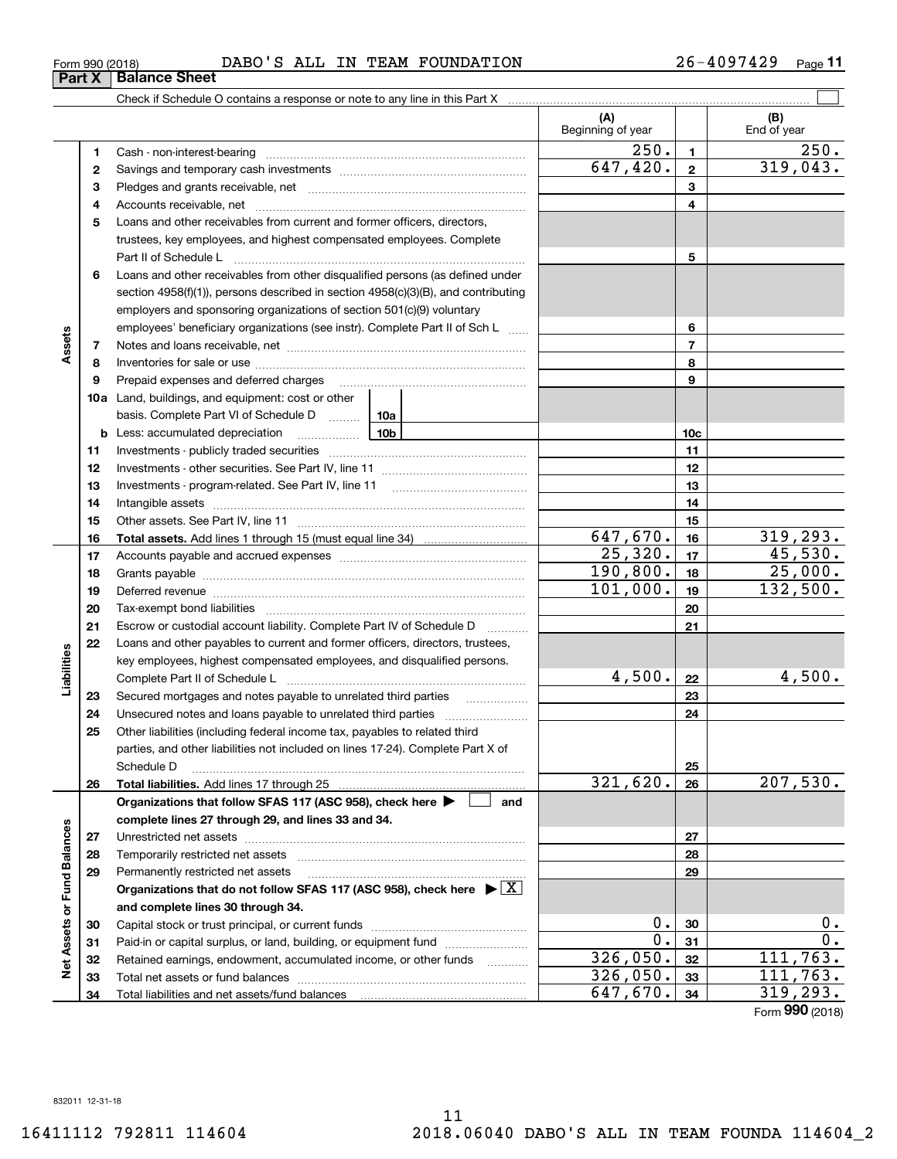Form (2018) **990**

| 120<br><b>DABO</b><br>ALL<br>$\sim$<br>FOUNDATION<br>TEAM<br>ΙN<br>$+097$<br>26-<br>742.<br>- л<br>Form 990 (2018) | Page |
|--------------------------------------------------------------------------------------------------------------------|------|
|--------------------------------------------------------------------------------------------------------------------|------|

|                             |    |                                                                                                                     | (A)<br>Beginning of year |                 | (B)<br>End of year |
|-----------------------------|----|---------------------------------------------------------------------------------------------------------------------|--------------------------|-----------------|--------------------|
|                             | 1  |                                                                                                                     | $\overline{250}$ .       | $\mathbf{1}$    | $\overline{250}$ . |
|                             | 2  |                                                                                                                     | 647,420.                 | $\mathbf{2}$    | 319,043.           |
|                             | з  |                                                                                                                     |                          | 3               |                    |
|                             | 4  |                                                                                                                     |                          | 4               |                    |
|                             | 5  | Loans and other receivables from current and former officers, directors,                                            |                          |                 |                    |
|                             |    | trustees, key employees, and highest compensated employees. Complete                                                |                          |                 |                    |
|                             |    |                                                                                                                     |                          | 5               |                    |
|                             | 6  | Loans and other receivables from other disqualified persons (as defined under                                       |                          |                 |                    |
|                             |    | section 4958(f)(1)), persons described in section 4958(c)(3)(B), and contributing                                   |                          |                 |                    |
|                             |    | employers and sponsoring organizations of section 501(c)(9) voluntary                                               |                          |                 |                    |
|                             |    | employees' beneficiary organizations (see instr). Complete Part II of Sch L                                         |                          | 6               |                    |
| Assets                      | 7  |                                                                                                                     |                          | $\overline{7}$  |                    |
|                             | 8  |                                                                                                                     |                          | 8               |                    |
|                             | 9  | Prepaid expenses and deferred charges [11] matter continuum matter and the Prepaid expenses and deferred charges    |                          | 9               |                    |
|                             |    | <b>10a</b> Land, buildings, and equipment: cost or other                                                            |                          |                 |                    |
|                             |    | basis. Complete Part VI of Schedule D  10a                                                                          |                          |                 |                    |
|                             |    | 10b<br><b>b</b> Less: accumulated depreciation<br>. 1                                                               |                          | 10 <sub>c</sub> |                    |
|                             | 11 |                                                                                                                     |                          | 11              |                    |
|                             | 12 |                                                                                                                     |                          | 12              |                    |
|                             | 13 |                                                                                                                     |                          | 13              |                    |
|                             | 14 |                                                                                                                     |                          | 14              |                    |
|                             | 15 |                                                                                                                     |                          | 15              |                    |
|                             | 16 |                                                                                                                     | $\overline{647}$ , 670.  | 16              | 319, 293.          |
|                             | 17 |                                                                                                                     | 25, 320.                 | 17              | 45,530.            |
|                             | 18 |                                                                                                                     | 190, 800.                | 18              | 25,000.            |
|                             | 19 |                                                                                                                     | 101,000.                 | 19              | 132,500.           |
|                             | 20 |                                                                                                                     |                          | 20              |                    |
|                             | 21 | Escrow or custodial account liability. Complete Part IV of Schedule D<br>1.1.1.1.1.1.1.1.1.1                        |                          | 21              |                    |
|                             | 22 | Loans and other payables to current and former officers, directors, trustees,                                       |                          |                 |                    |
|                             |    | key employees, highest compensated employees, and disqualified persons.                                             |                          |                 |                    |
| Liabilities                 |    |                                                                                                                     | 4,500.                   | 22              | 4,500.             |
|                             | 23 | Secured mortgages and notes payable to unrelated third parties                                                      |                          | 23              |                    |
|                             | 24 |                                                                                                                     |                          | 24              |                    |
|                             | 25 | Other liabilities (including federal income tax, payables to related third                                          |                          |                 |                    |
|                             |    | parties, and other liabilities not included on lines 17-24). Complete Part X of                                     |                          |                 |                    |
|                             |    | Schedule D                                                                                                          | 321,620.                 | 25              | 207,530.           |
|                             | 26 | Organizations that follow SFAS 117 (ASC 958), check here ><br>and                                                   |                          | 26              |                    |
|                             |    | complete lines 27 through 29, and lines 33 and 34.                                                                  |                          |                 |                    |
|                             | 27 |                                                                                                                     |                          | 27              |                    |
|                             | 28 |                                                                                                                     |                          | 28              |                    |
| Net Assets or Fund Balances | 29 | Permanently restricted net assets                                                                                   |                          | 29              |                    |
|                             |    | Organizations that do not follow SFAS 117 (ASC 958), check here $\blacktriangleright \lfloor \underline{X} \rfloor$ |                          |                 |                    |
|                             |    | and complete lines 30 through 34.                                                                                   |                          |                 |                    |
|                             | 30 |                                                                                                                     | 0.                       | 30              | $0$ .              |
|                             | 31 | Paid-in or capital surplus, or land, building, or equipment fund                                                    | $\overline{0}$ .         | 31              | $0$ .              |
|                             | 32 | Retained earnings, endowment, accumulated income, or other funds                                                    | 326,050.                 | 32              | 111,763.           |
|                             | 33 |                                                                                                                     | 326,050.                 | 33              | 111,763.           |
|                             | 34 |                                                                                                                     | 647,670.                 | 34              | 319, 293.          |

## **Part X Balance Sheet**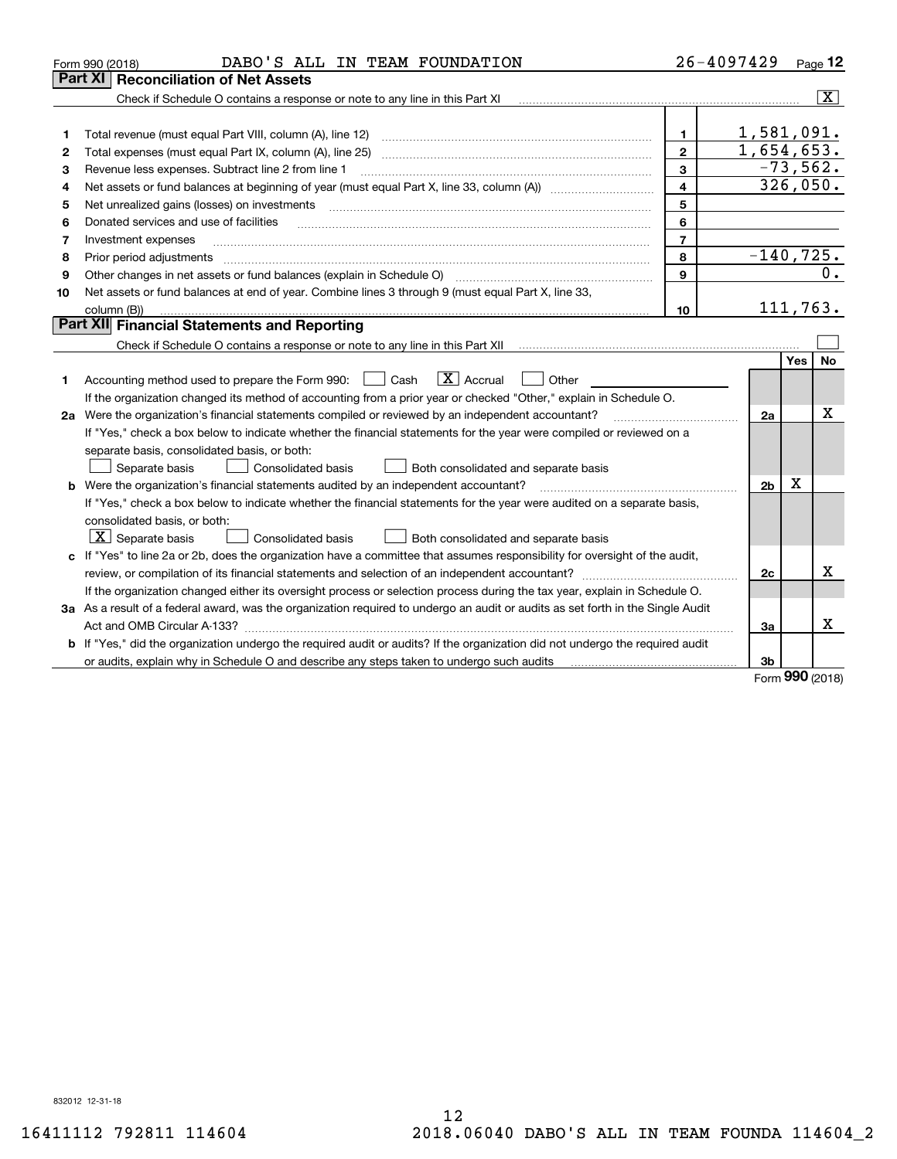| Part XI<br><b>Reconciliation of Net Assets</b><br>$\overline{\textbf{x}}$<br>Check if Schedule O contains a response or note to any line in this Part XI<br>1,581,091.<br>$\mathbf{1}$<br>1<br>1,654,653.<br>$\overline{2}$<br>Total expenses (must equal Part IX, column (A), line 25)<br>2<br>$-73,562.$<br>3<br>Revenue less expenses. Subtract line 2 from line 1<br>3<br>326,050.<br>$\overline{4}$<br>4<br>5<br>Net unrealized gains (losses) on investments<br>5<br>6<br>Donated services and use of facilities<br>6<br>$\mathcal{L} = \{ \mathcal{L}^{\mathcal{L}}_{\mathcal{L}} \mathcal{L}^{\mathcal{L}}_{\mathcal{L}} \mathcal{L}^{\mathcal{L}}_{\mathcal{L}} \mathcal{L}^{\mathcal{L}}_{\mathcal{L}} \mathcal{L}^{\mathcal{L}}_{\mathcal{L}} \mathcal{L}^{\mathcal{L}}_{\mathcal{L}} \mathcal{L}^{\mathcal{L}}_{\mathcal{L}} \mathcal{L}^{\mathcal{L}}_{\mathcal{L}} \mathcal{L}^{\mathcal{L}}_{\mathcal{L}} \mathcal{L}^{\mathcal{L}}_{\mathcal{L}} \mathcal{L}^{\mathcal{$<br>$\overline{7}$<br>Investment expenses<br>7<br>$-140,725.$<br>8<br>Prior period adjustments<br>8<br>0.<br>9<br>Other changes in net assets or fund balances (explain in Schedule O)<br>9<br>Net assets or fund balances at end of year. Combine lines 3 through 9 (must equal Part X, line 33,<br>10<br>111, 763.<br>column (B))<br>10<br>Part XII Financial Statements and Reporting<br><b>No</b><br>Yes<br>$\boxed{\mathbf{X}}$ Accrual<br>Accounting method used to prepare the Form 990: <u>[</u> Cash<br>Other<br>1.<br>If the organization changed its method of accounting from a prior year or checked "Other," explain in Schedule O.<br>х<br>2a Were the organization's financial statements compiled or reviewed by an independent accountant?<br>2a<br><u> 1986 - John Barbara, martin a</u><br>If "Yes," check a box below to indicate whether the financial statements for the year were compiled or reviewed on a<br>separate basis, consolidated basis, or both:<br>Separate basis<br>Consolidated basis<br>Both consolidated and separate basis<br>Χ<br><b>b</b> Were the organization's financial statements audited by an independent accountant?<br>2b<br>If "Yes," check a box below to indicate whether the financial statements for the year were audited on a separate basis,<br>consolidated basis, or both:<br>$\lfloor x \rfloor$ Separate basis<br>Consolidated basis<br>Both consolidated and separate basis<br>c If "Yes" to line 2a or 2b, does the organization have a committee that assumes responsibility for oversight of the audit,<br>х<br>2c<br>If the organization changed either its oversight process or selection process during the tax year, explain in Schedule O.<br>3a As a result of a federal award, was the organization required to undergo an audit or audits as set forth in the Single Audit<br>x<br>Act and OMB Circular A-133?<br>За<br>b If "Yes," did the organization undergo the required audit or audits? If the organization did not undergo the required audit | DABO'S ALL IN TEAM FOUNDATION<br>Form 990 (2018)                                         |  | 26-4097429 | Page 12 |  |  |  |  |
|---------------------------------------------------------------------------------------------------------------------------------------------------------------------------------------------------------------------------------------------------------------------------------------------------------------------------------------------------------------------------------------------------------------------------------------------------------------------------------------------------------------------------------------------------------------------------------------------------------------------------------------------------------------------------------------------------------------------------------------------------------------------------------------------------------------------------------------------------------------------------------------------------------------------------------------------------------------------------------------------------------------------------------------------------------------------------------------------------------------------------------------------------------------------------------------------------------------------------------------------------------------------------------------------------------------------------------------------------------------------------------------------------------------------------------------------------------------------------------------------------------------------------------------------------------------------------------------------------------------------------------------------------------------------------------------------------------------------------------------------------------------------------------------------------------------------------------------------------------------------------------------------------------------------------------------------------------------------------------------------------------------------------------------------------------------------------------------------------------------------------------------------------------------------------------------------------------------------------------------------------------------------------------------------------------------------------------------------------------------------------------------------------------------------------------------------------------------------------------------------------------------------------------------------------------------------------------------------------------------------------------------------------------------------------------------------------------------------------------------------------------------------------------------------------------------------------------------------------------------------------------------------------------------------------------------------------------------------------------------------------------------------------|------------------------------------------------------------------------------------------|--|------------|---------|--|--|--|--|
|                                                                                                                                                                                                                                                                                                                                                                                                                                                                                                                                                                                                                                                                                                                                                                                                                                                                                                                                                                                                                                                                                                                                                                                                                                                                                                                                                                                                                                                                                                                                                                                                                                                                                                                                                                                                                                                                                                                                                                                                                                                                                                                                                                                                                                                                                                                                                                                                                                                                                                                                                                                                                                                                                                                                                                                                                                                                                                                                                                                                                           |                                                                                          |  |            |         |  |  |  |  |
|                                                                                                                                                                                                                                                                                                                                                                                                                                                                                                                                                                                                                                                                                                                                                                                                                                                                                                                                                                                                                                                                                                                                                                                                                                                                                                                                                                                                                                                                                                                                                                                                                                                                                                                                                                                                                                                                                                                                                                                                                                                                                                                                                                                                                                                                                                                                                                                                                                                                                                                                                                                                                                                                                                                                                                                                                                                                                                                                                                                                                           |                                                                                          |  |            |         |  |  |  |  |
|                                                                                                                                                                                                                                                                                                                                                                                                                                                                                                                                                                                                                                                                                                                                                                                                                                                                                                                                                                                                                                                                                                                                                                                                                                                                                                                                                                                                                                                                                                                                                                                                                                                                                                                                                                                                                                                                                                                                                                                                                                                                                                                                                                                                                                                                                                                                                                                                                                                                                                                                                                                                                                                                                                                                                                                                                                                                                                                                                                                                                           |                                                                                          |  |            |         |  |  |  |  |
|                                                                                                                                                                                                                                                                                                                                                                                                                                                                                                                                                                                                                                                                                                                                                                                                                                                                                                                                                                                                                                                                                                                                                                                                                                                                                                                                                                                                                                                                                                                                                                                                                                                                                                                                                                                                                                                                                                                                                                                                                                                                                                                                                                                                                                                                                                                                                                                                                                                                                                                                                                                                                                                                                                                                                                                                                                                                                                                                                                                                                           |                                                                                          |  |            |         |  |  |  |  |
|                                                                                                                                                                                                                                                                                                                                                                                                                                                                                                                                                                                                                                                                                                                                                                                                                                                                                                                                                                                                                                                                                                                                                                                                                                                                                                                                                                                                                                                                                                                                                                                                                                                                                                                                                                                                                                                                                                                                                                                                                                                                                                                                                                                                                                                                                                                                                                                                                                                                                                                                                                                                                                                                                                                                                                                                                                                                                                                                                                                                                           |                                                                                          |  |            |         |  |  |  |  |
|                                                                                                                                                                                                                                                                                                                                                                                                                                                                                                                                                                                                                                                                                                                                                                                                                                                                                                                                                                                                                                                                                                                                                                                                                                                                                                                                                                                                                                                                                                                                                                                                                                                                                                                                                                                                                                                                                                                                                                                                                                                                                                                                                                                                                                                                                                                                                                                                                                                                                                                                                                                                                                                                                                                                                                                                                                                                                                                                                                                                                           |                                                                                          |  |            |         |  |  |  |  |
|                                                                                                                                                                                                                                                                                                                                                                                                                                                                                                                                                                                                                                                                                                                                                                                                                                                                                                                                                                                                                                                                                                                                                                                                                                                                                                                                                                                                                                                                                                                                                                                                                                                                                                                                                                                                                                                                                                                                                                                                                                                                                                                                                                                                                                                                                                                                                                                                                                                                                                                                                                                                                                                                                                                                                                                                                                                                                                                                                                                                                           |                                                                                          |  |            |         |  |  |  |  |
|                                                                                                                                                                                                                                                                                                                                                                                                                                                                                                                                                                                                                                                                                                                                                                                                                                                                                                                                                                                                                                                                                                                                                                                                                                                                                                                                                                                                                                                                                                                                                                                                                                                                                                                                                                                                                                                                                                                                                                                                                                                                                                                                                                                                                                                                                                                                                                                                                                                                                                                                                                                                                                                                                                                                                                                                                                                                                                                                                                                                                           |                                                                                          |  |            |         |  |  |  |  |
|                                                                                                                                                                                                                                                                                                                                                                                                                                                                                                                                                                                                                                                                                                                                                                                                                                                                                                                                                                                                                                                                                                                                                                                                                                                                                                                                                                                                                                                                                                                                                                                                                                                                                                                                                                                                                                                                                                                                                                                                                                                                                                                                                                                                                                                                                                                                                                                                                                                                                                                                                                                                                                                                                                                                                                                                                                                                                                                                                                                                                           |                                                                                          |  |            |         |  |  |  |  |
|                                                                                                                                                                                                                                                                                                                                                                                                                                                                                                                                                                                                                                                                                                                                                                                                                                                                                                                                                                                                                                                                                                                                                                                                                                                                                                                                                                                                                                                                                                                                                                                                                                                                                                                                                                                                                                                                                                                                                                                                                                                                                                                                                                                                                                                                                                                                                                                                                                                                                                                                                                                                                                                                                                                                                                                                                                                                                                                                                                                                                           |                                                                                          |  |            |         |  |  |  |  |
|                                                                                                                                                                                                                                                                                                                                                                                                                                                                                                                                                                                                                                                                                                                                                                                                                                                                                                                                                                                                                                                                                                                                                                                                                                                                                                                                                                                                                                                                                                                                                                                                                                                                                                                                                                                                                                                                                                                                                                                                                                                                                                                                                                                                                                                                                                                                                                                                                                                                                                                                                                                                                                                                                                                                                                                                                                                                                                                                                                                                                           |                                                                                          |  |            |         |  |  |  |  |
|                                                                                                                                                                                                                                                                                                                                                                                                                                                                                                                                                                                                                                                                                                                                                                                                                                                                                                                                                                                                                                                                                                                                                                                                                                                                                                                                                                                                                                                                                                                                                                                                                                                                                                                                                                                                                                                                                                                                                                                                                                                                                                                                                                                                                                                                                                                                                                                                                                                                                                                                                                                                                                                                                                                                                                                                                                                                                                                                                                                                                           |                                                                                          |  |            |         |  |  |  |  |
|                                                                                                                                                                                                                                                                                                                                                                                                                                                                                                                                                                                                                                                                                                                                                                                                                                                                                                                                                                                                                                                                                                                                                                                                                                                                                                                                                                                                                                                                                                                                                                                                                                                                                                                                                                                                                                                                                                                                                                                                                                                                                                                                                                                                                                                                                                                                                                                                                                                                                                                                                                                                                                                                                                                                                                                                                                                                                                                                                                                                                           |                                                                                          |  |            |         |  |  |  |  |
|                                                                                                                                                                                                                                                                                                                                                                                                                                                                                                                                                                                                                                                                                                                                                                                                                                                                                                                                                                                                                                                                                                                                                                                                                                                                                                                                                                                                                                                                                                                                                                                                                                                                                                                                                                                                                                                                                                                                                                                                                                                                                                                                                                                                                                                                                                                                                                                                                                                                                                                                                                                                                                                                                                                                                                                                                                                                                                                                                                                                                           |                                                                                          |  |            |         |  |  |  |  |
|                                                                                                                                                                                                                                                                                                                                                                                                                                                                                                                                                                                                                                                                                                                                                                                                                                                                                                                                                                                                                                                                                                                                                                                                                                                                                                                                                                                                                                                                                                                                                                                                                                                                                                                                                                                                                                                                                                                                                                                                                                                                                                                                                                                                                                                                                                                                                                                                                                                                                                                                                                                                                                                                                                                                                                                                                                                                                                                                                                                                                           |                                                                                          |  |            |         |  |  |  |  |
|                                                                                                                                                                                                                                                                                                                                                                                                                                                                                                                                                                                                                                                                                                                                                                                                                                                                                                                                                                                                                                                                                                                                                                                                                                                                                                                                                                                                                                                                                                                                                                                                                                                                                                                                                                                                                                                                                                                                                                                                                                                                                                                                                                                                                                                                                                                                                                                                                                                                                                                                                                                                                                                                                                                                                                                                                                                                                                                                                                                                                           |                                                                                          |  |            |         |  |  |  |  |
|                                                                                                                                                                                                                                                                                                                                                                                                                                                                                                                                                                                                                                                                                                                                                                                                                                                                                                                                                                                                                                                                                                                                                                                                                                                                                                                                                                                                                                                                                                                                                                                                                                                                                                                                                                                                                                                                                                                                                                                                                                                                                                                                                                                                                                                                                                                                                                                                                                                                                                                                                                                                                                                                                                                                                                                                                                                                                                                                                                                                                           |                                                                                          |  |            |         |  |  |  |  |
|                                                                                                                                                                                                                                                                                                                                                                                                                                                                                                                                                                                                                                                                                                                                                                                                                                                                                                                                                                                                                                                                                                                                                                                                                                                                                                                                                                                                                                                                                                                                                                                                                                                                                                                                                                                                                                                                                                                                                                                                                                                                                                                                                                                                                                                                                                                                                                                                                                                                                                                                                                                                                                                                                                                                                                                                                                                                                                                                                                                                                           |                                                                                          |  |            |         |  |  |  |  |
|                                                                                                                                                                                                                                                                                                                                                                                                                                                                                                                                                                                                                                                                                                                                                                                                                                                                                                                                                                                                                                                                                                                                                                                                                                                                                                                                                                                                                                                                                                                                                                                                                                                                                                                                                                                                                                                                                                                                                                                                                                                                                                                                                                                                                                                                                                                                                                                                                                                                                                                                                                                                                                                                                                                                                                                                                                                                                                                                                                                                                           |                                                                                          |  |            |         |  |  |  |  |
|                                                                                                                                                                                                                                                                                                                                                                                                                                                                                                                                                                                                                                                                                                                                                                                                                                                                                                                                                                                                                                                                                                                                                                                                                                                                                                                                                                                                                                                                                                                                                                                                                                                                                                                                                                                                                                                                                                                                                                                                                                                                                                                                                                                                                                                                                                                                                                                                                                                                                                                                                                                                                                                                                                                                                                                                                                                                                                                                                                                                                           |                                                                                          |  |            |         |  |  |  |  |
|                                                                                                                                                                                                                                                                                                                                                                                                                                                                                                                                                                                                                                                                                                                                                                                                                                                                                                                                                                                                                                                                                                                                                                                                                                                                                                                                                                                                                                                                                                                                                                                                                                                                                                                                                                                                                                                                                                                                                                                                                                                                                                                                                                                                                                                                                                                                                                                                                                                                                                                                                                                                                                                                                                                                                                                                                                                                                                                                                                                                                           |                                                                                          |  |            |         |  |  |  |  |
|                                                                                                                                                                                                                                                                                                                                                                                                                                                                                                                                                                                                                                                                                                                                                                                                                                                                                                                                                                                                                                                                                                                                                                                                                                                                                                                                                                                                                                                                                                                                                                                                                                                                                                                                                                                                                                                                                                                                                                                                                                                                                                                                                                                                                                                                                                                                                                                                                                                                                                                                                                                                                                                                                                                                                                                                                                                                                                                                                                                                                           |                                                                                          |  |            |         |  |  |  |  |
|                                                                                                                                                                                                                                                                                                                                                                                                                                                                                                                                                                                                                                                                                                                                                                                                                                                                                                                                                                                                                                                                                                                                                                                                                                                                                                                                                                                                                                                                                                                                                                                                                                                                                                                                                                                                                                                                                                                                                                                                                                                                                                                                                                                                                                                                                                                                                                                                                                                                                                                                                                                                                                                                                                                                                                                                                                                                                                                                                                                                                           |                                                                                          |  |            |         |  |  |  |  |
|                                                                                                                                                                                                                                                                                                                                                                                                                                                                                                                                                                                                                                                                                                                                                                                                                                                                                                                                                                                                                                                                                                                                                                                                                                                                                                                                                                                                                                                                                                                                                                                                                                                                                                                                                                                                                                                                                                                                                                                                                                                                                                                                                                                                                                                                                                                                                                                                                                                                                                                                                                                                                                                                                                                                                                                                                                                                                                                                                                                                                           |                                                                                          |  |            |         |  |  |  |  |
|                                                                                                                                                                                                                                                                                                                                                                                                                                                                                                                                                                                                                                                                                                                                                                                                                                                                                                                                                                                                                                                                                                                                                                                                                                                                                                                                                                                                                                                                                                                                                                                                                                                                                                                                                                                                                                                                                                                                                                                                                                                                                                                                                                                                                                                                                                                                                                                                                                                                                                                                                                                                                                                                                                                                                                                                                                                                                                                                                                                                                           |                                                                                          |  |            |         |  |  |  |  |
|                                                                                                                                                                                                                                                                                                                                                                                                                                                                                                                                                                                                                                                                                                                                                                                                                                                                                                                                                                                                                                                                                                                                                                                                                                                                                                                                                                                                                                                                                                                                                                                                                                                                                                                                                                                                                                                                                                                                                                                                                                                                                                                                                                                                                                                                                                                                                                                                                                                                                                                                                                                                                                                                                                                                                                                                                                                                                                                                                                                                                           |                                                                                          |  |            |         |  |  |  |  |
|                                                                                                                                                                                                                                                                                                                                                                                                                                                                                                                                                                                                                                                                                                                                                                                                                                                                                                                                                                                                                                                                                                                                                                                                                                                                                                                                                                                                                                                                                                                                                                                                                                                                                                                                                                                                                                                                                                                                                                                                                                                                                                                                                                                                                                                                                                                                                                                                                                                                                                                                                                                                                                                                                                                                                                                                                                                                                                                                                                                                                           |                                                                                          |  |            |         |  |  |  |  |
|                                                                                                                                                                                                                                                                                                                                                                                                                                                                                                                                                                                                                                                                                                                                                                                                                                                                                                                                                                                                                                                                                                                                                                                                                                                                                                                                                                                                                                                                                                                                                                                                                                                                                                                                                                                                                                                                                                                                                                                                                                                                                                                                                                                                                                                                                                                                                                                                                                                                                                                                                                                                                                                                                                                                                                                                                                                                                                                                                                                                                           |                                                                                          |  |            |         |  |  |  |  |
|                                                                                                                                                                                                                                                                                                                                                                                                                                                                                                                                                                                                                                                                                                                                                                                                                                                                                                                                                                                                                                                                                                                                                                                                                                                                                                                                                                                                                                                                                                                                                                                                                                                                                                                                                                                                                                                                                                                                                                                                                                                                                                                                                                                                                                                                                                                                                                                                                                                                                                                                                                                                                                                                                                                                                                                                                                                                                                                                                                                                                           |                                                                                          |  |            |         |  |  |  |  |
|                                                                                                                                                                                                                                                                                                                                                                                                                                                                                                                                                                                                                                                                                                                                                                                                                                                                                                                                                                                                                                                                                                                                                                                                                                                                                                                                                                                                                                                                                                                                                                                                                                                                                                                                                                                                                                                                                                                                                                                                                                                                                                                                                                                                                                                                                                                                                                                                                                                                                                                                                                                                                                                                                                                                                                                                                                                                                                                                                                                                                           |                                                                                          |  |            |         |  |  |  |  |
|                                                                                                                                                                                                                                                                                                                                                                                                                                                                                                                                                                                                                                                                                                                                                                                                                                                                                                                                                                                                                                                                                                                                                                                                                                                                                                                                                                                                                                                                                                                                                                                                                                                                                                                                                                                                                                                                                                                                                                                                                                                                                                                                                                                                                                                                                                                                                                                                                                                                                                                                                                                                                                                                                                                                                                                                                                                                                                                                                                                                                           |                                                                                          |  |            |         |  |  |  |  |
|                                                                                                                                                                                                                                                                                                                                                                                                                                                                                                                                                                                                                                                                                                                                                                                                                                                                                                                                                                                                                                                                                                                                                                                                                                                                                                                                                                                                                                                                                                                                                                                                                                                                                                                                                                                                                                                                                                                                                                                                                                                                                                                                                                                                                                                                                                                                                                                                                                                                                                                                                                                                                                                                                                                                                                                                                                                                                                                                                                                                                           |                                                                                          |  |            |         |  |  |  |  |
|                                                                                                                                                                                                                                                                                                                                                                                                                                                                                                                                                                                                                                                                                                                                                                                                                                                                                                                                                                                                                                                                                                                                                                                                                                                                                                                                                                                                                                                                                                                                                                                                                                                                                                                                                                                                                                                                                                                                                                                                                                                                                                                                                                                                                                                                                                                                                                                                                                                                                                                                                                                                                                                                                                                                                                                                                                                                                                                                                                                                                           |                                                                                          |  |            |         |  |  |  |  |
| nnn.                                                                                                                                                                                                                                                                                                                                                                                                                                                                                                                                                                                                                                                                                                                                                                                                                                                                                                                                                                                                                                                                                                                                                                                                                                                                                                                                                                                                                                                                                                                                                                                                                                                                                                                                                                                                                                                                                                                                                                                                                                                                                                                                                                                                                                                                                                                                                                                                                                                                                                                                                                                                                                                                                                                                                                                                                                                                                                                                                                                                                      | or audits, explain why in Schedule O and describe any steps taken to undergo such audits |  | 3b         |         |  |  |  |  |

Form (2018) **990**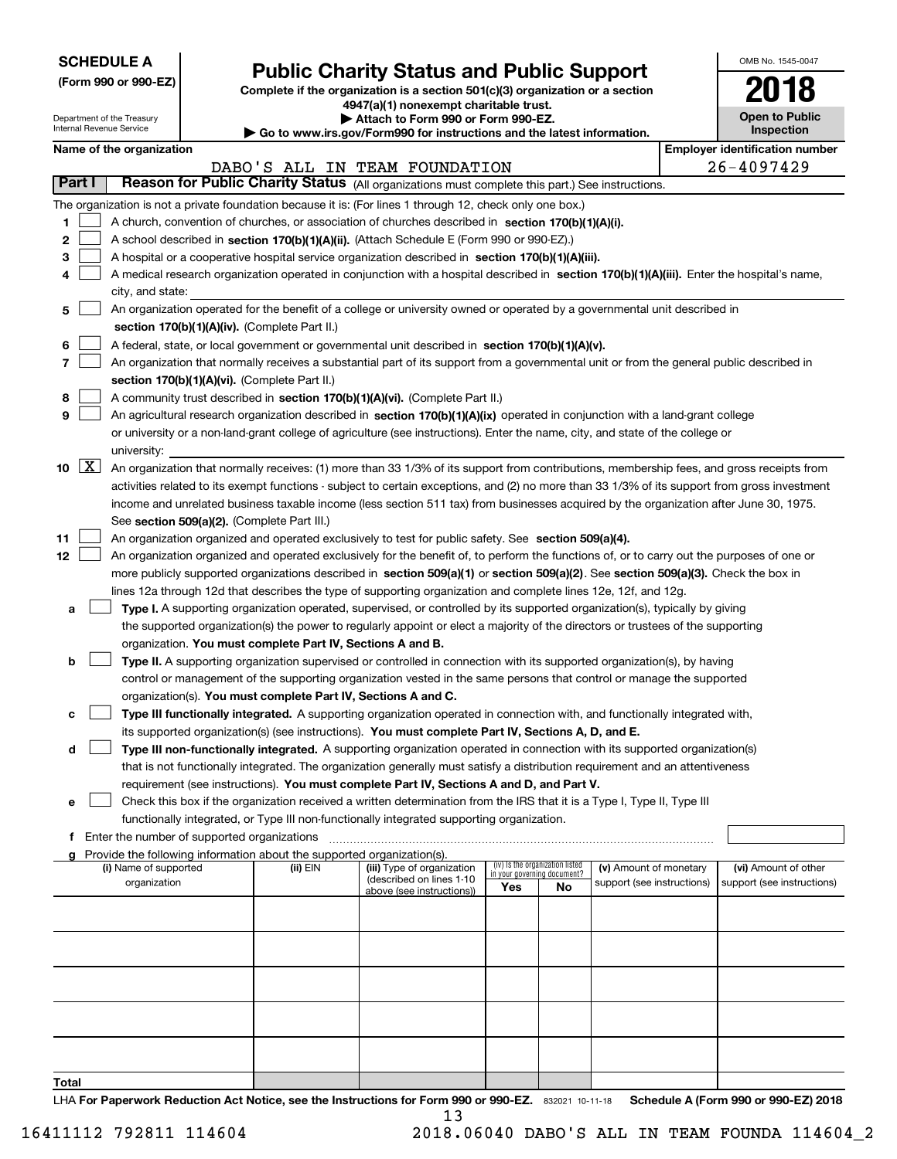| <b>SCHEDULE A</b> |
|-------------------|
|-------------------|

Department of the Treasury

|  |  |  | (Form 990 or 990-EZ) |  |
|--|--|--|----------------------|--|
|--|--|--|----------------------|--|

## **Public Charity Status and Public Support**

**Complete if the organization is a section 501(c)(3) organization or a section 4947(a)(1) nonexempt charitable trust.**

| Attach to Form 990 or Form 990-EZ. |
|------------------------------------|
|                                    |

| OMB No. 1545-0047     |
|-----------------------|
| 2018                  |
| <b>Open to Public</b> |

٦

| Internal Revenue Service |                     |                          |                                               |                                                                                                                              | Go to www.irs.gov/Form990 for instructions and the latest information.                                                                                                                                                                               | Inspection                  |                                 |                            |  |                                       |                            |  |  |
|--------------------------|---------------------|--------------------------|-----------------------------------------------|------------------------------------------------------------------------------------------------------------------------------|------------------------------------------------------------------------------------------------------------------------------------------------------------------------------------------------------------------------------------------------------|-----------------------------|---------------------------------|----------------------------|--|---------------------------------------|----------------------------|--|--|
|                          |                     | Name of the organization |                                               |                                                                                                                              |                                                                                                                                                                                                                                                      |                             |                                 |                            |  | <b>Employer identification number</b> |                            |  |  |
|                          |                     |                          |                                               |                                                                                                                              | DABO'S ALL IN TEAM FOUNDATION                                                                                                                                                                                                                        |                             |                                 |                            |  |                                       | 26-4097429                 |  |  |
| Part I                   |                     |                          |                                               |                                                                                                                              | Reason for Public Charity Status (All organizations must complete this part.) See instructions.                                                                                                                                                      |                             |                                 |                            |  |                                       |                            |  |  |
|                          |                     |                          |                                               |                                                                                                                              | The organization is not a private foundation because it is: (For lines 1 through 12, check only one box.)                                                                                                                                            |                             |                                 |                            |  |                                       |                            |  |  |
| 1                        |                     |                          |                                               |                                                                                                                              | A church, convention of churches, or association of churches described in section 170(b)(1)(A)(i).                                                                                                                                                   |                             |                                 |                            |  |                                       |                            |  |  |
| 2                        |                     |                          |                                               |                                                                                                                              | A school described in section 170(b)(1)(A)(ii). (Attach Schedule E (Form 990 or 990-EZ).)                                                                                                                                                            |                             |                                 |                            |  |                                       |                            |  |  |
| 3                        |                     |                          |                                               |                                                                                                                              | A hospital or a cooperative hospital service organization described in section 170(b)(1)(A)(iii).                                                                                                                                                    |                             |                                 |                            |  |                                       |                            |  |  |
|                          |                     |                          |                                               |                                                                                                                              | A medical research organization operated in conjunction with a hospital described in section 170(b)(1)(A)(iii). Enter the hospital's name,                                                                                                           |                             |                                 |                            |  |                                       |                            |  |  |
|                          |                     | city, and state:         |                                               |                                                                                                                              |                                                                                                                                                                                                                                                      |                             |                                 |                            |  |                                       |                            |  |  |
| 5                        |                     |                          |                                               |                                                                                                                              | An organization operated for the benefit of a college or university owned or operated by a governmental unit described in                                                                                                                            |                             |                                 |                            |  |                                       |                            |  |  |
|                          |                     |                          |                                               | section 170(b)(1)(A)(iv). (Complete Part II.)                                                                                |                                                                                                                                                                                                                                                      |                             |                                 |                            |  |                                       |                            |  |  |
| 6                        |                     |                          |                                               |                                                                                                                              | A federal, state, or local government or governmental unit described in section 170(b)(1)(A)(v).                                                                                                                                                     |                             |                                 |                            |  |                                       |                            |  |  |
| 7                        |                     |                          |                                               |                                                                                                                              | An organization that normally receives a substantial part of its support from a governmental unit or from the general public described in                                                                                                            |                             |                                 |                            |  |                                       |                            |  |  |
|                          |                     |                          |                                               | section 170(b)(1)(A)(vi). (Complete Part II.)                                                                                |                                                                                                                                                                                                                                                      |                             |                                 |                            |  |                                       |                            |  |  |
| 8                        |                     |                          |                                               |                                                                                                                              | A community trust described in section 170(b)(1)(A)(vi). (Complete Part II.)                                                                                                                                                                         |                             |                                 |                            |  |                                       |                            |  |  |
| 9                        |                     |                          |                                               |                                                                                                                              | An agricultural research organization described in section 170(b)(1)(A)(ix) operated in conjunction with a land-grant college                                                                                                                        |                             |                                 |                            |  |                                       |                            |  |  |
|                          |                     |                          |                                               |                                                                                                                              | or university or a non-land-grant college of agriculture (see instructions). Enter the name, city, and state of the college or                                                                                                                       |                             |                                 |                            |  |                                       |                            |  |  |
|                          |                     | university:              |                                               |                                                                                                                              |                                                                                                                                                                                                                                                      |                             |                                 |                            |  |                                       |                            |  |  |
| 10                       | $\lfloor x \rfloor$ |                          |                                               |                                                                                                                              | An organization that normally receives: (1) more than 33 1/3% of its support from contributions, membership fees, and gross receipts from                                                                                                            |                             |                                 |                            |  |                                       |                            |  |  |
|                          |                     |                          |                                               |                                                                                                                              | activities related to its exempt functions - subject to certain exceptions, and (2) no more than 33 1/3% of its support from gross investment                                                                                                        |                             |                                 |                            |  |                                       |                            |  |  |
|                          |                     |                          |                                               |                                                                                                                              | income and unrelated business taxable income (less section 511 tax) from businesses acquired by the organization after June 30, 1975.                                                                                                                |                             |                                 |                            |  |                                       |                            |  |  |
|                          |                     |                          |                                               | See section 509(a)(2). (Complete Part III.)                                                                                  |                                                                                                                                                                                                                                                      |                             |                                 |                            |  |                                       |                            |  |  |
| 11                       |                     |                          |                                               |                                                                                                                              | An organization organized and operated exclusively to test for public safety. See section 509(a)(4).                                                                                                                                                 |                             |                                 |                            |  |                                       |                            |  |  |
| 12                       |                     |                          |                                               |                                                                                                                              | An organization organized and operated exclusively for the benefit of, to perform the functions of, or to carry out the purposes of one or                                                                                                           |                             |                                 |                            |  |                                       |                            |  |  |
|                          |                     |                          |                                               |                                                                                                                              | more publicly supported organizations described in section 509(a)(1) or section 509(a)(2). See section 509(a)(3). Check the box in<br>lines 12a through 12d that describes the type of supporting organization and complete lines 12e, 12f, and 12g. |                             |                                 |                            |  |                                       |                            |  |  |
|                          |                     |                          |                                               |                                                                                                                              | Type I. A supporting organization operated, supervised, or controlled by its supported organization(s), typically by giving                                                                                                                          |                             |                                 |                            |  |                                       |                            |  |  |
| а                        |                     |                          |                                               |                                                                                                                              | the supported organization(s) the power to regularly appoint or elect a majority of the directors or trustees of the supporting                                                                                                                      |                             |                                 |                            |  |                                       |                            |  |  |
|                          |                     |                          |                                               | organization. You must complete Part IV, Sections A and B.                                                                   |                                                                                                                                                                                                                                                      |                             |                                 |                            |  |                                       |                            |  |  |
| b                        |                     |                          |                                               |                                                                                                                              | Type II. A supporting organization supervised or controlled in connection with its supported organization(s), by having                                                                                                                              |                             |                                 |                            |  |                                       |                            |  |  |
|                          |                     |                          |                                               |                                                                                                                              | control or management of the supporting organization vested in the same persons that control or manage the supported                                                                                                                                 |                             |                                 |                            |  |                                       |                            |  |  |
|                          |                     |                          |                                               |                                                                                                                              | organization(s). You must complete Part IV, Sections A and C.                                                                                                                                                                                        |                             |                                 |                            |  |                                       |                            |  |  |
| c                        |                     |                          |                                               | Type III functionally integrated. A supporting organization operated in connection with, and functionally integrated with,   |                                                                                                                                                                                                                                                      |                             |                                 |                            |  |                                       |                            |  |  |
|                          |                     |                          |                                               | its supported organization(s) (see instructions). You must complete Part IV, Sections A, D, and E.                           |                                                                                                                                                                                                                                                      |                             |                                 |                            |  |                                       |                            |  |  |
| d                        |                     |                          |                                               | Type III non-functionally integrated. A supporting organization operated in connection with its supported organization(s)    |                                                                                                                                                                                                                                                      |                             |                                 |                            |  |                                       |                            |  |  |
|                          |                     |                          |                                               | that is not functionally integrated. The organization generally must satisfy a distribution requirement and an attentiveness |                                                                                                                                                                                                                                                      |                             |                                 |                            |  |                                       |                            |  |  |
|                          |                     |                          |                                               |                                                                                                                              | requirement (see instructions). You must complete Part IV, Sections A and D, and Part V.                                                                                                                                                             |                             |                                 |                            |  |                                       |                            |  |  |
| е                        |                     |                          |                                               |                                                                                                                              | Check this box if the organization received a written determination from the IRS that it is a Type I, Type II, Type III                                                                                                                              |                             |                                 |                            |  |                                       |                            |  |  |
|                          |                     |                          |                                               |                                                                                                                              | functionally integrated, or Type III non-functionally integrated supporting organization.                                                                                                                                                            |                             |                                 |                            |  |                                       |                            |  |  |
|                          |                     |                          | f Enter the number of supported organizations |                                                                                                                              |                                                                                                                                                                                                                                                      |                             |                                 |                            |  |                                       |                            |  |  |
|                          |                     |                          |                                               | Provide the following information about the supported organization(s).                                                       |                                                                                                                                                                                                                                                      |                             |                                 |                            |  |                                       |                            |  |  |
|                          |                     | (i) Name of supported    |                                               | (ii) EIN                                                                                                                     | (iii) Type of organization<br>(described on lines 1-10                                                                                                                                                                                               | in your governing document? | (iv) Is the organization listed | (v) Amount of monetary     |  |                                       | (vi) Amount of other       |  |  |
|                          |                     | organization             |                                               |                                                                                                                              | above (see instructions))                                                                                                                                                                                                                            | Yes                         | No.                             | support (see instructions) |  |                                       | support (see instructions) |  |  |
|                          |                     |                          |                                               |                                                                                                                              |                                                                                                                                                                                                                                                      |                             |                                 |                            |  |                                       |                            |  |  |
|                          |                     |                          |                                               |                                                                                                                              |                                                                                                                                                                                                                                                      |                             |                                 |                            |  |                                       |                            |  |  |
|                          |                     |                          |                                               |                                                                                                                              |                                                                                                                                                                                                                                                      |                             |                                 |                            |  |                                       |                            |  |  |
|                          |                     |                          |                                               |                                                                                                                              |                                                                                                                                                                                                                                                      |                             |                                 |                            |  |                                       |                            |  |  |
|                          |                     |                          |                                               |                                                                                                                              |                                                                                                                                                                                                                                                      |                             |                                 |                            |  |                                       |                            |  |  |
|                          |                     |                          |                                               |                                                                                                                              |                                                                                                                                                                                                                                                      |                             |                                 |                            |  |                                       |                            |  |  |
|                          |                     |                          |                                               |                                                                                                                              |                                                                                                                                                                                                                                                      |                             |                                 |                            |  |                                       |                            |  |  |
|                          |                     |                          |                                               |                                                                                                                              |                                                                                                                                                                                                                                                      |                             |                                 |                            |  |                                       |                            |  |  |
|                          |                     |                          |                                               |                                                                                                                              |                                                                                                                                                                                                                                                      |                             |                                 |                            |  |                                       |                            |  |  |
|                          |                     |                          |                                               |                                                                                                                              |                                                                                                                                                                                                                                                      |                             |                                 |                            |  |                                       |                            |  |  |
| Total                    |                     |                          |                                               |                                                                                                                              |                                                                                                                                                                                                                                                      |                             |                                 |                            |  |                                       |                            |  |  |

LHA For Paperwork Reduction Act Notice, see the Instructions for Form 990 or 990-EZ. 832021 10-11-18 Schedule A (Form 990 or 990-EZ) 2018 13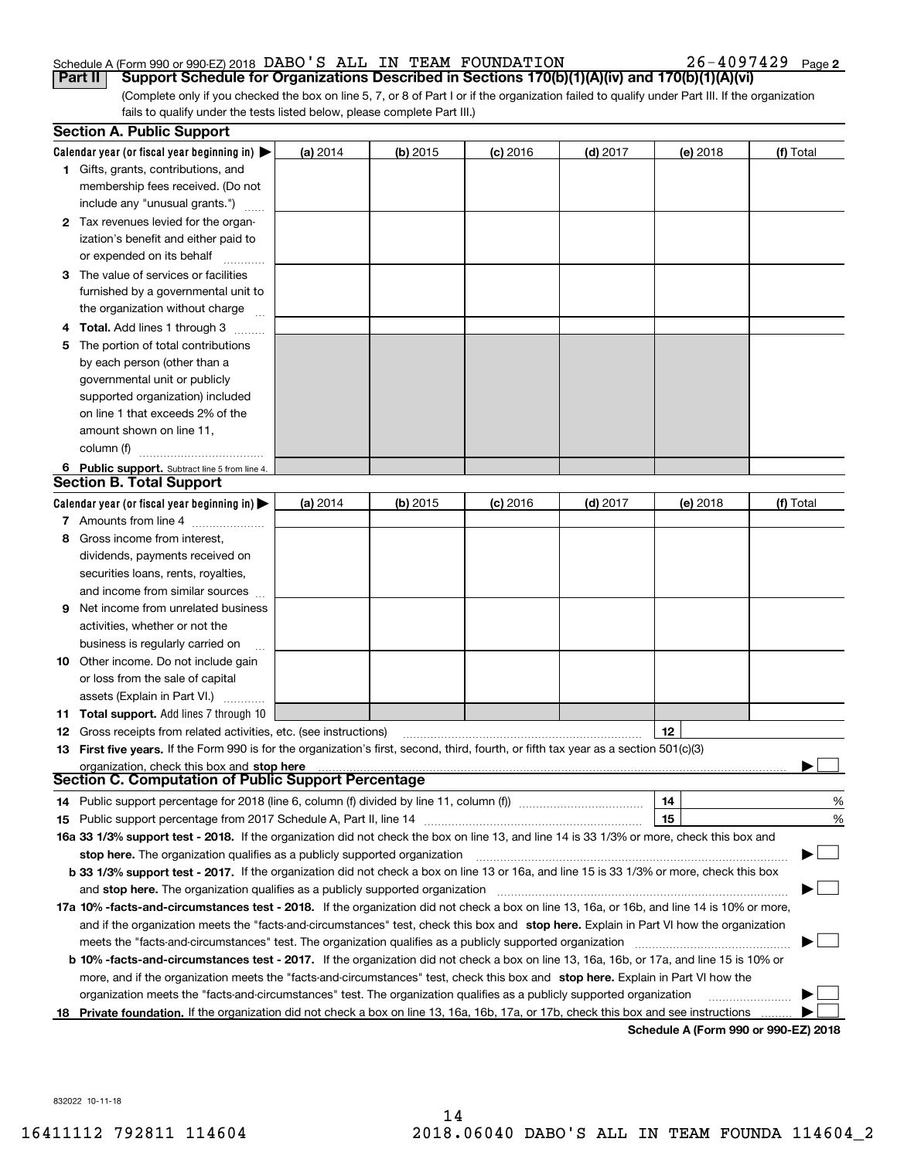### Schedule A (Form 990 or 990-EZ) 2018 Page DABO'S ALL IN TEAM FOUNDATION 26-4097429

**2**

(Complete only if you checked the box on line 5, 7, or 8 of Part I or if the organization failed to qualify under Part III. If the organization fails to qualify under the tests listed below, please complete Part III.) **Part II** | Support Schedule for Organizations Described in Sections 170(b)(1)(A)(iv) and 170(b)(1)(A)(vi)

|    | <b>Section A. Public Support</b>                                                                                                               |          |            |            |            |                                      |           |
|----|------------------------------------------------------------------------------------------------------------------------------------------------|----------|------------|------------|------------|--------------------------------------|-----------|
|    | Calendar year (or fiscal year beginning in) $\blacktriangleright$                                                                              | (a) 2014 | $(b)$ 2015 | $(c)$ 2016 | $(d)$ 2017 | (e) 2018                             | (f) Total |
|    | <b>1</b> Gifts, grants, contributions, and                                                                                                     |          |            |            |            |                                      |           |
|    | membership fees received. (Do not                                                                                                              |          |            |            |            |                                      |           |
|    | include any "unusual grants.")                                                                                                                 |          |            |            |            |                                      |           |
|    | 2 Tax revenues levied for the organ-                                                                                                           |          |            |            |            |                                      |           |
|    | ization's benefit and either paid to                                                                                                           |          |            |            |            |                                      |           |
|    | or expended on its behalf                                                                                                                      |          |            |            |            |                                      |           |
|    | 3 The value of services or facilities                                                                                                          |          |            |            |            |                                      |           |
|    | furnished by a governmental unit to                                                                                                            |          |            |            |            |                                      |           |
|    | the organization without charge                                                                                                                |          |            |            |            |                                      |           |
|    | <b>4 Total.</b> Add lines 1 through 3                                                                                                          |          |            |            |            |                                      |           |
| 5. | The portion of total contributions                                                                                                             |          |            |            |            |                                      |           |
|    | by each person (other than a                                                                                                                   |          |            |            |            |                                      |           |
|    | governmental unit or publicly                                                                                                                  |          |            |            |            |                                      |           |
|    | supported organization) included                                                                                                               |          |            |            |            |                                      |           |
|    | on line 1 that exceeds 2% of the                                                                                                               |          |            |            |            |                                      |           |
|    | amount shown on line 11,                                                                                                                       |          |            |            |            |                                      |           |
|    | column (f)                                                                                                                                     |          |            |            |            |                                      |           |
|    | 6 Public support. Subtract line 5 from line 4.                                                                                                 |          |            |            |            |                                      |           |
|    | <b>Section B. Total Support</b>                                                                                                                |          |            |            |            |                                      |           |
|    | Calendar year (or fiscal year beginning in) $\blacktriangleright$                                                                              | (a) 2014 | $(b)$ 2015 | $(c)$ 2016 | $(d)$ 2017 | (e) 2018                             | (f) Total |
|    | 7 Amounts from line 4                                                                                                                          |          |            |            |            |                                      |           |
| 8  | Gross income from interest,                                                                                                                    |          |            |            |            |                                      |           |
|    | dividends, payments received on                                                                                                                |          |            |            |            |                                      |           |
|    | securities loans, rents, royalties,                                                                                                            |          |            |            |            |                                      |           |
|    | and income from similar sources                                                                                                                |          |            |            |            |                                      |           |
| 9  | Net income from unrelated business                                                                                                             |          |            |            |            |                                      |           |
|    | activities, whether or not the                                                                                                                 |          |            |            |            |                                      |           |
|    | business is regularly carried on                                                                                                               |          |            |            |            |                                      |           |
|    | <b>10</b> Other income. Do not include gain                                                                                                    |          |            |            |            |                                      |           |
|    | or loss from the sale of capital                                                                                                               |          |            |            |            |                                      |           |
|    | assets (Explain in Part VI.)                                                                                                                   |          |            |            |            |                                      |           |
|    | 11 Total support. Add lines 7 through 10                                                                                                       |          |            |            |            |                                      |           |
|    | <b>12</b> Gross receipts from related activities, etc. (see instructions)                                                                      |          |            |            |            | 12                                   |           |
|    | 13 First five years. If the Form 990 is for the organization's first, second, third, fourth, or fifth tax year as a section 501(c)(3)          |          |            |            |            |                                      |           |
|    | organization, check this box and stop here                                                                                                     |          |            |            |            |                                      |           |
|    | Section C. Computation of Public Support Percentage                                                                                            |          |            |            |            |                                      |           |
|    | 14 Public support percentage for 2018 (line 6, column (f) divided by line 11, column (f) <i>mummumumumum</i>                                   |          |            |            |            | 14                                   | %         |
|    |                                                                                                                                                |          |            |            |            | 15                                   | %         |
|    | 16a 33 1/3% support test - 2018. If the organization did not check the box on line 13, and line 14 is 33 1/3% or more, check this box and      |          |            |            |            |                                      |           |
|    | stop here. The organization qualifies as a publicly supported organization                                                                     |          |            |            |            |                                      |           |
|    | b 33 1/3% support test - 2017. If the organization did not check a box on line 13 or 16a, and line 15 is 33 1/3% or more, check this box       |          |            |            |            |                                      |           |
|    | and stop here. The organization qualifies as a publicly supported organization                                                                 |          |            |            |            |                                      |           |
|    | 17a 10% -facts-and-circumstances test - 2018. If the organization did not check a box on line 13, 16a, or 16b, and line 14 is 10% or more,     |          |            |            |            |                                      |           |
|    | and if the organization meets the "facts-and-circumstances" test, check this box and stop here. Explain in Part VI how the organization        |          |            |            |            |                                      |           |
|    | meets the "facts-and-circumstances" test. The organization qualifies as a publicly supported organization                                      |          |            |            |            |                                      |           |
|    | <b>b 10% -facts-and-circumstances test - 2017.</b> If the organization did not check a box on line 13, 16a, 16b, or 17a, and line 15 is 10% or |          |            |            |            |                                      |           |
|    | more, and if the organization meets the "facts-and-circumstances" test, check this box and stop here. Explain in Part VI how the               |          |            |            |            |                                      |           |
|    | organization meets the "facts-and-circumstances" test. The organization qualifies as a publicly supported organization                         |          |            |            |            |                                      |           |
|    | 18 Private foundation. If the organization did not check a box on line 13, 16a, 16b, 17a, or 17b, check this box and see instructions          |          |            |            |            | Schodule A (Form 000 or 000 F7) 2019 |           |

**Schedule A (Form 990 or 990-EZ) 2018**

832022 10-11-18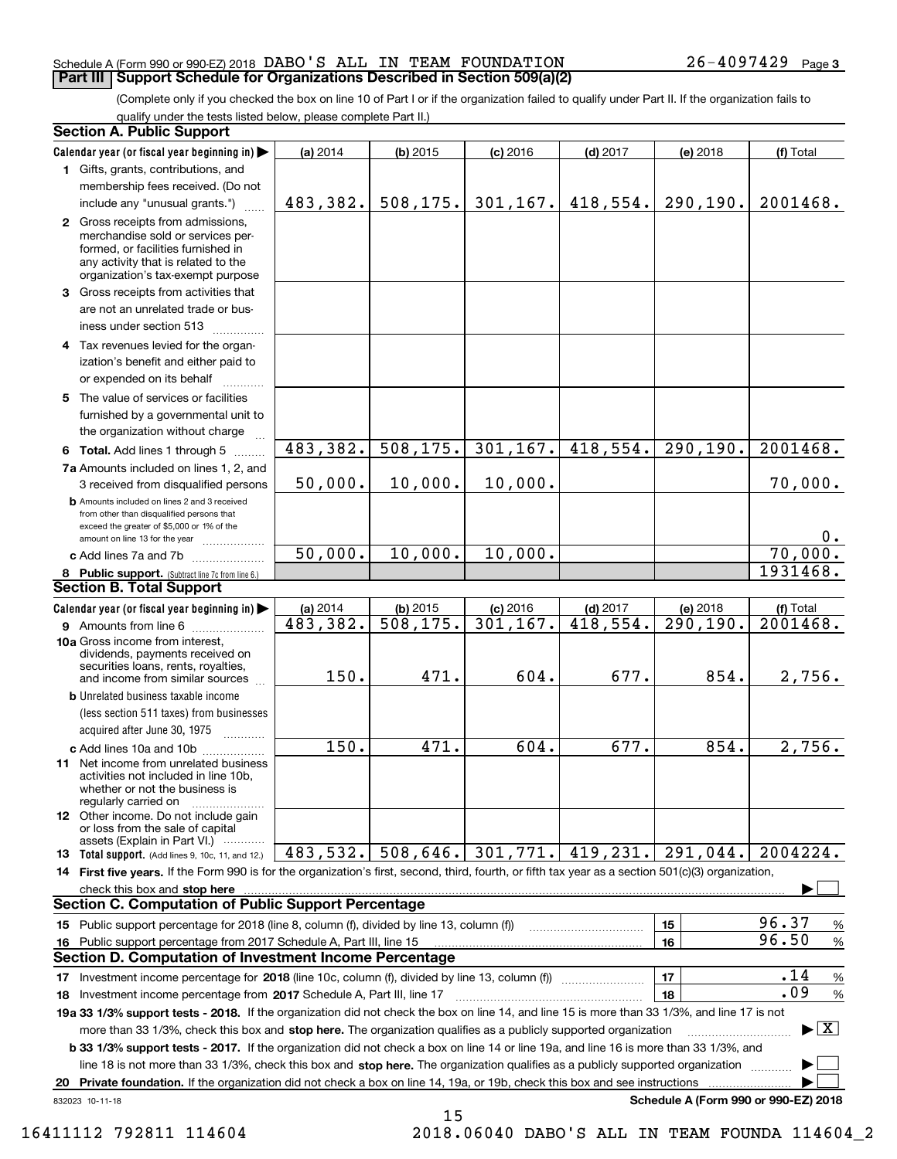#### Schedule A (Form 990 or 990-EZ) 2018 Page DABO'S ALL IN TEAM FOUNDATION 26-4097429 **Part III Support Schedule for Organizations Described in Section 509(a)(2)**

(Complete only if you checked the box on line 10 of Part I or if the organization failed to qualify under Part II. If the organization fails to qualify under the tests listed below, please complete Part II.)

|    | <b>Section A. Public Support</b>                                                                                                                                                                                                                       |                        |            |            |                     |                                      |                                         |
|----|--------------------------------------------------------------------------------------------------------------------------------------------------------------------------------------------------------------------------------------------------------|------------------------|------------|------------|---------------------|--------------------------------------|-----------------------------------------|
|    | Calendar year (or fiscal year beginning in)                                                                                                                                                                                                            | (a) 2014               | $(b)$ 2015 | $(c)$ 2016 | $(d)$ 2017          | (e) 2018                             | (f) Total                               |
|    | 1 Gifts, grants, contributions, and                                                                                                                                                                                                                    |                        |            |            |                     |                                      |                                         |
|    | membership fees received. (Do not                                                                                                                                                                                                                      |                        |            |            |                     |                                      |                                         |
|    | include any "unusual grants.")                                                                                                                                                                                                                         | 483,382.               | 508, 175.  | 301, 167.  | 418,554.            | 290, 190.                            | 2001468.                                |
|    | 2 Gross receipts from admissions,<br>merchandise sold or services per-<br>formed, or facilities furnished in<br>any activity that is related to the<br>organization's tax-exempt purpose                                                               |                        |            |            |                     |                                      |                                         |
|    | 3 Gross receipts from activities that<br>are not an unrelated trade or bus-<br>iness under section 513                                                                                                                                                 |                        |            |            |                     |                                      |                                         |
|    | 4 Tax revenues levied for the organ-<br>ization's benefit and either paid to<br>or expended on its behalf                                                                                                                                              |                        |            |            |                     |                                      |                                         |
|    | 5 The value of services or facilities<br>furnished by a governmental unit to<br>the organization without charge                                                                                                                                        |                        |            |            |                     |                                      |                                         |
|    | 6 Total. Add lines 1 through 5                                                                                                                                                                                                                         | 483,382.               | 508, 175.  | 301, 167.  | 418,554.            | 290,190.                             | 2001468.                                |
|    | 7a Amounts included on lines 1, 2, and<br>3 received from disqualified persons                                                                                                                                                                         | 50,000.                | 10,000.    | 10,000.    |                     |                                      | 70,000.                                 |
|    | <b>b</b> Amounts included on lines 2 and 3 received<br>from other than disqualified persons that<br>exceed the greater of \$5,000 or 1% of the<br>amount on line 13 for the year                                                                       |                        |            |            |                     |                                      | 0.                                      |
|    | c Add lines 7a and 7b                                                                                                                                                                                                                                  | $\overline{50}$ , 000. | 10,000.    | 10,000.    |                     |                                      | 70,000.                                 |
|    | 8 Public support. (Subtract line 7c from line 6.)                                                                                                                                                                                                      |                        |            |            |                     |                                      | 1931468.                                |
|    | <b>Section B. Total Support</b>                                                                                                                                                                                                                        |                        |            |            |                     |                                      |                                         |
|    | Calendar year (or fiscal year beginning in)                                                                                                                                                                                                            | (a) 2014               | $(b)$ 2015 | $(c)$ 2016 | $(d)$ 2017          | (e) 2018                             | (f) Total                               |
|    | <b>9</b> Amounts from line 6                                                                                                                                                                                                                           | $\overline{483,382}$ . | 508,175.   | 301, 167.  | 418,554.            | 290, 190.                            | 2001468.                                |
|    | 10a Gross income from interest,<br>dividends, payments received on<br>securities loans, rents, royalties,<br>and income from similar sources                                                                                                           | 150.                   | 471.       | 604.       | 677.                | 854.                                 | 2,756.                                  |
|    | <b>b</b> Unrelated business taxable income                                                                                                                                                                                                             |                        |            |            |                     |                                      |                                         |
|    | (less section 511 taxes) from businesses                                                                                                                                                                                                               |                        |            |            |                     |                                      |                                         |
|    | acquired after June 30, 1975                                                                                                                                                                                                                           |                        |            |            |                     |                                      |                                         |
|    | c Add lines 10a and 10b                                                                                                                                                                                                                                | 150.                   | 471.       | 604.       | 677.                | 854.                                 | 2,756.                                  |
|    | <b>11</b> Net income from unrelated business<br>activities not included in line 10b,<br>whether or not the business is<br>regularly carried on                                                                                                         |                        |            |            |                     |                                      |                                         |
|    | 12 Other income. Do not include gain<br>or loss from the sale of capital<br>assets (Explain in Part VI.)                                                                                                                                               |                        |            |            |                     |                                      |                                         |
|    | 13 Total support. (Add lines 9, 10c, 11, and 12.)                                                                                                                                                                                                      | 483,532.               | 508,646.   |            | $301,771.$ 419,231. | 291,044.                             | 2004224.                                |
|    | 14 First five years. If the Form 990 is for the organization's first, second, third, fourth, or fifth tax year as a section 501(c)(3) organization,                                                                                                    |                        |            |            |                     |                                      |                                         |
|    | check this box and <b>stop here</b> www.communically.communications are check this box and <b>stop here</b> www.communications and <b>stop here</b> www.communications and <b>stop here</b> www.communications and <b>stop here</b> www.communications |                        |            |            |                     |                                      |                                         |
|    | <b>Section C. Computation of Public Support Percentage</b>                                                                                                                                                                                             |                        |            |            |                     |                                      |                                         |
|    | 15 Public support percentage for 2018 (line 8, column (f), divided by line 13, column (f))                                                                                                                                                             |                        |            |            |                     | 15                                   | 96.37<br>$\%$                           |
|    | 16 Public support percentage from 2017 Schedule A, Part III, line 15                                                                                                                                                                                   |                        |            |            |                     | 16                                   | 96.50<br>%                              |
|    | <b>Section D. Computation of Investment Income Percentage</b>                                                                                                                                                                                          |                        |            |            |                     |                                      |                                         |
|    | 17 Investment income percentage for 2018 (line 10c, column (f), divided by line 13, column (f))                                                                                                                                                        |                        |            |            |                     | 17                                   | .14<br>%                                |
|    | <b>18</b> Investment income percentage from <b>2017</b> Schedule A, Part III, line 17                                                                                                                                                                  |                        |            |            |                     | 18                                   | .09<br>%                                |
|    | 19a 33 1/3% support tests - 2018. If the organization did not check the box on line 14, and line 15 is more than 33 1/3%, and line 17 is not                                                                                                           |                        |            |            |                     |                                      |                                         |
|    | more than 33 1/3%, check this box and stop here. The organization qualifies as a publicly supported organization                                                                                                                                       |                        |            |            |                     |                                      | $\blacktriangleright$ $\vert$ X $\vert$ |
|    | <b>b 33 1/3% support tests - 2017.</b> If the organization did not check a box on line 14 or line 19a, and line 16 is more than 33 1/3%, and                                                                                                           |                        |            |            |                     |                                      |                                         |
|    | line 18 is not more than 33 1/3%, check this box and stop here. The organization qualifies as a publicly supported organization                                                                                                                        |                        |            |            |                     |                                      |                                         |
| 20 | Private foundation. If the organization did not check a box on line 14, 19a, or 19b, check this box and see instructions                                                                                                                               |                        |            |            |                     |                                      |                                         |
|    | 832023 10-11-18                                                                                                                                                                                                                                        |                        |            |            |                     | Schedule A (Form 990 or 990-EZ) 2018 |                                         |

15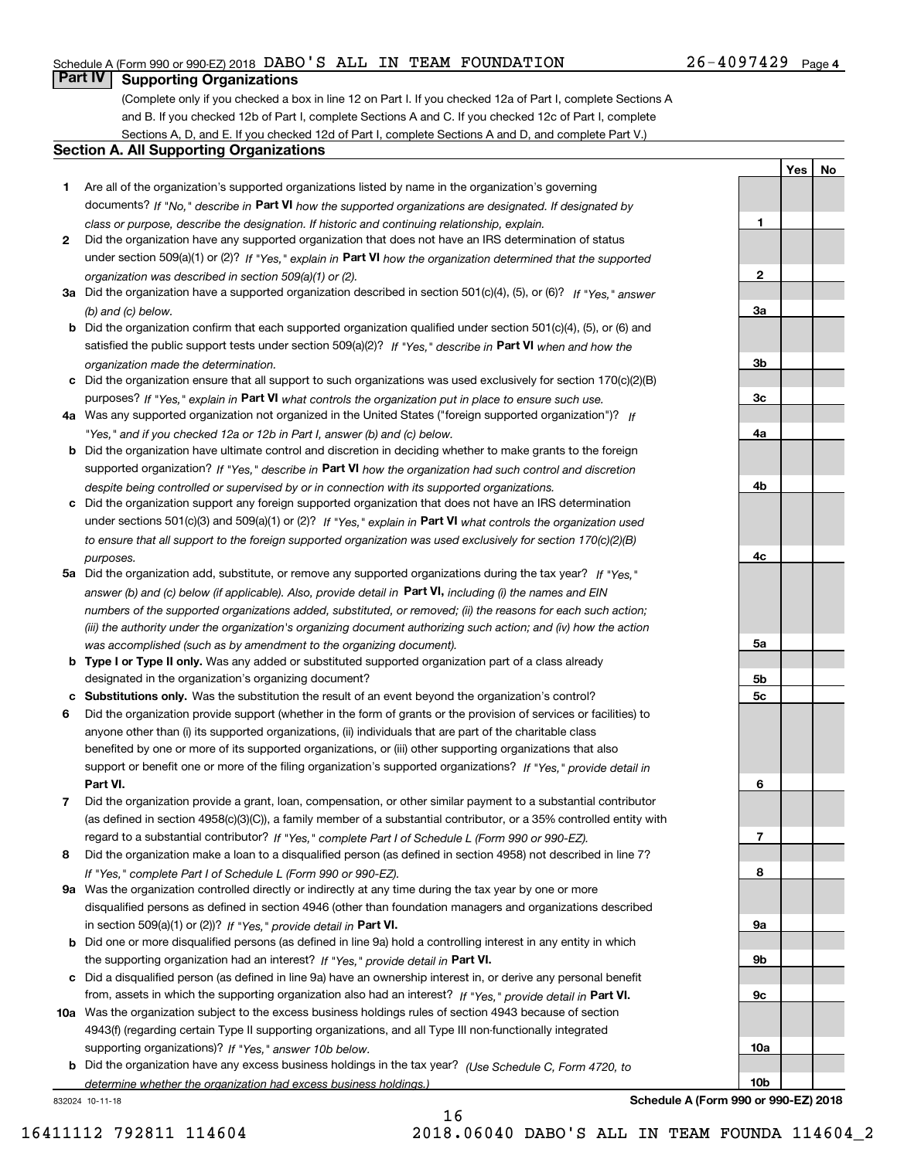#### Schedule A (Form 990 or 990-EZ) 2018 Page DABO'S ALL IN TEAM FOUNDATION 26-4097429

## **Part IV Supporting Organizations**

(Complete only if you checked a box in line 12 on Part I. If you checked 12a of Part I, complete Sections A and B. If you checked 12b of Part I, complete Sections A and C. If you checked 12c of Part I, complete Sections A, D, and E. If you checked 12d of Part I, complete Sections A and D, and complete Part V.)

#### **Section A. All Supporting Organizations**

- **1** Are all of the organization's supported organizations listed by name in the organization's governing documents? If "No," describe in **Part VI** how the supported organizations are designated. If designated by *class or purpose, describe the designation. If historic and continuing relationship, explain.*
- **2** Did the organization have any supported organization that does not have an IRS determination of status under section 509(a)(1) or (2)? If "Yes," explain in Part VI how the organization determined that the supported *organization was described in section 509(a)(1) or (2).*
- **3a** Did the organization have a supported organization described in section 501(c)(4), (5), or (6)? If "Yes," answer *(b) and (c) below.*
- **b** Did the organization confirm that each supported organization qualified under section 501(c)(4), (5), or (6) and satisfied the public support tests under section 509(a)(2)? If "Yes," describe in **Part VI** when and how the *organization made the determination.*
- **c**Did the organization ensure that all support to such organizations was used exclusively for section 170(c)(2)(B) purposes? If "Yes," explain in **Part VI** what controls the organization put in place to ensure such use.
- **4a***If* Was any supported organization not organized in the United States ("foreign supported organization")? *"Yes," and if you checked 12a or 12b in Part I, answer (b) and (c) below.*
- **b** Did the organization have ultimate control and discretion in deciding whether to make grants to the foreign supported organization? If "Yes," describe in **Part VI** how the organization had such control and discretion *despite being controlled or supervised by or in connection with its supported organizations.*
- **c** Did the organization support any foreign supported organization that does not have an IRS determination under sections 501(c)(3) and 509(a)(1) or (2)? If "Yes," explain in **Part VI** what controls the organization used *to ensure that all support to the foreign supported organization was used exclusively for section 170(c)(2)(B) purposes.*
- **5a** Did the organization add, substitute, or remove any supported organizations during the tax year? If "Yes," answer (b) and (c) below (if applicable). Also, provide detail in **Part VI,** including (i) the names and EIN *numbers of the supported organizations added, substituted, or removed; (ii) the reasons for each such action; (iii) the authority under the organization's organizing document authorizing such action; and (iv) how the action was accomplished (such as by amendment to the organizing document).*
- **b** Type I or Type II only. Was any added or substituted supported organization part of a class already designated in the organization's organizing document?
- **cSubstitutions only.**  Was the substitution the result of an event beyond the organization's control?
- **6** Did the organization provide support (whether in the form of grants or the provision of services or facilities) to **Part VI.** *If "Yes," provide detail in* support or benefit one or more of the filing organization's supported organizations? anyone other than (i) its supported organizations, (ii) individuals that are part of the charitable class benefited by one or more of its supported organizations, or (iii) other supporting organizations that also
- **7**Did the organization provide a grant, loan, compensation, or other similar payment to a substantial contributor *If "Yes," complete Part I of Schedule L (Form 990 or 990-EZ).* regard to a substantial contributor? (as defined in section 4958(c)(3)(C)), a family member of a substantial contributor, or a 35% controlled entity with
- **8** Did the organization make a loan to a disqualified person (as defined in section 4958) not described in line 7? *If "Yes," complete Part I of Schedule L (Form 990 or 990-EZ).*
- **9a** Was the organization controlled directly or indirectly at any time during the tax year by one or more in section 509(a)(1) or (2))? If "Yes," *provide detail in* <code>Part VI.</code> disqualified persons as defined in section 4946 (other than foundation managers and organizations described
- **b** Did one or more disqualified persons (as defined in line 9a) hold a controlling interest in any entity in which the supporting organization had an interest? If "Yes," provide detail in P**art VI**.
- **c**Did a disqualified person (as defined in line 9a) have an ownership interest in, or derive any personal benefit from, assets in which the supporting organization also had an interest? If "Yes," provide detail in P**art VI.**
- **10a** Was the organization subject to the excess business holdings rules of section 4943 because of section supporting organizations)? If "Yes," answer 10b below. 4943(f) (regarding certain Type II supporting organizations, and all Type III non-functionally integrated
- **b** Did the organization have any excess business holdings in the tax year? (Use Schedule C, Form 4720, to *determine whether the organization had excess business holdings.)*

832024 10-11-18



**Schedule A (Form 990 or 990-EZ) 2018**

**10b**

**YesNo**

16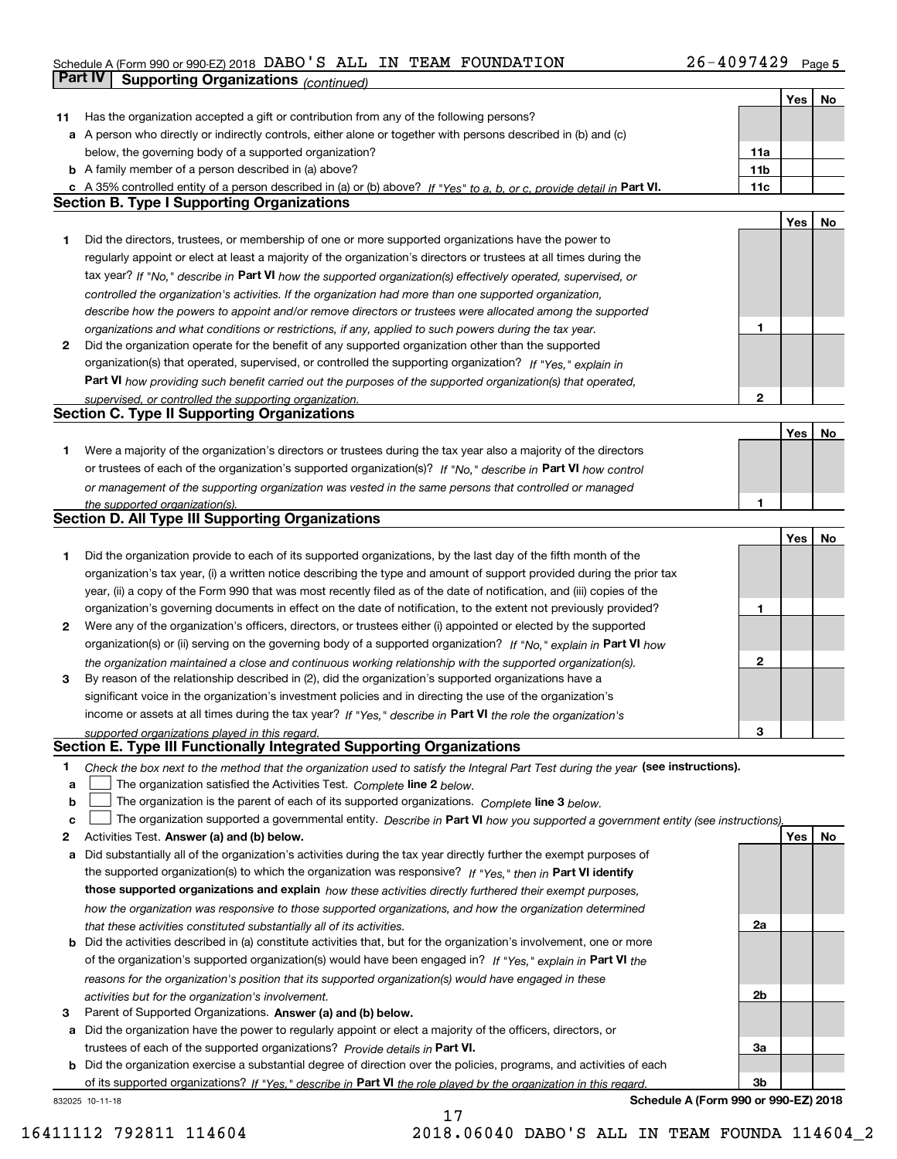## Schedule A (Form 990 or 990-EZ) 2018 Page DABO'S ALL IN TEAM FOUNDATION 26-4097429 **Part IV** Supporting Organizations (*continued*)

|    |                                                                                                                                                                                               |                 | Yes | No |
|----|-----------------------------------------------------------------------------------------------------------------------------------------------------------------------------------------------|-----------------|-----|----|
| 11 | Has the organization accepted a gift or contribution from any of the following persons?                                                                                                       |                 |     |    |
|    | a A person who directly or indirectly controls, either alone or together with persons described in (b) and (c)                                                                                |                 |     |    |
|    | below, the governing body of a supported organization?                                                                                                                                        | 11a             |     |    |
|    | <b>b</b> A family member of a person described in (a) above?                                                                                                                                  | 11 <sub>b</sub> |     |    |
| c  | A 35% controlled entity of a person described in (a) or (b) above? If "Yes" to a, b, or c, provide detail in Part VI.                                                                         | 11c             |     |    |
|    | <b>Section B. Type I Supporting Organizations</b>                                                                                                                                             |                 |     |    |
|    |                                                                                                                                                                                               |                 | Yes | No |
| 1  | Did the directors, trustees, or membership of one or more supported organizations have the power to                                                                                           |                 |     |    |
|    | regularly appoint or elect at least a majority of the organization's directors or trustees at all times during the                                                                            |                 |     |    |
|    | tax year? If "No," describe in Part VI how the supported organization(s) effectively operated, supervised, or                                                                                 |                 |     |    |
|    | controlled the organization's activities. If the organization had more than one supported organization,                                                                                       |                 |     |    |
|    | describe how the powers to appoint and/or remove directors or trustees were allocated among the supported                                                                                     |                 |     |    |
|    | organizations and what conditions or restrictions, if any, applied to such powers during the tax year.                                                                                        | 1               |     |    |
| 2  | Did the organization operate for the benefit of any supported organization other than the supported                                                                                           |                 |     |    |
|    | organization(s) that operated, supervised, or controlled the supporting organization? If "Yes," explain in                                                                                    |                 |     |    |
|    |                                                                                                                                                                                               |                 |     |    |
|    | Part VI how providing such benefit carried out the purposes of the supported organization(s) that operated,                                                                                   | 2               |     |    |
|    | supervised, or controlled the supporting organization.<br><b>Section C. Type II Supporting Organizations</b>                                                                                  |                 |     |    |
|    |                                                                                                                                                                                               |                 |     |    |
|    |                                                                                                                                                                                               |                 | Yes | No |
| 1. | Were a majority of the organization's directors or trustees during the tax year also a majority of the directors                                                                              |                 |     |    |
|    | or trustees of each of the organization's supported organization(s)? If "No," describe in Part VI how control                                                                                 |                 |     |    |
|    | or management of the supporting organization was vested in the same persons that controlled or managed                                                                                        |                 |     |    |
|    | the supported organization(s).                                                                                                                                                                | 1               |     |    |
|    | <b>Section D. All Type III Supporting Organizations</b>                                                                                                                                       |                 |     |    |
|    |                                                                                                                                                                                               |                 | Yes | No |
| 1  | Did the organization provide to each of its supported organizations, by the last day of the fifth month of the                                                                                |                 |     |    |
|    | organization's tax year, (i) a written notice describing the type and amount of support provided during the prior tax                                                                         |                 |     |    |
|    | year, (ii) a copy of the Form 990 that was most recently filed as of the date of notification, and (iii) copies of the                                                                        |                 |     |    |
|    | organization's governing documents in effect on the date of notification, to the extent not previously provided?                                                                              | 1               |     |    |
| 2  | Were any of the organization's officers, directors, or trustees either (i) appointed or elected by the supported                                                                              |                 |     |    |
|    | organization(s) or (ii) serving on the governing body of a supported organization? If "No," explain in Part VI how                                                                            |                 |     |    |
|    | the organization maintained a close and continuous working relationship with the supported organization(s).                                                                                   | 2               |     |    |
| 3  | By reason of the relationship described in (2), did the organization's supported organizations have a                                                                                         |                 |     |    |
|    | significant voice in the organization's investment policies and in directing the use of the organization's                                                                                    |                 |     |    |
|    | income or assets at all times during the tax year? If "Yes," describe in Part VI the role the organization's                                                                                  |                 |     |    |
|    | supported organizations played in this regard.                                                                                                                                                | 3               |     |    |
|    | Section E. Type III Functionally Integrated Supporting Organizations                                                                                                                          |                 |     |    |
| 1  | Check the box next to the method that the organization used to satisfy the Integral Part Test during the year (see instructions).                                                             |                 |     |    |
| a  | The organization satisfied the Activities Test. Complete line 2 below.                                                                                                                        |                 |     |    |
| b  | The organization is the parent of each of its supported organizations. Complete line 3 below.                                                                                                 |                 |     |    |
| c  | The organization supported a governmental entity. Describe in Part VI how you supported a government entity (see instructions).                                                               |                 |     |    |
| 2  | Activities Test. Answer (a) and (b) below.                                                                                                                                                    |                 | Yes | No |
| a  | Did substantially all of the organization's activities during the tax year directly further the exempt purposes of                                                                            |                 |     |    |
|    | the supported organization(s) to which the organization was responsive? If "Yes," then in Part VI identify                                                                                    |                 |     |    |
|    | those supported organizations and explain how these activities directly furthered their exempt purposes,                                                                                      |                 |     |    |
|    | how the organization was responsive to those supported organizations, and how the organization determined                                                                                     |                 |     |    |
|    |                                                                                                                                                                                               | 2a              |     |    |
| b  | that these activities constituted substantially all of its activities.<br>Did the activities described in (a) constitute activities that, but for the organization's involvement, one or more |                 |     |    |
|    |                                                                                                                                                                                               |                 |     |    |
|    | of the organization's supported organization(s) would have been engaged in? If "Yes," explain in Part VI the                                                                                  |                 |     |    |
|    | reasons for the organization's position that its supported organization(s) would have engaged in these                                                                                        |                 |     |    |
|    | activities but for the organization's involvement.                                                                                                                                            | 2b              |     |    |
| 3  | Parent of Supported Organizations. Answer (a) and (b) below.                                                                                                                                  |                 |     |    |
| а  | Did the organization have the power to regularly appoint or elect a majority of the officers, directors, or                                                                                   |                 |     |    |
|    | trustees of each of the supported organizations? Provide details in Part VI.                                                                                                                  | За              |     |    |
|    | <b>b</b> Did the organization exercise a substantial degree of direction over the policies, programs, and activities of each                                                                  |                 |     |    |
|    | of its supported organizations? If "Yes," describe in Part VI the role played by the organization in this regard                                                                              | 3b              |     |    |
|    | Schedule A (Form 990 or 990-EZ) 2018<br>832025 10-11-18                                                                                                                                       |                 |     |    |

17

832025 10-11-18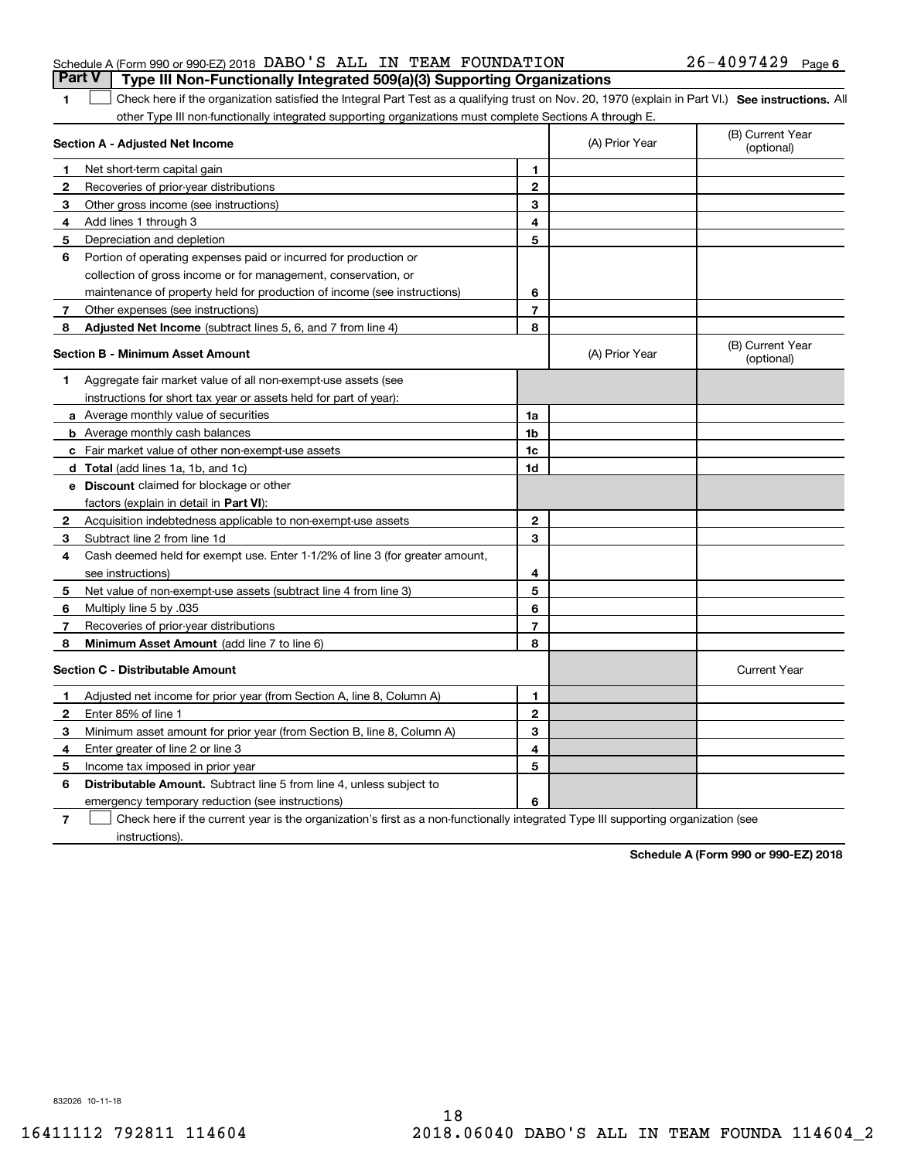|  |  | <b>Part V</b> Type III Non-Functionally Integrated 509(a)(3) Supporting Organizations |                       |  |
|--|--|---------------------------------------------------------------------------------------|-----------------------|--|
|  |  | Schedule A (Form 990 or 990-EZ) 2018 DABO'S ALL IN TEAM FOUNDATION                    | $26 - 4097429$ Page 6 |  |

1 Check here if the organization satisfied the Integral Part Test as a qualifying trust on Nov. 20, 1970 (explain in Part VI.) See instructions. All other Type III non-functionally integrated supporting organizations must complete Sections A through E.

|              | Section A - Adjusted Net Income                                              |                | (A) Prior Year | (B) Current Year<br>(optional) |
|--------------|------------------------------------------------------------------------------|----------------|----------------|--------------------------------|
| 1.           | Net short-term capital gain                                                  | 1              |                |                                |
| $\mathbf{2}$ | Recoveries of prior-year distributions                                       | $\overline{2}$ |                |                                |
| 3            | Other gross income (see instructions)                                        | 3              |                |                                |
| 4            | Add lines 1 through 3                                                        | 4              |                |                                |
| 5            | Depreciation and depletion                                                   | 5              |                |                                |
| 6            | Portion of operating expenses paid or incurred for production or             |                |                |                                |
|              | collection of gross income or for management, conservation, or               |                |                |                                |
|              | maintenance of property held for production of income (see instructions)     | 6              |                |                                |
| 7            | Other expenses (see instructions)                                            | $\overline{7}$ |                |                                |
| 8            | Adjusted Net Income (subtract lines 5, 6, and 7 from line 4)                 | 8              |                |                                |
|              | <b>Section B - Minimum Asset Amount</b>                                      |                | (A) Prior Year | (B) Current Year<br>(optional) |
| 1            | Aggregate fair market value of all non-exempt-use assets (see                |                |                |                                |
|              | instructions for short tax year or assets held for part of year):            |                |                |                                |
|              | a Average monthly value of securities                                        | 1a             |                |                                |
|              | <b>b</b> Average monthly cash balances                                       | 1b             |                |                                |
|              | c Fair market value of other non-exempt-use assets                           | 1c             |                |                                |
|              | d Total (add lines 1a, 1b, and 1c)                                           | 1d             |                |                                |
|              | <b>e</b> Discount claimed for blockage or other                              |                |                |                                |
|              | factors (explain in detail in Part VI):                                      |                |                |                                |
| 2            | Acquisition indebtedness applicable to non-exempt-use assets                 | $\overline{2}$ |                |                                |
| 3            | Subtract line 2 from line 1d                                                 | 3              |                |                                |
| 4            | Cash deemed held for exempt use. Enter 1-1/2% of line 3 (for greater amount, |                |                |                                |
|              | see instructions)                                                            | 4              |                |                                |
| 5            | Net value of non-exempt-use assets (subtract line 4 from line 3)             | 5              |                |                                |
| 6            | Multiply line 5 by .035                                                      | 6              |                |                                |
| 7            | Recoveries of prior-year distributions                                       | $\overline{7}$ |                |                                |
| 8            | <b>Minimum Asset Amount</b> (add line 7 to line 6)                           | 8              |                |                                |
|              | <b>Section C - Distributable Amount</b>                                      |                |                | <b>Current Year</b>            |
| 1            | Adjusted net income for prior year (from Section A, line 8, Column A)        | 1              |                |                                |
| $\mathbf{2}$ | Enter 85% of line 1                                                          | $\overline{2}$ |                |                                |
| 3            | Minimum asset amount for prior year (from Section B, line 8, Column A)       | 3              |                |                                |
| 4            | Enter greater of line 2 or line 3                                            | 4              |                |                                |
| 5            | Income tax imposed in prior year                                             | 5              |                |                                |
| 6            | <b>Distributable Amount.</b> Subtract line 5 from line 4, unless subject to  |                |                |                                |
|              | emergency temporary reduction (see instructions)                             | 6              |                |                                |
|              |                                                                              |                |                |                                |

**7**Check here if the current year is the organization's first as a non-functionally integrated Type III supporting organization (see instructions).

**Schedule A (Form 990 or 990-EZ) 2018**

832026 10-11-18

**1**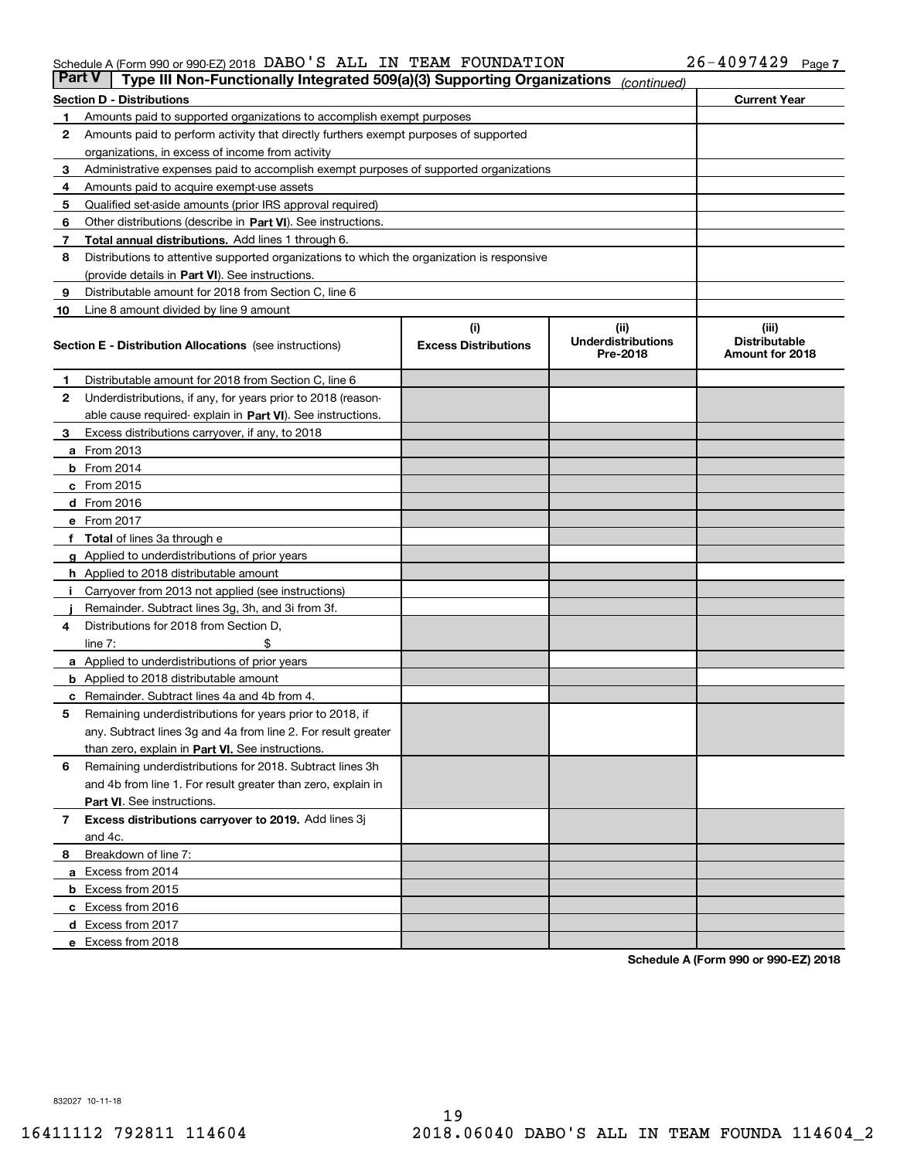#### Schedule A (Form 990 or 990-EZ) 2018 Page DABO'S ALL IN TEAM FOUNDATION 26-4097429

| <b>Part V</b> | Type III Non-Functionally Integrated 509(a)(3) Supporting Organizations                    |                                    | (continued)                                    |                                                  |
|---------------|--------------------------------------------------------------------------------------------|------------------------------------|------------------------------------------------|--------------------------------------------------|
|               | <b>Section D - Distributions</b>                                                           |                                    |                                                | <b>Current Year</b>                              |
| 1             | Amounts paid to supported organizations to accomplish exempt purposes                      |                                    |                                                |                                                  |
| 2             | Amounts paid to perform activity that directly furthers exempt purposes of supported       |                                    |                                                |                                                  |
|               | organizations, in excess of income from activity                                           |                                    |                                                |                                                  |
| 3             | Administrative expenses paid to accomplish exempt purposes of supported organizations      |                                    |                                                |                                                  |
| 4             | Amounts paid to acquire exempt-use assets                                                  |                                    |                                                |                                                  |
| 5             | Qualified set-aside amounts (prior IRS approval required)                                  |                                    |                                                |                                                  |
| 6             | Other distributions (describe in Part VI). See instructions.                               |                                    |                                                |                                                  |
| 7             | <b>Total annual distributions.</b> Add lines 1 through 6.                                  |                                    |                                                |                                                  |
| 8             | Distributions to attentive supported organizations to which the organization is responsive |                                    |                                                |                                                  |
|               | (provide details in Part VI). See instructions.                                            |                                    |                                                |                                                  |
| 9             | Distributable amount for 2018 from Section C, line 6                                       |                                    |                                                |                                                  |
| 10            | Line 8 amount divided by line 9 amount                                                     |                                    |                                                |                                                  |
|               | <b>Section E - Distribution Allocations</b> (see instructions)                             | (i)<br><b>Excess Distributions</b> | (iii)<br><b>Underdistributions</b><br>Pre-2018 | (iii)<br><b>Distributable</b><br>Amount for 2018 |
| 1             | Distributable amount for 2018 from Section C, line 6                                       |                                    |                                                |                                                  |
| 2             | Underdistributions, if any, for years prior to 2018 (reason-                               |                                    |                                                |                                                  |
|               | able cause required- explain in Part VI). See instructions.                                |                                    |                                                |                                                  |
| З             | Excess distributions carryover, if any, to 2018                                            |                                    |                                                |                                                  |
|               | <b>a</b> From 2013                                                                         |                                    |                                                |                                                  |
|               | <b>b</b> From 2014                                                                         |                                    |                                                |                                                  |
|               | $c$ From 2015                                                                              |                                    |                                                |                                                  |
|               | d From 2016                                                                                |                                    |                                                |                                                  |
|               | e From 2017                                                                                |                                    |                                                |                                                  |
|               | Total of lines 3a through e                                                                |                                    |                                                |                                                  |
| g             | Applied to underdistributions of prior years                                               |                                    |                                                |                                                  |
|               | <b>h</b> Applied to 2018 distributable amount                                              |                                    |                                                |                                                  |
|               | Carryover from 2013 not applied (see instructions)                                         |                                    |                                                |                                                  |
|               | Remainder. Subtract lines 3g, 3h, and 3i from 3f.                                          |                                    |                                                |                                                  |
| 4             | Distributions for 2018 from Section D,                                                     |                                    |                                                |                                                  |
|               | line $7:$                                                                                  |                                    |                                                |                                                  |
|               | <b>a</b> Applied to underdistributions of prior years                                      |                                    |                                                |                                                  |
|               | <b>b</b> Applied to 2018 distributable amount                                              |                                    |                                                |                                                  |
|               | c Remainder. Subtract lines 4a and 4b from 4.                                              |                                    |                                                |                                                  |
| 5             | Remaining underdistributions for years prior to 2018, if                                   |                                    |                                                |                                                  |
|               | any. Subtract lines 3g and 4a from line 2. For result greater                              |                                    |                                                |                                                  |
|               | than zero, explain in Part VI. See instructions.                                           |                                    |                                                |                                                  |
| 6             | Remaining underdistributions for 2018. Subtract lines 3h                                   |                                    |                                                |                                                  |
|               | and 4b from line 1. For result greater than zero, explain in                               |                                    |                                                |                                                  |
|               | Part VI. See instructions.                                                                 |                                    |                                                |                                                  |
| 7             | Excess distributions carryover to 2019. Add lines 3j<br>and 4c.                            |                                    |                                                |                                                  |
| 8             | Breakdown of line 7:                                                                       |                                    |                                                |                                                  |
|               | a Excess from 2014                                                                         |                                    |                                                |                                                  |
|               | <b>b</b> Excess from 2015                                                                  |                                    |                                                |                                                  |
|               | c Excess from 2016                                                                         |                                    |                                                |                                                  |
|               | d Excess from 2017                                                                         |                                    |                                                |                                                  |
|               | e Excess from 2018                                                                         |                                    |                                                |                                                  |
|               |                                                                                            |                                    |                                                |                                                  |

**Schedule A (Form 990 or 990-EZ) 2018**

832027 10-11-18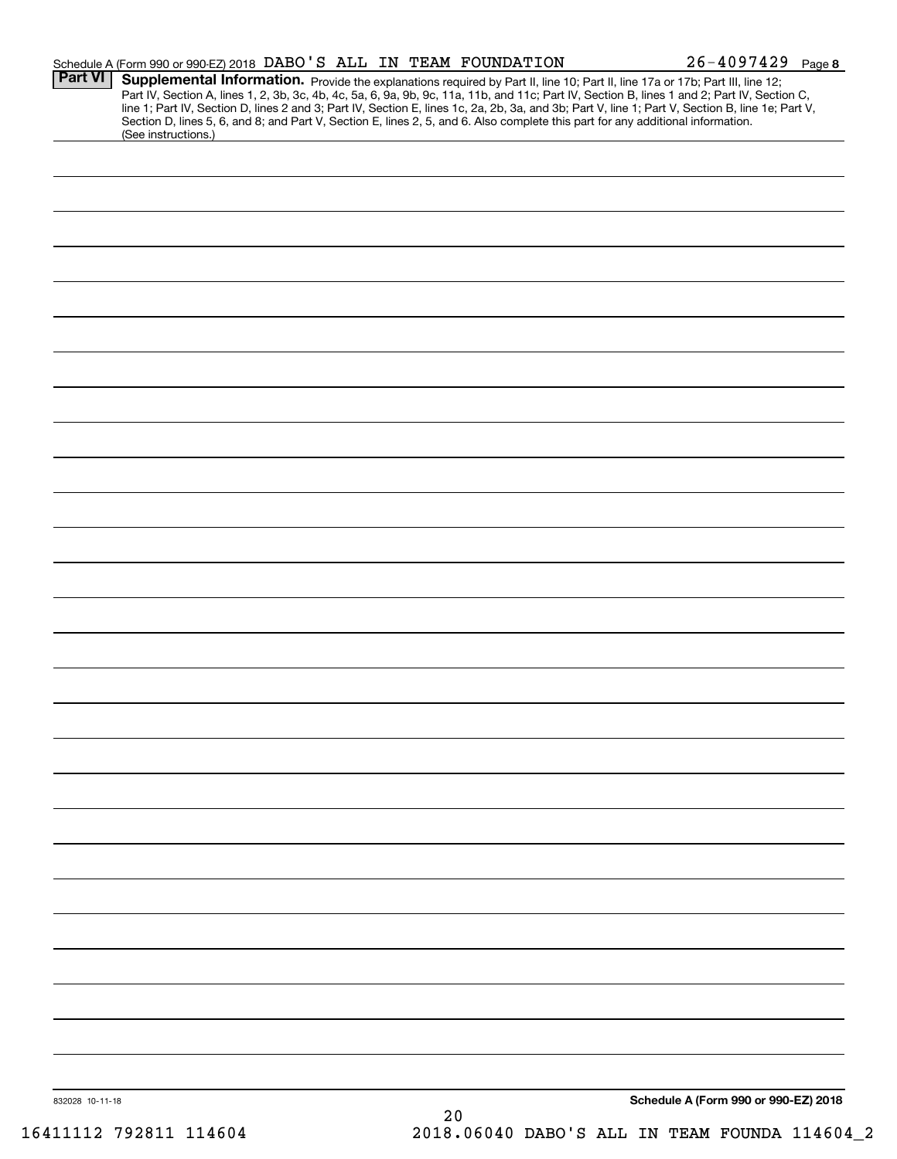|                 | Schedule A (Form 990 or 990-EZ) 2018 DABO'S ALL IN TEAM FOUNDATION                                                                                                                                                                                                                                                                                                                                                                                                                                                                                                                          |    |  |                                      | $26 - 4097429$ Page 8 |
|-----------------|---------------------------------------------------------------------------------------------------------------------------------------------------------------------------------------------------------------------------------------------------------------------------------------------------------------------------------------------------------------------------------------------------------------------------------------------------------------------------------------------------------------------------------------------------------------------------------------------|----|--|--------------------------------------|-----------------------|
| <b>Part VI</b>  | Supplemental Information. Provide the explanations required by Part II, line 10; Part II, line 17a or 17b; Part III, line 12;<br>Part IV, Section A, lines 1, 2, 3b, 3c, 4b, 4c, 5a, 6, 9a, 9b, 9c, 11a, 11b, and 11c; Part IV, Section B, lines 1 and 2; Part IV, Section C,<br>line 1; Part IV, Section D, lines 2 and 3; Part IV, Section E, lines 1c, 2a, 2b, 3a, and 3b; Part V, line 1; Part V, Section B, line 1e; Part V,<br>Section D, lines 5, 6, and 8; and Part V, Section E, lines 2, 5, and 6. Also complete this part for any additional information.<br>(See instructions.) |    |  |                                      |                       |
|                 |                                                                                                                                                                                                                                                                                                                                                                                                                                                                                                                                                                                             |    |  |                                      |                       |
|                 |                                                                                                                                                                                                                                                                                                                                                                                                                                                                                                                                                                                             |    |  |                                      |                       |
|                 |                                                                                                                                                                                                                                                                                                                                                                                                                                                                                                                                                                                             |    |  |                                      |                       |
|                 |                                                                                                                                                                                                                                                                                                                                                                                                                                                                                                                                                                                             |    |  |                                      |                       |
|                 |                                                                                                                                                                                                                                                                                                                                                                                                                                                                                                                                                                                             |    |  |                                      |                       |
|                 |                                                                                                                                                                                                                                                                                                                                                                                                                                                                                                                                                                                             |    |  |                                      |                       |
|                 |                                                                                                                                                                                                                                                                                                                                                                                                                                                                                                                                                                                             |    |  |                                      |                       |
|                 |                                                                                                                                                                                                                                                                                                                                                                                                                                                                                                                                                                                             |    |  |                                      |                       |
|                 |                                                                                                                                                                                                                                                                                                                                                                                                                                                                                                                                                                                             |    |  |                                      |                       |
|                 |                                                                                                                                                                                                                                                                                                                                                                                                                                                                                                                                                                                             |    |  |                                      |                       |
|                 |                                                                                                                                                                                                                                                                                                                                                                                                                                                                                                                                                                                             |    |  |                                      |                       |
|                 |                                                                                                                                                                                                                                                                                                                                                                                                                                                                                                                                                                                             |    |  |                                      |                       |
|                 |                                                                                                                                                                                                                                                                                                                                                                                                                                                                                                                                                                                             |    |  |                                      |                       |
|                 |                                                                                                                                                                                                                                                                                                                                                                                                                                                                                                                                                                                             |    |  |                                      |                       |
|                 |                                                                                                                                                                                                                                                                                                                                                                                                                                                                                                                                                                                             |    |  |                                      |                       |
|                 |                                                                                                                                                                                                                                                                                                                                                                                                                                                                                                                                                                                             |    |  |                                      |                       |
|                 |                                                                                                                                                                                                                                                                                                                                                                                                                                                                                                                                                                                             |    |  |                                      |                       |
|                 |                                                                                                                                                                                                                                                                                                                                                                                                                                                                                                                                                                                             |    |  |                                      |                       |
|                 |                                                                                                                                                                                                                                                                                                                                                                                                                                                                                                                                                                                             |    |  |                                      |                       |
|                 |                                                                                                                                                                                                                                                                                                                                                                                                                                                                                                                                                                                             |    |  |                                      |                       |
|                 |                                                                                                                                                                                                                                                                                                                                                                                                                                                                                                                                                                                             |    |  |                                      |                       |
|                 |                                                                                                                                                                                                                                                                                                                                                                                                                                                                                                                                                                                             |    |  |                                      |                       |
|                 |                                                                                                                                                                                                                                                                                                                                                                                                                                                                                                                                                                                             |    |  |                                      |                       |
|                 |                                                                                                                                                                                                                                                                                                                                                                                                                                                                                                                                                                                             |    |  |                                      |                       |
|                 |                                                                                                                                                                                                                                                                                                                                                                                                                                                                                                                                                                                             |    |  |                                      |                       |
|                 |                                                                                                                                                                                                                                                                                                                                                                                                                                                                                                                                                                                             |    |  |                                      |                       |
|                 |                                                                                                                                                                                                                                                                                                                                                                                                                                                                                                                                                                                             |    |  |                                      |                       |
|                 |                                                                                                                                                                                                                                                                                                                                                                                                                                                                                                                                                                                             |    |  |                                      |                       |
|                 |                                                                                                                                                                                                                                                                                                                                                                                                                                                                                                                                                                                             |    |  |                                      |                       |
|                 |                                                                                                                                                                                                                                                                                                                                                                                                                                                                                                                                                                                             |    |  |                                      |                       |
|                 |                                                                                                                                                                                                                                                                                                                                                                                                                                                                                                                                                                                             |    |  |                                      |                       |
|                 |                                                                                                                                                                                                                                                                                                                                                                                                                                                                                                                                                                                             |    |  |                                      |                       |
|                 |                                                                                                                                                                                                                                                                                                                                                                                                                                                                                                                                                                                             |    |  |                                      |                       |
| 832028 10-11-18 |                                                                                                                                                                                                                                                                                                                                                                                                                                                                                                                                                                                             | 20 |  | Schedule A (Form 990 or 990-EZ) 2018 |                       |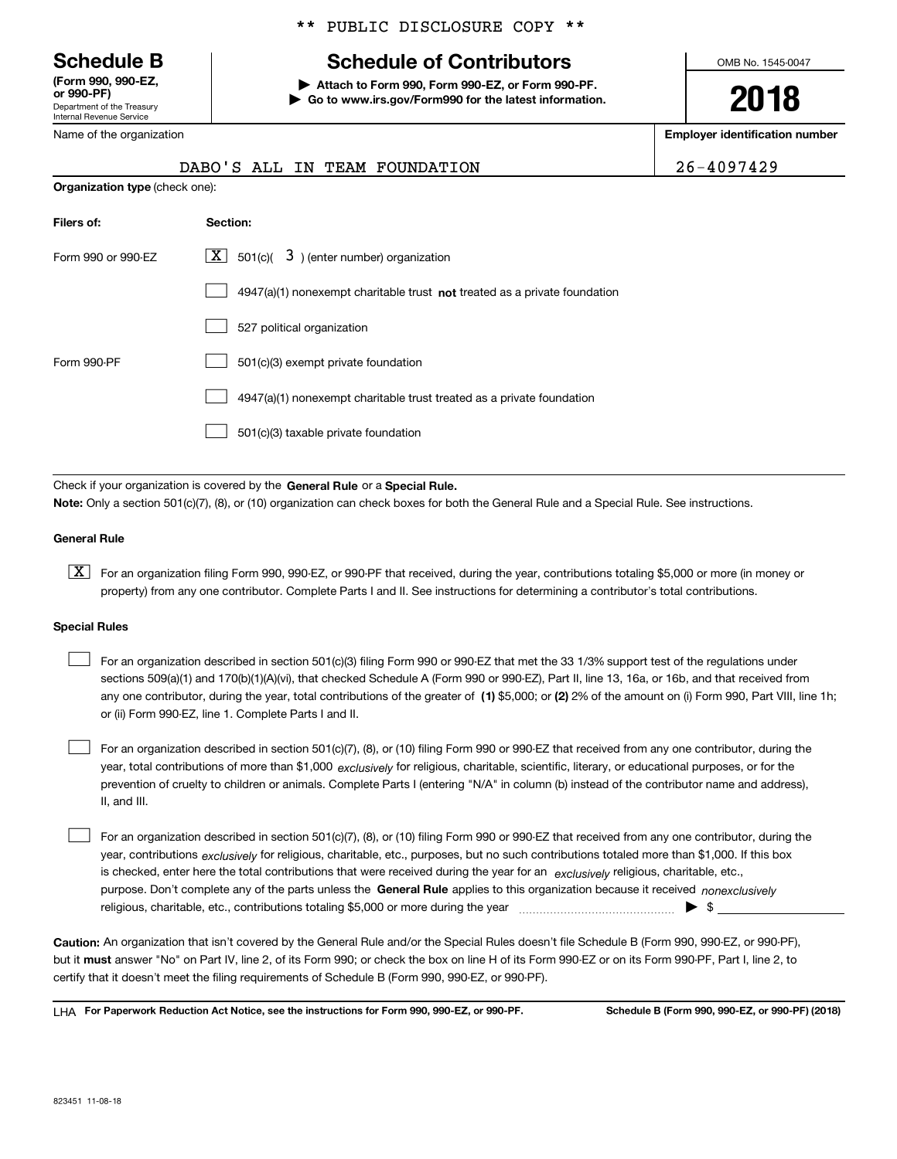Department of the Treasury Internal Revenue Service **(Form 990, 990-EZ, or 990-PF)**

Name of the organization

#### \*\* PUBLIC DISCLOSURE COPY \*\*

# **Schedule B Schedule of Contributors**

**| Attach to Form 990, Form 990-EZ, or Form 990-PF. | Go to www.irs.gov/Form990 for the latest information.** OMB No. 1545-0047

**2018**

**Employer identification number**

|                                       |  | DABO'S ALL IN TEAM FOUNDATION | 26-4097429 |
|---------------------------------------|--|-------------------------------|------------|
| <b>Organization type (check one):</b> |  |                               |            |

| Filers of:         | Section:                                                                  |
|--------------------|---------------------------------------------------------------------------|
| Form 990 or 990-EZ | X  <br>501(c)( $\overline{3}$ ) (enter number) organization               |
|                    | 4947(a)(1) nonexempt charitable trust not treated as a private foundation |
|                    | 527 political organization                                                |
| Form 990-PF        | 501(c)(3) exempt private foundation                                       |
|                    | 4947(a)(1) nonexempt charitable trust treated as a private foundation     |
|                    | 501(c)(3) taxable private foundation                                      |

Check if your organization is covered by the **General Rule** or a **Special Rule. Note:**  Only a section 501(c)(7), (8), or (10) organization can check boxes for both the General Rule and a Special Rule. See instructions.

#### **General Rule**

 $\boxed{\textbf{X}}$  For an organization filing Form 990, 990-EZ, or 990-PF that received, during the year, contributions totaling \$5,000 or more (in money or property) from any one contributor. Complete Parts I and II. See instructions for determining a contributor's total contributions.

#### **Special Rules**

any one contributor, during the year, total contributions of the greater of  $\,$  (1) \$5,000; or **(2)** 2% of the amount on (i) Form 990, Part VIII, line 1h; For an organization described in section 501(c)(3) filing Form 990 or 990-EZ that met the 33 1/3% support test of the regulations under sections 509(a)(1) and 170(b)(1)(A)(vi), that checked Schedule A (Form 990 or 990-EZ), Part II, line 13, 16a, or 16b, and that received from or (ii) Form 990-EZ, line 1. Complete Parts I and II.  $\mathcal{L}^{\text{max}}$ 

year, total contributions of more than \$1,000 *exclusively* for religious, charitable, scientific, literary, or educational purposes, or for the For an organization described in section 501(c)(7), (8), or (10) filing Form 990 or 990-EZ that received from any one contributor, during the prevention of cruelty to children or animals. Complete Parts I (entering "N/A" in column (b) instead of the contributor name and address), II, and III.  $\mathcal{L}^{\text{max}}$ 

purpose. Don't complete any of the parts unless the **General Rule** applies to this organization because it received *nonexclusively* year, contributions <sub>exclusively</sub> for religious, charitable, etc., purposes, but no such contributions totaled more than \$1,000. If this box is checked, enter here the total contributions that were received during the year for an  $\;$ exclusively religious, charitable, etc., For an organization described in section 501(c)(7), (8), or (10) filing Form 990 or 990-EZ that received from any one contributor, during the religious, charitable, etc., contributions totaling \$5,000 or more during the year  $\Box$ — $\Box$   $\Box$  $\mathcal{L}^{\text{max}}$ 

**Caution:**  An organization that isn't covered by the General Rule and/or the Special Rules doesn't file Schedule B (Form 990, 990-EZ, or 990-PF),  **must** but it answer "No" on Part IV, line 2, of its Form 990; or check the box on line H of its Form 990-EZ or on its Form 990-PF, Part I, line 2, to certify that it doesn't meet the filing requirements of Schedule B (Form 990, 990-EZ, or 990-PF).

**For Paperwork Reduction Act Notice, see the instructions for Form 990, 990-EZ, or 990-PF. Schedule B (Form 990, 990-EZ, or 990-PF) (2018)** LHA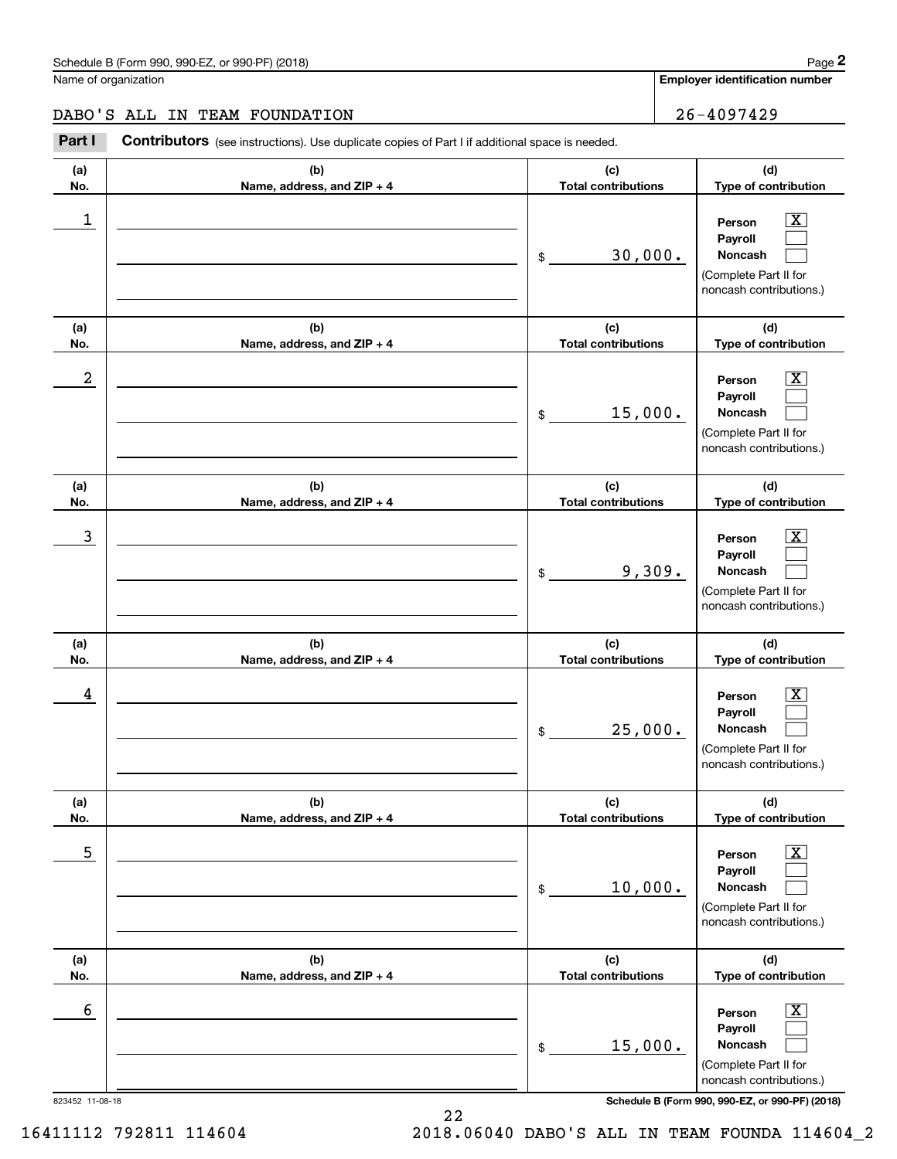**Employer identification number**

**(d) Type of contribution**

### DABO'S ALL IN TEAM FOUNDATION 26-4097429

**(a) No.(b) Name, address, and ZIP + 4 (c) Total contributions** Chedule B (Form 990, 990-EZ, or 990-PF) (2018)<br> **26 ALL IN TEAM FOUNDATION**<br>
Part I **Contributors** (see instructions). Use duplicate copies of Part I if additional space is needed. \$ $\begin{array}{c|c|c|c|c|c} 1 & \hspace{1.5cm} & \hspace{1.5cm} & \hspace{1.5cm} & \hspace{1.5cm} & \hspace{1.5cm} & \hspace{1.5cm} & \hspace{1.5cm} & \hspace{1.5cm} & \hspace{1.5cm} & \hspace{1.5cm} & \hspace{1.5cm} & \hspace{1.5cm} & \hspace{1.5cm} & \hspace{1.5cm} & \hspace{1.5cm} & \hspace{1.5cm} & \hspace{1.5cm} & \hspace{1.5cm} & \hspace{1.5cm} & \hspace{1.5cm} &$ 30,000.

| 1               |                                   | 30,000.<br>\$                     | $\overline{\text{X}}$<br>Person<br>Payroll<br>Noncash<br>(Complete Part II for<br>noncash contributions.) |
|-----------------|-----------------------------------|-----------------------------------|-----------------------------------------------------------------------------------------------------------|
| (a)<br>No.      | (b)<br>Name, address, and ZIP + 4 | (c)<br><b>Total contributions</b> | (d)<br>Type of contribution                                                                               |
| 2               |                                   | 15,000.<br>\$                     | X<br>Person<br>Payroll<br>Noncash<br>(Complete Part II for<br>noncash contributions.)                     |
| (a)<br>No.      | (b)<br>Name, address, and ZIP + 4 | (c)<br><b>Total contributions</b> | (d)<br>Type of contribution                                                                               |
| 3               |                                   | 9,309.<br>\$                      | X<br>Person<br>Payroll<br>Noncash<br>(Complete Part II for<br>noncash contributions.)                     |
| (a)<br>No.      | (b)<br>Name, address, and ZIP + 4 | (c)<br><b>Total contributions</b> | (d)<br>Type of contribution                                                                               |
| 4               |                                   | 25,000.<br>\$                     | X<br>Person<br>Payroll<br>Noncash<br>(Complete Part II for<br>noncash contributions.)                     |
| (a)<br>No.      | (b)<br>Name, address, and ZIP + 4 | (c)<br><b>Total contributions</b> | (d)<br>Type of contribution                                                                               |
| 5               |                                   | 10,000.<br>\$                     | $\overline{\text{X}}$<br>Person<br>Payroll<br>Noncash<br>(Complete Part II for<br>noncash contributions.) |
| (a)<br>No.      | (b)<br>Name, address, and ZIP + 4 | (c)<br><b>Total contributions</b> | (d)<br>Type of contribution                                                                               |
| 6               |                                   | 15,000.<br>\$                     | $\boxed{\text{X}}$<br>Person<br>Payroll<br>Noncash<br>(Complete Part II for<br>noncash contributions.)    |
| 823452 11-08-18 |                                   |                                   | Schedule B (Form 990, 990-EZ, or 990-PF) (2018)                                                           |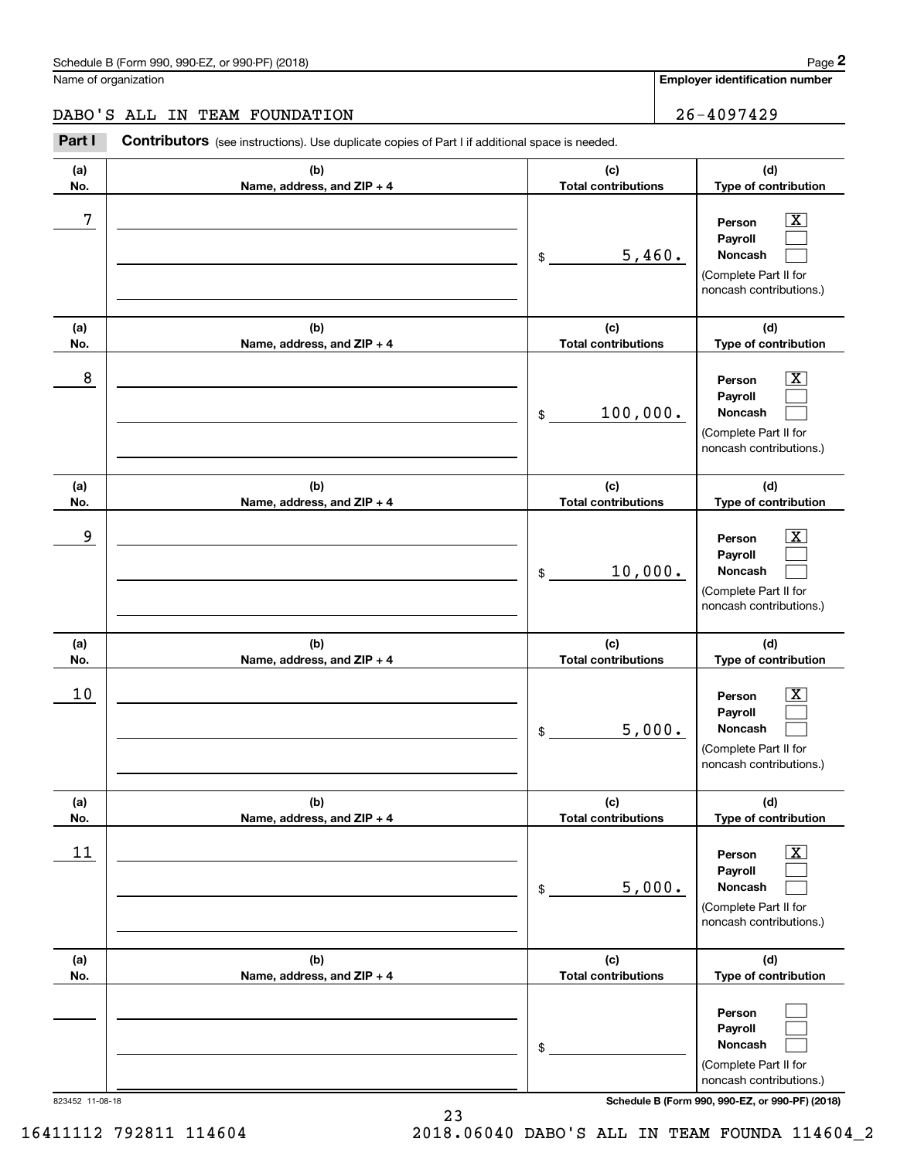**Employer identification number**

**(d)**

### DABO'S ALL IN TEAM FOUNDATION 26-4097429

**(a) No.(b) Name, address, and ZIP + 4 (c) Total contributions** Chedule B (Form 990, 990-EZ, or 990-PF) (2018)<br> **26 ALL IN TEAM FOUNDATION**<br>
Part I **Contributors** (see instructions). Use duplicate copies of Part I if additional space is needed.

| No.             | Name, address, and ZIP + 4        | <b>Total contributions</b>        | Type of contribution                                                                                        |
|-----------------|-----------------------------------|-----------------------------------|-------------------------------------------------------------------------------------------------------------|
| 7               |                                   | 5,460.<br>$\frac{1}{2}$           | $\overline{\texttt{X}}$<br>Person<br>Payroll<br>Noncash<br>(Complete Part II for<br>noncash contributions.) |
| (a)             | (b)                               | (c)                               | (d)                                                                                                         |
| No.             | Name, address, and ZIP + 4        | <b>Total contributions</b>        | Type of contribution                                                                                        |
| 8               |                                   | 100,000.<br>$\mathsf{\$}$         | $\overline{\texttt{X}}$<br>Person<br>Payroll<br>Noncash<br>(Complete Part II for<br>noncash contributions.) |
| (a)             | (b)                               | (c)                               | (d)                                                                                                         |
| No.             | Name, address, and ZIP + 4        | <b>Total contributions</b>        | Type of contribution                                                                                        |
| 9               |                                   | 10,000.<br>\$                     | $\overline{\texttt{X}}$<br>Person<br>Payroll<br>Noncash<br>(Complete Part II for<br>noncash contributions.) |
| (a)<br>No.      | (b)<br>Name, address, and ZIP + 4 | (c)<br><b>Total contributions</b> | (d)<br>Type of contribution                                                                                 |
| 10              |                                   | 5,000.<br>\$                      | $\overline{\texttt{X}}$<br>Person<br>Payroll<br>Noncash<br>(Complete Part II for<br>noncash contributions.) |
| (a)<br>No.      | (b)<br>Name, address, and ZIP + 4 | (c)<br><b>Total contributions</b> | (d)<br>Type of contribution                                                                                 |
| 11              |                                   | 5,000.<br>\$                      | $\overline{\text{X}}$<br>Person<br>Payroll<br>Noncash<br>(Complete Part II for<br>noncash contributions.)   |
| (a)             | (b)                               | (c)                               | (d)                                                                                                         |
| No.             | Name, address, and ZIP + 4        | <b>Total contributions</b>        | Type of contribution                                                                                        |
|                 |                                   | \$                                | Person<br>Payroll<br>Noncash<br>(Complete Part II for<br>noncash contributions.)                            |
| 823452 11-08-18 |                                   |                                   | Schedule B (Form 990, 990-EZ, or 990-PF) (2018)                                                             |

16411112 792811 114604 2018.06040 DABO'S ALL IN TEAM FOUNDA 114604\_2

23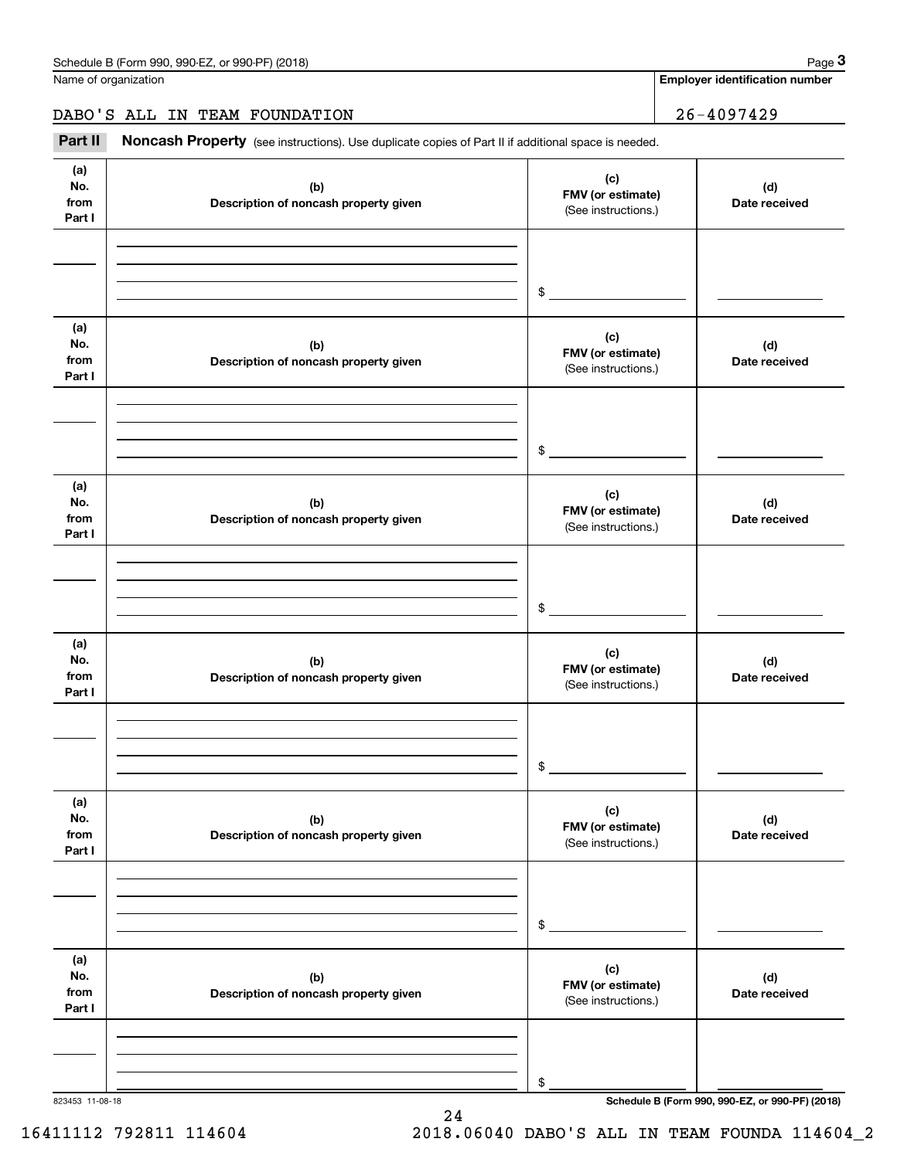Name of organization

**Employer identification number**

### DABO'S ALL IN TEAM FOUNDATION 26-4097429

Chedule B (Form 990, 990-EZ, or 990-PF) (2018)<br> **28 ALL IN TEAM FOUNDATION**<br> **26-4097429**<br> **26-4097429**<br> **26-4097429** 

| (a)<br>No.<br>from<br>Part I | (b)<br>Description of noncash property given | (c)<br>FMV (or estimate)<br>(See instructions.) | (d)<br>Date received                            |
|------------------------------|----------------------------------------------|-------------------------------------------------|-------------------------------------------------|
|                              |                                              | $\frac{1}{2}$                                   |                                                 |
| (a)<br>No.<br>from<br>Part I | (b)<br>Description of noncash property given | (c)<br>FMV (or estimate)<br>(See instructions.) | (d)<br>Date received                            |
|                              |                                              | $\frac{1}{2}$                                   |                                                 |
| (a)<br>No.<br>from<br>Part I | (b)<br>Description of noncash property given | (c)<br>FMV (or estimate)<br>(See instructions.) | (d)<br>Date received                            |
|                              |                                              | $\frac{1}{2}$                                   |                                                 |
| (a)<br>No.<br>from<br>Part I | (b)<br>Description of noncash property given | (c)<br>FMV (or estimate)<br>(See instructions.) | (d)<br>Date received                            |
|                              |                                              | $\frac{1}{2}$                                   |                                                 |
| (a)<br>No.<br>from<br>Part I | (b)<br>Description of noncash property given | (c)<br>FMV (or estimate)<br>(See instructions.) | (d)<br>Date received                            |
|                              |                                              | \$                                              |                                                 |
| (a)<br>No.<br>from<br>Part I | (b)<br>Description of noncash property given | (c)<br>FMV (or estimate)<br>(See instructions.) | (d)<br>Date received                            |
|                              |                                              | \$                                              |                                                 |
| 823453 11-08-18              |                                              |                                                 | Schedule B (Form 990, 990-EZ, or 990-PF) (2018) |

24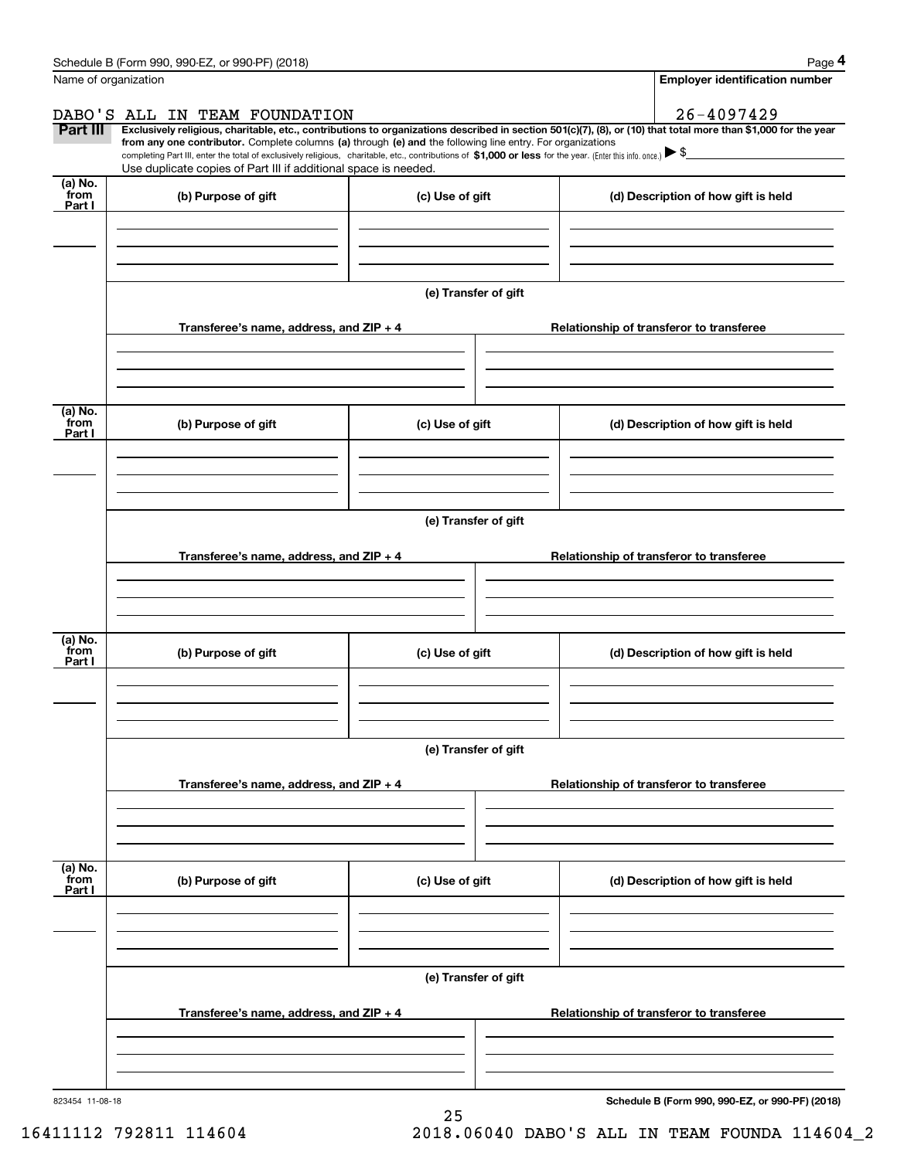|                           | Schedule B (Form 990, 990-EZ, or 990-PF) (2018)                                                                                                                                                                                                                              |                      | Page 4                                          |
|---------------------------|------------------------------------------------------------------------------------------------------------------------------------------------------------------------------------------------------------------------------------------------------------------------------|----------------------|-------------------------------------------------|
| Name of organization      |                                                                                                                                                                                                                                                                              |                      | <b>Employer identification number</b>           |
|                           | DABO'S ALL IN TEAM FOUNDATION                                                                                                                                                                                                                                                |                      | 26-4097429                                      |
| Part III                  | Exclusively religious, charitable, etc., contributions to organizations described in section 501(c)(7), (8), or (10) that total more than \$1,000 for the year<br>from any one contributor. Complete columns (a) through (e) and the following line entry. For organizations |                      |                                                 |
|                           | completing Part III, enter the total of exclusively religious, charitable, etc., contributions of \$1,000 or less for the year. (Enter this info. once.) \\$                                                                                                                 |                      |                                                 |
| (a) No.                   | Use duplicate copies of Part III if additional space is needed.                                                                                                                                                                                                              |                      |                                                 |
| from<br>Part I            | (b) Purpose of gift                                                                                                                                                                                                                                                          | (c) Use of gift      | (d) Description of how gift is held             |
|                           |                                                                                                                                                                                                                                                                              |                      |                                                 |
|                           |                                                                                                                                                                                                                                                                              |                      |                                                 |
|                           |                                                                                                                                                                                                                                                                              |                      |                                                 |
|                           |                                                                                                                                                                                                                                                                              | (e) Transfer of gift |                                                 |
|                           | Transferee's name, address, and ZIP + 4                                                                                                                                                                                                                                      |                      | Relationship of transferor to transferee        |
|                           |                                                                                                                                                                                                                                                                              |                      |                                                 |
|                           |                                                                                                                                                                                                                                                                              |                      |                                                 |
|                           |                                                                                                                                                                                                                                                                              |                      |                                                 |
| (a) No.<br>from           | (b) Purpose of gift                                                                                                                                                                                                                                                          | (c) Use of gift      | (d) Description of how gift is held             |
| Part I                    |                                                                                                                                                                                                                                                                              |                      |                                                 |
|                           |                                                                                                                                                                                                                                                                              |                      |                                                 |
|                           |                                                                                                                                                                                                                                                                              |                      |                                                 |
|                           |                                                                                                                                                                                                                                                                              |                      |                                                 |
|                           |                                                                                                                                                                                                                                                                              | (e) Transfer of gift |                                                 |
|                           | Transferee's name, address, and ZIP + 4                                                                                                                                                                                                                                      |                      | Relationship of transferor to transferee        |
|                           |                                                                                                                                                                                                                                                                              |                      |                                                 |
|                           |                                                                                                                                                                                                                                                                              |                      |                                                 |
|                           |                                                                                                                                                                                                                                                                              |                      |                                                 |
| (a) No.<br>from<br>Part I | (b) Purpose of gift                                                                                                                                                                                                                                                          | (c) Use of gift      | (d) Description of how gift is held             |
|                           |                                                                                                                                                                                                                                                                              |                      |                                                 |
|                           |                                                                                                                                                                                                                                                                              |                      |                                                 |
|                           |                                                                                                                                                                                                                                                                              |                      |                                                 |
|                           |                                                                                                                                                                                                                                                                              | (e) Transfer of gift |                                                 |
|                           |                                                                                                                                                                                                                                                                              |                      |                                                 |
|                           | Transferee's name, address, and ZIP + 4                                                                                                                                                                                                                                      |                      | Relationship of transferor to transferee        |
|                           |                                                                                                                                                                                                                                                                              |                      |                                                 |
|                           |                                                                                                                                                                                                                                                                              |                      |                                                 |
| (a) No.<br>from           |                                                                                                                                                                                                                                                                              |                      |                                                 |
| Part I                    | (b) Purpose of gift                                                                                                                                                                                                                                                          | (c) Use of gift      | (d) Description of how gift is held             |
|                           |                                                                                                                                                                                                                                                                              |                      |                                                 |
|                           |                                                                                                                                                                                                                                                                              |                      |                                                 |
|                           |                                                                                                                                                                                                                                                                              |                      |                                                 |
|                           |                                                                                                                                                                                                                                                                              | (e) Transfer of gift |                                                 |
|                           | Transferee's name, address, and ZIP + 4                                                                                                                                                                                                                                      |                      | Relationship of transferor to transferee        |
|                           |                                                                                                                                                                                                                                                                              |                      |                                                 |
|                           |                                                                                                                                                                                                                                                                              |                      |                                                 |
|                           |                                                                                                                                                                                                                                                                              |                      |                                                 |
| 823454 11-08-18           |                                                                                                                                                                                                                                                                              |                      | Schedule B (Form 990, 990-EZ, or 990-PF) (2018) |

25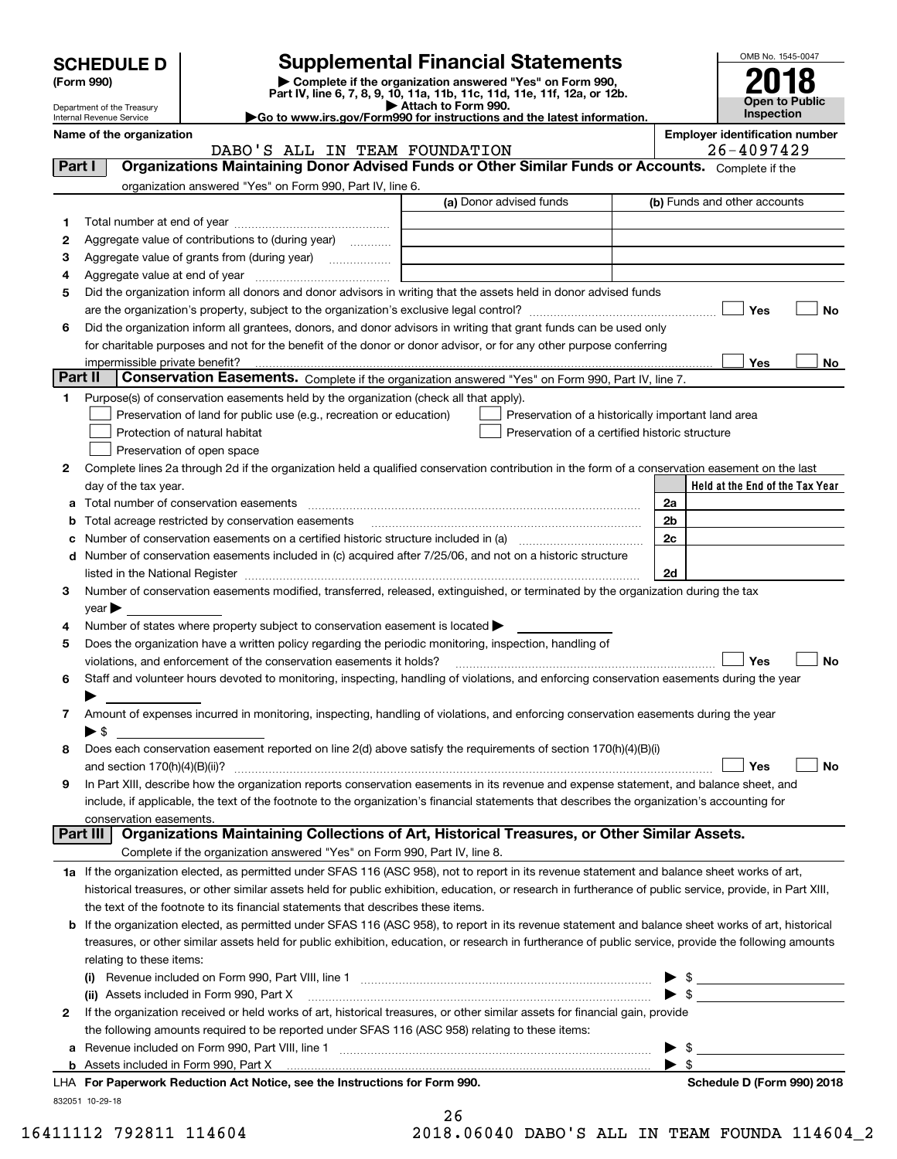| <b>SCHEDULE D</b> |  |
|-------------------|--|
|-------------------|--|

| (Form 990) |
|------------|
|            |

## **Supplemental Financial Statements**

(Form 990)<br>
Pepartment of the Treasury<br>
Department of the Treasury<br>
Department of the Treasury<br>
Department of the Treasury<br> **Co to www.irs.gov/Form990 for instructions and the latest information.**<br> **Co to www.irs.gov/Form9** 



Department of the Treasury Internal Revenue Service

|          | DABO'S ALL IN TEAM FOUNDATION                                                                                                                             |                                                    | $26 - 4097429$                       |
|----------|-----------------------------------------------------------------------------------------------------------------------------------------------------------|----------------------------------------------------|--------------------------------------|
| Part I   | Organizations Maintaining Donor Advised Funds or Other Similar Funds or Accounts. Complete if the                                                         |                                                    |                                      |
|          | organization answered "Yes" on Form 990, Part IV, line 6.                                                                                                 |                                                    |                                      |
|          |                                                                                                                                                           | (a) Donor advised funds                            | (b) Funds and other accounts         |
| 1        |                                                                                                                                                           |                                                    |                                      |
| 2        | Aggregate value of contributions to (during year)                                                                                                         |                                                    |                                      |
| з        | Aggregate value of grants from (during year)                                                                                                              |                                                    |                                      |
| 4        |                                                                                                                                                           |                                                    |                                      |
| 5        | Did the organization inform all donors and donor advisors in writing that the assets held in donor advised funds                                          |                                                    |                                      |
|          |                                                                                                                                                           |                                                    | Yes<br>No                            |
| 6        | Did the organization inform all grantees, donors, and donor advisors in writing that grant funds can be used only                                         |                                                    |                                      |
|          | for charitable purposes and not for the benefit of the donor or donor advisor, or for any other purpose conferring                                        |                                                    |                                      |
|          |                                                                                                                                                           |                                                    | Yes<br>No                            |
| Part II  | Conservation Easements. Complete if the organization answered "Yes" on Form 990, Part IV, line 7.                                                         |                                                    |                                      |
| 1        | Purpose(s) of conservation easements held by the organization (check all that apply).                                                                     |                                                    |                                      |
|          | Preservation of land for public use (e.g., recreation or education)                                                                                       | Preservation of a historically important land area |                                      |
|          | Protection of natural habitat                                                                                                                             | Preservation of a certified historic structure     |                                      |
|          | Preservation of open space                                                                                                                                |                                                    |                                      |
| 2        | Complete lines 2a through 2d if the organization held a qualified conservation contribution in the form of a conservation easement on the last            |                                                    |                                      |
|          |                                                                                                                                                           |                                                    | Held at the End of the Tax Year      |
|          | day of the tax year.                                                                                                                                      |                                                    |                                      |
| а        |                                                                                                                                                           |                                                    | 2a                                   |
| b        | Total acreage restricted by conservation easements                                                                                                        |                                                    | 2b<br>2c                             |
|          |                                                                                                                                                           |                                                    |                                      |
| d        | Number of conservation easements included in (c) acquired after 7/25/06, and not on a historic structure                                                  |                                                    |                                      |
|          |                                                                                                                                                           |                                                    | 2d                                   |
| 3        | Number of conservation easements modified, transferred, released, extinguished, or terminated by the organization during the tax                          |                                                    |                                      |
|          | $year \blacktriangleright$                                                                                                                                |                                                    |                                      |
| 4        | Number of states where property subject to conservation easement is located >                                                                             |                                                    |                                      |
| 5        | Does the organization have a written policy regarding the periodic monitoring, inspection, handling of                                                    |                                                    | Yes                                  |
|          | violations, and enforcement of the conservation easements it holds?                                                                                       |                                                    | No                                   |
| 6        | Staff and volunteer hours devoted to monitoring, inspecting, handling of violations, and enforcing conservation easements during the year                 |                                                    |                                      |
| 7        | Amount of expenses incurred in monitoring, inspecting, handling of violations, and enforcing conservation easements during the year                       |                                                    |                                      |
|          | $\blacktriangleright$ \$                                                                                                                                  |                                                    |                                      |
| 8        | Does each conservation easement reported on line 2(d) above satisfy the requirements of section 170(h)(4)(B)(i)                                           |                                                    |                                      |
|          |                                                                                                                                                           |                                                    | Yes<br>No                            |
| 9        | In Part XIII, describe how the organization reports conservation easements in its revenue and expense statement, and balance sheet, and                   |                                                    |                                      |
|          | include, if applicable, the text of the footnote to the organization's financial statements that describes the organization's accounting for              |                                                    |                                      |
|          |                                                                                                                                                           |                                                    |                                      |
| Part III | conservation easements.<br>Organizations Maintaining Collections of Art, Historical Treasures, or Other Similar Assets.                                   |                                                    |                                      |
|          | Complete if the organization answered "Yes" on Form 990, Part IV, line 8.                                                                                 |                                                    |                                      |
|          | 1a If the organization elected, as permitted under SFAS 116 (ASC 958), not to report in its revenue statement and balance sheet works of art,             |                                                    |                                      |
|          | historical treasures, or other similar assets held for public exhibition, education, or research in furtherance of public service, provide, in Part XIII, |                                                    |                                      |
|          | the text of the footnote to its financial statements that describes these items.                                                                          |                                                    |                                      |
| b        | If the organization elected, as permitted under SFAS 116 (ASC 958), to report in its revenue statement and balance sheet works of art, historical         |                                                    |                                      |
|          | treasures, or other similar assets held for public exhibition, education, or research in furtherance of public service, provide the following amounts     |                                                    |                                      |
|          | relating to these items:                                                                                                                                  |                                                    |                                      |
|          |                                                                                                                                                           |                                                    |                                      |
|          | (ii) Assets included in Form 990, Part X                                                                                                                  |                                                    | $\frac{1}{2}$<br>$\triangleright$ \$ |
| 2        | If the organization received or held works of art, historical treasures, or other similar assets for financial gain, provide                              |                                                    |                                      |
|          |                                                                                                                                                           |                                                    |                                      |
|          | the following amounts required to be reported under SFAS 116 (ASC 958) relating to these items:                                                           |                                                    | - \$                                 |
| а        |                                                                                                                                                           |                                                    | ▶<br>$\blacktriangleright$ \$        |
|          | LHA For Paperwork Reduction Act Notice, see the Instructions for Form 990.                                                                                |                                                    | Schedule D (Form 990) 2018           |
|          | 832051 10-29-18                                                                                                                                           |                                                    |                                      |
|          |                                                                                                                                                           | 26                                                 |                                      |
|          |                                                                                                                                                           |                                                    |                                      |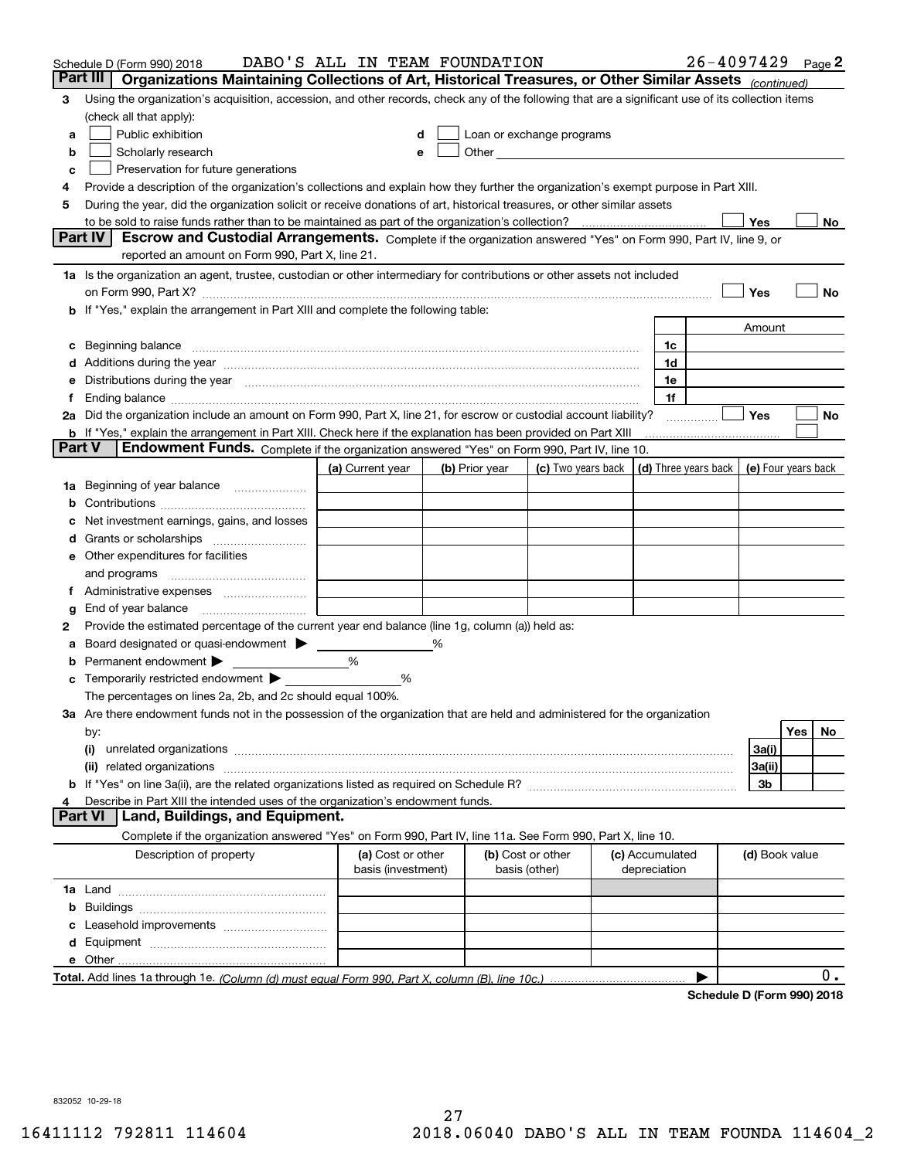|        | Schedule D (Form 990) 2018                                                                                                                                                                                | DABO'S ALL IN TEAM FOUNDATION |                |                                                                                                                                                                                                                               |                                                         |                 | $26 - 4097429$ Page 2 |                     |     |       |
|--------|-----------------------------------------------------------------------------------------------------------------------------------------------------------------------------------------------------------|-------------------------------|----------------|-------------------------------------------------------------------------------------------------------------------------------------------------------------------------------------------------------------------------------|---------------------------------------------------------|-----------------|-----------------------|---------------------|-----|-------|
|        | Part III<br>Organizations Maintaining Collections of Art, Historical Treasures, or Other Similar Assets (continued)                                                                                       |                               |                |                                                                                                                                                                                                                               |                                                         |                 |                       |                     |     |       |
| 3      | Using the organization's acquisition, accession, and other records, check any of the following that are a significant use of its collection items                                                         |                               |                |                                                                                                                                                                                                                               |                                                         |                 |                       |                     |     |       |
|        | (check all that apply):                                                                                                                                                                                   |                               |                |                                                                                                                                                                                                                               |                                                         |                 |                       |                     |     |       |
| a      | Public exhibition                                                                                                                                                                                         |                               |                | Loan or exchange programs                                                                                                                                                                                                     |                                                         |                 |                       |                     |     |       |
| b      | Scholarly research                                                                                                                                                                                        |                               |                | Other and the contract of the contract of the contract of the contract of the contract of the contract of the contract of the contract of the contract of the contract of the contract of the contract of the contract of the |                                                         |                 |                       |                     |     |       |
| с      | Preservation for future generations                                                                                                                                                                       |                               |                |                                                                                                                                                                                                                               |                                                         |                 |                       |                     |     |       |
| 4      | Provide a description of the organization's collections and explain how they further the organization's exempt purpose in Part XIII.                                                                      |                               |                |                                                                                                                                                                                                                               |                                                         |                 |                       |                     |     |       |
| 5      | During the year, did the organization solicit or receive donations of art, historical treasures, or other similar assets                                                                                  |                               |                |                                                                                                                                                                                                                               |                                                         |                 |                       |                     |     |       |
|        | to be sold to raise funds rather than to be maintained as part of the organization's collection?                                                                                                          |                               |                |                                                                                                                                                                                                                               |                                                         |                 |                       | Yes                 |     | No    |
|        | Escrow and Custodial Arrangements. Complete if the organization answered "Yes" on Form 990, Part IV, line 9, or<br><b>Part IV</b>                                                                         |                               |                |                                                                                                                                                                                                                               |                                                         |                 |                       |                     |     |       |
|        | reported an amount on Form 990, Part X, line 21.                                                                                                                                                          |                               |                |                                                                                                                                                                                                                               |                                                         |                 |                       |                     |     |       |
|        | 1a Is the organization an agent, trustee, custodian or other intermediary for contributions or other assets not included                                                                                  |                               |                |                                                                                                                                                                                                                               |                                                         |                 |                       |                     |     |       |
|        | on Form 990, Part X? [11] matter contracts and contracts and contracts are contracted as a form 990, Part X?<br><b>b</b> If "Yes," explain the arrangement in Part XIII and complete the following table: |                               |                |                                                                                                                                                                                                                               |                                                         |                 |                       | Yes                 |     | No    |
|        |                                                                                                                                                                                                           |                               |                |                                                                                                                                                                                                                               |                                                         |                 |                       |                     |     |       |
|        |                                                                                                                                                                                                           |                               |                |                                                                                                                                                                                                                               |                                                         | 1c              |                       | Amount              |     |       |
| c      | Beginning balance <u>www.maren.communication.communication.communication.communication.com</u><br>d Additions during the year measurements are all an according to the year.                              |                               |                |                                                                                                                                                                                                                               |                                                         | 1d              |                       |                     |     |       |
|        | e Distributions during the year manufactured and an according to the year manufactured and the year manufactur                                                                                            |                               |                |                                                                                                                                                                                                                               |                                                         | 1e              |                       |                     |     |       |
|        |                                                                                                                                                                                                           |                               |                |                                                                                                                                                                                                                               |                                                         | 1f              |                       |                     |     |       |
|        | 2a Did the organization include an amount on Form 990, Part X, line 21, for escrow or custodial account liability?                                                                                        |                               |                |                                                                                                                                                                                                                               |                                                         |                 | .                     | Yes                 |     | No    |
|        | <b>b</b> If "Yes," explain the arrangement in Part XIII. Check here if the explanation has been provided on Part XIII                                                                                     |                               |                |                                                                                                                                                                                                                               |                                                         |                 |                       |                     |     |       |
| Part V | Endowment Funds. Complete if the organization answered "Yes" on Form 990, Part IV, line 10.                                                                                                               |                               |                |                                                                                                                                                                                                                               |                                                         |                 |                       |                     |     |       |
|        |                                                                                                                                                                                                           | (a) Current year              | (b) Prior year |                                                                                                                                                                                                                               | (c) Two years back $\vert$ (d) Three years back $\vert$ |                 |                       | (e) Four years back |     |       |
|        | 1a Beginning of year balance                                                                                                                                                                              |                               |                |                                                                                                                                                                                                                               |                                                         |                 |                       |                     |     |       |
| b      |                                                                                                                                                                                                           |                               |                |                                                                                                                                                                                                                               |                                                         |                 |                       |                     |     |       |
|        | Net investment earnings, gains, and losses                                                                                                                                                                |                               |                |                                                                                                                                                                                                                               |                                                         |                 |                       |                     |     |       |
|        |                                                                                                                                                                                                           |                               |                |                                                                                                                                                                                                                               |                                                         |                 |                       |                     |     |       |
|        | e Other expenditures for facilities                                                                                                                                                                       |                               |                |                                                                                                                                                                                                                               |                                                         |                 |                       |                     |     |       |
|        | and programs                                                                                                                                                                                              |                               |                |                                                                                                                                                                                                                               |                                                         |                 |                       |                     |     |       |
|        | f Administrative expenses                                                                                                                                                                                 |                               |                |                                                                                                                                                                                                                               |                                                         |                 |                       |                     |     |       |
| g      | End of year balance                                                                                                                                                                                       |                               |                |                                                                                                                                                                                                                               |                                                         |                 |                       |                     |     |       |
| 2      | Provide the estimated percentage of the current year end balance (line 1g, column (a)) held as:                                                                                                           |                               |                |                                                                                                                                                                                                                               |                                                         |                 |                       |                     |     |       |
| а      | Board designated or quasi-endowment                                                                                                                                                                       |                               | %              |                                                                                                                                                                                                                               |                                                         |                 |                       |                     |     |       |
| b      | Permanent endowment >                                                                                                                                                                                     | %                             |                |                                                                                                                                                                                                                               |                                                         |                 |                       |                     |     |       |
| c      | Temporarily restricted endowment >                                                                                                                                                                        | %                             |                |                                                                                                                                                                                                                               |                                                         |                 |                       |                     |     |       |
|        | The percentages on lines 2a, 2b, and 2c should equal 100%.                                                                                                                                                |                               |                |                                                                                                                                                                                                                               |                                                         |                 |                       |                     |     |       |
|        | 3a Are there endowment funds not in the possession of the organization that are held and administered for the organization                                                                                |                               |                |                                                                                                                                                                                                                               |                                                         |                 |                       |                     |     |       |
|        | by:                                                                                                                                                                                                       |                               |                |                                                                                                                                                                                                                               |                                                         |                 |                       |                     | Yes | No.   |
|        | (i)                                                                                                                                                                                                       |                               |                |                                                                                                                                                                                                                               |                                                         |                 |                       | 3a(i)               |     |       |
|        |                                                                                                                                                                                                           |                               |                |                                                                                                                                                                                                                               |                                                         |                 |                       | 3a(ii)              |     |       |
|        |                                                                                                                                                                                                           |                               |                |                                                                                                                                                                                                                               |                                                         |                 |                       | 3b                  |     |       |
|        | Describe in Part XIII the intended uses of the organization's endowment funds.<br>Land, Buildings, and Equipment.<br>Part VI                                                                              |                               |                |                                                                                                                                                                                                                               |                                                         |                 |                       |                     |     |       |
|        | Complete if the organization answered "Yes" on Form 990, Part IV, line 11a. See Form 990, Part X, line 10.                                                                                                |                               |                |                                                                                                                                                                                                                               |                                                         |                 |                       |                     |     |       |
|        | Description of property                                                                                                                                                                                   | (a) Cost or other             |                | (b) Cost or other                                                                                                                                                                                                             |                                                         | (c) Accumulated |                       | (d) Book value      |     |       |
|        |                                                                                                                                                                                                           | basis (investment)            |                | basis (other)                                                                                                                                                                                                                 |                                                         | depreciation    |                       |                     |     |       |
|        |                                                                                                                                                                                                           |                               |                |                                                                                                                                                                                                                               |                                                         |                 |                       |                     |     |       |
| b      |                                                                                                                                                                                                           |                               |                |                                                                                                                                                                                                                               |                                                         |                 |                       |                     |     |       |
|        |                                                                                                                                                                                                           |                               |                |                                                                                                                                                                                                                               |                                                         |                 |                       |                     |     |       |
|        |                                                                                                                                                                                                           |                               |                |                                                                                                                                                                                                                               |                                                         |                 |                       |                     |     |       |
|        |                                                                                                                                                                                                           |                               |                |                                                                                                                                                                                                                               |                                                         |                 |                       |                     |     |       |
|        |                                                                                                                                                                                                           |                               |                |                                                                                                                                                                                                                               |                                                         |                 |                       |                     |     | $0$ . |
|        |                                                                                                                                                                                                           |                               |                |                                                                                                                                                                                                                               |                                                         |                 |                       | D. (Faum 000) 0040  |     |       |

**Schedule D (Form 990) 2018**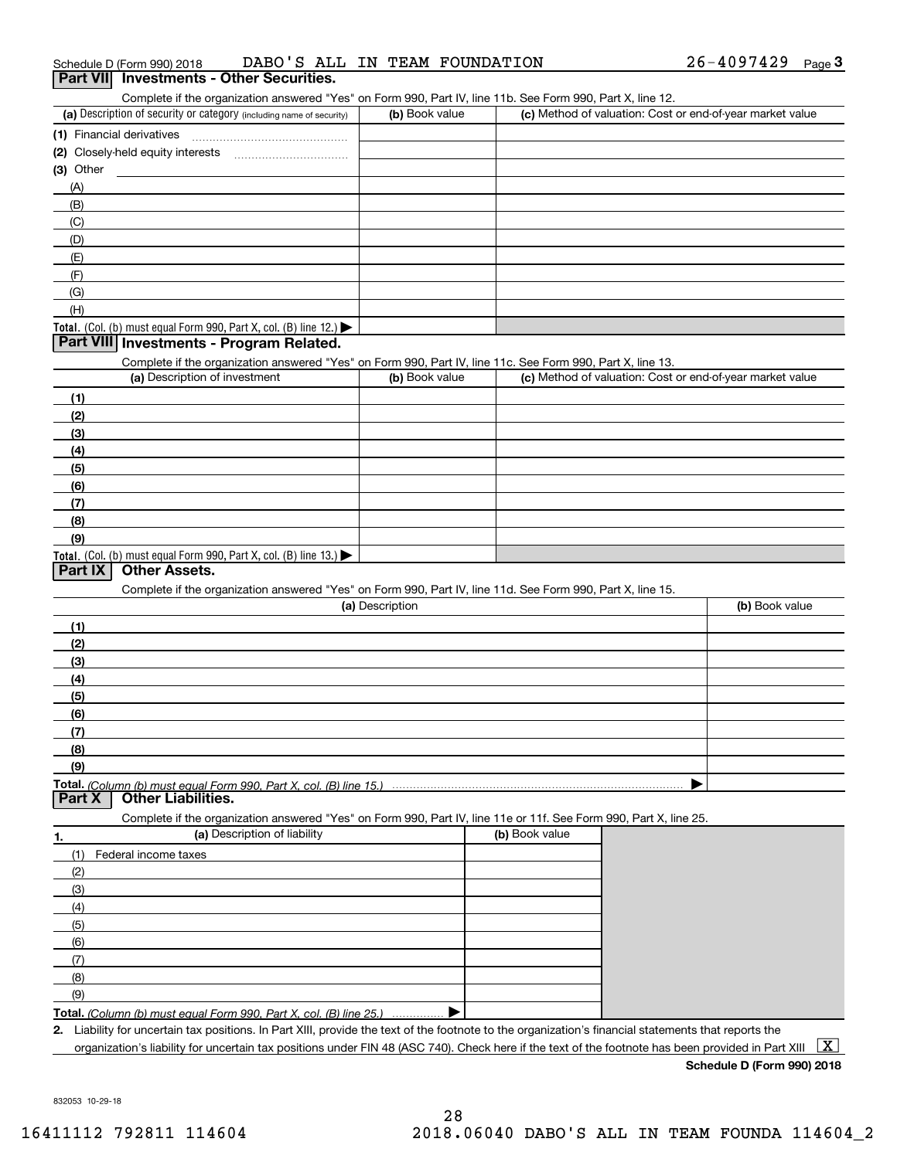| (2) Closely-held equity interests                                                                                                                                                                                          |                                                                                                            |                                                                                                                   |                |
|----------------------------------------------------------------------------------------------------------------------------------------------------------------------------------------------------------------------------|------------------------------------------------------------------------------------------------------------|-------------------------------------------------------------------------------------------------------------------|----------------|
|                                                                                                                                                                                                                            |                                                                                                            |                                                                                                                   |                |
| (3) Other                                                                                                                                                                                                                  |                                                                                                            |                                                                                                                   |                |
| (A)                                                                                                                                                                                                                        |                                                                                                            |                                                                                                                   |                |
| (B)                                                                                                                                                                                                                        |                                                                                                            |                                                                                                                   |                |
| (C)                                                                                                                                                                                                                        |                                                                                                            |                                                                                                                   |                |
| (D)                                                                                                                                                                                                                        |                                                                                                            |                                                                                                                   |                |
| (E)                                                                                                                                                                                                                        |                                                                                                            |                                                                                                                   |                |
| (F)                                                                                                                                                                                                                        |                                                                                                            |                                                                                                                   |                |
| (G)                                                                                                                                                                                                                        |                                                                                                            |                                                                                                                   |                |
| (H)                                                                                                                                                                                                                        |                                                                                                            |                                                                                                                   |                |
| Total. (Col. (b) must equal Form 990, Part X, col. (B) line 12.) $\blacktriangleright$                                                                                                                                     |                                                                                                            |                                                                                                                   |                |
| Part VIII Investments - Program Related.                                                                                                                                                                                   |                                                                                                            |                                                                                                                   |                |
|                                                                                                                                                                                                                            | Complete if the organization answered "Yes" on Form 990, Part IV, line 11c. See Form 990, Part X, line 13. |                                                                                                                   |                |
| (a) Description of investment                                                                                                                                                                                              | (b) Book value                                                                                             | (c) Method of valuation: Cost or end-of-year market value                                                         |                |
| (1)                                                                                                                                                                                                                        |                                                                                                            |                                                                                                                   |                |
| (2)                                                                                                                                                                                                                        |                                                                                                            |                                                                                                                   |                |
| (3)                                                                                                                                                                                                                        |                                                                                                            |                                                                                                                   |                |
| (4)                                                                                                                                                                                                                        |                                                                                                            |                                                                                                                   |                |
| (5)                                                                                                                                                                                                                        |                                                                                                            |                                                                                                                   |                |
| (6)                                                                                                                                                                                                                        |                                                                                                            |                                                                                                                   |                |
| (7)                                                                                                                                                                                                                        |                                                                                                            |                                                                                                                   |                |
| (8)                                                                                                                                                                                                                        |                                                                                                            |                                                                                                                   |                |
| (9)                                                                                                                                                                                                                        |                                                                                                            |                                                                                                                   |                |
| Total. (Col. (b) must equal Form 990, Part X, col. (B) line 13.)                                                                                                                                                           |                                                                                                            |                                                                                                                   |                |
| <b>Part IX</b><br><b>Other Assets.</b>                                                                                                                                                                                     |                                                                                                            |                                                                                                                   |                |
|                                                                                                                                                                                                                            | Complete if the organization answered "Yes" on Form 990, Part IV, line 11d. See Form 990, Part X, line 15. |                                                                                                                   |                |
|                                                                                                                                                                                                                            | (a) Description                                                                                            |                                                                                                                   | (b) Book value |
|                                                                                                                                                                                                                            |                                                                                                            |                                                                                                                   |                |
| (1)                                                                                                                                                                                                                        |                                                                                                            |                                                                                                                   |                |
| (2)                                                                                                                                                                                                                        |                                                                                                            |                                                                                                                   |                |
| (3)                                                                                                                                                                                                                        |                                                                                                            |                                                                                                                   |                |
|                                                                                                                                                                                                                            |                                                                                                            |                                                                                                                   |                |
| (4)                                                                                                                                                                                                                        |                                                                                                            |                                                                                                                   |                |
| (5)                                                                                                                                                                                                                        |                                                                                                            |                                                                                                                   |                |
| (6)                                                                                                                                                                                                                        |                                                                                                            |                                                                                                                   |                |
| (7)                                                                                                                                                                                                                        |                                                                                                            |                                                                                                                   |                |
| (8)                                                                                                                                                                                                                        |                                                                                                            |                                                                                                                   |                |
| (9)                                                                                                                                                                                                                        |                                                                                                            |                                                                                                                   |                |
|                                                                                                                                                                                                                            |                                                                                                            |                                                                                                                   |                |
| <b>Other Liabilities.</b>                                                                                                                                                                                                  |                                                                                                            |                                                                                                                   |                |
|                                                                                                                                                                                                                            |                                                                                                            | Complete if the organization answered "Yes" on Form 990, Part IV, line 11e or 11f. See Form 990, Part X, line 25. |                |
| (a) Description of liability                                                                                                                                                                                               |                                                                                                            | (b) Book value                                                                                                    |                |
| (1)<br>Federal income taxes                                                                                                                                                                                                |                                                                                                            |                                                                                                                   |                |
| (2)                                                                                                                                                                                                                        |                                                                                                            |                                                                                                                   |                |
| (3)                                                                                                                                                                                                                        |                                                                                                            |                                                                                                                   |                |
| (4)                                                                                                                                                                                                                        |                                                                                                            |                                                                                                                   |                |
| (5)                                                                                                                                                                                                                        |                                                                                                            |                                                                                                                   |                |
| (6)                                                                                                                                                                                                                        |                                                                                                            |                                                                                                                   |                |
| (7)                                                                                                                                                                                                                        |                                                                                                            |                                                                                                                   |                |
| Total. (Column (b) must equal Form 990, Part X, col. (B) line 15.)<br>Part X                                                                                                                                               |                                                                                                            |                                                                                                                   |                |
| (8)                                                                                                                                                                                                                        |                                                                                                            |                                                                                                                   |                |
| (9)                                                                                                                                                                                                                        |                                                                                                            |                                                                                                                   |                |
| Total. (Column (b) must equal Form 990, Part X, col. (B) line 25.)<br>2. Liability for uncertain tax positions. In Part XIII, provide the text of the footnote to the organization's financial statements that reports the |                                                                                                            |                                                                                                                   |                |

Complete if the organization answered "Yes" on Form 990, Part IV, line 11b. See Form 990, Part X, line 12.

Schedule D (Form 990) 2018 DABO ' S ALL IN TEAM FOUNDATION 26-4097429 <sub>Page</sub> 3<br>| **Part VII** | Investments - Other Securities.

(a) Description of security or category (including name of security)  $\vert$  (b) Book value  $\vert$  (c)

(b) Book value **(c)** Method of valuation: Cost or end-of-year market value

832053 10-29-18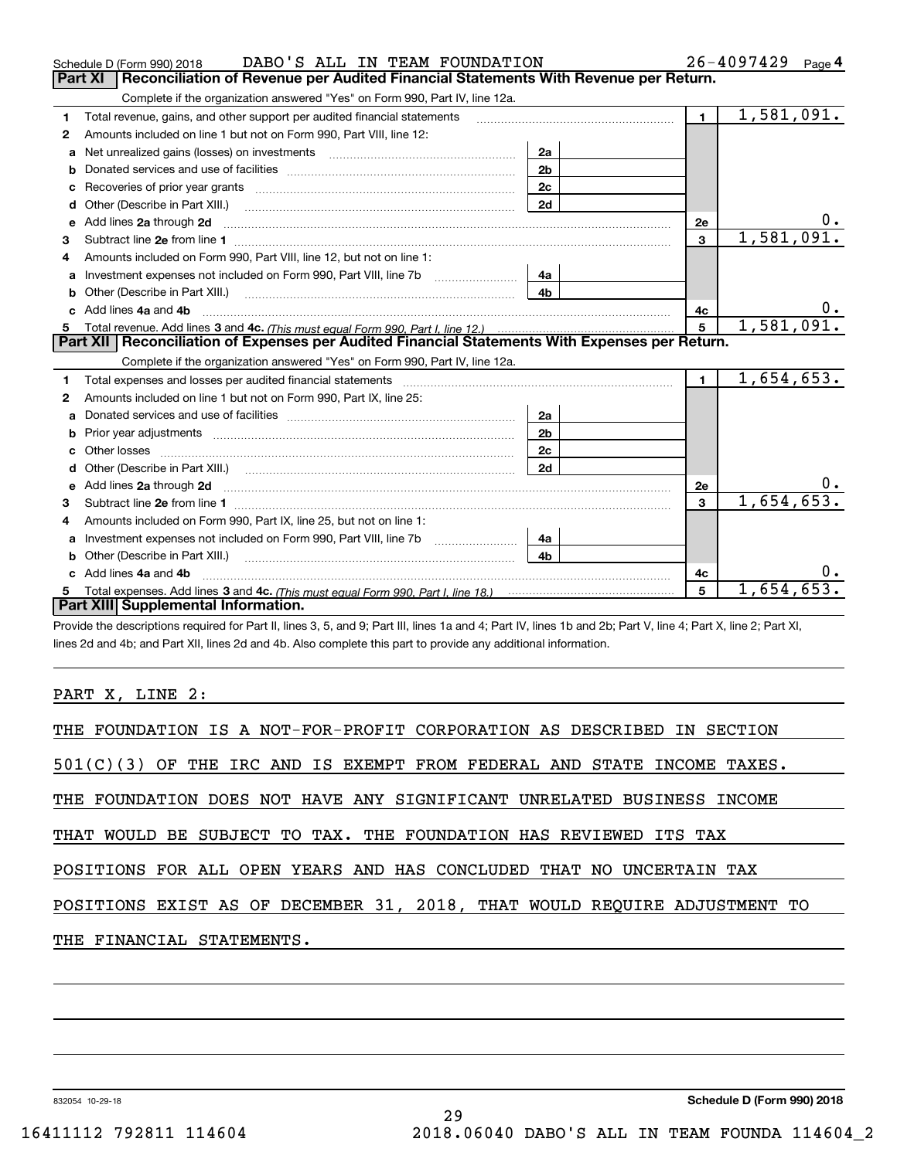|    | DABO'S ALL IN TEAM FOUNDATION<br>Schedule D (Form 990) 2018                                                                |                |                | $26 - 4097429$ Page 4 |
|----|----------------------------------------------------------------------------------------------------------------------------|----------------|----------------|-----------------------|
|    | Reconciliation of Revenue per Audited Financial Statements With Revenue per Return.<br>Part XI                             |                |                |                       |
|    | Complete if the organization answered "Yes" on Form 990, Part IV, line 12a.                                                |                |                |                       |
| 1  | Total revenue, gains, and other support per audited financial statements                                                   |                | $\mathbf 1$    | 1,581,091.            |
| 2  | Amounts included on line 1 but not on Form 990, Part VIII, line 12:                                                        |                |                |                       |
| a  | Net unrealized gains (losses) on investments [11] matter contracts and the unrealized gains (losses) on investments        | 2a             |                |                       |
| b  |                                                                                                                            | 2 <sub>b</sub> |                |                       |
| с  | Recoveries of prior year grants [11] Recoveries of prior year grants [11] Recoveries of prior year grants                  | 2 <sub>c</sub> |                |                       |
| d  | Other (Describe in Part XIII.)                                                                                             | 2d             |                |                       |
| е  | Add lines 2a through 2d <b>must be a constructed as the constant of the constant of the constant of the construction</b>   |                | <b>2e</b>      |                       |
| 3  |                                                                                                                            |                | 3              | 1,581,091.            |
| 4  | Amounts included on Form 990, Part VIII, line 12, but not on line 1:                                                       |                |                |                       |
| a  | Investment expenses not included on Form 990, Part VIII, line 7b                                                           | 4a             |                |                       |
| b  | Other (Describe in Part XIII.) <b>Construction Contract Construction</b> Chemistry Chemistry Chemistry Chemistry Chemistry | 4 <sub>b</sub> |                |                       |
| c. | Add lines 4a and 4b                                                                                                        |                | 4с             | υ.                    |
| 5  |                                                                                                                            |                | 5              | 1,581,091.            |
|    |                                                                                                                            |                |                |                       |
|    | Part XII   Reconciliation of Expenses per Audited Financial Statements With Expenses per Return.                           |                |                |                       |
|    | Complete if the organization answered "Yes" on Form 990, Part IV, line 12a.                                                |                |                |                       |
| 1  |                                                                                                                            |                | $\blacksquare$ | 1,654,653.            |
| 2  | Amounts included on line 1 but not on Form 990, Part IX, line 25:                                                          |                |                |                       |
| a  |                                                                                                                            | 2a             |                |                       |
| b  |                                                                                                                            | 2 <sub>b</sub> |                |                       |
| c  |                                                                                                                            | 2c             |                |                       |
| d  |                                                                                                                            | 2d             |                |                       |
| е  |                                                                                                                            |                | 2e             |                       |
| 3  |                                                                                                                            |                | $\mathbf{3}$   | 1,654,653.            |
| 4  | Amounts included on Form 990, Part IX, line 25, but not on line 1:                                                         |                |                |                       |
| a  |                                                                                                                            | 4a             |                |                       |
|    |                                                                                                                            | 4b             |                |                       |
| c  | Add lines 4a and 4b                                                                                                        |                | 4c             |                       |
|    | Part XIII Supplemental Information.                                                                                        |                | 5              | 1,654,653             |

Provide the descriptions required for Part II, lines 3, 5, and 9; Part III, lines 1a and 4; Part IV, lines 1b and 2b; Part V, line 4; Part X, line 2; Part XI, lines 2d and 4b; and Part XII, lines 2d and 4b. Also complete this part to provide any additional information.

### PART X, LINE 2:

| THE FOUNDATION IS A NOT-FOR-PROFIT CORPORATION AS DESCRIBED IN SECTION    |
|---------------------------------------------------------------------------|
| $501(C)(3)$ OF THE IRC AND IS EXEMPT FROM FEDERAL AND STATE INCOME TAXES. |
|                                                                           |
| THAT WOULD BE SUBJECT TO TAX. THE FOUNDATION HAS REVIEWED ITS TAX         |
| POSITIONS FOR ALL OPEN YEARS AND HAS CONCLUDED THAT NO UNCERTAIN TAX      |
| POSITIONS EXIST AS OF DECEMBER 31, 2018, THAT WOULD REQUIRE ADJUSTMENT TO |
| THE FINANCIAL STATEMENTS.                                                 |
|                                                                           |
| THE FOUNDATION DOES NOT HAVE ANY SIGNIFICANT UNRELATED BUSINESS INCOME    |

29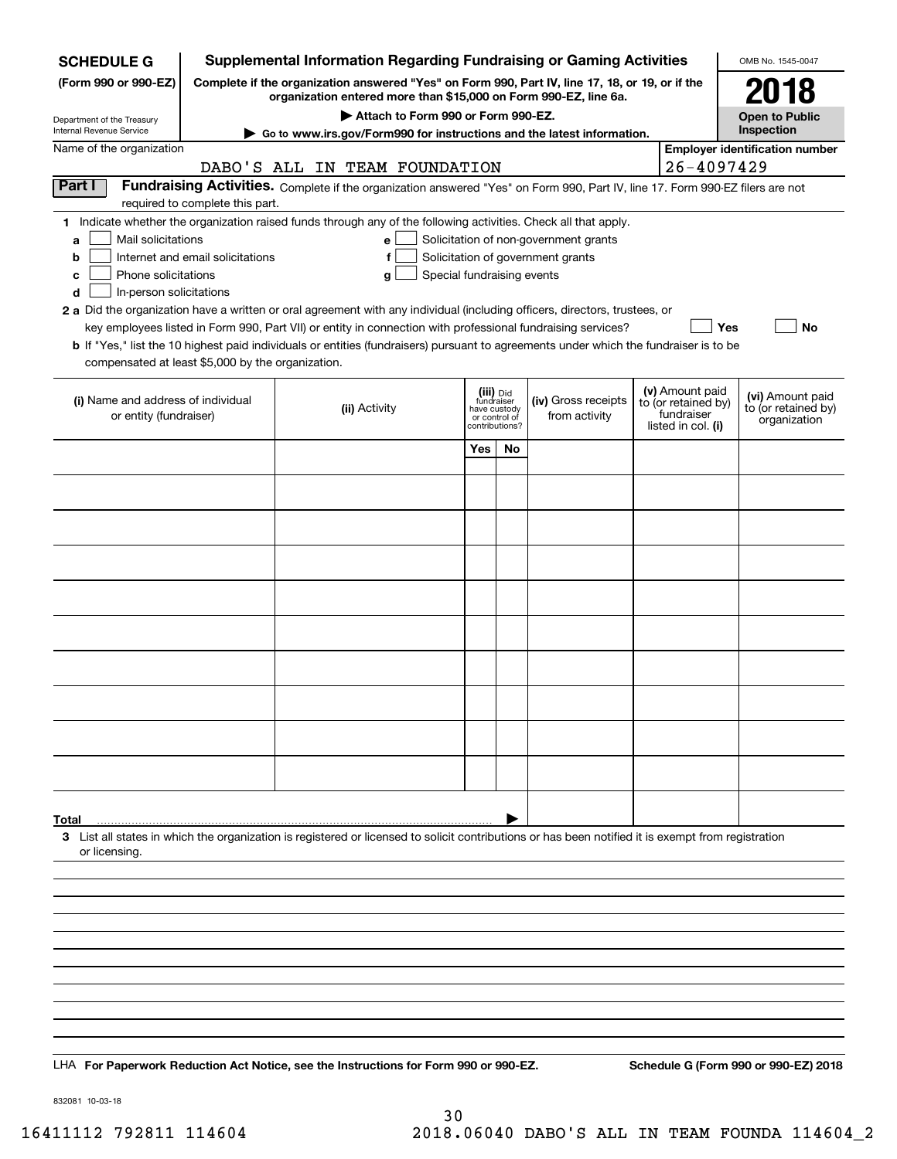| <b>SCHEDULE G</b>                                                                                                                             | <b>Supplemental Information Regarding Fundraising or Gaming Activities</b>                                                                                          |                                                                                                                                                                                                                                                                                                                                                                                                                                                                                                                        |                            |                                                                            |    |                                                                            |                                       | OMB No. 1545-0047                                                          |                                                         |
|-----------------------------------------------------------------------------------------------------------------------------------------------|---------------------------------------------------------------------------------------------------------------------------------------------------------------------|------------------------------------------------------------------------------------------------------------------------------------------------------------------------------------------------------------------------------------------------------------------------------------------------------------------------------------------------------------------------------------------------------------------------------------------------------------------------------------------------------------------------|----------------------------|----------------------------------------------------------------------------|----|----------------------------------------------------------------------------|---------------------------------------|----------------------------------------------------------------------------|---------------------------------------------------------|
| (Form 990 or 990-EZ)                                                                                                                          | Complete if the organization answered "Yes" on Form 990, Part IV, line 17, 18, or 19, or if the<br>organization entered more than \$15,000 on Form 990-EZ, line 6a. |                                                                                                                                                                                                                                                                                                                                                                                                                                                                                                                        |                            |                                                                            |    |                                                                            |                                       |                                                                            | 2018                                                    |
| Department of the Treasury                                                                                                                    |                                                                                                                                                                     | Attach to Form 990 or Form 990-EZ.                                                                                                                                                                                                                                                                                                                                                                                                                                                                                     |                            |                                                                            |    |                                                                            |                                       |                                                                            | <b>Open to Public</b>                                   |
| Internal Revenue Service                                                                                                                      | Go to www.irs.gov/Form990 for instructions and the latest information.                                                                                              |                                                                                                                                                                                                                                                                                                                                                                                                                                                                                                                        |                            |                                                                            |    |                                                                            |                                       |                                                                            | Inspection                                              |
| Name of the organization                                                                                                                      | DABO'S ALL IN TEAM FOUNDATION                                                                                                                                       |                                                                                                                                                                                                                                                                                                                                                                                                                                                                                                                        |                            |                                                                            |    | $26 - 4097429$                                                             | <b>Employer identification number</b> |                                                                            |                                                         |
| Part I                                                                                                                                        | required to complete this part.                                                                                                                                     | Fundraising Activities. Complete if the organization answered "Yes" on Form 990, Part IV, line 17. Form 990-EZ filers are not                                                                                                                                                                                                                                                                                                                                                                                          |                            |                                                                            |    |                                                                            |                                       |                                                                            |                                                         |
| Mail solicitations<br>a<br>b<br>Phone solicitations<br>с<br>In-person solicitations<br>d<br>compensated at least \$5,000 by the organization. | Internet and email solicitations                                                                                                                                    | 1 Indicate whether the organization raised funds through any of the following activities. Check all that apply.<br>е<br>g<br>2 a Did the organization have a written or oral agreement with any individual (including officers, directors, trustees, or<br>key employees listed in Form 990, Part VII) or entity in connection with professional fundraising services?<br><b>b</b> If "Yes," list the 10 highest paid individuals or entities (fundraisers) pursuant to agreements under which the fundraiser is to be | Special fundraising events |                                                                            |    | Solicitation of non-government grants<br>Solicitation of government grants |                                       | Yes                                                                        | No                                                      |
| (i) Name and address of individual<br>or entity (fundraiser)                                                                                  |                                                                                                                                                                     | (ii) Activity                                                                                                                                                                                                                                                                                                                                                                                                                                                                                                          |                            | (iii) Did<br>fundraiser<br>have custody<br>or control of<br>contributions? |    | (iv) Gross receipts<br>from activity                                       |                                       | (v) Amount paid<br>to (or retained by)<br>fundraiser<br>listed in col. (i) | (vi) Amount paid<br>to (or retained by)<br>organization |
|                                                                                                                                               |                                                                                                                                                                     |                                                                                                                                                                                                                                                                                                                                                                                                                                                                                                                        |                            | Yes                                                                        | No |                                                                            |                                       |                                                                            |                                                         |
|                                                                                                                                               |                                                                                                                                                                     |                                                                                                                                                                                                                                                                                                                                                                                                                                                                                                                        |                            |                                                                            |    |                                                                            |                                       |                                                                            |                                                         |
|                                                                                                                                               |                                                                                                                                                                     |                                                                                                                                                                                                                                                                                                                                                                                                                                                                                                                        |                            |                                                                            |    |                                                                            |                                       |                                                                            |                                                         |
|                                                                                                                                               |                                                                                                                                                                     |                                                                                                                                                                                                                                                                                                                                                                                                                                                                                                                        |                            |                                                                            |    |                                                                            |                                       |                                                                            |                                                         |
|                                                                                                                                               |                                                                                                                                                                     |                                                                                                                                                                                                                                                                                                                                                                                                                                                                                                                        |                            |                                                                            |    |                                                                            |                                       |                                                                            |                                                         |
|                                                                                                                                               |                                                                                                                                                                     |                                                                                                                                                                                                                                                                                                                                                                                                                                                                                                                        |                            |                                                                            |    |                                                                            |                                       |                                                                            |                                                         |
|                                                                                                                                               |                                                                                                                                                                     |                                                                                                                                                                                                                                                                                                                                                                                                                                                                                                                        |                            |                                                                            |    |                                                                            |                                       |                                                                            |                                                         |
|                                                                                                                                               |                                                                                                                                                                     |                                                                                                                                                                                                                                                                                                                                                                                                                                                                                                                        |                            |                                                                            |    |                                                                            |                                       |                                                                            |                                                         |
|                                                                                                                                               |                                                                                                                                                                     |                                                                                                                                                                                                                                                                                                                                                                                                                                                                                                                        |                            |                                                                            |    |                                                                            |                                       |                                                                            |                                                         |
|                                                                                                                                               |                                                                                                                                                                     |                                                                                                                                                                                                                                                                                                                                                                                                                                                                                                                        |                            |                                                                            |    |                                                                            |                                       |                                                                            |                                                         |
|                                                                                                                                               |                                                                                                                                                                     |                                                                                                                                                                                                                                                                                                                                                                                                                                                                                                                        |                            |                                                                            |    |                                                                            |                                       |                                                                            |                                                         |
|                                                                                                                                               |                                                                                                                                                                     |                                                                                                                                                                                                                                                                                                                                                                                                                                                                                                                        |                            |                                                                            |    |                                                                            |                                       |                                                                            |                                                         |
|                                                                                                                                               |                                                                                                                                                                     |                                                                                                                                                                                                                                                                                                                                                                                                                                                                                                                        |                            |                                                                            |    |                                                                            |                                       |                                                                            |                                                         |
| Total<br>or licensing.                                                                                                                        |                                                                                                                                                                     | 3 List all states in which the organization is registered or licensed to solicit contributions or has been notified it is exempt from registration                                                                                                                                                                                                                                                                                                                                                                     |                            |                                                                            |    |                                                                            |                                       |                                                                            |                                                         |
|                                                                                                                                               |                                                                                                                                                                     |                                                                                                                                                                                                                                                                                                                                                                                                                                                                                                                        |                            |                                                                            |    |                                                                            |                                       |                                                                            |                                                         |
|                                                                                                                                               |                                                                                                                                                                     |                                                                                                                                                                                                                                                                                                                                                                                                                                                                                                                        |                            |                                                                            |    |                                                                            |                                       |                                                                            |                                                         |
|                                                                                                                                               |                                                                                                                                                                     |                                                                                                                                                                                                                                                                                                                                                                                                                                                                                                                        |                            |                                                                            |    |                                                                            |                                       |                                                                            |                                                         |
|                                                                                                                                               |                                                                                                                                                                     |                                                                                                                                                                                                                                                                                                                                                                                                                                                                                                                        |                            |                                                                            |    |                                                                            |                                       |                                                                            |                                                         |
|                                                                                                                                               |                                                                                                                                                                     |                                                                                                                                                                                                                                                                                                                                                                                                                                                                                                                        |                            |                                                                            |    |                                                                            |                                       |                                                                            |                                                         |
|                                                                                                                                               |                                                                                                                                                                     |                                                                                                                                                                                                                                                                                                                                                                                                                                                                                                                        |                            |                                                                            |    |                                                                            |                                       |                                                                            |                                                         |
|                                                                                                                                               |                                                                                                                                                                     |                                                                                                                                                                                                                                                                                                                                                                                                                                                                                                                        |                            |                                                                            |    |                                                                            |                                       |                                                                            |                                                         |
|                                                                                                                                               |                                                                                                                                                                     | LHA For Paperwork Reduction Act Notice, see the Instructions for Form 990 or 990-EZ.                                                                                                                                                                                                                                                                                                                                                                                                                                   |                            |                                                                            |    |                                                                            |                                       |                                                                            | Schedule G (Form 990 or 990-EZ) 2018                    |

832081 10-03-18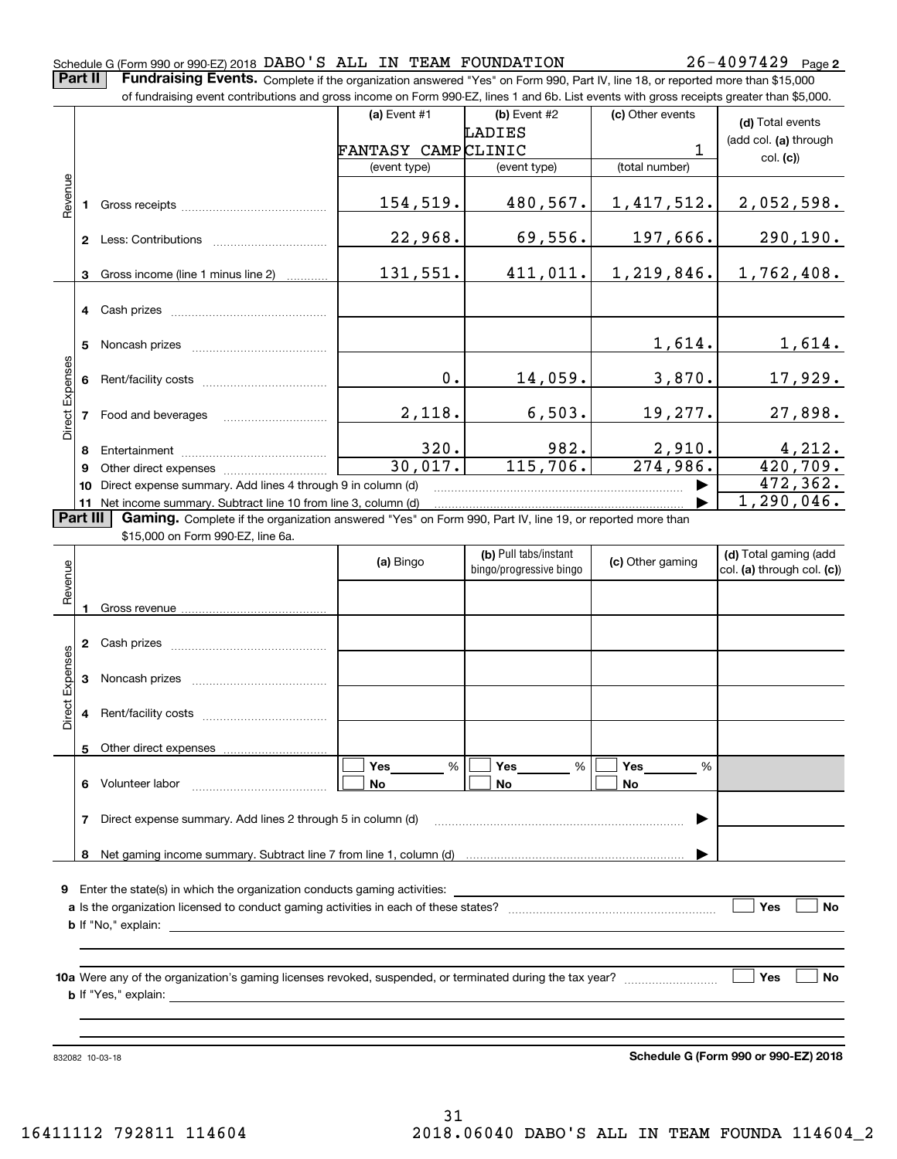#### Schedule G (Form 990 or 990-EZ) 2018 Page DABO'S ALL IN TEAM FOUNDATION 26-4097429

**Part II** | Fundraising Events. Complete if the organization answered "Yes" on Form 990, Part IV, line 18, or reported more than \$15,000

|                 | of fundraising event contributions and gross income on Form 990-EZ, lines 1 and 6b. List events with gross receipts greater than \$5,000. |                                                                                                                |                    |                         |                        |                            |  |  |  |
|-----------------|-------------------------------------------------------------------------------------------------------------------------------------------|----------------------------------------------------------------------------------------------------------------|--------------------|-------------------------|------------------------|----------------------------|--|--|--|
|                 |                                                                                                                                           |                                                                                                                | (a) Event #1       | (b) Event #2            | (c) Other events       | (d) Total events           |  |  |  |
|                 |                                                                                                                                           |                                                                                                                |                    | LADIES                  |                        | (add col. (a) through      |  |  |  |
|                 |                                                                                                                                           |                                                                                                                | FANTASY CAMPCLINIC |                         | 1                      | col. (c)                   |  |  |  |
|                 |                                                                                                                                           |                                                                                                                | (event type)       | (event type)            | (total number)         |                            |  |  |  |
| Revenue         |                                                                                                                                           |                                                                                                                |                    |                         |                        |                            |  |  |  |
|                 |                                                                                                                                           |                                                                                                                | 154,519.           | 480,567.                | 1,417,512.             | 2,052,598.                 |  |  |  |
|                 |                                                                                                                                           |                                                                                                                |                    |                         |                        |                            |  |  |  |
|                 |                                                                                                                                           |                                                                                                                | 22,968.            | 69,556.                 | 197,666.               | 290, 190.                  |  |  |  |
|                 |                                                                                                                                           |                                                                                                                |                    |                         |                        |                            |  |  |  |
|                 | 3                                                                                                                                         | Gross income (line 1 minus line 2)                                                                             | 131,551.           | 411,011.                | 1,219,846.             | 1,762,408.                 |  |  |  |
|                 |                                                                                                                                           |                                                                                                                |                    |                         |                        |                            |  |  |  |
|                 |                                                                                                                                           | 4 Cash prizes                                                                                                  |                    |                         |                        |                            |  |  |  |
|                 |                                                                                                                                           |                                                                                                                |                    |                         |                        |                            |  |  |  |
|                 | 5                                                                                                                                         |                                                                                                                |                    |                         | 1,614.                 | 1,614.                     |  |  |  |
|                 |                                                                                                                                           |                                                                                                                |                    |                         |                        |                            |  |  |  |
|                 |                                                                                                                                           |                                                                                                                | 0.                 | 14,059.                 | 3,870.                 | 17,929.                    |  |  |  |
| Direct Expenses |                                                                                                                                           |                                                                                                                |                    |                         |                        |                            |  |  |  |
|                 |                                                                                                                                           |                                                                                                                | 2,118.             | 6,503.                  | 19,277.                | 27,898.                    |  |  |  |
|                 |                                                                                                                                           |                                                                                                                |                    |                         |                        |                            |  |  |  |
|                 | 8                                                                                                                                         |                                                                                                                | 320.               | 982.                    | 2,910.                 |                            |  |  |  |
|                 | 9                                                                                                                                         |                                                                                                                | 30,017.            | 115,706.                | $\overline{274,986}$ . | $\frac{4,212}{420,709}$ .  |  |  |  |
|                 | 10                                                                                                                                        | Direct expense summary. Add lines 4 through 9 in column (d)                                                    |                    |                         |                        | 472, 362.                  |  |  |  |
|                 |                                                                                                                                           | 11 Net income summary. Subtract line 10 from line 3, column (d)                                                |                    |                         |                        | 1, 290, 046.               |  |  |  |
|                 | Part III                                                                                                                                  | Gaming. Complete if the organization answered "Yes" on Form 990, Part IV, line 19, or reported more than       |                    |                         |                        |                            |  |  |  |
|                 |                                                                                                                                           | \$15,000 on Form 990-EZ, line 6a.                                                                              |                    |                         |                        |                            |  |  |  |
|                 |                                                                                                                                           |                                                                                                                |                    | (b) Pull tabs/instant   |                        | (d) Total gaming (add      |  |  |  |
| Revenue         |                                                                                                                                           |                                                                                                                | (a) Bingo          | bingo/progressive bingo | (c) Other gaming       | col. (a) through col. (c)) |  |  |  |
|                 |                                                                                                                                           |                                                                                                                |                    |                         |                        |                            |  |  |  |
|                 | 1                                                                                                                                         |                                                                                                                |                    |                         |                        |                            |  |  |  |
|                 |                                                                                                                                           |                                                                                                                |                    |                         |                        |                            |  |  |  |
|                 |                                                                                                                                           |                                                                                                                |                    |                         |                        |                            |  |  |  |
|                 |                                                                                                                                           |                                                                                                                |                    |                         |                        |                            |  |  |  |
| Expenses        |                                                                                                                                           |                                                                                                                |                    |                         |                        |                            |  |  |  |
|                 |                                                                                                                                           |                                                                                                                |                    |                         |                        |                            |  |  |  |
| Direct          |                                                                                                                                           |                                                                                                                |                    |                         |                        |                            |  |  |  |
|                 |                                                                                                                                           |                                                                                                                |                    |                         |                        |                            |  |  |  |
|                 |                                                                                                                                           | Other direct expenses                                                                                          |                    |                         |                        |                            |  |  |  |
|                 |                                                                                                                                           |                                                                                                                | $\%$<br>Yes        | <b>Yes</b><br>%         | Yes<br>%               |                            |  |  |  |
|                 |                                                                                                                                           | 6 Volunteer labor                                                                                              | No                 | No                      | No                     |                            |  |  |  |
|                 |                                                                                                                                           |                                                                                                                |                    |                         |                        |                            |  |  |  |
|                 | 7                                                                                                                                         | Direct expense summary. Add lines 2 through 5 in column (d)                                                    |                    |                         |                        |                            |  |  |  |
|                 |                                                                                                                                           |                                                                                                                |                    |                         |                        |                            |  |  |  |
|                 |                                                                                                                                           |                                                                                                                |                    |                         |                        |                            |  |  |  |
|                 |                                                                                                                                           |                                                                                                                |                    |                         |                        |                            |  |  |  |
|                 |                                                                                                                                           | 9 Enter the state(s) in which the organization conducts gaming activities: ___________________________________ |                    |                         |                        |                            |  |  |  |
|                 |                                                                                                                                           |                                                                                                                |                    |                         |                        | Yes<br><b>No</b>           |  |  |  |
|                 |                                                                                                                                           | <b>b</b> If "No," explain:                                                                                     |                    |                         |                        |                            |  |  |  |
|                 |                                                                                                                                           |                                                                                                                |                    |                         |                        |                            |  |  |  |
|                 |                                                                                                                                           |                                                                                                                |                    |                         |                        |                            |  |  |  |
|                 |                                                                                                                                           |                                                                                                                |                    |                         |                        | Yes<br><b>No</b>           |  |  |  |
|                 |                                                                                                                                           |                                                                                                                |                    |                         |                        |                            |  |  |  |
|                 |                                                                                                                                           |                                                                                                                |                    |                         |                        |                            |  |  |  |
|                 |                                                                                                                                           |                                                                                                                |                    |                         |                        |                            |  |  |  |

832082 10-03-18

**Schedule G (Form 990 or 990-EZ) 2018**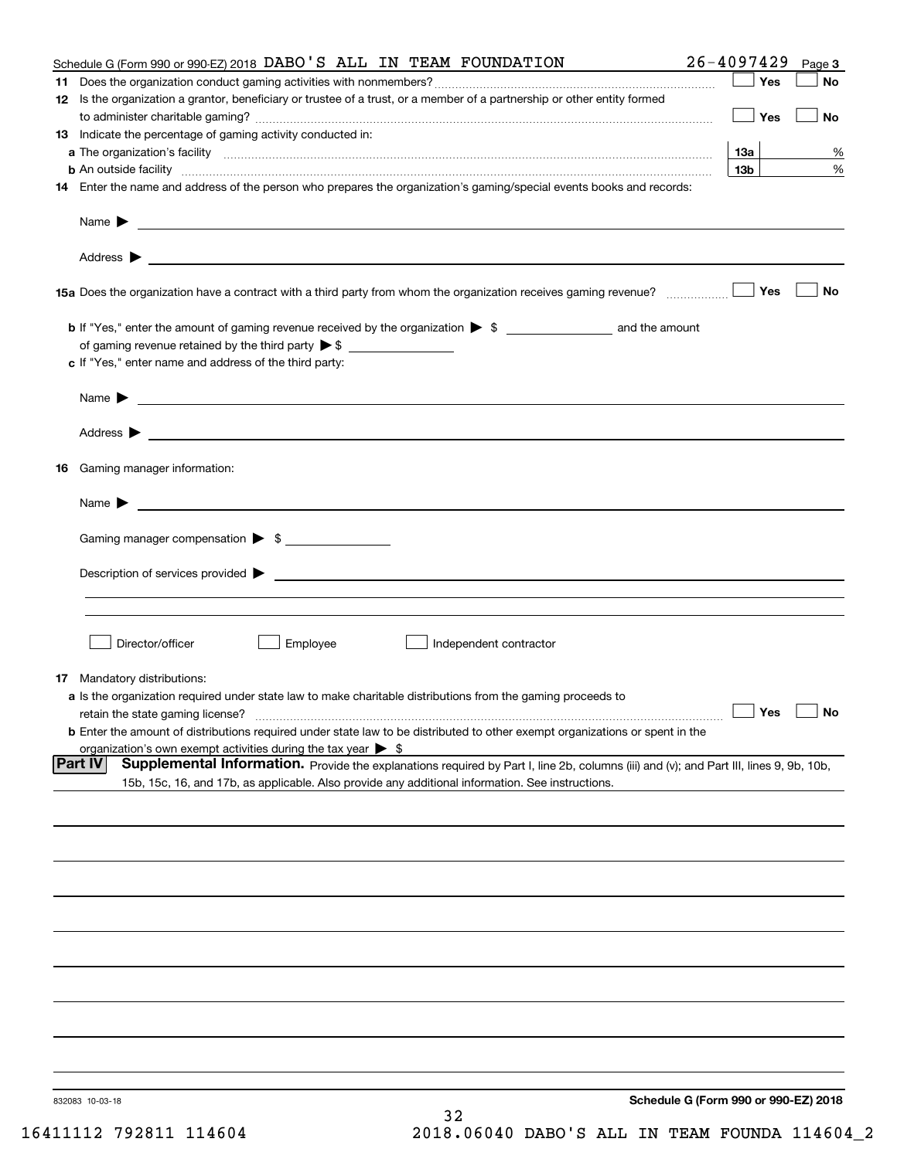|    | Schedule G (Form 990 or 990-EZ) 2018 DABO 'S ALL IN TEAM FOUNDATION                                                                                                                                                                | $26 - 4097429$                       | Page 3    |
|----|------------------------------------------------------------------------------------------------------------------------------------------------------------------------------------------------------------------------------------|--------------------------------------|-----------|
| 11 |                                                                                                                                                                                                                                    | Yes                                  | No        |
|    | 12 Is the organization a grantor, beneficiary or trustee of a trust, or a member of a partnership or other entity formed                                                                                                           | Yes                                  | No        |
|    | 13 Indicate the percentage of gaming activity conducted in:                                                                                                                                                                        |                                      |           |
|    |                                                                                                                                                                                                                                    | 13а                                  | %         |
|    |                                                                                                                                                                                                                                    | 13 <sub>b</sub>                      | %         |
|    | 14 Enter the name and address of the person who prepares the organization's gaming/special events books and records:                                                                                                               |                                      |           |
|    |                                                                                                                                                                                                                                    |                                      |           |
|    |                                                                                                                                                                                                                                    |                                      |           |
|    |                                                                                                                                                                                                                                    | Yes                                  | No        |
|    |                                                                                                                                                                                                                                    |                                      |           |
|    | of gaming revenue retained by the third party $\triangleright$ \$                                                                                                                                                                  |                                      |           |
|    | c If "Yes," enter name and address of the third party:                                                                                                                                                                             |                                      |           |
|    |                                                                                                                                                                                                                                    |                                      |           |
|    | Name $\blacktriangleright$ $\bot$                                                                                                                                                                                                  |                                      |           |
|    |                                                                                                                                                                                                                                    |                                      |           |
|    | 16 Gaming manager information:                                                                                                                                                                                                     |                                      |           |
|    | Name $\blacktriangleright$                                                                                                                                                                                                         |                                      |           |
|    | Gaming manager compensation > \$                                                                                                                                                                                                   |                                      |           |
|    |                                                                                                                                                                                                                                    |                                      |           |
|    |                                                                                                                                                                                                                                    |                                      |           |
|    |                                                                                                                                                                                                                                    |                                      |           |
|    | Employee<br>Director/officer<br>Independent contractor                                                                                                                                                                             |                                      |           |
|    | 17 Mandatory distributions:                                                                                                                                                                                                        |                                      |           |
|    | a Is the organization required under state law to make charitable distributions from the gaming proceeds to                                                                                                                        |                                      |           |
|    | retain the state gaming license?                                                                                                                                                                                                   | $\Box$ Yes                           | $\Box$ No |
|    | <b>b</b> Enter the amount of distributions required under state law to be distributed to other exempt organizations or spent in the                                                                                                |                                      |           |
|    | organization's own exempt activities during the tax year $\triangleright$ \$<br> Part IV<br>Supplemental Information. Provide the explanations required by Part I, line 2b, columns (iii) and (v); and Part III, lines 9, 9b, 10b, |                                      |           |
|    | 15b, 15c, 16, and 17b, as applicable. Also provide any additional information. See instructions.                                                                                                                                   |                                      |           |
|    |                                                                                                                                                                                                                                    |                                      |           |
|    |                                                                                                                                                                                                                                    |                                      |           |
|    |                                                                                                                                                                                                                                    |                                      |           |
|    |                                                                                                                                                                                                                                    |                                      |           |
|    |                                                                                                                                                                                                                                    |                                      |           |
|    |                                                                                                                                                                                                                                    |                                      |           |
|    |                                                                                                                                                                                                                                    |                                      |           |
|    |                                                                                                                                                                                                                                    |                                      |           |
|    |                                                                                                                                                                                                                                    |                                      |           |
|    |                                                                                                                                                                                                                                    | Schedule G (Form 990 or 990-EZ) 2018 |           |
|    | 832083 10-03-18<br>32                                                                                                                                                                                                              |                                      |           |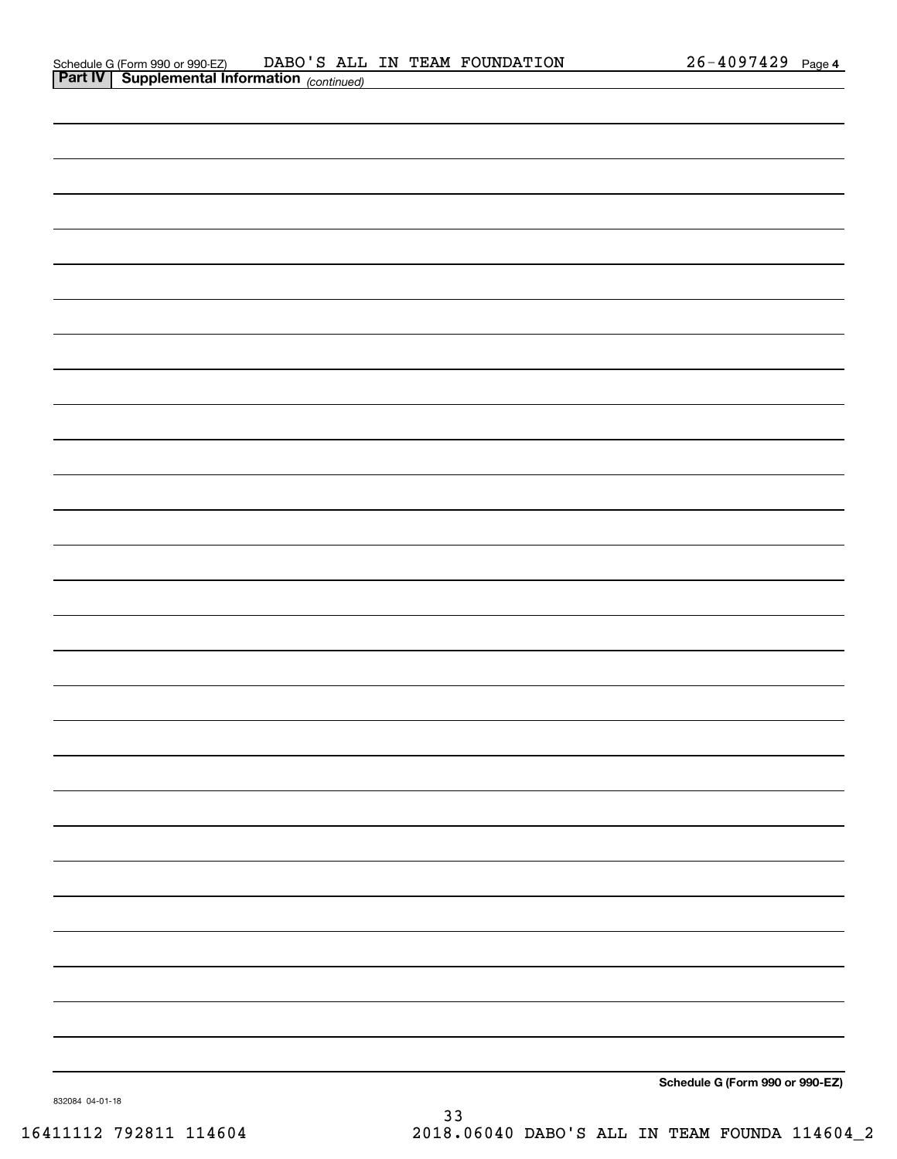| <b>Part IV   Supplemental Information</b> (continued) |  |                                 |
|-------------------------------------------------------|--|---------------------------------|
|                                                       |  |                                 |
|                                                       |  |                                 |
|                                                       |  |                                 |
|                                                       |  |                                 |
|                                                       |  |                                 |
|                                                       |  |                                 |
|                                                       |  |                                 |
|                                                       |  |                                 |
|                                                       |  |                                 |
|                                                       |  |                                 |
|                                                       |  |                                 |
|                                                       |  |                                 |
|                                                       |  |                                 |
|                                                       |  |                                 |
|                                                       |  |                                 |
|                                                       |  |                                 |
|                                                       |  |                                 |
|                                                       |  |                                 |
|                                                       |  |                                 |
|                                                       |  |                                 |
|                                                       |  |                                 |
|                                                       |  |                                 |
|                                                       |  |                                 |
|                                                       |  |                                 |
|                                                       |  |                                 |
|                                                       |  |                                 |
|                                                       |  |                                 |
|                                                       |  |                                 |
|                                                       |  |                                 |
|                                                       |  | Schedule G (Form 990 or 990-EZ) |
|                                                       |  |                                 |

832084 04-01-18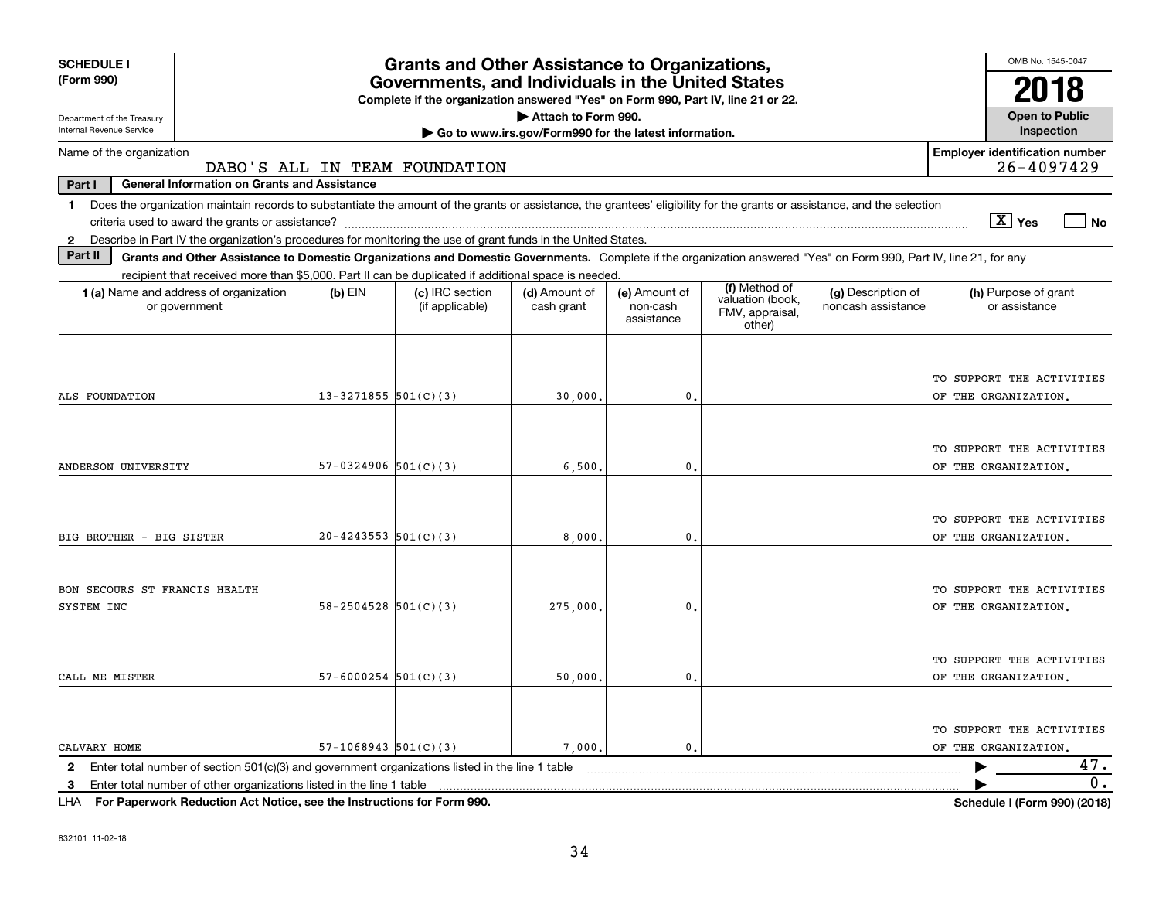| <b>SCHEDULE I</b>                                                                                                                                                              |                                                                                                          | <b>Grants and Other Assistance to Organizations,</b>                                                                                  |                                                       |                                         |                                               |                                          | OMB No. 1545-0047                                   |  |
|--------------------------------------------------------------------------------------------------------------------------------------------------------------------------------|----------------------------------------------------------------------------------------------------------|---------------------------------------------------------------------------------------------------------------------------------------|-------------------------------------------------------|-----------------------------------------|-----------------------------------------------|------------------------------------------|-----------------------------------------------------|--|
| (Form 990)                                                                                                                                                                     |                                                                                                          | Governments, and Individuals in the United States<br>Complete if the organization answered "Yes" on Form 990, Part IV, line 21 or 22. |                                                       |                                         |                                               |                                          |                                                     |  |
| Department of the Treasury                                                                                                                                                     |                                                                                                          |                                                                                                                                       | Attach to Form 990.                                   |                                         |                                               |                                          | <b>Open to Public</b>                               |  |
| Internal Revenue Service                                                                                                                                                       |                                                                                                          |                                                                                                                                       | Go to www.irs.gov/Form990 for the latest information. |                                         |                                               |                                          | Inspection                                          |  |
| Name of the organization                                                                                                                                                       |                                                                                                          | DABO'S ALL IN TEAM FOUNDATION                                                                                                         |                                                       |                                         |                                               |                                          | <b>Employer identification number</b><br>26-4097429 |  |
| Part I<br><b>General Information on Grants and Assistance</b>                                                                                                                  |                                                                                                          |                                                                                                                                       |                                                       |                                         |                                               |                                          |                                                     |  |
| Does the organization maintain records to substantiate the amount of the grants or assistance, the grantees' eligibility for the grants or assistance, and the selection<br>1. |                                                                                                          |                                                                                                                                       |                                                       |                                         |                                               |                                          |                                                     |  |
|                                                                                                                                                                                |                                                                                                          |                                                                                                                                       |                                                       |                                         |                                               |                                          | $\sqrt{X}$ Yes<br>l No                              |  |
| 2 Describe in Part IV the organization's procedures for monitoring the use of grant funds in the United States.                                                                |                                                                                                          |                                                                                                                                       |                                                       |                                         |                                               |                                          |                                                     |  |
| Part II<br>Grants and Other Assistance to Domestic Organizations and Domestic Governments. Complete if the organization answered "Yes" on Form 990, Part IV, line 21, for any  |                                                                                                          |                                                                                                                                       |                                                       |                                         |                                               |                                          |                                                     |  |
| recipient that received more than \$5,000. Part II can be duplicated if additional space is needed.                                                                            |                                                                                                          |                                                                                                                                       |                                                       |                                         | (f) Method of                                 |                                          |                                                     |  |
| 1 (a) Name and address of organization<br>or government                                                                                                                        | $(b)$ EIN                                                                                                | (c) IRC section<br>(if applicable)                                                                                                    | (d) Amount of<br>cash grant                           | (e) Amount of<br>non-cash<br>assistance | valuation (book,<br>FMV, appraisal,<br>other) | (g) Description of<br>noncash assistance | (h) Purpose of grant<br>or assistance               |  |
| ALS FOUNDATION                                                                                                                                                                 | $13 - 3271855$ 501(C)(3)                                                                                 |                                                                                                                                       | 30,000.                                               | $\mathbf{0}$ .                          |                                               |                                          | TO SUPPORT THE ACTIVITIES<br>OF THE ORGANIZATION.   |  |
| ANDERSON UNIVERSITY                                                                                                                                                            | $57-0324906$ $501(C)(3)$                                                                                 |                                                                                                                                       | 6,500,                                                | $\mathbf{0}$ .                          |                                               |                                          | TO SUPPORT THE ACTIVITIES<br>OF THE ORGANIZATION.   |  |
| BIG BROTHER - BIG SISTER                                                                                                                                                       | $20 - 4243553$ $501(C)(3)$                                                                               |                                                                                                                                       | 8,000,                                                | $\mathbf 0$ .                           |                                               |                                          | TO SUPPORT THE ACTIVITIES<br>OF THE ORGANIZATION.   |  |
| BON SECOURS ST FRANCIS HEALTH<br>SYSTEM INC                                                                                                                                    | $58 - 2504528$ $501(C)(3)$                                                                               |                                                                                                                                       | 275,000                                               | 0.                                      |                                               |                                          | TO SUPPORT THE ACTIVITIES<br>OF THE ORGANIZATION.   |  |
| CALL ME MISTER                                                                                                                                                                 | $57 - 6000254$ 501(C)(3)                                                                                 |                                                                                                                                       | 50,000.                                               | 0.                                      |                                               |                                          | TO SUPPORT THE ACTIVITIES<br>OF THE ORGANIZATION.   |  |
| CALVARY HOME                                                                                                                                                                   | $57-1068943$ $501(C)(3)$                                                                                 |                                                                                                                                       | 7,000.                                                | $\mathbf{0}$ .                          |                                               |                                          | TO SUPPORT THE ACTIVITIES<br>OF THE ORGANIZATION.   |  |
| $\mathbf{2}$                                                                                                                                                                   | 47.<br>Enter total number of section $501(c)(3)$ and government organizations listed in the line 1 table |                                                                                                                                       |                                                       |                                         |                                               |                                          |                                                     |  |
| Enter total number of other organizations listed in the line 1 table<br>-3                                                                                                     |                                                                                                          |                                                                                                                                       |                                                       |                                         |                                               |                                          | 0.                                                  |  |

**For Paperwork Reduction Act Notice, see the Instructions for Form 990. Schedule I (Form 990) (2018)** LHA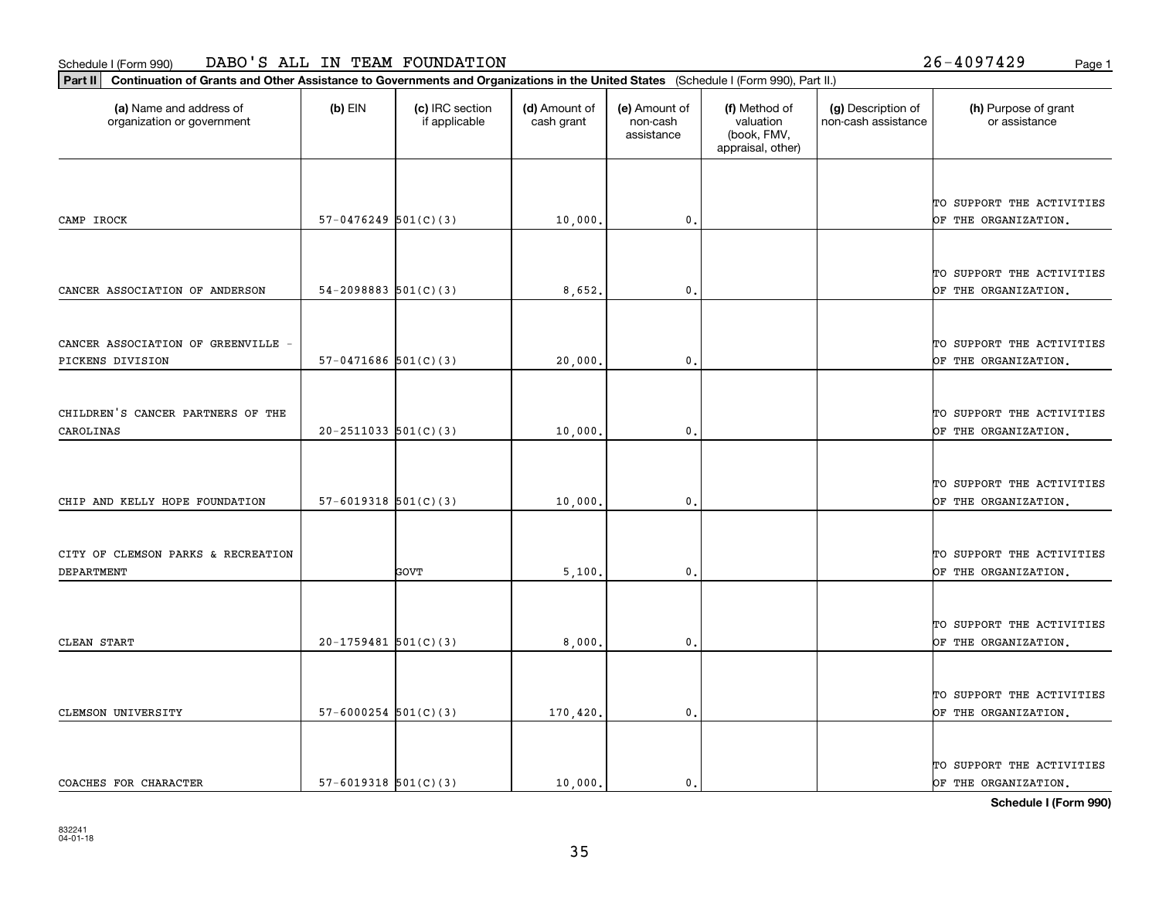**Part II Continuation of Grants and Other Assistance to Governments and Organizations in the United States**  (Schedule I (Form 990), Part II.)

| (a) Name and address of<br>organization or government | (b) EIN                    | (c) IRC section<br>if applicable | (d) Amount of<br>cash grant | (e) Amount of<br>non-cash<br>assistance | (f) Method of<br>valuation<br>(book, FMV,<br>appraisal, other) | (g) Description of<br>non-cash assistance | (h) Purpose of grant<br>or assistance |
|-------------------------------------------------------|----------------------------|----------------------------------|-----------------------------|-----------------------------------------|----------------------------------------------------------------|-------------------------------------------|---------------------------------------|
|                                                       |                            |                                  |                             |                                         |                                                                |                                           |                                       |
|                                                       |                            |                                  |                             |                                         |                                                                |                                           | TO SUPPORT THE ACTIVITIES             |
| CAMP IROCK                                            | $57-0476249$ $501(C)(3)$   |                                  | 10,000.                     | $\mathbf{0}$ .                          |                                                                |                                           | OF THE ORGANIZATION.                  |
|                                                       |                            |                                  |                             |                                         |                                                                |                                           |                                       |
|                                                       |                            |                                  |                             |                                         |                                                                |                                           | TO SUPPORT THE ACTIVITIES             |
| CANCER ASSOCIATION OF ANDERSON                        | $54-2098883$ $501(C)(3)$   |                                  | 8,652.                      | $\mathfrak{o}$ .                        |                                                                |                                           | OF THE ORGANIZATION.                  |
|                                                       |                            |                                  |                             |                                         |                                                                |                                           |                                       |
|                                                       |                            |                                  |                             |                                         |                                                                |                                           |                                       |
| CANCER ASSOCIATION OF GREENVILLE -                    |                            |                                  |                             |                                         |                                                                |                                           | TO SUPPORT THE ACTIVITIES             |
| PICKENS DIVISION                                      | $57-0471686$ $501(C)(3)$   |                                  | 20,000.                     | $\mathbf{0}$ .                          |                                                                |                                           | OF THE ORGANIZATION.                  |
|                                                       |                            |                                  |                             |                                         |                                                                |                                           |                                       |
| CHILDREN'S CANCER PARTNERS OF THE                     |                            |                                  |                             |                                         |                                                                |                                           | TO SUPPORT THE ACTIVITIES             |
| CAROLINAS                                             | $20 - 2511033$ $501(C)(3)$ |                                  | 10,000.                     | $\mathbf{0}$ .                          |                                                                |                                           | OF THE ORGANIZATION.                  |
|                                                       |                            |                                  |                             |                                         |                                                                |                                           |                                       |
|                                                       |                            |                                  |                             |                                         |                                                                |                                           |                                       |
|                                                       |                            |                                  |                             |                                         |                                                                |                                           | TO SUPPORT THE ACTIVITIES             |
| CHIP AND KELLY HOPE FOUNDATION                        | $57-6019318$ $501(C)(3)$   |                                  | 10,000.                     | $\mathfrak o$ .                         |                                                                |                                           | OF THE ORGANIZATION.                  |
|                                                       |                            |                                  |                             |                                         |                                                                |                                           |                                       |
| CITY OF CLEMSON PARKS & RECREATION                    |                            |                                  |                             |                                         |                                                                |                                           | TO SUPPORT THE ACTIVITIES             |
| <b>DEPARTMENT</b>                                     |                            | <b>GOVT</b>                      | 5,100.                      | $\mathfrak o$ .                         |                                                                |                                           | OF THE ORGANIZATION.                  |
|                                                       |                            |                                  |                             |                                         |                                                                |                                           |                                       |
|                                                       |                            |                                  |                             |                                         |                                                                |                                           |                                       |
|                                                       |                            |                                  |                             |                                         |                                                                |                                           | TO SUPPORT THE ACTIVITIES             |
| CLEAN START                                           | $20-1759481$ 501(C)(3)     |                                  | 8,000,                      | $\mathfrak o$ .                         |                                                                |                                           | OF THE ORGANIZATION.                  |
|                                                       |                            |                                  |                             |                                         |                                                                |                                           |                                       |
|                                                       |                            |                                  |                             |                                         |                                                                |                                           | TO SUPPORT THE ACTIVITIES             |
| CLEMSON UNIVERSITY                                    | $57 - 6000254$ $501(C)(3)$ |                                  | 170,420.                    | $\mathbf{0}$ .                          |                                                                |                                           | OF THE ORGANIZATION.                  |
|                                                       |                            |                                  |                             |                                         |                                                                |                                           |                                       |
|                                                       |                            |                                  |                             |                                         |                                                                |                                           | TO SUPPORT THE ACTIVITIES             |
| COACHES FOR CHARACTER                                 | $57-6019318$ $501(C)(3)$   |                                  | 10,000.                     | 0.                                      |                                                                |                                           | OF THE ORGANIZATION.                  |
|                                                       |                            |                                  |                             |                                         |                                                                |                                           |                                       |

**Schedule I (Form 990)**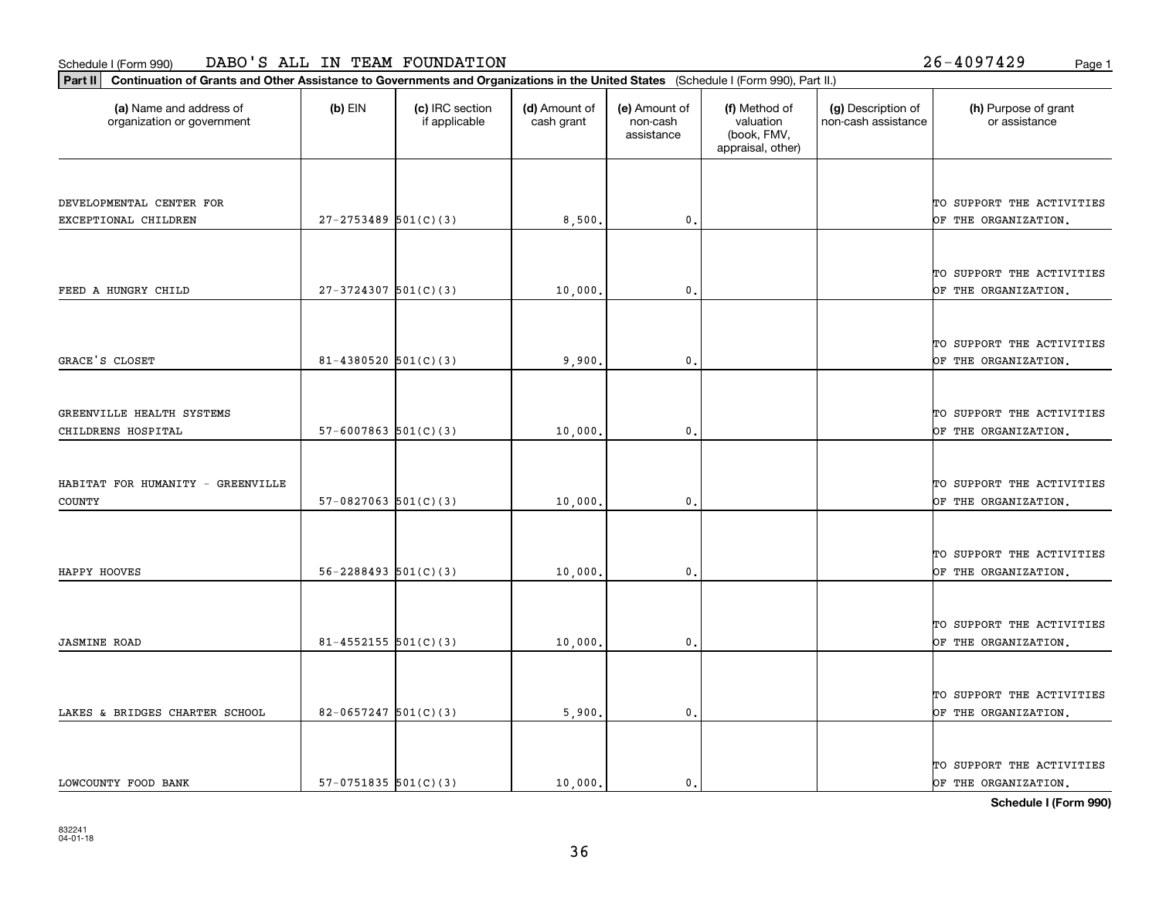**Part II Continuation of Grants and Other Assistance to Governments and Organizations in the United States**  (Schedule I (Form 990), Part II.)

| (a) Name and address of<br>organization or government | $(b)$ EIN                  | (c) IRC section<br>if applicable | (d) Amount of<br>cash grant | (e) Amount of<br>non-cash<br>assistance | (f) Method of<br>valuation<br>(book, FMV,<br>appraisal, other) | (g) Description of<br>non-cash assistance | (h) Purpose of grant<br>or assistance             |
|-------------------------------------------------------|----------------------------|----------------------------------|-----------------------------|-----------------------------------------|----------------------------------------------------------------|-------------------------------------------|---------------------------------------------------|
|                                                       |                            |                                  |                             |                                         |                                                                |                                           |                                                   |
| DEVELOPMENTAL CENTER FOR<br>EXCEPTIONAL CHILDREN      | $27 - 2753489$ 501(C)(3)   |                                  | 8,500.                      | 0.                                      |                                                                |                                           | TO SUPPORT THE ACTIVITIES<br>OF THE ORGANIZATION. |
|                                                       |                            |                                  |                             |                                         |                                                                |                                           |                                                   |
|                                                       |                            |                                  |                             |                                         |                                                                |                                           | TO SUPPORT THE ACTIVITIES                         |
| FEED A HUNGRY CHILD                                   | $27-3724307$ 501(C)(3)     |                                  | 10,000.                     | 0.                                      |                                                                |                                           | OF THE ORGANIZATION.                              |
|                                                       |                            |                                  |                             |                                         |                                                                |                                           |                                                   |
| GRACE'S CLOSET                                        | $81 - 4380520$ 501(C)(3)   |                                  | 9,900.                      | $\mathbf{0}$ .                          |                                                                |                                           | TO SUPPORT THE ACTIVITIES<br>OF THE ORGANIZATION, |
|                                                       |                            |                                  |                             |                                         |                                                                |                                           |                                                   |
| GREENVILLE HEALTH SYSTEMS                             |                            |                                  |                             |                                         |                                                                |                                           | TO SUPPORT THE ACTIVITIES                         |
| CHILDRENS HOSPITAL                                    | $57 - 6007863$ $501(C)(3)$ |                                  | 10,000                      | 0                                       |                                                                |                                           | OF THE ORGANIZATION.                              |
|                                                       |                            |                                  |                             |                                         |                                                                |                                           |                                                   |
| HABITAT FOR HUMANITY - GREENVILLE                     |                            |                                  |                             |                                         |                                                                |                                           | TO SUPPORT THE ACTIVITIES                         |
| <b>COUNTY</b>                                         | $57-0827063$ $501(C)(3)$   |                                  | 10,000.                     | $\mathbf{0}$ .                          |                                                                |                                           | OF THE ORGANIZATION.                              |
|                                                       |                            |                                  |                             |                                         |                                                                |                                           |                                                   |
| HAPPY HOOVES                                          | $56 - 2288493$ $501(C)(3)$ |                                  | 10,000.                     | $\mathfrak{o}$ .                        |                                                                |                                           | TO SUPPORT THE ACTIVITIES<br>OF THE ORGANIZATION. |
|                                                       |                            |                                  |                             |                                         |                                                                |                                           |                                                   |
|                                                       |                            |                                  |                             |                                         |                                                                |                                           | TO SUPPORT THE ACTIVITIES                         |
| <b>JASMINE ROAD</b>                                   | $81 - 4552155$ $501(C)(3)$ |                                  | 10,000.                     | 0.                                      |                                                                |                                           | OF THE ORGANIZATION.                              |
|                                                       |                            |                                  |                             |                                         |                                                                |                                           |                                                   |
| LAKES & BRIDGES CHARTER SCHOOL                        | $82 - 0657247$ 501(C)(3)   |                                  | 5,900.                      | $\mathfrak{o}$ .                        |                                                                |                                           | TO SUPPORT THE ACTIVITIES<br>OF THE ORGANIZATION. |
|                                                       |                            |                                  |                             |                                         |                                                                |                                           |                                                   |
|                                                       |                            |                                  |                             |                                         |                                                                |                                           | TO SUPPORT THE ACTIVITIES                         |
| LOWCOUNTY FOOD BANK                                   | $57-0751835$ $501(C)(3)$   |                                  | 10,000.                     | 0.                                      |                                                                |                                           | OF THE ORGANIZATION.                              |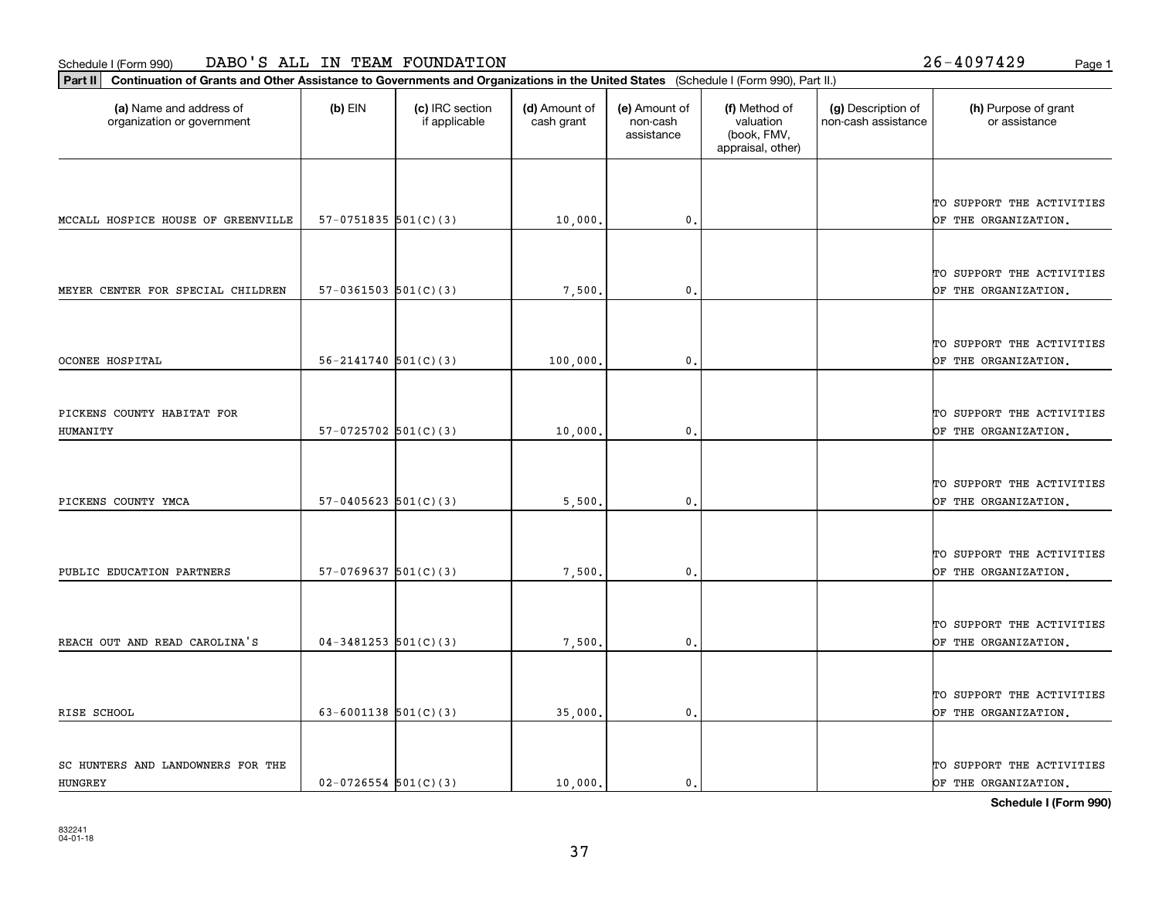**Part II Continuation of Grants and Other Assistance to Governments and Organizations in the United States**  (Schedule I (Form 990), Part II.)

HUNGREY

| (a) Name and address of<br>organization or government | $(b)$ EIN                  | (c) IRC section<br>if applicable | (d) Amount of<br>cash grant | (e) Amount of<br>non-cash<br>assistance | (f) Method of<br>valuation<br>(book, FMV,<br>appraisal, other) | (g) Description of<br>non-cash assistance | (h) Purpose of grant<br>or assistance             |
|-------------------------------------------------------|----------------------------|----------------------------------|-----------------------------|-----------------------------------------|----------------------------------------------------------------|-------------------------------------------|---------------------------------------------------|
|                                                       |                            |                                  |                             |                                         |                                                                |                                           |                                                   |
| MCCALL HOSPICE HOUSE OF GREENVILLE                    | $57-0751835$ $501(C)(3)$   |                                  | 10,000.                     | 0.                                      |                                                                |                                           | TO SUPPORT THE ACTIVITIES<br>OF THE ORGANIZATION. |
|                                                       |                            |                                  |                             |                                         |                                                                |                                           |                                                   |
| MEYER CENTER FOR SPECIAL CHILDREN                     | $57-0361503$ $501(C)(3)$   |                                  | 7,500.                      | $\mathbf{0}$ .                          |                                                                |                                           | TO SUPPORT THE ACTIVITIES<br>OF THE ORGANIZATION. |
|                                                       |                            |                                  |                             |                                         |                                                                |                                           |                                                   |
| OCONEE HOSPITAL                                       | $56 - 2141740$ $501(C)(3)$ |                                  | 100,000.                    | 0.                                      |                                                                |                                           | TO SUPPORT THE ACTIVITIES<br>OF THE ORGANIZATION. |
|                                                       |                            |                                  |                             |                                         |                                                                |                                           |                                                   |
| PICKENS COUNTY HABITAT FOR<br>HUMANITY                | $57-0725702$ $501(C)(3)$   |                                  | 10,000.                     | 0.                                      |                                                                |                                           | TO SUPPORT THE ACTIVITIES<br>OF THE ORGANIZATION. |
|                                                       |                            |                                  |                             |                                         |                                                                |                                           |                                                   |
| PICKENS COUNTY YMCA                                   | $57-0405623$ $501(C)(3)$   |                                  | 5,500.                      | 0.                                      |                                                                |                                           | TO SUPPORT THE ACTIVITIES<br>OF THE ORGANIZATION. |
|                                                       |                            |                                  |                             |                                         |                                                                |                                           |                                                   |
| PUBLIC EDUCATION PARTNERS                             | $57-0769637$ $501(C)(3)$   |                                  | 7,500,                      | 0.                                      |                                                                |                                           | TO SUPPORT THE ACTIVITIES<br>OF THE ORGANIZATION. |
|                                                       |                            |                                  |                             |                                         |                                                                |                                           |                                                   |
| REACH OUT AND READ CAROLINA'S                         | $04-3481253$ 501(C)(3)     |                                  | 7,500.                      | $\mathbf{0}$ .                          |                                                                |                                           | TO SUPPORT THE ACTIVITIES<br>OF THE ORGANIZATION. |
|                                                       |                            |                                  |                             |                                         |                                                                |                                           |                                                   |
| RISE SCHOOL                                           | 63-6001138 $501(C)(3)$     |                                  | 35,000.                     | 0.                                      |                                                                |                                           | TO SUPPORT THE ACTIVITIES<br>OF THE ORGANIZATION. |
|                                                       |                            |                                  |                             |                                         |                                                                |                                           |                                                   |
| SC HUNTERS AND LANDOWNERS FOR THE                     |                            |                                  |                             |                                         |                                                                |                                           | TO SUPPORT THE ACTIVITIES                         |

37

**Schedule I (Form 990)**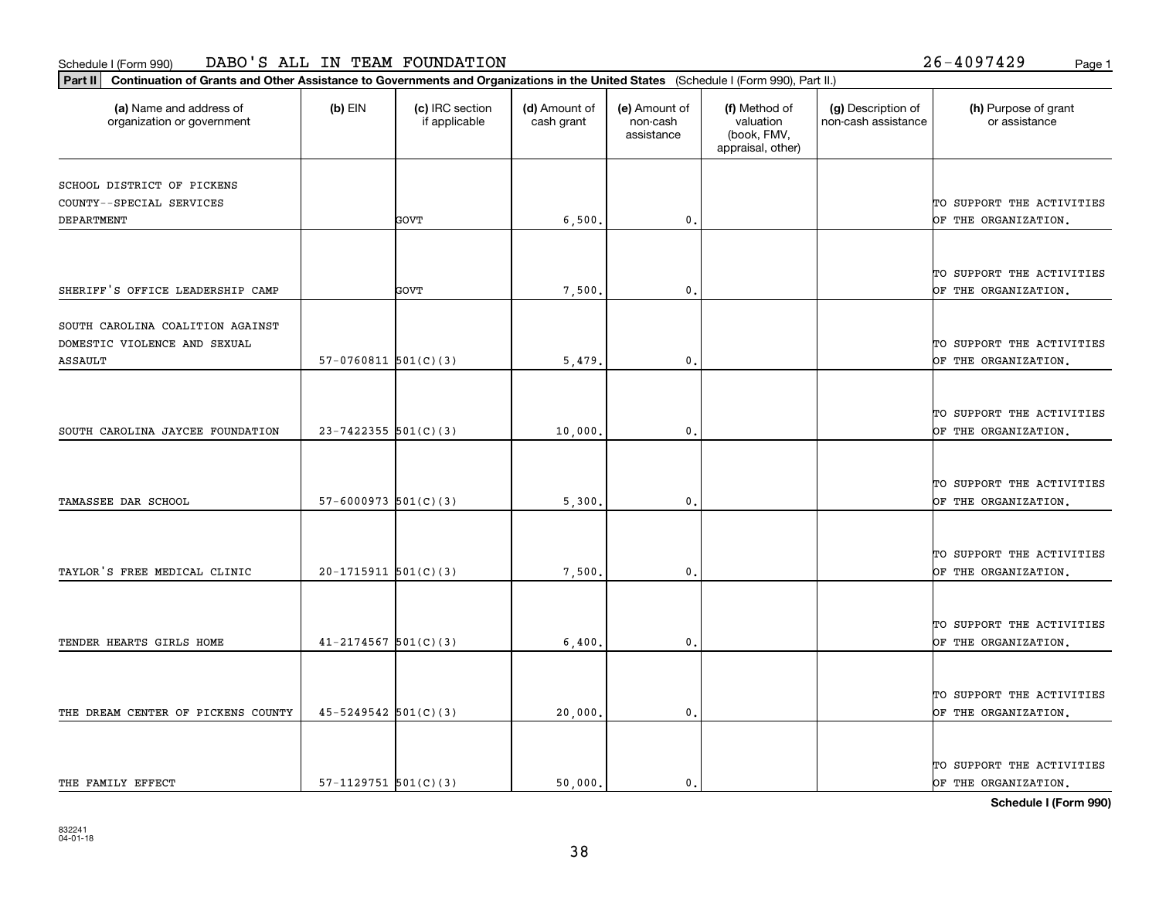**Part II Continuation of Grants and Other Assistance to Governments and Organizations in the United States**  (Schedule I (Form 990), Part II.)

| (a) Name and address of<br>organization or government | $(b)$ EIN                  | (c) IRC section<br>if applicable | (d) Amount of<br>cash grant | (e) Amount of<br>non-cash<br>assistance | (f) Method of<br>valuation<br>(book, FMV,<br>appraisal, other) | (g) Description of<br>non-cash assistance | (h) Purpose of grant<br>or assistance |
|-------------------------------------------------------|----------------------------|----------------------------------|-----------------------------|-----------------------------------------|----------------------------------------------------------------|-------------------------------------------|---------------------------------------|
| SCHOOL DISTRICT OF PICKENS                            |                            |                                  |                             |                                         |                                                                |                                           |                                       |
| COUNTY--SPECIAL SERVICES                              |                            |                                  |                             |                                         |                                                                |                                           | TO SUPPORT THE ACTIVITIES             |
| <b>DEPARTMENT</b>                                     |                            | <b>GOVT</b>                      | 6,500.                      | 0.                                      |                                                                |                                           | OF THE ORGANIZATION.                  |
|                                                       |                            |                                  |                             |                                         |                                                                |                                           |                                       |
|                                                       |                            |                                  |                             |                                         |                                                                |                                           | TO SUPPORT THE ACTIVITIES             |
| SHERIFF'S OFFICE LEADERSHIP CAMP                      |                            | <b>GOVT</b>                      | 7,500                       | 0.                                      |                                                                |                                           | OF THE ORGANIZATION.                  |
| SOUTH CAROLINA COALITION AGAINST                      |                            |                                  |                             |                                         |                                                                |                                           |                                       |
| DOMESTIC VIOLENCE AND SEXUAL                          |                            |                                  |                             |                                         |                                                                |                                           | TO SUPPORT THE ACTIVITIES             |
| ASSAULT                                               | $57-0760811$ $501(C)(3)$   |                                  | 5,479                       | $\mathbf{0}$                            |                                                                |                                           | OF THE ORGANIZATION.                  |
|                                                       |                            |                                  |                             |                                         |                                                                |                                           |                                       |
|                                                       |                            |                                  |                             |                                         |                                                                |                                           | TO SUPPORT THE ACTIVITIES             |
| SOUTH CAROLINA JAYCEE FOUNDATION                      | $23 - 7422355$ 501(C)(3)   |                                  | 10,000.                     | 0.                                      |                                                                |                                           | OF THE ORGANIZATION.                  |
|                                                       |                            |                                  |                             |                                         |                                                                |                                           |                                       |
|                                                       |                            |                                  |                             |                                         |                                                                |                                           | TO SUPPORT THE ACTIVITIES             |
| TAMASSEE DAR SCHOOL                                   | $57 - 6000973$ $501(C)(3)$ |                                  | 5,300.                      | 0.                                      |                                                                |                                           | OF THE ORGANIZATION.                  |
|                                                       |                            |                                  |                             |                                         |                                                                |                                           |                                       |
|                                                       |                            |                                  |                             |                                         |                                                                |                                           | TO SUPPORT THE ACTIVITIES             |
| TAYLOR'S FREE MEDICAL CLINIC                          | $20-1715911$ $501(C)(3)$   |                                  | 7,500                       | $\mathbf{0}$ .                          |                                                                |                                           | OF THE ORGANIZATION.                  |
|                                                       |                            |                                  |                             |                                         |                                                                |                                           |                                       |
|                                                       |                            |                                  |                             |                                         |                                                                |                                           | TO SUPPORT THE ACTIVITIES             |
| TENDER HEARTS GIRLS HOME                              | $41 - 2174567$ 501(C)(3)   |                                  | 6,400.                      | 0.                                      |                                                                |                                           | OF THE ORGANIZATION.                  |
|                                                       |                            |                                  |                             |                                         |                                                                |                                           |                                       |
|                                                       |                            |                                  |                             |                                         |                                                                |                                           | TO SUPPORT THE ACTIVITIES             |
| THE DREAM CENTER OF PICKENS COUNTY                    | $45 - 5249542$ 501(C)(3)   |                                  | 20,000.                     | 0.                                      |                                                                |                                           | OF THE ORGANIZATION.                  |
|                                                       |                            |                                  |                             |                                         |                                                                |                                           |                                       |
|                                                       |                            |                                  |                             |                                         |                                                                |                                           | TO SUPPORT THE ACTIVITIES             |
| THE FAMILY EFFECT                                     | $57-1129751$ $501(C)(3)$   |                                  | 50,000.                     | 0.                                      |                                                                |                                           | OF THE ORGANIZATION.                  |

**Schedule I (Form 990)**

38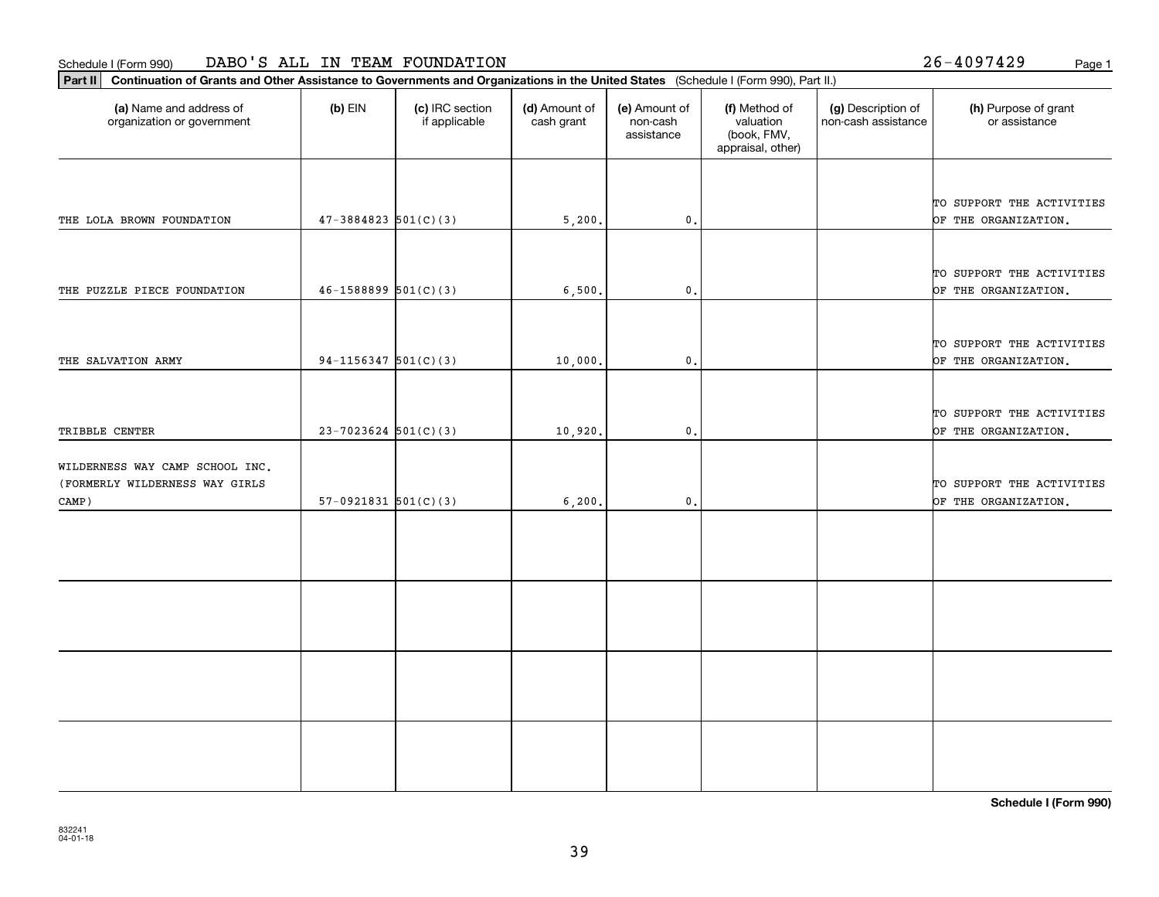**Part II Continuation of Grants and Other Assistance to Governments and Organizations in the United States**  (Schedule I (Form 990), Part II.)

| (a) Name and address of<br>organization or government                      | $(b)$ EIN                  | (c) IRC section<br>if applicable | (d) Amount of<br>cash grant | (e) Amount of<br>non-cash<br>assistance | (f) Method of<br>valuation<br>(book, FMV,<br>appraisal, other) | (g) Description of<br>non-cash assistance | (h) Purpose of grant<br>or assistance             |
|----------------------------------------------------------------------------|----------------------------|----------------------------------|-----------------------------|-----------------------------------------|----------------------------------------------------------------|-------------------------------------------|---------------------------------------------------|
| THE LOLA BROWN FOUNDATION                                                  | $47 - 3884823$ 501(C)(3)   |                                  | 5,200.                      | 0.                                      |                                                                |                                           | TO SUPPORT THE ACTIVITIES<br>OF THE ORGANIZATION. |
|                                                                            |                            |                                  |                             |                                         |                                                                |                                           | TO SUPPORT THE ACTIVITIES                         |
| THE PUZZLE PIECE FOUNDATION                                                | $46 - 1588899$ $501(C)(3)$ |                                  | 6,500.                      | 0.                                      |                                                                |                                           | OF THE ORGANIZATION.<br>TO SUPPORT THE ACTIVITIES |
| THE SALVATION ARMY                                                         | $94-1156347$ 501(C)(3)     |                                  | 10,000                      | $\mathbf{0}$ .                          |                                                                |                                           | OF THE ORGANIZATION.                              |
| TRIBBLE CENTER                                                             | $23 - 7023624$ 501(C)(3)   |                                  | 10,920                      | $\mathbf{0}$ .                          |                                                                |                                           | TO SUPPORT THE ACTIVITIES<br>OF THE ORGANIZATION. |
| WILDERNESS WAY CAMP SCHOOL INC.<br>(FORMERLY WILDERNESS WAY GIRLS<br>CAMP) | $57-0921831$ $501(C)(3)$   |                                  | 6, 200.                     | $\mathbf{0}$ .                          |                                                                |                                           | TO SUPPORT THE ACTIVITIES<br>OF THE ORGANIZATION. |
|                                                                            |                            |                                  |                             |                                         |                                                                |                                           |                                                   |
|                                                                            |                            |                                  |                             |                                         |                                                                |                                           |                                                   |
|                                                                            |                            |                                  |                             |                                         |                                                                |                                           |                                                   |
|                                                                            |                            |                                  |                             |                                         |                                                                |                                           |                                                   |

**Schedule I (Form 990)**

26-4097429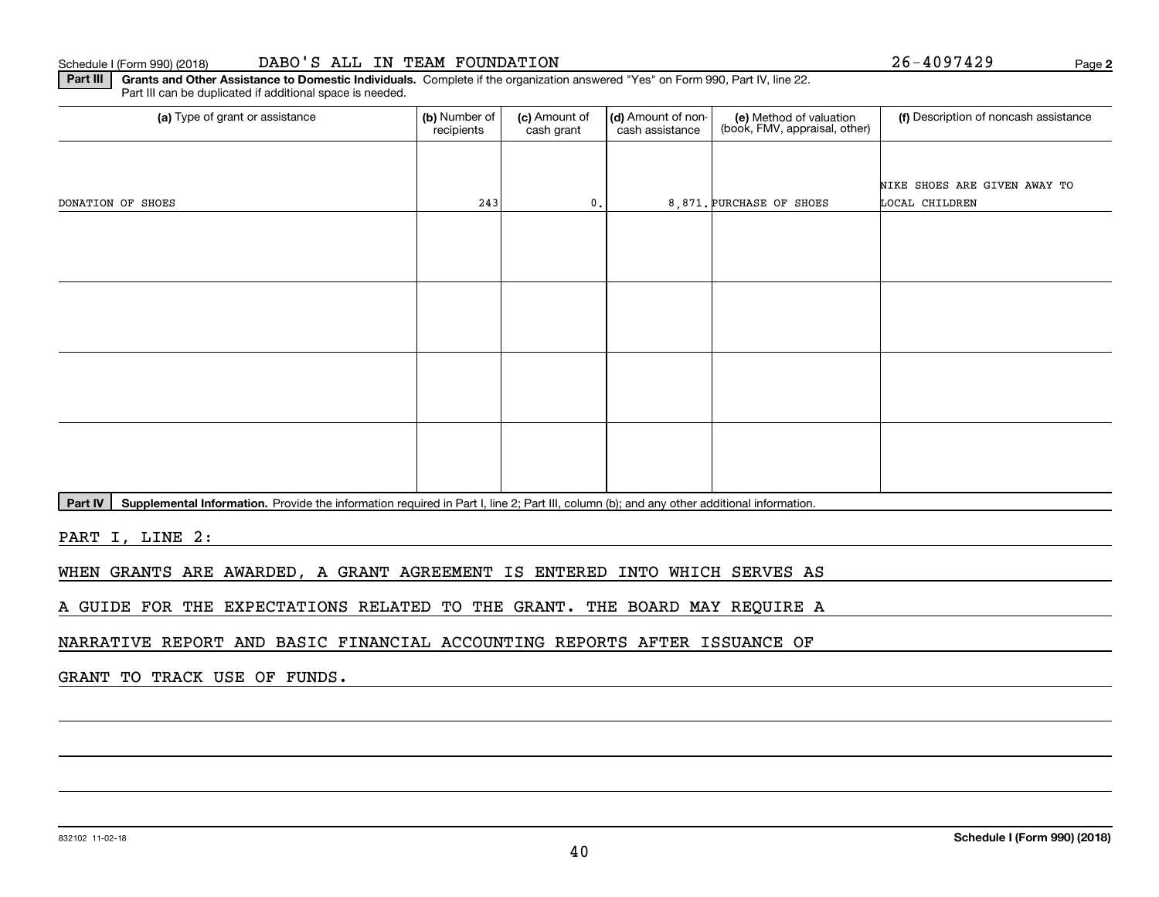#### Schedule I (Form 990) (2018) **DABO ' S ALL IN TEAM FOUNDATION** Page

**2**

**Part III | Grants and Other Assistance to Domestic Individuals. Complete if the organization answered "Yes" on Form 990, Part IV, line 22.** Part III can be duplicated if additional space is needed.

| (a) Type of grant or assistance | (b) Number of<br>(c) Amount of<br>recipients<br>cash grant |               | (d) Amount of non-<br>cash assistance | (e) Method of valuation<br>(book, FMV, appraisal, other) | (f) Description of noncash assistance |
|---------------------------------|------------------------------------------------------------|---------------|---------------------------------------|----------------------------------------------------------|---------------------------------------|
|                                 |                                                            |               |                                       |                                                          |                                       |
|                                 |                                                            |               |                                       |                                                          | NIKE SHOES ARE GIVEN AWAY TO          |
| DONATION OF SHOES               | 243                                                        | $\mathbf 0$ . |                                       | 8,871. PURCHASE OF SHOES                                 | LOCAL CHILDREN                        |
|                                 |                                                            |               |                                       |                                                          |                                       |
|                                 |                                                            |               |                                       |                                                          |                                       |
|                                 |                                                            |               |                                       |                                                          |                                       |
|                                 |                                                            |               |                                       |                                                          |                                       |
|                                 |                                                            |               |                                       |                                                          |                                       |
|                                 |                                                            |               |                                       |                                                          |                                       |
|                                 |                                                            |               |                                       |                                                          |                                       |
|                                 |                                                            |               |                                       |                                                          |                                       |
|                                 |                                                            |               |                                       |                                                          |                                       |
|                                 |                                                            |               |                                       |                                                          |                                       |
|                                 |                                                            |               |                                       |                                                          |                                       |
|                                 |                                                            |               |                                       |                                                          |                                       |

Part IV | Supplemental Information. Provide the information required in Part I, line 2; Part III, column (b); and any other additional information.

PART I, LINE 2:

WHEN GRANTS ARE AWARDED, A GRANT AGREEMENT IS ENTERED INTO WHICH SERVES AS

A GUIDE FOR THE EXPECTATIONS RELATED TO THE GRANT. THE BOARD MAY REQUIRE A

NARRATIVE REPORT AND BASIC FINANCIAL ACCOUNTING REPORTS AFTER ISSUANCE OF

GRANT TO TRACK USE OF FUNDS.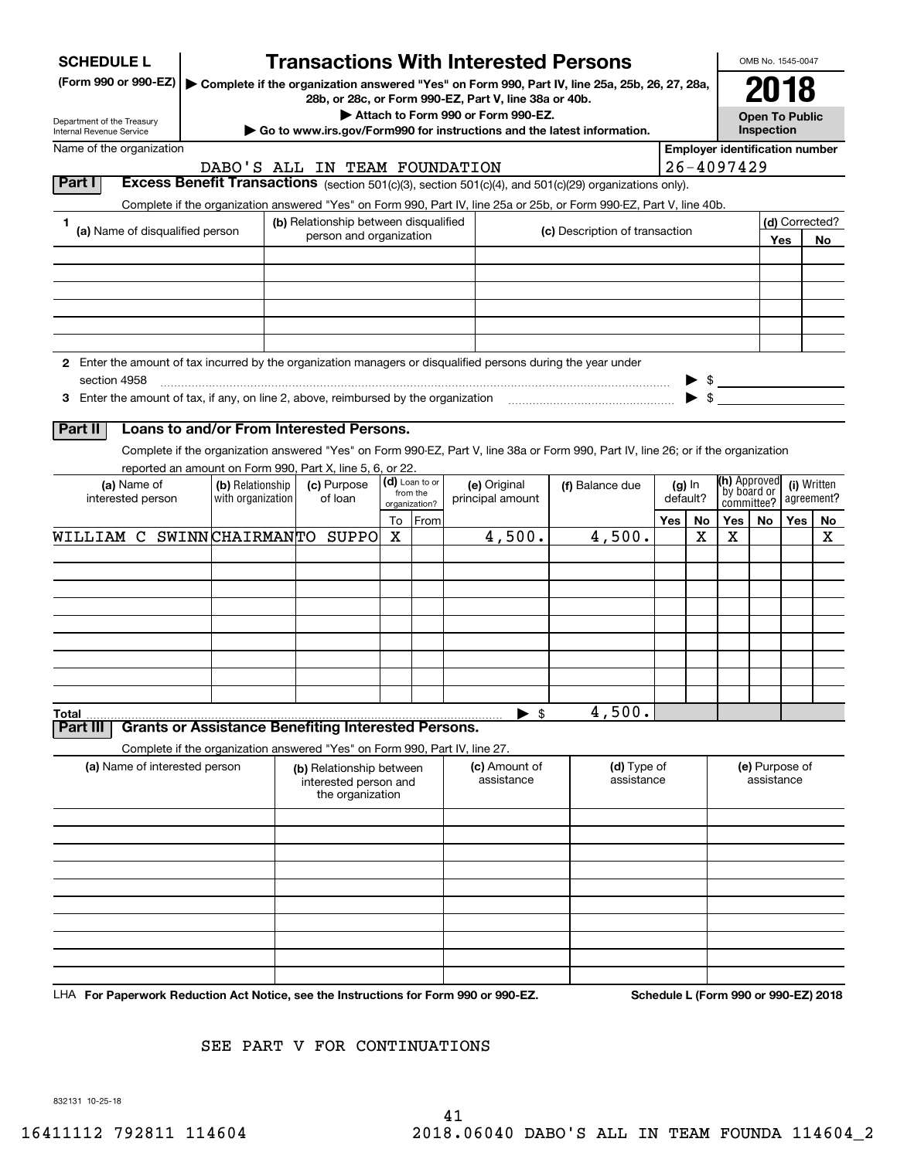| <b>SCHEDULE L</b>                                                                                             |                                       | <b>Transactions With Interested Persons</b>                                                                                                                                                  |         |                                             |  |                                  |                                       |                                                                                                                                    |     |                                           |                                                            |            | OMB No. 1545-0047         |          |
|---------------------------------------------------------------------------------------------------------------|---------------------------------------|----------------------------------------------------------------------------------------------------------------------------------------------------------------------------------------------|---------|---------------------------------------------|--|----------------------------------|---------------------------------------|------------------------------------------------------------------------------------------------------------------------------------|-----|-------------------------------------------|------------------------------------------------------------|------------|---------------------------|----------|
| (Form 990 or 990-EZ)<br>Department of the Treasury                                                            |                                       | Complete if the organization answered "Yes" on Form 990, Part IV, line 25a, 25b, 26, 27, 28a,<br>28b, or 28c, or Form 990-EZ, Part V, line 38a or 40b.<br>Attach to Form 990 or Form 990-EZ. |         |                                             |  |                                  |                                       |                                                                                                                                    |     |                                           | <b>Open To Public</b>                                      |            |                           |          |
| <b>Internal Revenue Service</b><br>Name of the organization                                                   |                                       | $\blacktriangleright$ Go to www.irs.gov/Form990 for instructions and the latest information.                                                                                                 |         |                                             |  |                                  |                                       |                                                                                                                                    |     |                                           | <b>Inspection</b><br><b>Employer identification number</b> |            |                           |          |
|                                                                                                               |                                       | DABO'S ALL IN TEAM FOUNDATION                                                                                                                                                                |         |                                             |  |                                  |                                       |                                                                                                                                    |     |                                           | 26-4097429                                                 |            |                           |          |
| Part I                                                                                                        |                                       |                                                                                                                                                                                              |         |                                             |  |                                  |                                       | Excess Benefit Transactions (section 501(c)(3), section 501(c)(4), and 501(c)(29) organizations only).                             |     |                                           |                                                            |            |                           |          |
|                                                                                                               |                                       |                                                                                                                                                                                              |         |                                             |  |                                  |                                       | Complete if the organization answered "Yes" on Form 990, Part IV, line 25a or 25b, or Form 990-EZ, Part V, line 40b.               |     |                                           |                                                            |            |                           |          |
| (a) Name of disqualified person                                                                               |                                       | (b) Relationship between disqualified<br>person and organization                                                                                                                             |         |                                             |  |                                  |                                       | (c) Description of transaction                                                                                                     |     |                                           |                                                            |            | (d) Corrected?<br>Yes     | No       |
|                                                                                                               |                                       |                                                                                                                                                                                              |         |                                             |  |                                  |                                       |                                                                                                                                    |     |                                           |                                                            |            |                           |          |
|                                                                                                               |                                       |                                                                                                                                                                                              |         |                                             |  |                                  |                                       |                                                                                                                                    |     |                                           |                                                            |            |                           |          |
| 2 Enter the amount of tax incurred by the organization managers or disqualified persons during the year under |                                       |                                                                                                                                                                                              |         |                                             |  |                                  |                                       |                                                                                                                                    |     |                                           |                                                            |            |                           |          |
| section 4958                                                                                                  |                                       |                                                                                                                                                                                              |         |                                             |  |                                  |                                       |                                                                                                                                    |     | $\blacktriangleright$ \$                  | $\bullet$ \$                                               |            |                           |          |
| Part II                                                                                                       |                                       | Loans to and/or From Interested Persons.                                                                                                                                                     |         |                                             |  |                                  |                                       |                                                                                                                                    |     |                                           |                                                            |            |                           |          |
|                                                                                                               |                                       |                                                                                                                                                                                              |         |                                             |  |                                  |                                       | Complete if the organization answered "Yes" on Form 990-EZ, Part V, line 38a or Form 990, Part IV, line 26; or if the organization |     |                                           |                                                            |            |                           |          |
|                                                                                                               |                                       | reported an amount on Form 990, Part X, line 5, 6, or 22.                                                                                                                                    |         |                                             |  |                                  |                                       |                                                                                                                                    |     |                                           |                                                            |            |                           |          |
| (a) Name of<br>interested person                                                                              | (b) Relationship<br>with organization | (c) Purpose<br>of loan                                                                                                                                                                       |         | (d) Loan to or<br>from the<br>organization? |  | (e) Original<br>principal amount | (f) Balance due<br>(g) In<br>default? |                                                                                                                                    |     | (h) Approved<br>by board or<br>committee? |                                                            |            | (i) Written<br>agreement? |          |
| WILLIAM C SWINNCHAIRMANTO SUPPO                                                                               |                                       |                                                                                                                                                                                              | To<br>x | From                                        |  | 4,500.                           |                                       | 4,500.                                                                                                                             | Yes | No<br>х                                   | Yes<br>x                                                   | No         | Yes                       | No.<br>х |
|                                                                                                               |                                       |                                                                                                                                                                                              |         |                                             |  |                                  |                                       |                                                                                                                                    |     |                                           |                                                            |            |                           |          |
|                                                                                                               |                                       |                                                                                                                                                                                              |         |                                             |  |                                  |                                       |                                                                                                                                    |     |                                           |                                                            |            |                           |          |
|                                                                                                               |                                       |                                                                                                                                                                                              |         |                                             |  |                                  |                                       |                                                                                                                                    |     |                                           |                                                            |            |                           |          |
|                                                                                                               |                                       |                                                                                                                                                                                              |         |                                             |  |                                  |                                       |                                                                                                                                    |     |                                           |                                                            |            |                           |          |
|                                                                                                               |                                       |                                                                                                                                                                                              |         |                                             |  |                                  |                                       |                                                                                                                                    |     |                                           |                                                            |            |                           |          |
|                                                                                                               |                                       |                                                                                                                                                                                              |         |                                             |  |                                  |                                       |                                                                                                                                    |     |                                           |                                                            |            |                           |          |
|                                                                                                               |                                       |                                                                                                                                                                                              |         |                                             |  |                                  |                                       |                                                                                                                                    |     |                                           |                                                            |            |                           |          |
|                                                                                                               |                                       |                                                                                                                                                                                              |         |                                             |  |                                  |                                       |                                                                                                                                    |     |                                           |                                                            |            |                           |          |
| Total<br>Part III                                                                                             |                                       | <b>Grants or Assistance Benefiting Interested Persons.</b>                                                                                                                                   |         |                                             |  | $\blacktriangleright$ \$         |                                       | 4,500.                                                                                                                             |     |                                           |                                                            |            |                           |          |
|                                                                                                               |                                       |                                                                                                                                                                                              |         |                                             |  |                                  |                                       |                                                                                                                                    |     |                                           |                                                            |            |                           |          |
| (a) Name of interested person                                                                                 |                                       | Complete if the organization answered "Yes" on Form 990, Part IV, line 27.<br>(b) Relationship between<br>interested person and                                                              |         |                                             |  | (c) Amount of<br>assistance      |                                       | (d) Type of<br>assistance                                                                                                          |     |                                           |                                                            | assistance | (e) Purpose of            |          |
|                                                                                                               |                                       | the organization                                                                                                                                                                             |         |                                             |  |                                  |                                       |                                                                                                                                    |     |                                           |                                                            |            |                           |          |
|                                                                                                               |                                       |                                                                                                                                                                                              |         |                                             |  |                                  |                                       |                                                                                                                                    |     |                                           |                                                            |            |                           |          |
|                                                                                                               |                                       |                                                                                                                                                                                              |         |                                             |  |                                  |                                       |                                                                                                                                    |     |                                           |                                                            |            |                           |          |
|                                                                                                               |                                       |                                                                                                                                                                                              |         |                                             |  |                                  |                                       |                                                                                                                                    |     |                                           |                                                            |            |                           |          |
|                                                                                                               |                                       |                                                                                                                                                                                              |         |                                             |  |                                  |                                       |                                                                                                                                    |     |                                           |                                                            |            |                           |          |
| LHA For Paperwork Reduction Act Notice, see the Instructions for Form 990 or 990-EZ.                          |                                       |                                                                                                                                                                                              |         |                                             |  |                                  |                                       |                                                                                                                                    |     |                                           | Schedule L (Form 990 or 990-EZ) 2018                       |            |                           |          |

SEE PART V FOR CONTINUATIONS

832131 10-25-18

41 16411112 792811 114604 2018.06040 DABO'S ALL IN TEAM FOUNDA 114604\_2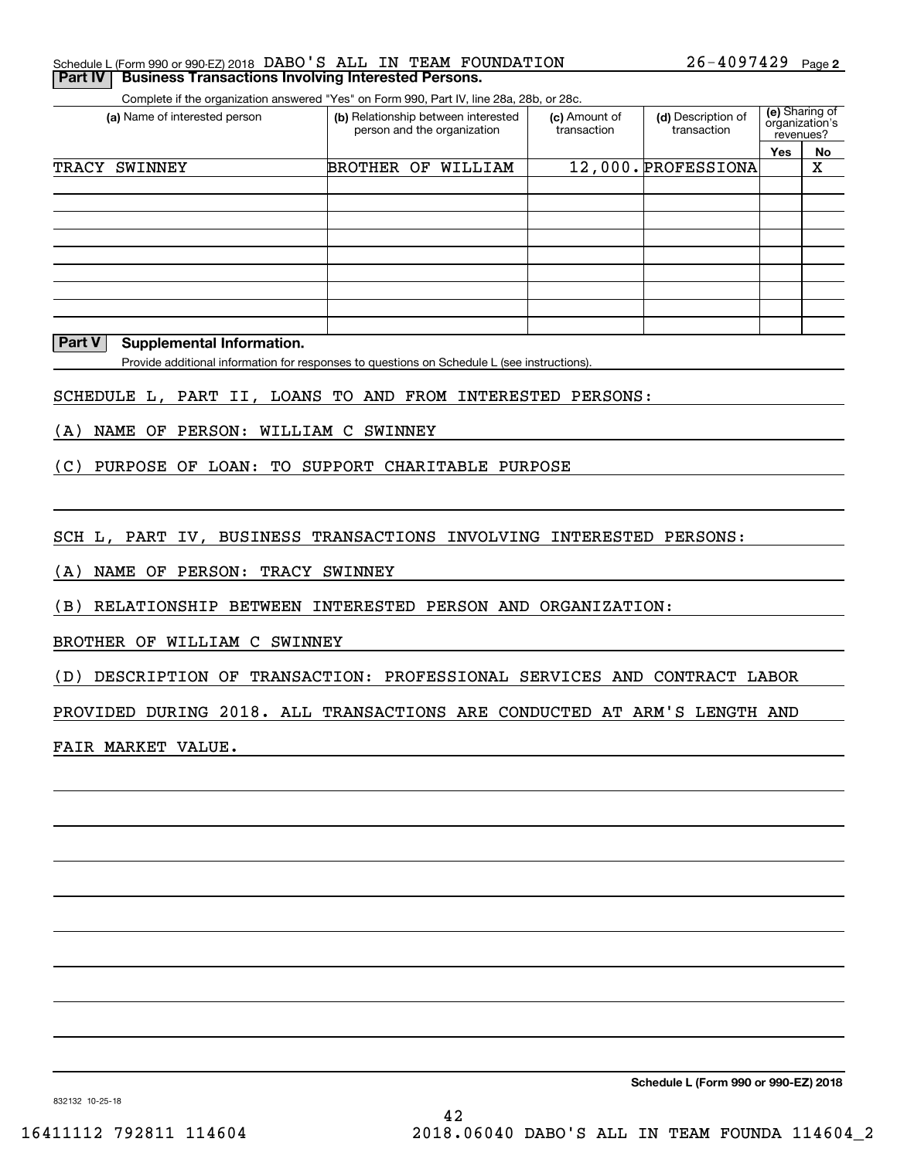| Schedule L (Form 990 or 990-EZ) 2018 DABO'S ALL IN TEAM FOUNDATION |  |  | $26 - 4097429$ Page 2 |  |
|--------------------------------------------------------------------|--|--|-----------------------|--|
| <b>Part IV Business Transactions Involving Interested Persons.</b> |  |  |                       |  |

Complete if the organization answered "Yes" on Form 990, Part IV, line 28a, 28b, or 28c.

| (a) Name of interested person |            | (b) Relationship between interested<br>person and the organization | (c) Amount of<br>transaction | (d) Description of<br>transaction | (e) Sharing of<br>organization's<br>revenues? |    |
|-------------------------------|------------|--------------------------------------------------------------------|------------------------------|-----------------------------------|-----------------------------------------------|----|
|                               |            |                                                                    |                              |                                   | Yes                                           | No |
| TRACY<br><b>SWINNEY</b>       | BROTHER OF | WILLIAM                                                            |                              | 12,000. PROFESSIONA               |                                               | Χ  |
|                               |            |                                                                    |                              |                                   |                                               |    |
|                               |            |                                                                    |                              |                                   |                                               |    |
|                               |            |                                                                    |                              |                                   |                                               |    |
|                               |            |                                                                    |                              |                                   |                                               |    |
|                               |            |                                                                    |                              |                                   |                                               |    |
|                               |            |                                                                    |                              |                                   |                                               |    |
|                               |            |                                                                    |                              |                                   |                                               |    |
|                               |            |                                                                    |                              |                                   |                                               |    |
|                               |            |                                                                    |                              |                                   |                                               |    |

#### **Part V Supplemental Information.**

Provide additional information for responses to questions on Schedule L (see instructions).

SCHEDULE L, PART II, LOANS TO AND FROM INTERESTED PERSONS:

(A) NAME OF PERSON: WILLIAM C SWINNEY

(C) PURPOSE OF LOAN: TO SUPPORT CHARITABLE PURPOSE

SCH L, PART IV, BUSINESS TRANSACTIONS INVOLVING INTERESTED PERSONS:

(A) NAME OF PERSON: TRACY SWINNEY

(B) RELATIONSHIP BETWEEN INTERESTED PERSON AND ORGANIZATION:

BROTHER OF WILLIAM C SWINNEY

(D) DESCRIPTION OF TRANSACTION: PROFESSIONAL SERVICES AND CONTRACT LABOR

PROVIDED DURING 2018. ALL TRANSACTIONS ARE CONDUCTED AT ARM'S LENGTH AND

FAIR MARKET VALUE.

**Schedule L (Form 990 or 990-EZ) 2018**

832132 10-25-18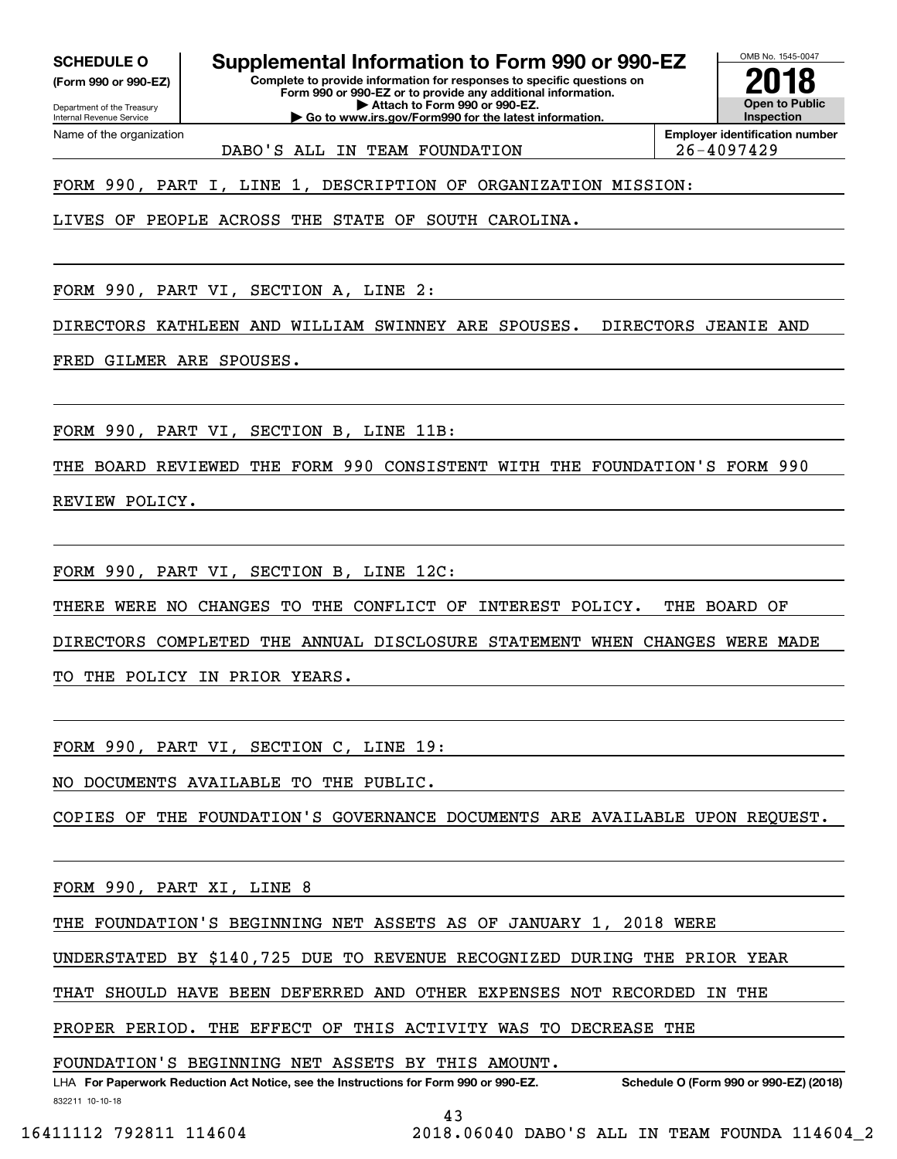**(Form 990 or 990-EZ)**

Department of the Treasury Internal Revenue Service Name of the organization

**SCHEDULE O Supplemental Information to Form 990 or 990-EZ**

**Complete to provide information for responses to specific questions on Form 990 or 990-EZ or to provide any additional information. | Attach to Form 990 or 990-EZ. | Go to www.irs.gov/Form990 for the latest information.**

**Open to Public InspectionEmployer identification number 2018**

OMB No. 1545-0047

DABO'S ALL IN TEAM FOUNDATION 26-4097429

FORM 990, PART I, LINE 1, DESCRIPTION OF ORGANIZATION MISSION:

LIVES OF PEOPLE ACROSS THE STATE OF SOUTH CAROLINA.

FORM 990, PART VI, SECTION A, LINE 2:

DIRECTORS KATHLEEN AND WILLIAM SWINNEY ARE SPOUSES. DIRECTORS JEANIE AND

FRED GILMER ARE SPOUSES.

FORM 990, PART VI, SECTION B, LINE 11B:

THE BOARD REVIEWED THE FORM 990 CONSISTENT WITH THE FOUNDATION'S FORM 990 REVIEW POLICY.

FORM 990, PART VI, SECTION B, LINE 12C:

THERE WERE NO CHANGES TO THE CONFLICT OF INTEREST POLICY. THE BOARD OF

DIRECTORS COMPLETED THE ANNUAL DISCLOSURE STATEMENT WHEN CHANGES WERE MADE

TO THE POLICY IN PRIOR YEARS.

FORM 990, PART VI, SECTION C, LINE 19:

NO DOCUMENTS AVAILABLE TO THE PUBLIC.

COPIES OF THE FOUNDATION'S GOVERNANCE DOCUMENTS ARE AVAILABLE UPON REQUEST.

FORM 990, PART XI, LINE 8

THE FOUNDATION'S BEGINNING NET ASSETS AS OF JANUARY 1, 2018 WERE

UNDERSTATED BY \$140,725 DUE TO REVENUE RECOGNIZED DURING THE PRIOR YEAR

THAT SHOULD HAVE BEEN DEFERRED AND OTHER EXPENSES NOT RECORDED IN THE

PROPER PERIOD. THE EFFECT OF THIS ACTIVITY WAS TO DECREASE THE

FOUNDATION'S BEGINNING NET ASSETS BY THIS AMOUNT.

832211 10-10-18 LHA For Paperwork Reduction Act Notice, see the Instructions for Form 990 or 990-EZ. Schedule O (Form 990 or 990-EZ) (2018)

43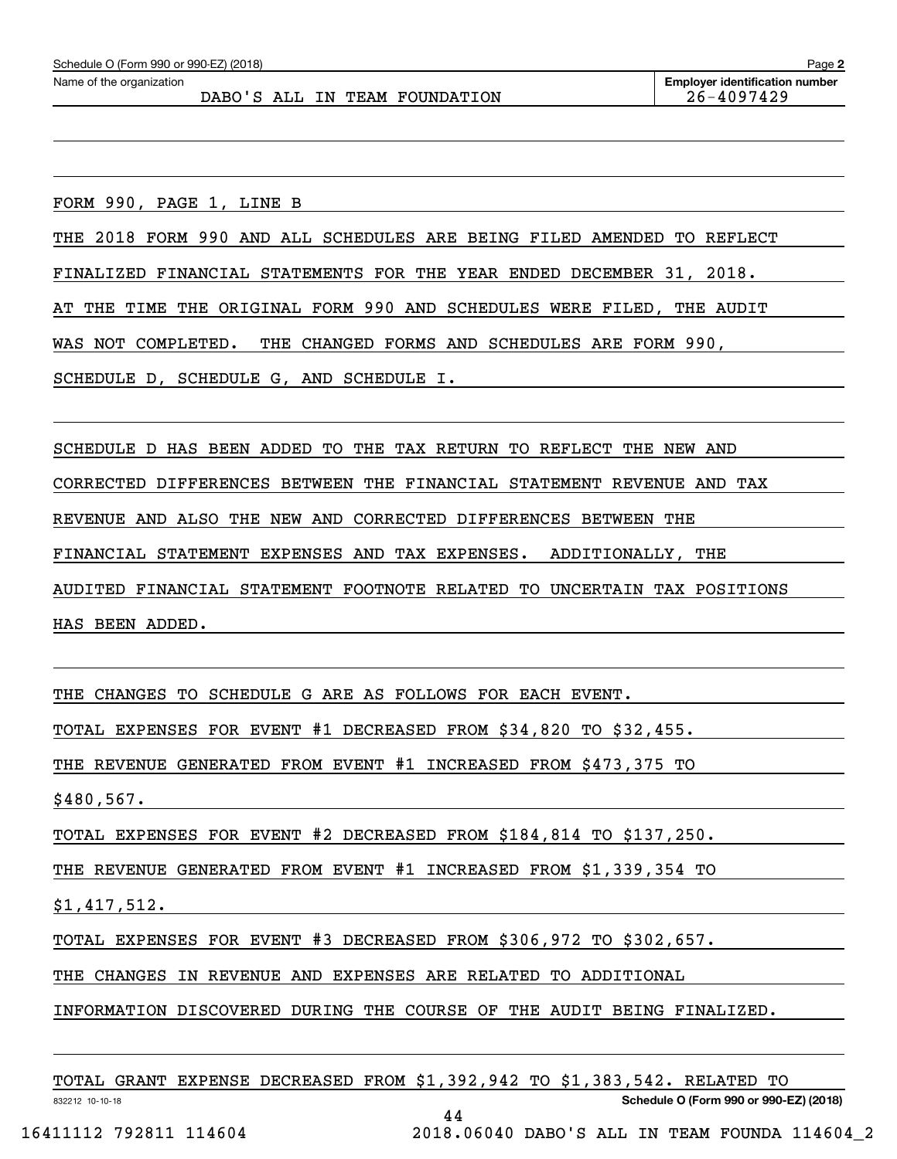FORM 990, PAGE 1, LINE B

THE 2018 FORM 990 AND ALL SCHEDULES ARE BEING FILED AMENDED TO REFLECT

FINALIZED FINANCIAL STATEMENTS FOR THE YEAR ENDED DECEMBER 31, 2018.

AT THE TIME THE ORIGINAL FORM 990 AND SCHEDULES WERE FILED, THE AUDIT

WAS NOT COMPLETED. THE CHANGED FORMS AND SCHEDULES ARE FORM 990,

SCHEDULE D, SCHEDULE G, AND SCHEDULE I.

SCHEDULE D HAS BEEN ADDED TO THE TAX RETURN TO REFLECT THE NEW AND

CORRECTED DIFFERENCES BETWEEN THE FINANCIAL STATEMENT REVENUE AND TAX

REVENUE AND ALSO THE NEW AND CORRECTED DIFFERENCES BETWEEN THE

FINANCIAL STATEMENT EXPENSES AND TAX EXPENSES. ADDITIONALLY, THE

AUDITED FINANCIAL STATEMENT FOOTNOTE RELATED TO UNCERTAIN TAX POSITIONS

HAS BEEN ADDED.

THE CHANGES TO SCHEDULE G ARE AS FOLLOWS FOR EACH EVENT.

TOTAL EXPENSES FOR EVENT #1 DECREASED FROM \$34,820 TO \$32,455.

THE REVENUE GENERATED FROM EVENT #1 INCREASED FROM \$473,375 TO

\$480,567.

TOTAL EXPENSES FOR EVENT #2 DECREASED FROM \$184,814 TO \$137,250.

THE REVENUE GENERATED FROM EVENT #1 INCREASED FROM \$1,339,354 TO

\$1,417,512.

TOTAL EXPENSES FOR EVENT #3 DECREASED FROM \$306,972 TO \$302,657.

THE CHANGES IN REVENUE AND EXPENSES ARE RELATED TO ADDITIONAL

INFORMATION DISCOVERED DURING THE COURSE OF THE AUDIT BEING FINALIZED.

|  |  |  |  | TOTAL GRANT EXPENSE DECREASED FROM \$1,392,942 TO \$1,383,542. RELATED TO |
|--|--|--|--|---------------------------------------------------------------------------|
|  |  |  |  |                                                                           |

44

832212 10-10-18

**Schedule O (Form 990 or 990-EZ) (2018)**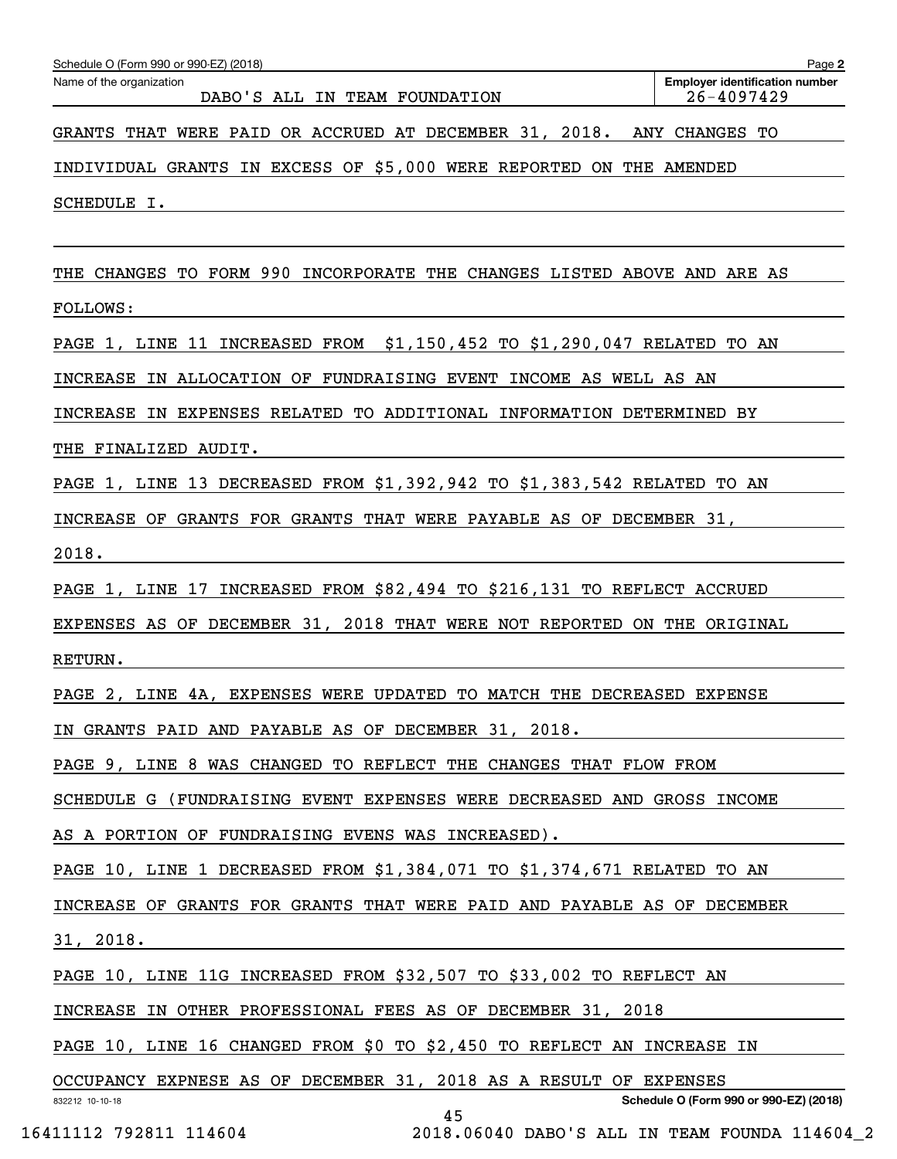| Schedule O (Form 990 or 990-EZ) (2018)                                  | Page 2                                              |
|-------------------------------------------------------------------------|-----------------------------------------------------|
| Name of the organization<br>DABO'S ALL IN TEAM FOUNDATION               | <b>Employer identification number</b><br>26-4097429 |
| GRANTS THAT WERE PAID OR ACCRUED AT DECEMBER 31, 2018. ANY CHANGES TO   |                                                     |
| INDIVIDUAL GRANTS IN EXCESS OF \$5,000 WERE REPORTED ON THE AMENDED     |                                                     |
| SCHEDULE I.                                                             |                                                     |
|                                                                         |                                                     |
| THE CHANGES TO FORM 990 INCORPORATE THE CHANGES LISTED ABOVE AND ARE AS |                                                     |
| <b>FOLLOWS:</b>                                                         |                                                     |
| PAGE 1, LINE 11 INCREASED FROM \$1,150,452 TO \$1,290,047 RELATED TO AN |                                                     |
| INCREASE IN ALLOCATION OF FUNDRAISING EVENT INCOME AS WELL AS AN        |                                                     |
| INCREASE IN EXPENSES RELATED TO ADDITIONAL INFORMATION DETERMINED BY    |                                                     |
| THE FINALIZED AUDIT.                                                    |                                                     |
| PAGE 1, LINE 13 DECREASED FROM \$1,392,942 TO \$1,383,542 RELATED TO AN |                                                     |
| INCREASE OF GRANTS FOR GRANTS THAT WERE PAYABLE AS OF DECEMBER 31,      |                                                     |
| 2018.                                                                   |                                                     |
| PAGE 1, LINE 17 INCREASED FROM \$82,494 TO \$216,131 TO REFLECT ACCRUED |                                                     |
| EXPENSES AS OF DECEMBER 31, 2018 THAT WERE NOT REPORTED ON THE ORIGINAL |                                                     |
| RETURN.                                                                 |                                                     |
| PAGE 2, LINE 4A, EXPENSES WERE UPDATED TO MATCH THE DECREASED EXPENSE   |                                                     |
| IN GRANTS PAID AND PAYABLE AS OF DECEMBER 31, 2018.                     |                                                     |
| PAGE 9, LINE 8 WAS CHANGED TO REFLECT THE CHANGES THAT FLOW FROM        |                                                     |
| SCHEDULE G (FUNDRAISING EVENT EXPENSES WERE DECREASED AND GROSS INCOME  |                                                     |
| AS A PORTION OF FUNDRAISING EVENS WAS INCREASED).                       |                                                     |
| PAGE 10, LINE 1 DECREASED FROM \$1,384,071 TO \$1,374,671 RELATED TO AN |                                                     |
| INCREASE OF GRANTS FOR GRANTS THAT WERE PAID AND PAYABLE AS OF DECEMBER |                                                     |
| 31, 2018.                                                               |                                                     |
| PAGE 10, LINE 11G INCREASED FROM \$32,507 TO \$33,002 TO REFLECT AN     |                                                     |
| INCREASE IN OTHER PROFESSIONAL FEES AS OF DECEMBER 31, 2018             |                                                     |
| PAGE 10, LINE 16 CHANGED FROM \$0 TO \$2,450 TO REFLECT AN INCREASE IN  |                                                     |
| OCCUPANCY EXPNESE AS OF DECEMBER 31, 2018 AS A RESULT OF EXPENSES       | Schedule O (Form 990 or 990-EZ) (2018)              |
| 832212 10-10-18<br>45 — 1                                               |                                                     |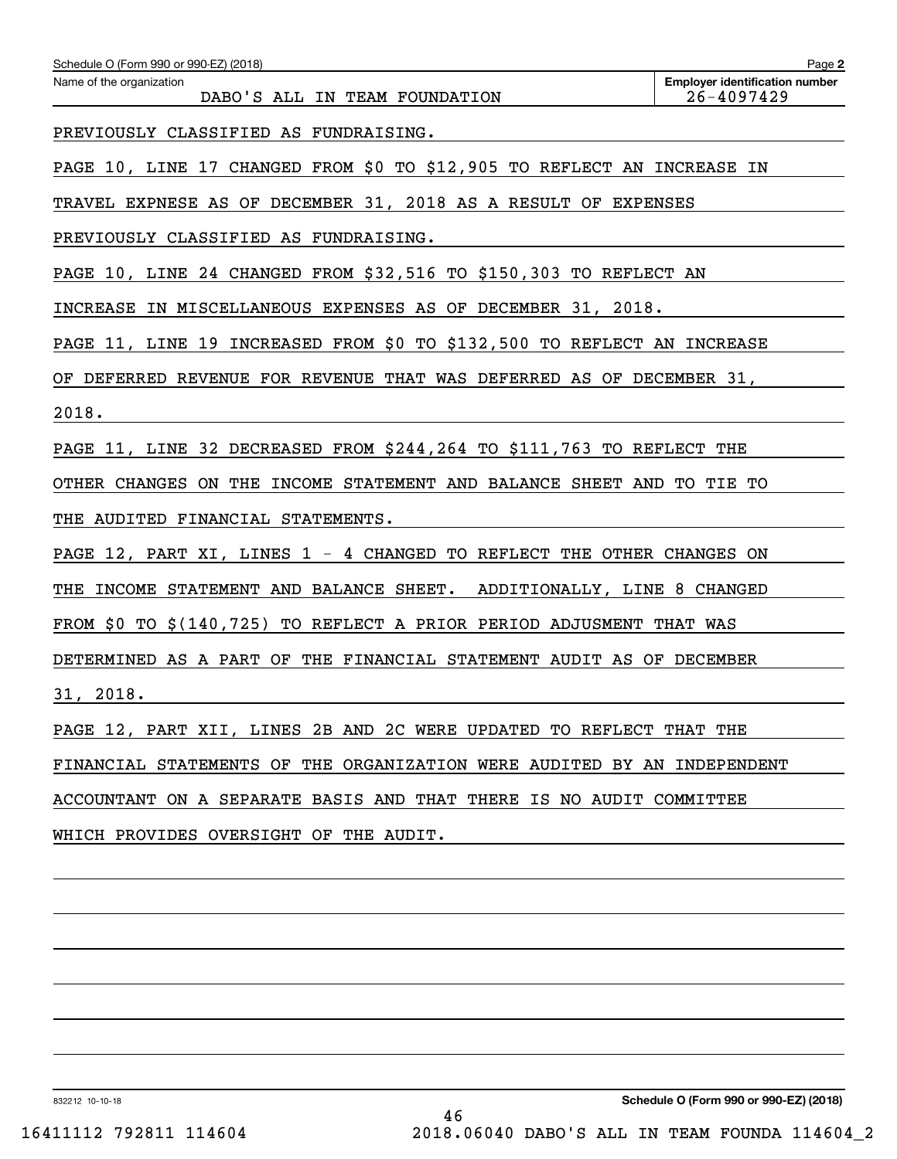| Schedule O (Form 990 or 990-EZ) (2018)                                  | Page 2                                                  |  |  |  |  |  |  |
|-------------------------------------------------------------------------|---------------------------------------------------------|--|--|--|--|--|--|
| Name of the organization<br>DABO'S ALL IN TEAM FOUNDATION               | <b>Employer identification number</b><br>$26 - 4097429$ |  |  |  |  |  |  |
| PREVIOUSLY CLASSIFIED AS FUNDRAISING.                                   |                                                         |  |  |  |  |  |  |
| PAGE 10, LINE 17 CHANGED FROM \$0 TO \$12,905 TO REFLECT AN INCREASE IN |                                                         |  |  |  |  |  |  |
| TRAVEL EXPNESE AS OF DECEMBER 31, 2018 AS A RESULT OF EXPENSES          |                                                         |  |  |  |  |  |  |
| PREVIOUSLY CLASSIFIED AS FUNDRAISING.                                   |                                                         |  |  |  |  |  |  |
| PAGE 10, LINE 24 CHANGED FROM \$32,516 TO \$150,303 TO REFLECT AN       |                                                         |  |  |  |  |  |  |
| INCREASE IN MISCELLANEOUS EXPENSES AS OF DECEMBER 31, 2018.             |                                                         |  |  |  |  |  |  |
| PAGE 11, LINE 19 INCREASED FROM \$0 TO \$132,500 TO REFLECT AN INCREASE |                                                         |  |  |  |  |  |  |
| OF DEFERRED REVENUE FOR REVENUE THAT WAS DEFERRED AS OF DECEMBER 31,    |                                                         |  |  |  |  |  |  |
| 2018.                                                                   |                                                         |  |  |  |  |  |  |
| PAGE 11, LINE 32 DECREASED FROM \$244,264 TO \$111,763 TO REFLECT THE   |                                                         |  |  |  |  |  |  |
| OTHER CHANGES ON THE INCOME STATEMENT AND BALANCE SHEET AND TO TIE TO   |                                                         |  |  |  |  |  |  |
| THE AUDITED FINANCIAL STATEMENTS.                                       |                                                         |  |  |  |  |  |  |
| PAGE 12, PART XI, LINES 1 - 4 CHANGED TO REFLECT THE OTHER CHANGES ON   |                                                         |  |  |  |  |  |  |
| THE INCOME STATEMENT AND BALANCE SHEET. ADDITIONALLY, LINE 8 CHANGED    |                                                         |  |  |  |  |  |  |
| FROM \$0 TO \$(140,725) TO REFLECT A PRIOR PERIOD ADJUSMENT THAT WAS    |                                                         |  |  |  |  |  |  |
| DETERMINED AS A PART OF THE FINANCIAL STATEMENT AUDIT AS OF DECEMBER    |                                                         |  |  |  |  |  |  |
| 31, 2018.                                                               |                                                         |  |  |  |  |  |  |
| PAGE 12, PART XII, LINES 2B AND 2C WERE UPDATED TO REFLECT THAT THE     |                                                         |  |  |  |  |  |  |
| FINANCIAL STATEMENTS OF THE ORGANIZATION WERE AUDITED BY AN INDEPENDENT |                                                         |  |  |  |  |  |  |
| ACCOUNTANT ON A SEPARATE BASIS AND THAT THERE IS NO AUDIT COMMITTEE     |                                                         |  |  |  |  |  |  |
| WHICH PROVIDES OVERSIGHT OF THE AUDIT.                                  |                                                         |  |  |  |  |  |  |
|                                                                         |                                                         |  |  |  |  |  |  |

832212 10-10-18